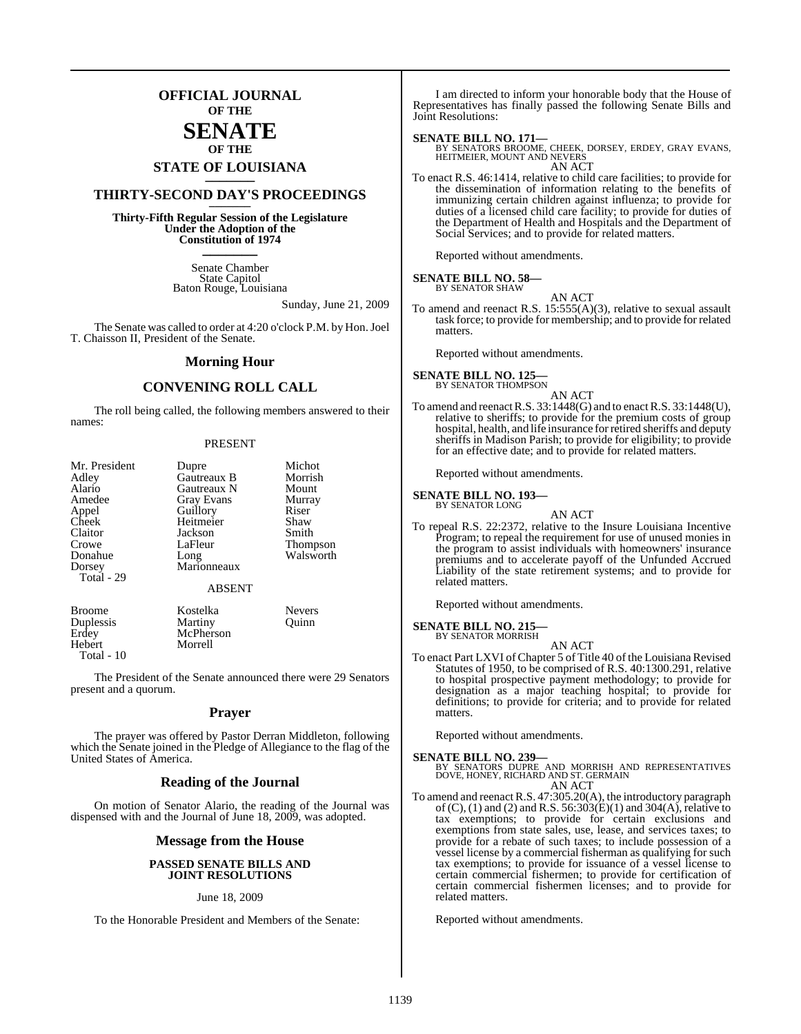### **OFFICIAL JOURNAL OF THE**

### **SENATE OF THE**

## **STATE OF LOUISIANA \_\_\_\_\_\_\_**

### **THIRTY-SECOND DAY'S PROCEEDINGS \_\_\_\_\_\_\_**

**Thirty-Fifth Regular Session of the Legislature Under the Adoption of the Constitution of 1974 \_\_\_\_\_\_\_**

> Senate Chamber State Capitol Baton Rouge, Louisiana

> > Sunday, June 21, 2009

The Senate was called to order at 4:20 o'clock P.M. by Hon. Joel T. Chaisson II, President of the Senate.

#### **Morning Hour**

### **CONVENING ROLL CALL**

The roll being called, the following members answered to their names:

#### PRESENT

| Mr. President | Dupre             | Michot          |
|---------------|-------------------|-----------------|
| Adley         | Gautreaux B       | Morrish         |
| Alario        | Gautreaux N       | Mount           |
| Amedee        | <b>Gray Evans</b> | Murray          |
| Appel         | Guillory          | Riser           |
| Cheek         | Heitmeier         | Shaw            |
| Claitor       | Jackson           | Smith           |
| Crowe         | LaFleur           | <b>Thompson</b> |
| Donahue       | Long              | Walsworth       |
| Dorsey        | Marionneaux       |                 |
| Total - 29    |                   |                 |
|               | <b>ABSENT</b>     |                 |
| <b>Broome</b> | Kostelka          | <b>Nevers</b>   |
| Duplessis     | Martiny           | Ouinn           |
| Erdey         | McPherson         |                 |
| Hebert        | Morrell           |                 |

The President of the Senate announced there were 29 Senators present and a quorum.

Total - 10

#### **Prayer**

The prayer was offered by Pastor Derran Middleton, following which the Senate joined in the Pledge of Allegiance to the flag of the United States of America.

#### **Reading of the Journal**

On motion of Senator Alario, the reading of the Journal was dispensed with and the Journal of June 18, 2009, was adopted.

#### **Message from the House**

#### **PASSED SENATE BILLS AND JOINT RESOLUTIONS**

#### June 18, 2009

To the Honorable President and Members of the Senate:

I am directed to inform your honorable body that the House of Representatives has finally passed the following Senate Bills and Joint Resolutions:

#### **SENATE BILL NO. 171—**

BY SENATORS BROOME, CHEEK, DORSEY, ERDEY, GRAY EVANS, HEITMEIER, MOUNT AND NEVERS AN ACT

To enact R.S. 46:1414, relative to child care facilities; to provide for the dissemination of information relating to the benefits of immunizing certain children against influenza; to provide for duties of a licensed child care facility; to provide for duties of the Department of Health and Hospitals and the Department of Social Services; and to provide for related matters.

Reported without amendments.

#### **SENATE BILL NO. 58—** BY SENATOR SHAW

AN ACT

To amend and reenact R.S. 15:555(A)(3), relative to sexual assault task force; to provide for membership; and to provide for related matters.

Reported without amendments.

### **SENATE BILL NO. 125—**<br>BY SENATOR THOMPSON

#### AN ACT

To amend and reenact R.S. 33:1448(G) and to enact R.S. 33:1448(U), relative to sheriffs; to provide for the premium costs of group hospital, health, and life insurance for retired sheriffs and deputy sheriffs in Madison Parish; to provide for eligibility; to provide for an effective date; and to provide for related matters.

Reported without amendments.

**SENATE BILL NO. 193—** BY SENATOR LONG

AN ACT

To repeal R.S. 22:2372, relative to the Insure Louisiana Incentive Program; to repeal the requirement for use of unused monies in the program to assist individuals with homeowners' insurance premiums and to accelerate payoff of the Unfunded Accrued Liability of the state retirement systems; and to provide for related matters.

Reported without amendments.

## **SENATE BILL NO. 215—** BY SENATOR MORRISH

AN ACT

To enact Part LXVI of Chapter 5 of Title 40 of the Louisiana Revised Statutes of 1950, to be comprised of R.S. 40:1300.291, relative to hospital prospective payment methodology; to provide for designation as a major teaching hospital; to provide for definitions; to provide for criteria; and to provide for related matters.

Reported without amendments.

**SENATE BILL NO. 239—**<br>BY SENATORS DUPRE AND MORRISH AND REPRESENTATIVES<br>DOVE, HONEY, RICHARD AND ST. GERMAIN AN ACT

To amend and reenact R.S. 47:305.20(A), the introductory paragraph of  $(C)$ ,  $(1)$  and  $(2)$  and R.S. 56:303 $(E)(1)$  and 304 $(A)$ , relative to tax exemptions; to provide for certain exclusions and exemptions from state sales, use, lease, and services taxes; to provide for a rebate of such taxes; to include possession of a vessel license by a commercial fisherman as qualifying for such tax exemptions; to provide for issuance of a vessel license to certain commercial fishermen; to provide for certification of certain commercial fishermen licenses; and to provide for related matters.

Reported without amendments.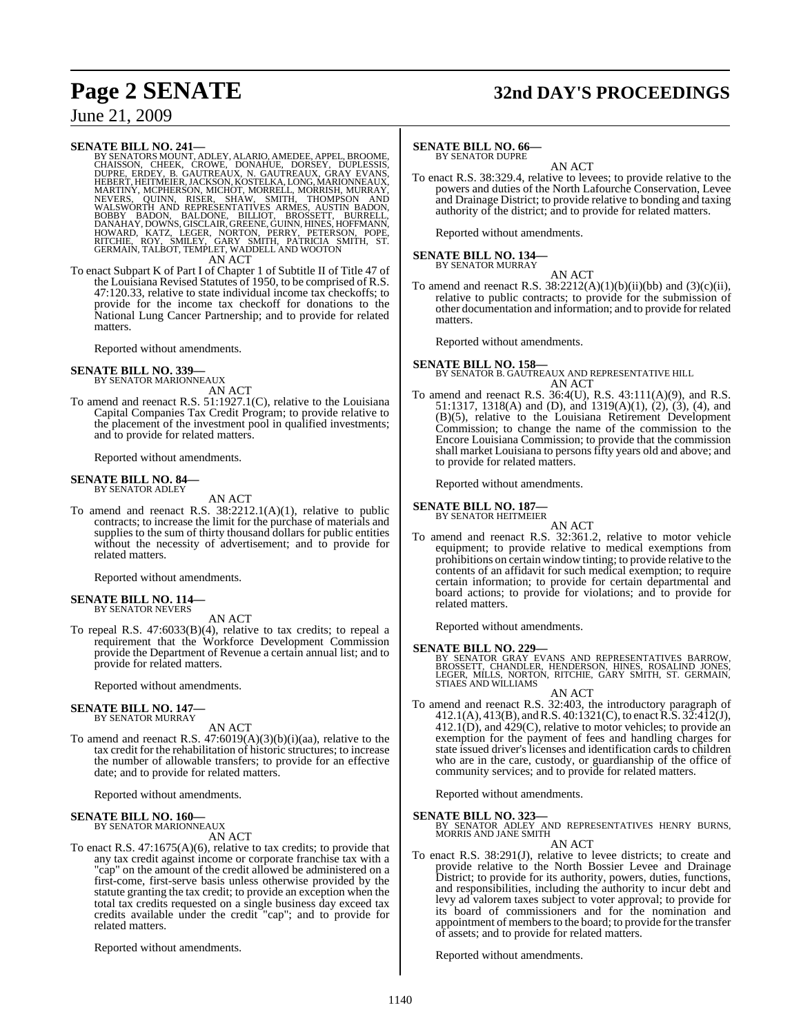## **Page 2 SENATE 32nd DAY'S PROCEEDINGS**

### June 21, 2009

SENATE BILL NO. 241—<br>
BY SENATORS MOUNT, ADLEY, ALARIO, AMEDEE, APPEL, BROOME, CHAISSON, CHEEK, CROWE, DONAHUE, DORSEY, DUPLESSIS,<br>
CHAISSON, CHEEK, CROWE, DONAHUE, DORSEY, DUPLESSIS,<br>
EUPRE, ERDEY, B. GAUTREAUX, N. GAUTRE

To enact Subpart K of Part I of Chapter 1 of Subtitle II of Title 47 of the Louisiana Revised Statutes of 1950, to be comprised of R.S. 47:120.33, relative to state individual income tax checkoffs; to provide for the income tax checkoff for donations to the National Lung Cancer Partnership; and to provide for related matters.

Reported without amendments.

#### **SENATE BILL NO. 339—**

BY SENATOR MARIONNEAUX AN ACT

To amend and reenact R.S. 51:1927.1(C), relative to the Louisiana Capital Companies Tax Credit Program; to provide relative to the placement of the investment pool in qualified investments; and to provide for related matters.

Reported without amendments.

#### **SENATE BILL NO. 84—** BY SENATOR ADLEY

AN ACT

To amend and reenact R.S. 38:2212.1(A)(1), relative to public contracts; to increase the limit for the purchase of materials and supplies to the sum of thirty thousand dollars for public entities without the necessity of advertisement; and to provide for related matters.

Reported without amendments.

#### **SENATE BILL NO. 114—** BY SENATOR NEVERS

AN ACT

To repeal R.S. 47:6033(B)(4), relative to tax credits; to repeal a requirement that the Workforce Development Commission provide the Department of Revenue a certain annual list; and to provide for related matters.

Reported without amendments.

#### **SENATE BILL NO. 147—** BY SENATOR MURRAY

AN ACT

To amend and reenact R.S. 47:6019(A)(3)(b)(i)(aa), relative to the tax credit for the rehabilitation of historic structures; to increase the number of allowable transfers; to provide for an effective date; and to provide for related matters.

Reported without amendments.

#### **SENATE BILL NO. 160—** BY SENATOR MARIONNEAUX

AN ACT

To enact R.S. 47:1675(A)(6), relative to tax credits; to provide that any tax credit against income or corporate franchise tax with a "cap" on the amount of the credit allowed be administered on a first-come, first-serve basis unless otherwise provided by the statute granting the tax credit; to provide an exception when the total tax credits requested on a single business day exceed tax credits available under the credit "cap"; and to provide for related matters.

Reported without amendments.

#### **SENATE BILL NO. 66—**

BY SENATOR DUPRE

AN ACT To enact R.S. 38:329.4, relative to levees; to provide relative to the powers and duties of the North Lafourche Conservation, Levee and Drainage District; to provide relative to bonding and taxing authority of the district; and to provide for related matters.

Reported without amendments.

## **SENATE BILL NO. 134—** BY SENATOR MURRAY

AN ACT

To amend and reenact R.S.  $38:2212(A)(1)(b)(ii)(bb)$  and  $(3)(c)(ii)$ , relative to public contracts; to provide for the submission of other documentation and information; and to provide for related matters.

Reported without amendments.

### **SENATE BILL NO. 158—** BY SENATOR B. GAUTREAUX AND REPRESENTATIVE HILL AN ACT

To amend and reenact R.S. 36:4(U), R.S. 43:111(A)(9), and R.S. 51:1317, 1318(A) and (D), and 1319(A)(1), (2), (3), (4), and (B)(5), relative to the Louisiana Retirement Development Commission; to change the name of the commission to the Encore Louisiana Commission; to provide that the commission shall market Louisiana to persons fifty years old and above; and to provide for related matters.

Reported without amendments.

#### **SENATE BILL NO. 187—** BY SENATOR HEITMEIER

- AN ACT
- To amend and reenact R.S. 32:361.2, relative to motor vehicle equipment; to provide relative to medical exemptions from prohibitions on certain window tinting; to provide relative to the contents of an affidavit for such medical exemption; to require certain information; to provide for certain departmental and board actions; to provide for violations; and to provide for related matters.

Reported without amendments.

**SENATE BILL NO. 229—** BY SENATOR GRAY EVANS AND REPRESENTATIVES BARROW, BROSSETT, CHANDLER, HENDERSON, HINES, ROSALIND JONES, LEGER, MILLS, NORTON, RITCHIE, GARY SMITH, ST. GERMAIN, STIAES AND WILLIAMS

#### AN ACT

To amend and reenact R.S. 32:403, the introductory paragraph of  $412.1(A), 413(B),$  and R.S.  $40:1321(C)$ , to enact R.S.  $32:412(J),$  $412.1(D)$ , and  $429(C)$ , relative to motor vehicles; to provide an exemption for the payment of fees and handling charges for state issued driver's licenses and identification cards to children who are in the care, custody, or guardianship of the office of community services; and to provide for related matters.

Reported without amendments.

**SENATE BILL NO. 323—**<br>BY SENATOR ADLEY AND REPRESENTATIVES HENRY BURNS,<br>MORRIS AND JANE SMITH

#### AN ACT

To enact R.S. 38:291(J), relative to levee districts; to create and provide relative to the North Bossier Levee and Drainage District; to provide for its authority, powers, duties, functions, and responsibilities, including the authority to incur debt and levy ad valorem taxes subject to voter approval; to provide for its board of commissioners and for the nomination and appointment of members to the board; to provide for the transfer of assets; and to provide for related matters.

Reported without amendments.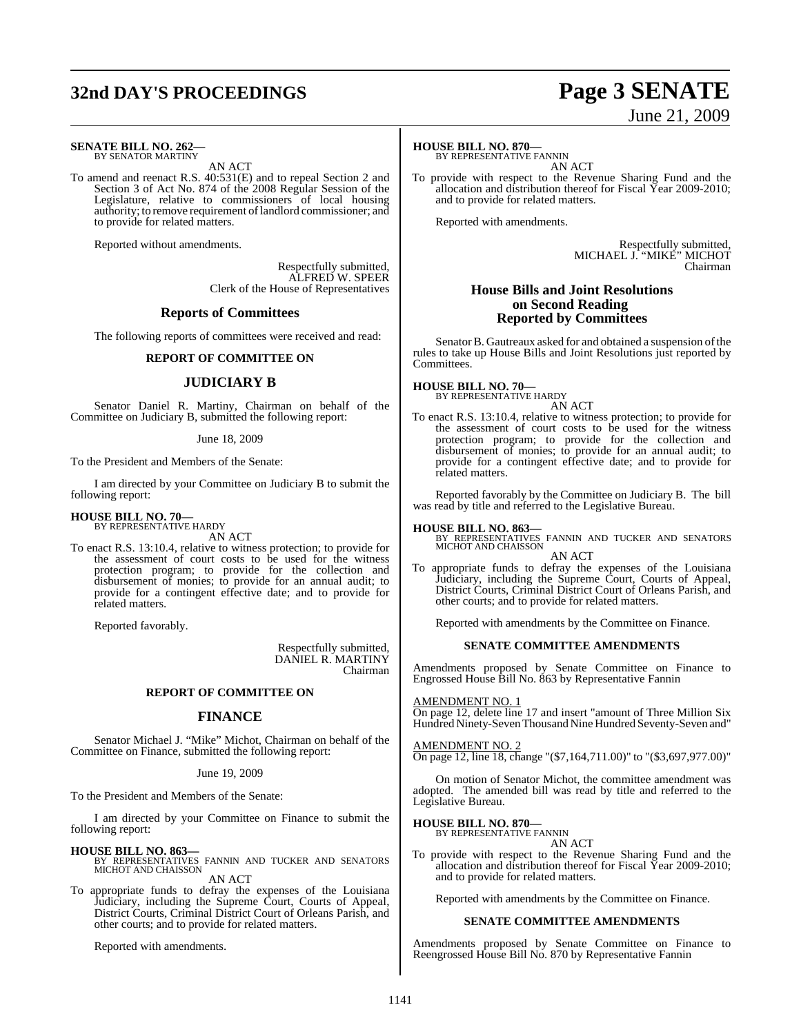## **32nd DAY'S PROCEEDINGS Page 3 SENATE**

#### **SENATE BILL NO. 262—** BY SENATOR MARTINY

AN ACT

To amend and reenact R.S. 40:531(E) and to repeal Section 2 and Section 3 of Act No. 874 of the 2008 Regular Session of the Legislature, relative to commissioners of local housing authority; to remove requirement oflandlord commissioner; and to provide for related matters.

Reported without amendments.

Respectfully submitted, ALFRED W. SPEER Clerk of the House of Representatives

#### **Reports of Committees**

The following reports of committees were received and read:

#### **REPORT OF COMMITTEE ON**

#### **JUDICIARY B**

Senator Daniel R. Martiny, Chairman on behalf of the Committee on Judiciary B, submitted the following report:

#### June 18, 2009

To the President and Members of the Senate:

I am directed by your Committee on Judiciary B to submit the following report:

#### **HOUSE BILL NO. 70—** BY REPRESENTATIVE HARDY

AN ACT

To enact R.S. 13:10.4, relative to witness protection; to provide for the assessment of court costs to be used for the witness protection program; to provide for the collection and disbursement of monies; to provide for an annual audit; to provide for a contingent effective date; and to provide for related matters.

Reported favorably.

Respectfully submitted, DANIEL R. MARTINY Chairman

#### **REPORT OF COMMITTEE ON**

#### **FINANCE**

Senator Michael J. "Mike" Michot, Chairman on behalf of the Committee on Finance, submitted the following report:

#### June 19, 2009

To the President and Members of the Senate:

I am directed by your Committee on Finance to submit the following report:

#### **HOUSE BILL NO. 863—**

BY REPRESENTATIVES FANNIN AND TUCKER AND SENATORS MICHOT AND CHAISSON AN ACT

To appropriate funds to defray the expenses of the Louisiana Judiciary, including the Supreme Court, Courts of Appeal, District Courts, Criminal District Court of Orleans Parish, and other courts; and to provide for related matters.

Reported with amendments.

#### **HOUSE BILL NO. 870—**

BY REPRESENTATIVE FANNIN AN ACT

To provide with respect to the Revenue Sharing Fund and the allocation and distribution thereof for Fiscal Year 2009-2010; and to provide for related matters.

Reported with amendments.

Respectfully submitted, MICHAEL J. "MIKE" MICHOT Chairman

#### **House Bills and Joint Resolutions on Second Reading Reported by Committees**

Senator B. Gautreaux asked for and obtained a suspension of the rules to take up House Bills and Joint Resolutions just reported by Committees.

**HOUSE BILL NO. 70—** BY REPRESENTATIVE HARDY

AN ACT

To enact R.S. 13:10.4, relative to witness protection; to provide for the assessment of court costs to be used for the witness protection program; to provide for the collection and disbursement of monies; to provide for an annual audit; to provide for a contingent effective date; and to provide for related matters.

Reported favorably by the Committee on Judiciary B. The bill was read by title and referred to the Legislative Bureau.

**HOUSE BILL NO. 863—** BY REPRESENTATIVES FANNIN AND TUCKER AND SENATORS MICHOT AND CHAISSON AN ACT

To appropriate funds to defray the expenses of the Louisiana Judiciary, including the Supreme Court, Courts of Appeal, District Courts, Criminal District Court of Orleans Parish, and other courts; and to provide for related matters.

Reported with amendments by the Committee on Finance.

#### **SENATE COMMITTEE AMENDMENTS**

Amendments proposed by Senate Committee on Finance to Engrossed House Bill No. 863 by Representative Fannin

AMENDMENT NO. 1

On page 12, delete line 17 and insert "amount of Three Million Six Hundred Ninety-Seven Thousand Nine Hundred Seventy-Seven and"

#### AMENDMENT NO. 2

On page 12, line 18, change "(\$7,164,711.00)" to "(\$3,697,977.00)"

On motion of Senator Michot, the committee amendment was adopted. The amended bill was read by title and referred to the Legislative Bureau.

**HOUSE BILL NO. 870—**

BY REPRESENTATIVE FANNIN AN ACT

To provide with respect to the Revenue Sharing Fund and the allocation and distribution thereof for Fiscal Year 2009-2010; and to provide for related matters.

Reported with amendments by the Committee on Finance.

#### **SENATE COMMITTEE AMENDMENTS**

Amendments proposed by Senate Committee on Finance to Reengrossed House Bill No. 870 by Representative Fannin

# June 21, 2009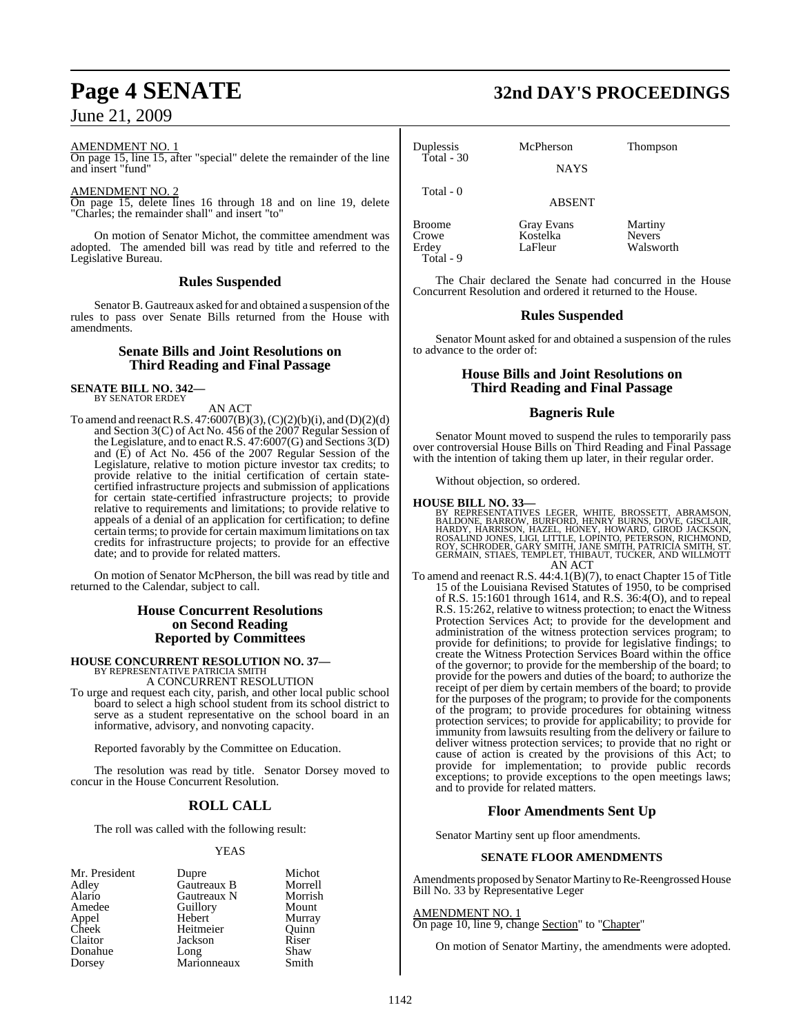#### AMENDMENT NO. 1

On page 15, line 15, after "special" delete the remainder of the line and insert "fund"

#### AMENDMENT NO. 2

On page 15, delete lines 16 through 18 and on line 19, delete "Charles; the remainder shall" and insert "to"

On motion of Senator Michot, the committee amendment was adopted. The amended bill was read by title and referred to the Legislative Bureau.

#### **Rules Suspended**

Senator B. Gautreaux asked for and obtained a suspension of the rules to pass over Senate Bills returned from the House with amendments.

#### **Senate Bills and Joint Resolutions on Third Reading and Final Passage**

**SENATE BILL NO. 342—** BY SENATOR ERDEY

#### AN ACT

To amend and reenact R.S.  $47:6007(B)(3)$ ,  $(C)(2)(b)(i)$ , and  $(D)(2)(d)$ and Section 3(C) of Act No. 456 of the 2007 Regular Session of the Legislature, and to enact R.S. 47:6007(G) and Sections 3(D) and (E) of Act No. 456 of the 2007 Regular Session of the Legislature, relative to motion picture investor tax credits; to provide relative to the initial certification of certain statecertified infrastructure projects and submission of applications for certain state-certified infrastructure projects; to provide relative to requirements and limitations; to provide relative to appeals of a denial of an application for certification; to define certain terms; to provide for certain maximum limitations on tax credits for infrastructure projects; to provide for an effective date; and to provide for related matters.

On motion of Senator McPherson, the bill was read by title and returned to the Calendar, subject to call.

#### **House Concurrent Resolutions on Second Reading Reported by Committees**

## **HOUSE CONCURRENT RESOLUTION NO. 37—** BY REPRESENTATIVE PATRICIA SMITH

A CONCURRENT RESOLUTION

To urge and request each city, parish, and other local public school board to select a high school student from its school district to serve as a student representative on the school board in an informative, advisory, and nonvoting capacity.

Reported favorably by the Committee on Education.

The resolution was read by title. Senator Dorsey moved to concur in the House Concurrent Resolution.

### **ROLL CALL**

The roll was called with the following result:

#### YEAS

| Mr. President | Dupre       | Michot  |
|---------------|-------------|---------|
| Adley         | Gautreaux B | Morrell |
| Alario        | Gautreaux N | Morrish |
| Amedee        | Guillory    | Mount   |
| Appel         | Hebert      | Murray  |
| Cheek         | Heitmeier   | Ouinn   |
| Claitor       | Jackson     | Riser   |
| Donahue       | Long        | Shaw    |
| Dorsey        | Marionneaux | Smith   |

## **Page 4 SENATE 32nd DAY'S PROCEEDINGS**

| Duplessis<br>Total - 30                      | McPherson<br><b>NAYS</b>          | <b>Thompson</b>                       |
|----------------------------------------------|-----------------------------------|---------------------------------------|
| Total - 0                                    | <b>ABSENT</b>                     |                                       |
| <b>Broome</b><br>Crowe<br>Erdey<br>Total - 9 | Gray Evans<br>Kostelka<br>LaFleur | Martiny<br><b>Nevers</b><br>Walsworth |

The Chair declared the Senate had concurred in the House Concurrent Resolution and ordered it returned to the House.

### **Rules Suspended**

Senator Mount asked for and obtained a suspension of the rules to advance to the order of:

### **House Bills and Joint Resolutions on Third Reading and Final Passage**

#### **Bagneris Rule**

Senator Mount moved to suspend the rules to temporarily pass over controversial House Bills on Third Reading and Final Passage with the intention of taking them up later, in their regular order.

Without objection, so ordered.

**HOUSE BILL NO. 33—**<br>BY REPRESENTATIVES LEGER, WHITE, BROSSETT, ABRAMSON, BALDONE, BARROW, BURFORD, HENRY BURNS, DOVE, GISCLAIR,<br>HARDY, HARRISON, HAZEL, HONEY, HOWARD, GIROD JACKSON,<br>ROSALIND JONES, LIGI, LITTLE, LOPINTO,

To amend and reenact R.S. 44:4.1(B)(7), to enact Chapter 15 of Title 15 of the Louisiana Revised Statutes of 1950, to be comprised of R.S. 15:1601 through 1614, and R.S. 36:4(O), and to repeal R.S. 15:262, relative to witness protection; to enact the Witness Protection Services Act; to provide for the development and administration of the witness protection services program; to provide for definitions; to provide for legislative findings; to create the Witness Protection Services Board within the office of the governor; to provide for the membership of the board; to provide for the powers and duties of the board; to authorize the receipt of per diem by certain members of the board; to provide for the purposes of the program; to provide for the components of the program; to provide procedures for obtaining witness protection services; to provide for applicability; to provide for immunity from lawsuits resulting from the delivery or failure to deliver witness protection services; to provide that no right or cause of action is created by the provisions of this Act; to provide for implementation; to provide public records exceptions; to provide exceptions to the open meetings laws; and to provide for related matters.

### **Floor Amendments Sent Up**

Senator Martiny sent up floor amendments.

#### **SENATE FLOOR AMENDMENTS**

Amendments proposed by Senator Martiny to Re-Reengrossed House Bill No. 33 by Representative Leger

#### AMENDMENT NO. 1

On page 10, line 9, change Section" to "Chapter"

On motion of Senator Martiny, the amendments were adopted.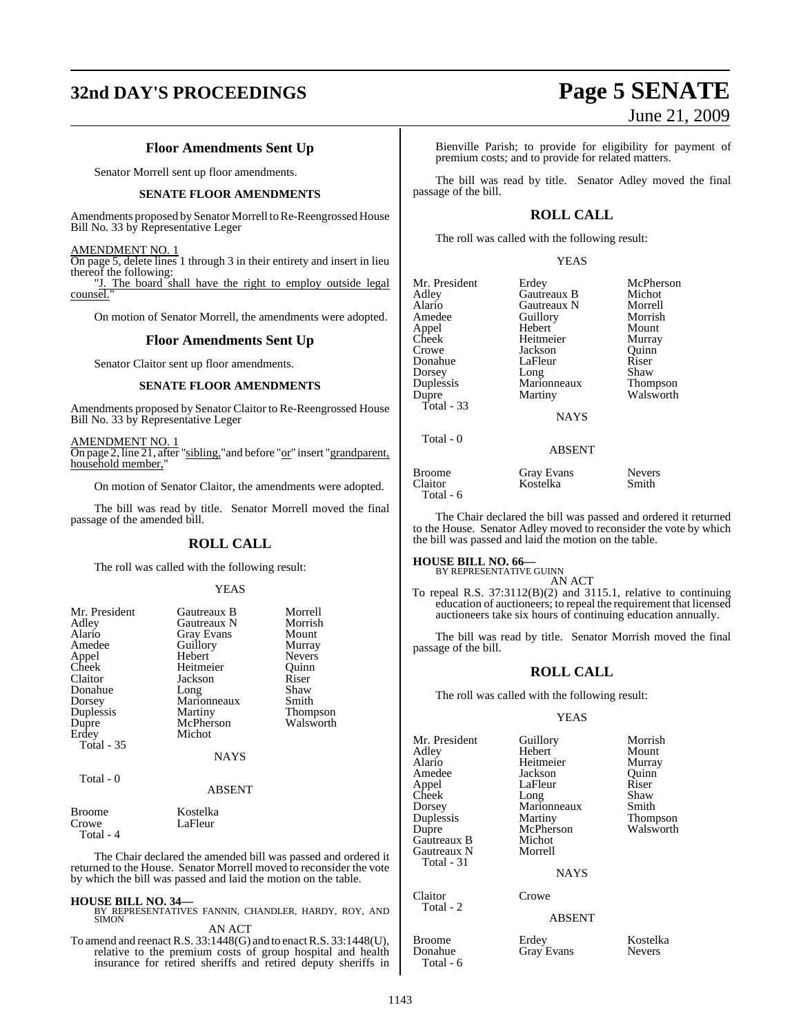## **32nd DAY'S PROCEEDINGS Page 5 SENATE**

### **Floor Amendments Sent Up**

Senator Morrell sent up floor amendments.

#### **SENATE FLOOR AMENDMENTS**

Amendments proposed by Senator Morrell to Re-Reengrossed House Bill No. 33 by Representative Leger

AMENDMENT NO. 1

On page 5, delete lines 1 through 3 in their entirety and insert in lieu thereof the following:<br>"I. The board s

The board shall have the right to employ outside legal counsel.

On motion of Senator Morrell, the amendments were adopted.

#### **Floor Amendments Sent Up**

Senator Claitor sent up floor amendments.

#### **SENATE FLOOR AMENDMENTS**

Amendments proposed by Senator Claitor to Re-Reengrossed House Bill No. 33 by Representative Leger

AMENDMENT NO. 1 On page 2, line 21, after "sibling," and before "or" insert "grandparent, household member,

On motion of Senator Claitor, the amendments were adopted.

The bill was read by title. Senator Morrell moved the final passage of the amended bill.

#### **ROLL CALL**

The roll was called with the following result:

#### YEAS

| Mr. President<br>Adley<br>Alario<br>Amedee<br>Appel<br>Cheek<br>Claitor<br>Donahue<br>Dorsey<br>Duplessis<br>Dupre<br>Erdey<br><b>Total - 35</b> | Gautreaux B<br>Gautreaux N<br><b>Gray Evans</b><br>Guillory<br>Hebert<br>Heitmeier<br>Jackson<br>Long<br>Marionneaux<br>Martiny<br>McPherson<br>Michot | Morrell<br>Morrish<br>Mount<br>Murray<br><b>Nevers</b><br>Ouinn<br>Riser<br>Shaw<br>Smith<br>Thompson<br>Walsworth |
|--------------------------------------------------------------------------------------------------------------------------------------------------|--------------------------------------------------------------------------------------------------------------------------------------------------------|--------------------------------------------------------------------------------------------------------------------|
|                                                                                                                                                  | <b>NAYS</b>                                                                                                                                            |                                                                                                                    |
| Total - 0                                                                                                                                        | <b>ABSENT</b>                                                                                                                                          |                                                                                                                    |
| <b>Broome</b>                                                                                                                                    | Kostelka                                                                                                                                               |                                                                                                                    |

Crowe LaFleur Total - 4

The Chair declared the amended bill was passed and ordered it returned to the House. Senator Morrell moved to reconsider the vote by which the bill was passed and laid the motion on the table.

**HOUSE BILL NO. 34—** BY REPRESENTATIVES FANNIN, CHANDLER, HARDY, ROY, AND SIMON

AN ACT

To amend and reenact R.S. 33:1448(G) and to enact R.S. 33:1448(U), relative to the premium costs of group hospital and health insurance for retired sheriffs and retired deputy sheriffs in June 21, 2009

Bienville Parish; to provide for eligibility for payment of premium costs; and to provide for related matters.

The bill was read by title. Senator Adley moved the final passage of the bill.

### **ROLL CALL**

The roll was called with the following result:

YEAS

| Mr. President<br>Adley<br>Alario | Erdey<br>Gautreaux B<br>Gautreaux N | McPherson<br>Michot<br>Morrell |
|----------------------------------|-------------------------------------|--------------------------------|
| Amedee                           | Guillory                            | Morrish                        |
| Appel                            | Hebert                              | Mount                          |
| Cheek                            | Heitmeier                           | Murray                         |
| Crowe                            | Jackson                             | Ouinn                          |
| Donahue                          | LaFleur                             | Riser                          |
| Dorsey                           | Long                                | Shaw                           |
| Duplessis                        | Marionneaux                         | Thompson                       |
| Dupre                            | Martiny                             | Walsworth                      |
| Total - $33$                     |                                     |                                |
|                                  | <b>NAYS</b>                         |                                |
| Total - 0                        | <b>ABSENT</b>                       |                                |
|                                  |                                     |                                |

Kostelka

Broome Gray Evans Nevers<br>Claitor Kostelka Smith

Total - 6

The Chair declared the bill was passed and ordered it returned to the House. Senator Adley moved to reconsider the vote by which the bill was passed and laid the motion on the table.

#### **HOUSE BILL NO. 66—**

BY REPRESENTATIVE GUINN

AN ACT To repeal R.S. 37:3112(B)(2) and 3115.1, relative to continuing education of auctioneers; to repeal the requirement that licensed auctioneers take six hours of continuing education annually.

The bill was read by title. Senator Morrish moved the final passage of the bill.

#### **ROLL CALL**

The roll was called with the following result:

#### YEAS

| Mr. President<br>Adley<br>Alario<br>Amedee<br>Appel<br>Cheek<br>Dorsey<br>Duplessis<br>Dupre<br>Gautreaux B<br>Gautreaux N<br>Total - 31 | Guillory<br>Hebert<br>Heitmeier<br>Jackson<br>LaFleur<br>Long<br>Marionneaux<br>Martiny<br>McPherson<br>Michot<br>Morrell<br><b>NAYS</b> | Morrish<br>Mount<br>Murray<br>Quinn<br>Riser<br>Shaw<br>Smith<br>Thompson<br>Walsworth |
|------------------------------------------------------------------------------------------------------------------------------------------|------------------------------------------------------------------------------------------------------------------------------------------|----------------------------------------------------------------------------------------|
| Claitor<br>Total - 2                                                                                                                     | Crowe                                                                                                                                    |                                                                                        |
|                                                                                                                                          | <b>ABSENT</b>                                                                                                                            |                                                                                        |
| <b>Broome</b><br>Donahue                                                                                                                 | Erdey<br><b>Grav Evans</b>                                                                                                               | Kostelka<br><b>Nevers</b>                                                              |

Gray Evans

Total - 6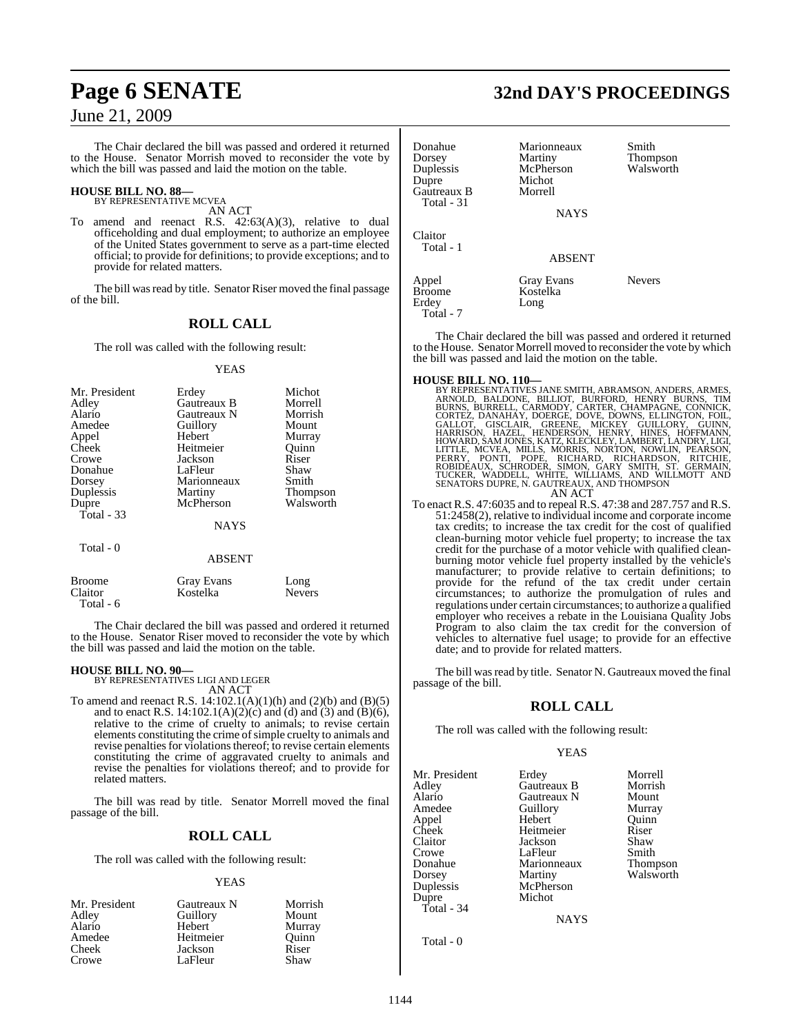The Chair declared the bill was passed and ordered it returned to the House. Senator Morrish moved to reconsider the vote by which the bill was passed and laid the motion on the table.

## **HOUSE BILL NO. 88—** BY REPRESENTATIVE MCVEA

AN ACT

To amend and reenact R.S. 42:63(A)(3), relative to dual officeholding and dual employment; to authorize an employee of the United States government to serve as a part-time elected official; to provide for definitions; to provide exceptions; and to provide for related matters.

The bill was read by title. Senator Riser moved the final passage of the bill.

### **ROLL CALL**

The roll was called with the following result:

#### YEAS

| Mr. President | Erdey         | Michot          |
|---------------|---------------|-----------------|
| Adley         | Gautreaux B   | Morrell         |
| Alario        | Gautreaux N   | Morrish         |
| Amedee        | Guillory      | Mount           |
| Appel         | Hebert        | Murray          |
| Cheek         | Heitmeier     | Ouinn           |
| Crowe         | Jackson       | Riser           |
| Donahue       | LaFleur       | Shaw            |
| Dorsey        | Marionneaux   | Smith           |
| Duplessis     | Martiny       | <b>Thompson</b> |
| Dupre         | McPherson     | Walsworth       |
| Total $-33$   |               |                 |
|               | <b>NAYS</b>   |                 |
| Total - 0     | <b>ABSENT</b> |                 |

| <b>Broome</b> | Gray Evans | Long          |
|---------------|------------|---------------|
| Claitor       | Kostelka   | <b>Nevers</b> |
| Total - 6     |            |               |

The Chair declared the bill was passed and ordered it returned to the House. Senator Riser moved to reconsider the vote by which the bill was passed and laid the motion on the table.

**HOUSE BILL NO. 90—** BY REPRESENTATIVES LIGI AND LEGER

AN ACT To amend and reenact R.S.  $14:102.1(A)(1)(h)$  and  $(2)(b)$  and  $(B)(5)$ and to enact R.S. 14:102.1(A)(2)(c) and (d) and (3) and (B)(6), relative to the crime of cruelty to animals; to revise certain elements constituting the crime of simple cruelty to animals and revise penalties for violations thereof; to revise certain elements constituting the crime of aggravated cruelty to animals and revise the penalties for violations thereof; and to provide for related matters.

The bill was read by title. Senator Morrell moved the final passage of the bill.

### **ROLL CALL**

The roll was called with the following result:

#### YEAS

| Mr. President | Gautreaux N | Morrish |
|---------------|-------------|---------|
| Adley         | Guillory    | Mount   |
| Alario        | Hebert      | Murray  |
| Amedee        | Heitmeier   | Ouinn   |
| Cheek         | Jackson     | Riser   |
| Crowe         | LaFleur     | Shaw    |

## **Page 6 SENATE 32nd DAY'S PROCEEDINGS**

| Donahue<br>Dorsey<br>Duplessis<br>Dupre<br>Gautreaux B<br>Total - 31 | Marionneaux<br>Martiny<br>McPherson<br>Michot<br>Morrell | Smith<br><b>Thompson</b><br>Walsworth |
|----------------------------------------------------------------------|----------------------------------------------------------|---------------------------------------|
|                                                                      | <b>NAYS</b>                                              |                                       |
| Claitor<br>Total - 1                                                 |                                                          |                                       |
|                                                                      | <b>ABSENT</b>                                            |                                       |
| Appel<br><b>Broome</b><br>Erdey<br>Total - 7                         | Gray Evans<br>Kostelka<br>Long                           | <b>Nevers</b>                         |

The Chair declared the bill was passed and ordered it returned to the House. Senator Morrell moved to reconsider the vote by which the bill was passed and laid the motion on the table.

- HOUSE BILL NO. 110—<br>
BY REPRESENTATIVES JANE SMITH, ABRAMSON, ANDERS, ARMES, ARNOLD, BALDONE, BILLIOT, BURFORD, HENRY BURNS, TIM<br>
BURNS, BURRELL, CARMODY, CARTER, CHAMPAGNE, CONNICK,<br>
CORTEZ, DANAHAY, DOERGE, DOVE, DOWNS,
	-
- To enact R.S. 47:6035 and to repeal R.S. 47:38 and 287.757 and R.S. 51:2458(2), relative to individual income and corporate income tax credits; to increase the tax credit for the cost of qualified clean-burning motor vehicle fuel property; to increase the tax credit for the purchase of a motor vehicle with qualified cleanburning motor vehicle fuel property installed by the vehicle's manufacturer; to provide relative to certain definitions; to provide for the refund of the tax credit under certain circumstances; to authorize the promulgation of rules and regulations under certain circumstances; to authorize a qualified employer who receives a rebate in the Louisiana Quality Jobs Program to also claim the tax credit for the conversion of vehicles to alternative fuel usage; to provide for an effective date; and to provide for related matters.

The bill was read by title. Senator N. Gautreaux moved the final passage of the bill.

### **ROLL CALL**

The roll was called with the following result:

#### YEAS

| Mr. President | Erdey       | Morrell         |
|---------------|-------------|-----------------|
| Adley         | Gautreaux B | Morrish         |
| Alario        | Gautreaux N | Mount           |
| Amedee        | Guillory    | Murray          |
| Appel         | Hebert      | Ouinn           |
| Cheek         | Heitmeier   | Riser           |
| Claitor       | Jackson     | Shaw            |
| Crowe         | LaFleur     | Smith           |
| Donahue       | Marionneaux | <b>Thompson</b> |
| Dorsey        | Martiny     | Walsworth       |
| Duplessis     | McPherson   |                 |
| Dupre         | Michot      |                 |
| Total - 34    |             |                 |
|               | <b>NAYS</b> |                 |
| Total - 0     |             |                 |

1144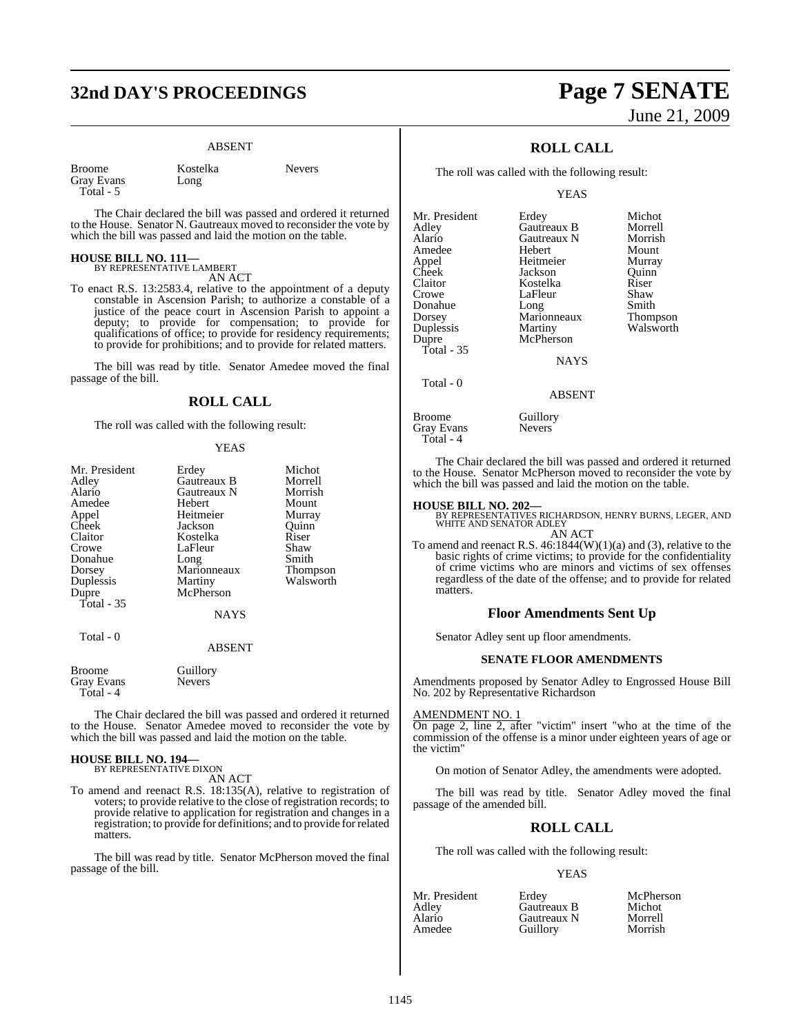## **32nd DAY'S PROCEEDINGS Page 7 SENATE**

#### ABSENT

| <b>Broome</b> | Kostelka | Nevers |
|---------------|----------|--------|
|               |          |        |
| Gray Evans    | Long     |        |
| Total - 5     |          |        |

The Chair declared the bill was passed and ordered it returned to the House. Senator N. Gautreaux moved to reconsider the vote by which the bill was passed and laid the motion on the table.

#### **HOUSE BILL NO. 111—** BY REPRESENTATIVE LAMBERT

AN ACT

To enact R.S. 13:2583.4, relative to the appointment of a deputy constable in Ascension Parish; to authorize a constable of a justice of the peace court in Ascension Parish to appoint a deputy; to provide for compensation; to provide for qualifications of office; to provide for residency requirements; to provide for prohibitions; and to provide for related matters.

The bill was read by title. Senator Amedee moved the final passage of the bill.

#### **ROLL CALL**

The roll was called with the following result:

### YEAS

| Mr. President | Erdey         | Michot          |
|---------------|---------------|-----------------|
| Adley         | Gautreaux B   | Morrell         |
|               |               |                 |
| Alario        | Gautreaux N   | Morrish         |
| Amedee        | <b>Hebert</b> | Mount           |
| Appel         | Heitmeier     | Murray          |
| Cheek         | Jackson       | Quinn           |
| Claitor       | Kostelka      | Riser           |
| Crowe         | LaFleur       | Shaw            |
| Donahue       | Long          | Smith           |
| Dorsey        | Marionneaux   | <b>Thompson</b> |
| Duplessis     | Martiny       | Walsworth       |
| Dupre         | McPherson     |                 |
| Total - 35    |               |                 |
|               | <b>NAYS</b>   |                 |
| Total - 0     |               |                 |
|               | <b>ABSENT</b> |                 |
|               |               |                 |

| <b>Broome</b>     | Guillory      |
|-------------------|---------------|
| <b>Gray Evans</b> | <b>Nevers</b> |
| Total - 4         |               |

The Chair declared the bill was passed and ordered it returned to the House. Senator Amedee moved to reconsider the vote by which the bill was passed and laid the motion on the table.

### **HOUSE BILL NO. 194—** BY REPRESENTATIVE DIXON

AN ACT

To amend and reenact R.S. 18:135(A), relative to registration of voters; to provide relative to the close of registration records; to provide relative to application for registration and changes in a registration; to provide for definitions; and to provide forrelated matters.

The bill was read by title. Senator McPherson moved the final passage of the bill.

# June 21, 2009

### **ROLL CALL**

The roll was called with the following result:

YEAS

| Mr. President | Erdey       | Michot          |
|---------------|-------------|-----------------|
| Adley         | Gautreaux B | Morrell         |
| Alario        | Gautreaux N | Morrish         |
| Amedee        | Hebert      | Mount           |
| Appel         | Heitmeier   | Murray          |
| Cheek         | Jackson     | Ouinn           |
| Claitor       | Kostelka    | Riser           |
| Crowe         | LaFleur     | Shaw            |
| Donahue       | Long        | Smith           |
| Dorsey        | Marionneaux | <b>Thompson</b> |
| Duplessis     | Martiny     | Walsworth       |
| Dupre         | McPherson   |                 |
| Total - 35    |             |                 |
|               | <b>NAYS</b> |                 |
| Total - 0     |             |                 |
|               | ABSENT      |                 |

Broome Guillory<br>Gray Evans Nevers Gray Evans Total - 4

The Chair declared the bill was passed and ordered it returned to the House. Senator McPherson moved to reconsider the vote by which the bill was passed and laid the motion on the table.

**HOUSE BILL NO. 202—** BY REPRESENTATIVES RICHARDSON, HENRY BURNS, LEGER, AND WHITE AND SENATOR ADLEY AN ACT

To amend and reenact R.S. 46:1844(W)(1)(a) and (3), relative to the basic rights of crime victims; to provide for the confidentiality of crime victims who are minors and victims of sex offenses regardless of the date of the offense; and to provide for related matters.

#### **Floor Amendments Sent Up**

Senator Adley sent up floor amendments.

#### **SENATE FLOOR AMENDMENTS**

Amendments proposed by Senator Adley to Engrossed House Bill No. 202 by Representative Richardson

#### AMENDMENT NO. 1

On page 2, line 2, after "victim" insert "who at the time of the commission of the offense is a minor under eighteen years of age or the victim"

On motion of Senator Adley, the amendments were adopted.

The bill was read by title. Senator Adley moved the final passage of the amended bill.

### **ROLL CALL**

The roll was called with the following result:

#### **YEAS**

| Mr. President<br>Adlev | Erdev<br>Gautreaux B | McPherson<br>Michot |
|------------------------|----------------------|---------------------|
| Alario                 | Gautreaux N          | Morrell             |
| Amedee                 | Guillory             | Morrish             |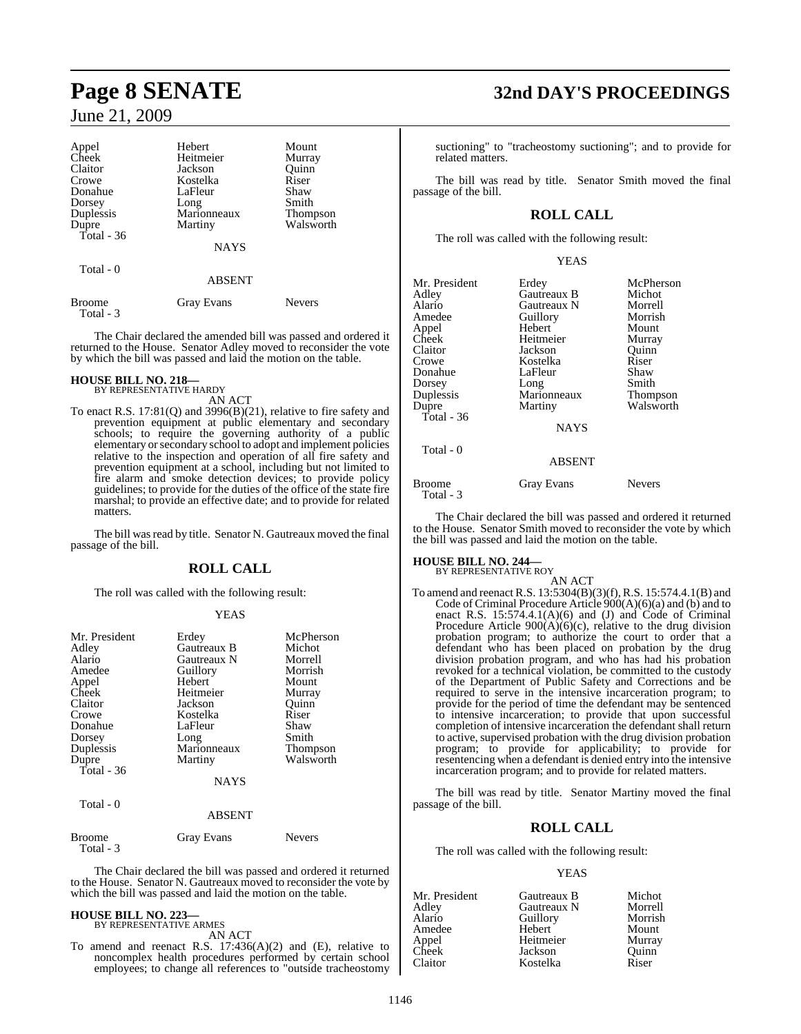| Appel                      | Hebert            | Mount         |
|----------------------------|-------------------|---------------|
| Cheek                      | Heitmeier         | Murray        |
| Claitor                    | Jackson           | Ouinn         |
| Crowe                      | Kostelka          | Riser         |
| Donahue                    | LaFleur           | Shaw          |
| Dorsey                     | Long              | Smith         |
| Duplessis                  | Marionneaux       | Thompson      |
| Dupre                      | Martiny           | Walsworth     |
| Total - 36                 |                   |               |
|                            | <b>NAYS</b>       |               |
| Total - 0                  |                   |               |
|                            | ABSENT            |               |
| <b>Broome</b><br>Total - 3 | <b>Gray Evans</b> | <b>Nevers</b> |

The Chair declared the amended bill was passed and ordered it returned to the House. Senator Adley moved to reconsider the vote by which the bill was passed and laid the motion on the table.

#### **HOUSE BILL NO. 218—**

BY REPRESENTATIVE HARDY AN ACT

To enact R.S. 17:81(Q) and 3996(B)(21), relative to fire safety and prevention equipment at public elementary and secondary schools; to require the governing authority of a public elementary orsecondary school to adopt and implement policies relative to the inspection and operation of all fire safety and prevention equipment at a school, including but not limited to fire alarm and smoke detection devices; to provide policy guidelines; to provide for the duties of the office of the state fire marshal; to provide an effective date; and to provide for related matters.

The bill was read by title. Senator N. Gautreaux moved the final passage of the bill.

### **ROLL CALL**

The roll was called with the following result:

#### YEAS

| Mr. President<br>Adley<br>Alario<br>Amedee<br>Appel<br>Cheek<br>Claitor<br>Crowe<br>Donahue<br>Dorsey<br>Duplessis<br>Dupre<br>Total - 36 | Erdey<br>Gautreaux B<br>Gautreaux N<br>Guillory<br>Hebert<br>Heitmeier<br>Jackson<br>Kostelka<br>LaFleur<br>Long<br>Marionneaux<br>Martiny<br><b>NAYS</b> | McPherson<br>Michot<br>Morrell<br>Morrish<br>Mount<br>Murray<br>Quinn<br>Riser<br>Shaw<br>Smith<br><b>Thompson</b><br>Walsworth |
|-------------------------------------------------------------------------------------------------------------------------------------------|-----------------------------------------------------------------------------------------------------------------------------------------------------------|---------------------------------------------------------------------------------------------------------------------------------|
| Total - 0                                                                                                                                 | <b>ABSENT</b>                                                                                                                                             |                                                                                                                                 |
| Broome                                                                                                                                    | <b>Gray Evans</b>                                                                                                                                         | <b>Nevers</b>                                                                                                                   |

The Chair declared the bill was passed and ordered it returned to the House. Senator N. Gautreaux moved to reconsider the vote by which the bill was passed and laid the motion on the table.

## **HOUSE BILL NO. 223—** BY REPRESENTATIVE ARMES

Total - 3

AN ACT

To amend and reenact R.S.  $17:436(A)(2)$  and (E), relative to noncomplex health procedures performed by certain school employees; to change all references to "outside tracheostomy

## **Page 8 SENATE 32nd DAY'S PROCEEDINGS**

suctioning" to "tracheostomy suctioning"; and to provide for related matters.

The bill was read by title. Senator Smith moved the final passage of the bill.

### **ROLL CALL**

The roll was called with the following result:

| Mr. President<br>Adley<br>Alario<br>Amedee<br>Appel<br>Cheek<br>Claitor<br>Crowe<br>Donahue<br>Dorsey<br>Duplessis<br>Dupre<br>Total - $36$ | Erdey<br>Gautreaux B<br>Gautreaux N<br>Guillory<br>Hebert<br>Heitmeier<br>Jackson<br>Kostelka<br>LaFleur<br>Long<br>Marionneaux<br>Martiny<br><b>NAYS</b> | McPherson<br>Michot<br>Morrell<br>Morrish<br>Mount<br>Murray<br>Ouinn<br>Riser<br>Shaw<br>Smith<br><b>Thompson</b><br>Walsworth |
|---------------------------------------------------------------------------------------------------------------------------------------------|-----------------------------------------------------------------------------------------------------------------------------------------------------------|---------------------------------------------------------------------------------------------------------------------------------|
| Total - 0                                                                                                                                   | <b>ABSENT</b>                                                                                                                                             |                                                                                                                                 |
| <b>Broome</b>                                                                                                                               | <b>Gray Evans</b>                                                                                                                                         | <b>Nevers</b>                                                                                                                   |

The Chair declared the bill was passed and ordered it returned to the House. Senator Smith moved to reconsider the vote by which the bill was passed and laid the motion on the table.

## **HOUSE BILL NO. 244—** BY REPRESENTATIVE ROY

Total - 3

AN ACT To amend and reenact R.S. 13:5304(B)(3)(f),R.S. 15:574.4.1(B) and Code of Criminal Procedure Article  $900(A)(6)(a)$  and (b) and to enact R.S. 15:574.4.1(A)(6) and (J) and Code of Criminal Procedure Article 900(A)(6)(c), relative to the drug division probation program; to authorize the court to order that a defendant who has been placed on probation by the drug division probation program, and who has had his probation revoked for a technical violation, be committed to the custody of the Department of Public Safety and Corrections and be required to serve in the intensive incarceration program; to provide for the period of time the defendant may be sentenced to intensive incarceration; to provide that upon successful completion of intensive incarceration the defendant shall return to active, supervised probation with the drug division probation program; to provide for applicability; to provide for resentencing when a defendant is denied entry into the intensive incarceration program; and to provide for related matters.

The bill was read by title. Senator Martiny moved the final passage of the bill.

### **ROLL CALL**

The roll was called with the following result:

#### YEAS

| Mr. President | Gautreaux B | Michot  |
|---------------|-------------|---------|
| Adley         | Gautreaux N | Morrell |
| Alario        | Guillory    | Morrish |
| Amedee        | Hebert      | Mount   |
| Appel         | Heitmeier   | Murray  |
| Cheek         | Jackson     | Ouinn   |
| Claitor       | Kostelka    | Riser   |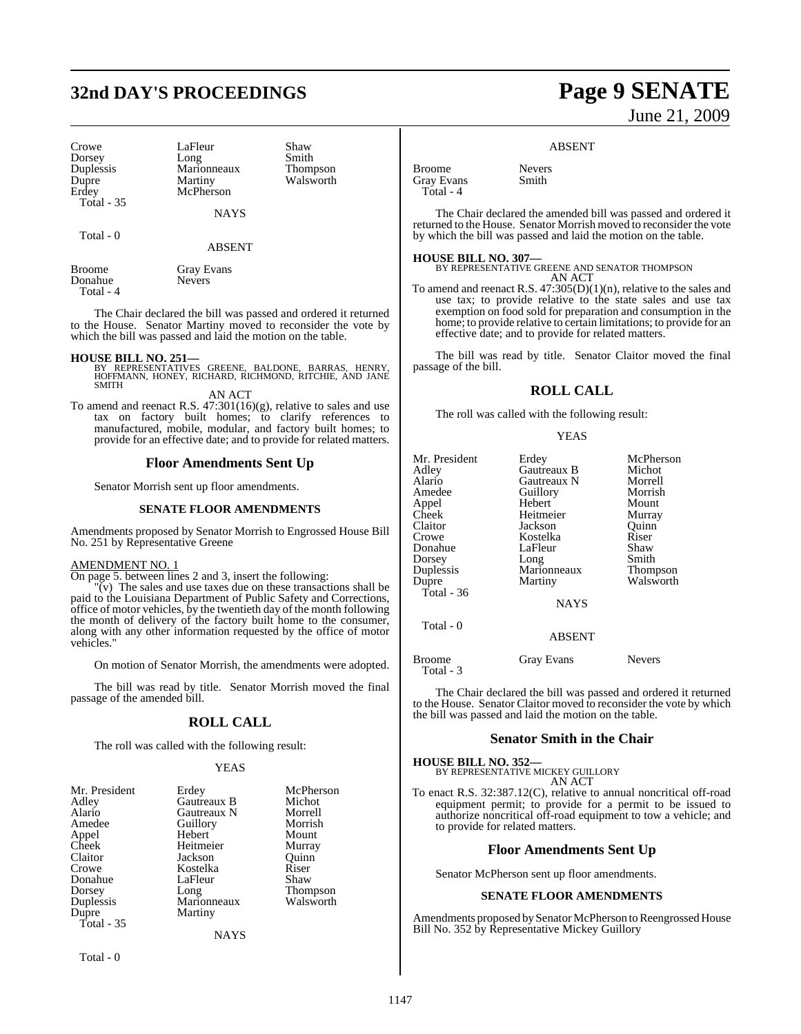## **32nd DAY'S PROCEEDINGS Page 9 SENATE**

Crowe LaFleur Shaw<br>Dorsey Long Smith Duplessis Marionneaux<br>Dupre Martiny Total - 35

Total - 0

Dorsey Long Smith<br>
Duplessis Marionneaux Thompson **McPherson** 

**NAYS** 

Dupre Martiny Walsworth<br>
Erdey McPherson

ABSENT

| <b>Broome</b> | <b>Gray Evans</b> |
|---------------|-------------------|
| Donahue       | <b>Nevers</b>     |
| Total - 4     |                   |

The Chair declared the bill was passed and ordered it returned to the House. Senator Martiny moved to reconsider the vote by which the bill was passed and laid the motion on the table.

#### **HOUSE BILL NO. 251—**

BY REPRESENTATIVES GREENE, BALDONE, BARRAS, HENRY, HOFFMANN, HONEY, RICHARD, RICHMOND, RITCHIE, AND JANE **SMITH** 

AN ACT

To amend and reenact R.S. 47:301(16)(g), relative to sales and use tax on factory built homes; to clarify references to manufactured, mobile, modular, and factory built homes; to provide for an effective date; and to provide for related matters.

#### **Floor Amendments Sent Up**

Senator Morrish sent up floor amendments.

#### **SENATE FLOOR AMENDMENTS**

Amendments proposed by Senator Morrish to Engrossed House Bill No. 251 by Representative Greene

#### AMENDMENT NO. 1

On page 5. between lines 2 and 3, insert the following:

 $\overline{v}(v)$  The sales and use taxes due on these transactions shall be paid to the Louisiana Department of Public Safety and Corrections, office of motor vehicles, by the twentieth day of the month following the month of delivery of the factory built home to the consumer, along with any other information requested by the office of motor vehicles."

On motion of Senator Morrish, the amendments were adopted.

The bill was read by title. Senator Morrish moved the final passage of the amended bill.

#### **ROLL CALL**

The roll was called with the following result:

#### YEAS

| Mr. President | Erdey       | McPherson       |
|---------------|-------------|-----------------|
| Adley         | Gautreaux B | Michot          |
| Alario        | Gautreaux N | Morrell         |
| Amedee        | Guillory    | Morrish         |
| Appel         | Hebert      | Mount           |
| Cheek         | Heitmeier   | Murray          |
| Claitor       | Jackson     | Ouinn           |
| Crowe         | Kostelka    | Riser           |
| Donahue       | LaFleur     | Shaw            |
| Dorsey        | Long        | <b>Thompson</b> |
| Duplessis     | Marionneaux | Walsworth       |
| Dupre         | Martiny     |                 |
| Total - 35    |             |                 |
|               | NAYS        |                 |

Total - 0

# June 21, 2009

#### ABSENT

Broome Nevers<br>
Grav Evans
Smith **Gray Evans** Total - 4

The Chair declared the amended bill was passed and ordered it returned to the House. Senator Morrish moved to reconsider the vote by which the bill was passed and laid the motion on the table.

#### **HOUSE BILL NO. 307—**

BY REPRESENTATIVE GREENE AND SENATOR THOMPSON AN ACT

To amend and reenact R.S. 47:305(D)(1)(n), relative to the sales and use tax; to provide relative to the state sales and use tax exemption on food sold for preparation and consumption in the home; to provide relative to certain limitations; to provide for an effective date; and to provide for related matters.

The bill was read by title. Senator Claitor moved the final passage of the bill.

#### **ROLL CALL**

The roll was called with the following result:

#### YEAS

| Mr. President<br>Adley<br>Alario<br>Amedee<br>Appel<br>Cheek<br>Claitor<br>Crowe<br>Donahue<br>Dorsey<br>Duplessis<br>Dupre<br>Total - $36$<br>Total - 0 | Erdey<br>Gautreaux B<br>Gautreaux N<br>Guillory<br>Hebert<br>Heitmeier<br>Jackson<br>Kostelka<br>LaFleur<br>Long<br>Marionneaux<br>Martiny<br><b>NAYS</b> | McPherson<br>Michot<br>Morrell<br>Morrish<br>Mount<br>Murray<br>Quinn<br>Riser<br>Shaw<br>Smith<br>Thompson<br>Walsworth |
|----------------------------------------------------------------------------------------------------------------------------------------------------------|-----------------------------------------------------------------------------------------------------------------------------------------------------------|--------------------------------------------------------------------------------------------------------------------------|
|                                                                                                                                                          | ABSENT                                                                                                                                                    |                                                                                                                          |
| Broome<br>Total - 3                                                                                                                                      | Gray Evans                                                                                                                                                | <b>Nevers</b>                                                                                                            |

The Chair declared the bill was passed and ordered it returned to the House. Senator Claitor moved to reconsider the vote by which the bill was passed and laid the motion on the table.

#### **Senator Smith in the Chair**

**HOUSE BILL NO. 352—** BY REPRESENTATIVE MICKEY GUILLORY AN ACT

To enact R.S. 32:387.12(C), relative to annual noncritical off-road equipment permit; to provide for a permit to be issued to authorize noncritical off-road equipment to tow a vehicle; and to provide for related matters.

#### **Floor Amendments Sent Up**

Senator McPherson sent up floor amendments.

#### **SENATE FLOOR AMENDMENTS**

Amendments proposed by Senator McPherson to Reengrossed House Bill No. 352 by Representative Mickey Guillory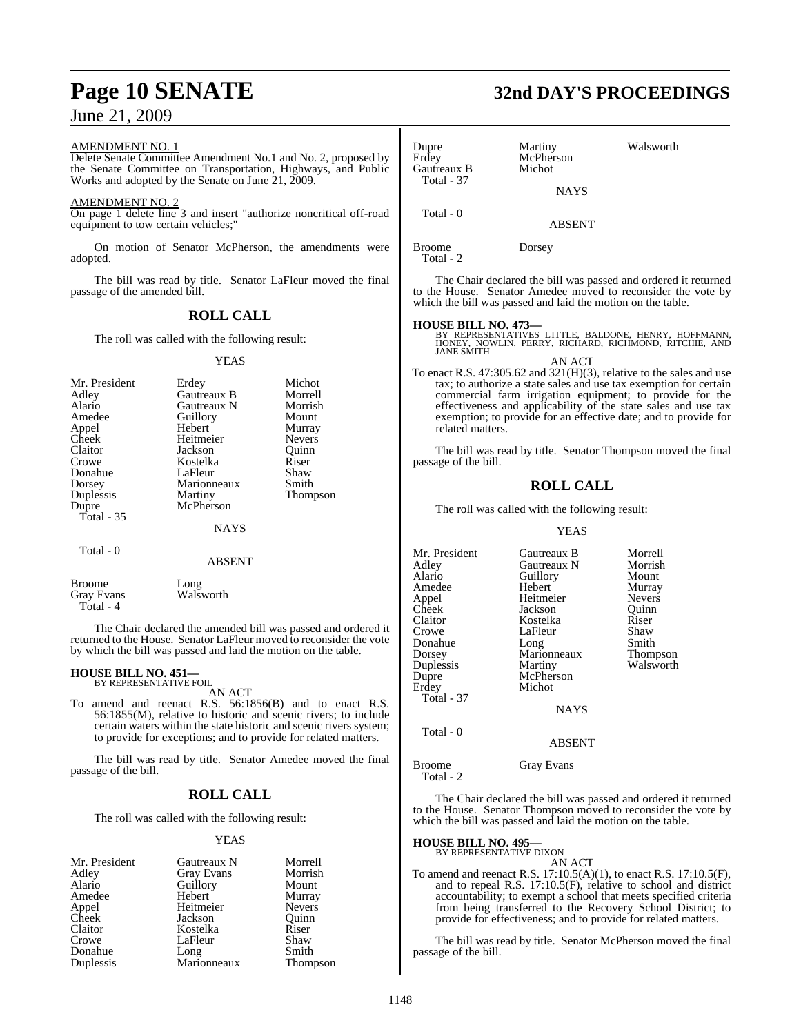#### AMENDMENT NO. 1

Delete Senate Committee Amendment No.1 and No. 2, proposed by the Senate Committee on Transportation, Highways, and Public Works and adopted by the Senate on June 21, 2009.

#### AMENDMENT NO. 2

On page 1 delete line 3 and insert "authorize noncritical off-road equipment to tow certain vehicles:

On motion of Senator McPherson, the amendments were adopted.

The bill was read by title. Senator LaFleur moved the final passage of the amended bill.

### **ROLL CALL**

The roll was called with the following result:

#### YEAS

| Mr. President<br>Adley<br>Alario<br>Amedee<br>Appel<br>Cheek<br>Claitor<br>Crowe<br>Donahue<br>Dorsey<br>Duplessis<br>Dupre<br>Total - 35 | Erdey<br>Gautreaux B<br>Gautreaux N<br>Guillory<br>Hebert<br>Heitmeier<br>Jackson<br>Kostelka<br>LaFleur<br>Marionneaux<br>Martiny<br>McPherson | Michot<br>Morrell<br>Morrish<br>Mount<br>Murray<br><b>Nevers</b><br>Ouinn<br>Riser<br>Shaw<br>Smith<br>Thompson |
|-------------------------------------------------------------------------------------------------------------------------------------------|-------------------------------------------------------------------------------------------------------------------------------------------------|-----------------------------------------------------------------------------------------------------------------|
|                                                                                                                                           | <b>NAYS</b>                                                                                                                                     |                                                                                                                 |
| Total - 0                                                                                                                                 | ABSENT                                                                                                                                          |                                                                                                                 |

Broome Long<br>
Grav Evans Walsworth Gray Evans Total - 4

The Chair declared the amended bill was passed and ordered it returned to the House. Senator LaFleur moved to reconsider the vote by which the bill was passed and laid the motion on the table.

## **HOUSE BILL NO. 451—** BY REPRESENTATIVE FOIL

AN ACT

To amend and reenact R.S. 56:1856(B) and to enact R.S. 56:1855(M), relative to historic and scenic rivers; to include certain waters within the state historic and scenic rivers system; to provide for exceptions; and to provide for related matters.

The bill was read by title. Senator Amedee moved the final passage of the bill.

### **ROLL CALL**

The roll was called with the following result:

#### YEAS

| Mr. President  | Gautreaux N         | Morrell       |
|----------------|---------------------|---------------|
| Adley          | Gray Evans          | Morrish       |
| Alario         | Guillory            | Mount         |
| Amedee         | Hebert              | Murray        |
| Appel<br>Cheek | Heitmeier           | <b>Nevers</b> |
|                | Jackson             | Ouinn         |
| Claitor        | Kostelka            | Riser         |
| Crowe          | LaFleur             | Shaw          |
| Donahue        |                     | Smith         |
| Duplessis      | Long<br>Marionneaux | Thompson      |

## **Page 10 SENATE 32nd DAY'S PROCEEDINGS**

| Dupre<br>Erdey                   | Martiny<br>McPherson | Walsworth                                                      |
|----------------------------------|----------------------|----------------------------------------------------------------|
| Gautreaux B<br><b>Total - 37</b> | Michot               |                                                                |
|                                  | <b>NAYS</b>          |                                                                |
| Total - 0                        |                      |                                                                |
|                                  | <b>ABSENT</b>        |                                                                |
| Broome<br>Total - 2              | Dorsey               |                                                                |
|                                  |                      | The Chair declared the bill was nessed and ordered it returned |

the Chair declared the bill was passed and ordered it returned to the House. Senator Amedee moved to reconsider the vote by which the bill was passed and laid the motion on the table.

**HOUSE BILL NO. 473—** BY REPRESENTATIVES LITTLE, BALDONE, HENRY, HOFFMANN, HONEY, NOWLIN, PERRY, RICHARD, RICHMOND, RITCHIE, AND JANE SMITH

AN ACT To enact R.S. 47:305.62 and 321(H)(3), relative to the sales and use tax; to authorize a state sales and use tax exemption for certain commercial farm irrigation equipment; to provide for the effectiveness and applicability of the state sales and use tax exemption; to provide for an effective date; and to provide for related matters.

The bill was read by title. Senator Thompson moved the final passage of the bill.

#### **ROLL CALL**

The roll was called with the following result:

#### YEAS

| Mr. President     | Gautreaux B | Morrell         |
|-------------------|-------------|-----------------|
| Adley             | Gautreaux N | Morrish         |
| Alario            | Guillory    | Mount           |
| Amedee            | Hebert      | Murray          |
| Appel             | Heitmeier   | <b>Nevers</b>   |
| Cheek             | Jackson     | Ouinn           |
| Claitor           | Kostelka    | Riser           |
| Crowe             | LaFleur     | Shaw            |
| Donahue           | Long        | Smith           |
| Dorsey            | Marionneaux | <b>Thompson</b> |
| Duplessis         | Martiny     | Walsworth       |
| Dupre             | McPherson   |                 |
| Erdey             | Michot      |                 |
| <b>Total - 37</b> |             |                 |
|                   | <b>NAYS</b> |                 |
| Total - 0         |             |                 |

Broome Gray Evans Total - 2

The Chair declared the bill was passed and ordered it returned to the House. Senator Thompson moved to reconsider the vote by which the bill was passed and laid the motion on the table.

ABSENT

#### **HOUSE BILL NO. 495—**

BY REPRESENTATIVE DIXON

- AN ACT
- To amend and reenact R.S. 17:10.5(A)(1), to enact R.S. 17:10.5(F), and to repeal R.S. 17:10.5(F), relative to school and district accountability; to exempt a school that meets specified criteria from being transferred to the Recovery School District; to provide for effectiveness; and to provide for related matters.

The bill was read by title. Senator McPherson moved the final passage of the bill.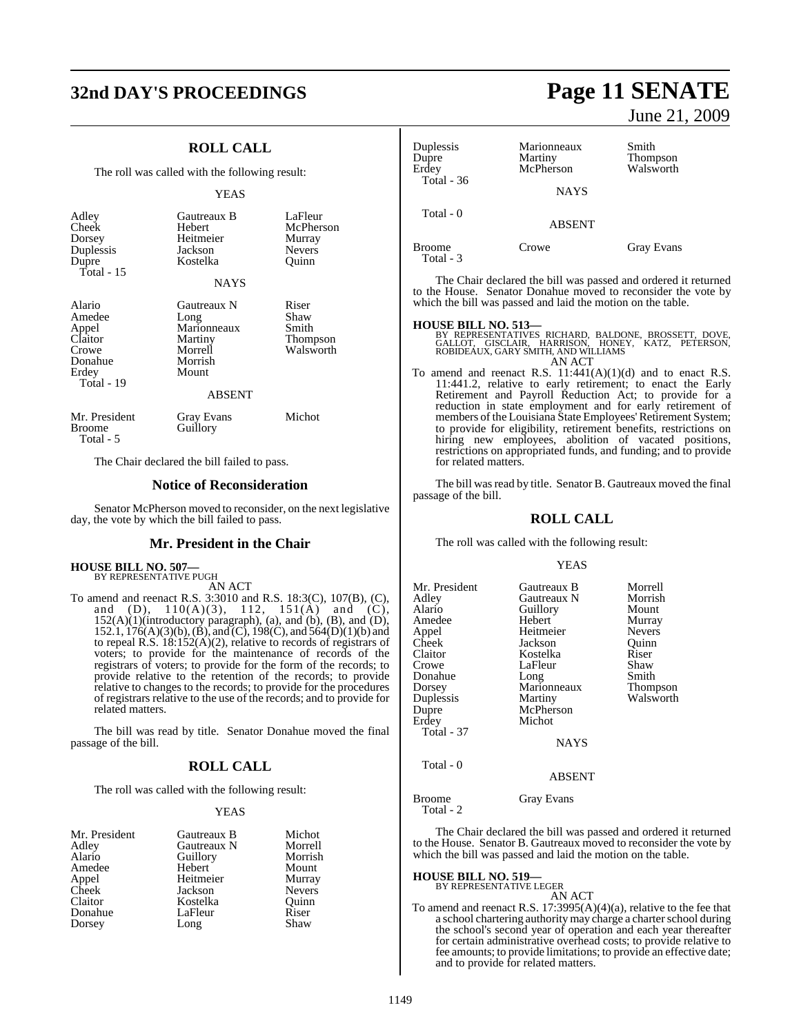## **32nd DAY'S PROCEEDINGS Page 11 SENATE**

### **ROLL CALL**

The roll was called with the following result:

#### YEAS

| Adley<br>Cheek<br>Dorsey<br>Duplessis<br>Dupre<br>Total - $15$                  | Gautreaux B<br>Hebert<br>Heitmeier<br>Jackson<br>Kostelka<br><b>NAYS</b>                      | LaFleur<br>McPherson<br>Murray<br><b>Nevers</b><br>Quinn |
|---------------------------------------------------------------------------------|-----------------------------------------------------------------------------------------------|----------------------------------------------------------|
| Alario<br>Amedee<br>Appel<br>Claitor<br>Crowe<br>Donahue<br>Erdey<br>Total - 19 | Gautreaux N<br>Long<br>Marionneaux<br>Martiny<br>Morrell<br>Morrish<br>Mount<br><b>ABSENT</b> | Riser<br>Shaw<br>Smith<br>Thompson<br>Walsworth          |
| Mr. President<br><b>Broome</b>                                                  | Gray Evans<br>Guillory                                                                        | Michot                                                   |

Total - 5

The Chair declared the bill failed to pass.

#### **Notice of Reconsideration**

Senator McPherson moved to reconsider, on the next legislative day, the vote by which the bill failed to pass.

#### **Mr. President in the Chair**

### **HOUSE BILL NO. 507—** BY REPRESENTATIVE PUGH

AN ACT

To amend and reenact R.S. 3:3010 and R.S. 18:3(C), 107(B), (C), and (D),  $110(A)(3)$ ,  $112$ ,  $151(A)$  and (C),  $152(A)(1)$ (introductory paragraph), (a), and (b), (B), and (D), 152.1, 176(A)(3)(b), (B), and (C), 198(C), and 564(D)(1)(b) and to repeal R.S. 18:152(A)(2), relative to records of registrars of voters; to provide for the maintenance of records of the registrars of voters; to provide for the form of the records; to provide relative to the retention of the records; to provide relative to changes to the records; to provide for the procedures of registrars relative to the use of the records; and to provide for related matters.

The bill was read by title. Senator Donahue moved the final passage of the bill.

#### **ROLL CALL**

The roll was called with the following result:

#### YEAS

| Mr. President | Gautreaux B | Michot        |
|---------------|-------------|---------------|
| Adley         | Gautreaux N | Morrell       |
| Alario        | Guillory    | Morrish       |
| Amedee        | Hebert      | Mount         |
| Appel         | Heitmeier   | Murray        |
| Cheek         | Jackson     | <b>Nevers</b> |
| Claitor       | Kostelka    | Quinn         |
| Donahue       | LaFleur     | Riser         |
| Dorsey        | Long        | Shaw          |

June 21, 2009

| Duplessis<br>Dupre  | Marionneaux<br>Martiny | Smith<br>Thompson |
|---------------------|------------------------|-------------------|
| Erdev               | McPherson              | Walsworth         |
| <b>Total - 36</b>   | <b>NAYS</b>            |                   |
| Total $-0$          | <b>ABSENT</b>          |                   |
| Broome<br>Total - 3 | Crowe                  | <b>Gray Evans</b> |

The Chair declared the bill was passed and ordered it returned to the House. Senator Donahue moved to reconsider the vote by which the bill was passed and laid the motion on the table.

**HOUSE BILL NO. 513—** BY REPRESENTATIVES RICHARD, BALDONE, BROSSETT, DOVE, GALLOT, GISCLAIR, HARRISON, HONEY, KATZ, PETERSON, ROBIDEAUX, GARY SMITH, AND WILLIAMS AN ACT

To amend and reenact R.S.  $11:441(A)(1)(d)$  and to enact R.S. 11:441.2, relative to early retirement; to enact the Early Retirement and Payroll Reduction Act; to provide for a reduction in state employment and for early retirement of members of the Louisiana Štate Employees' Retirement System; to provide for eligibility, retirement benefits, restrictions on hiring new employees, abolition of vacated positions, restrictions on appropriated funds, and funding; and to provide for related matters.

The bill was read by title. Senator B. Gautreaux moved the final passage of the bill.

### **ROLL CALL**

The roll was called with the following result:

#### YEAS

| Mr. President<br>Adley<br>Alario<br>Amedee<br>Appel<br>Cheek<br>Claitor<br>Crowe<br>Donahue<br>Dorsey<br>Duplessis | Gautreaux B<br>Gautreaux N<br>Guillory<br>Hebert<br>Heitmeier<br>Jackson<br>Kostelka<br>LaFleur<br>Long<br>Marionneaux<br>Martiny | Morrell<br>Morrish<br>Mount<br>Murray<br><b>Nevers</b><br>Ouinn<br>Riser<br>Shaw<br>Smith<br>Thompson<br>Walsworth |
|--------------------------------------------------------------------------------------------------------------------|-----------------------------------------------------------------------------------------------------------------------------------|--------------------------------------------------------------------------------------------------------------------|
| Dupre<br>Erdey<br><b>Total - 37</b><br>Total - 0                                                                   | McPherson<br>Michot<br><b>NAYS</b><br><b>ABSENT</b>                                                                               |                                                                                                                    |
| Broome                                                                                                             | Gray Evans                                                                                                                        |                                                                                                                    |

The Chair declared the bill was passed and ordered it returned to the House. Senator B. Gautreaux moved to reconsider the vote by which the bill was passed and laid the motion on the table.

#### **HOUSE BILL NO. 519—**

Total - 2

BY REPRESENTATIVE LEGER AN ACT

To amend and reenact R.S.  $17.3995(A)(4)(a)$ , relative to the fee that a school chartering authority may charge a charter school during the school's second year of operation and each year thereafter for certain administrative overhead costs; to provide relative to fee amounts; to provide limitations; to provide an effective date; and to provide for related matters.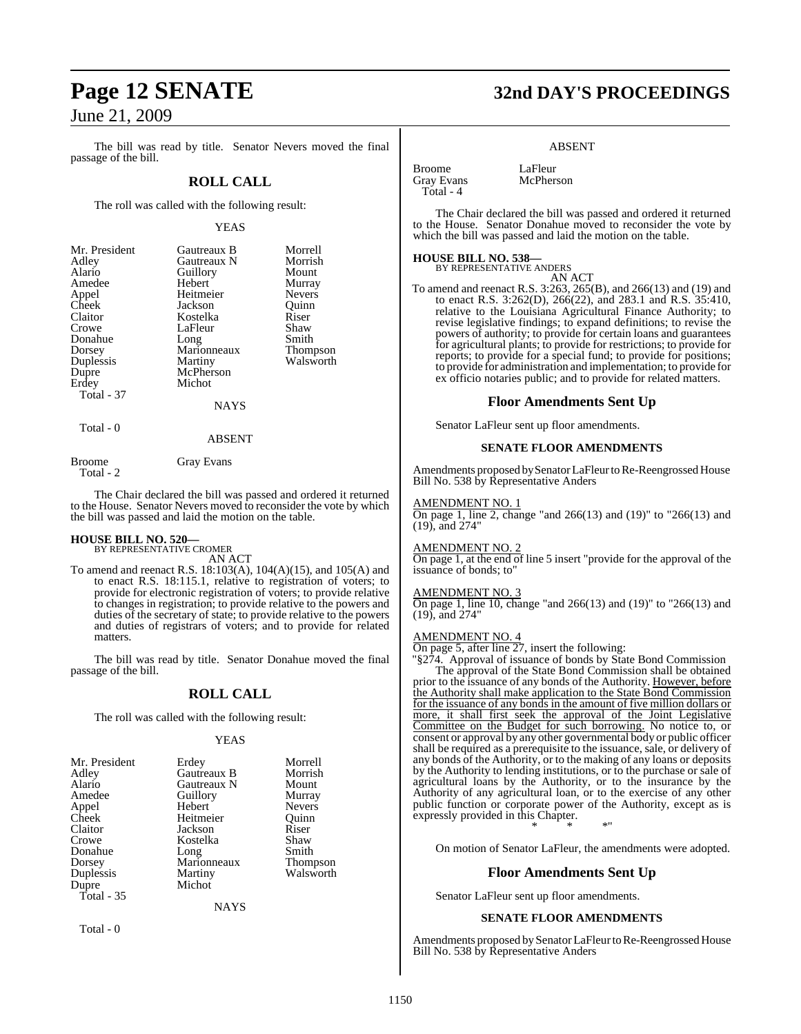The bill was read by title. Senator Nevers moved the final passage of the bill.

### **ROLL CALL**

The roll was called with the following result:

#### YEAS

| Mr. President | Gautreaux B | Morrell         |
|---------------|-------------|-----------------|
| Adley         | Gautreaux N | Morrish         |
| Alario        | Guillory    | Mount           |
| Amedee        | Hebert      | Murray          |
| Appel         | Heitmeier   | <b>Nevers</b>   |
| Cheek         | Jackson     | Ouinn           |
| Claitor       | Kostelka    | Riser           |
| Crowe         | LaFleur     | Shaw            |
| Donahue       | Long        | Smith           |
| Dorsey        | Marionneaux | <b>Thompson</b> |
| Duplessis     | Martiny     | Walsworth       |
| Dupre         | McPherson   |                 |
| Erdey         | Michot      |                 |
| Total - 37    |             |                 |
|               | <b>NAYS</b> |                 |

Total - 0

#### ABSENT

Broome Gray Evans

Total - 2

The Chair declared the bill was passed and ordered it returned to the House. Senator Nevers moved to reconsider the vote by which the bill was passed and laid the motion on the table.

## **HOUSE BILL NO. 520—** BY REPRESENTATIVE CROMER

AN ACT

To amend and reenact R.S. 18:103(A), 104(A)(15), and 105(A) and to enact R.S. 18:115.1, relative to registration of voters; to provide for electronic registration of voters; to provide relative to changes in registration; to provide relative to the powers and duties of the secretary of state; to provide relative to the powers and duties of registrars of voters; and to provide for related matters.

The bill was read by title. Senator Donahue moved the final passage of the bill.

### **ROLL CALL**

The roll was called with the following result:

#### YEAS

| Mr. President | Erdey       | Morrell       |
|---------------|-------------|---------------|
| Adley         | Gautreaux B | Morrish       |
| Alario        | Gautreaux N | Mount         |
| Amedee        | Guillory    | Murray        |
| Appel         | Hebert      | <b>Nevers</b> |
| Cheek         | Heitmeier   | Ouinn         |
| Claitor       | Jackson     | Riser         |
| Crowe         | Kostelka    | Shaw          |
| Donahue       | Long        | Smith         |
| Dorsey        | Marionneaux | Thompson      |
| Duplessis     | Martiny     | Walsworth     |
| Dupre         | Michot      |               |
| Total - 35    |             |               |
|               | NAYS        |               |

Total - 0

## **Page 12 SENATE 32nd DAY'S PROCEEDINGS**

#### ABSENT

Broome LaFleur<br>Gray Evans McPherson Gray Evans Total - 4

The Chair declared the bill was passed and ordered it returned to the House. Senator Donahue moved to reconsider the vote by which the bill was passed and laid the motion on the table.

#### **HOUSE BILL NO. 538—**

BY REPRESENTATIVE ANDERS AN ACT

To amend and reenact R.S. 3:263, 265(B), and 266(13) and (19) and to enact R.S. 3:262(D), 266(22), and 283.1 and R.S. 35:410, relative to the Louisiana Agricultural Finance Authority; to revise legislative findings; to expand definitions; to revise the powers of authority; to provide for certain loans and guarantees for agricultural plants; to provide for restrictions; to provide for reports; to provide for a special fund; to provide for positions; to provide for administration and implementation; to provide for ex officio notaries public; and to provide for related matters.

#### **Floor Amendments Sent Up**

Senator LaFleur sent up floor amendments.

#### **SENATE FLOOR AMENDMENTS**

Amendments proposed by Senator LaFleur to Re-Reengrossed House Bill No. 538 by Representative Anders

#### AMENDMENT NO. 1

On page 1, line 2, change "and 266(13) and (19)" to "266(13) and (19), and 274"

#### AMENDMENT NO. 2

On page 1, at the end of line 5 insert "provide for the approval of the issuance of bonds; to"

#### AMENDMENT NO. 3

On page 1, line 10, change "and 266(13) and (19)" to "266(13) and (19), and 274"

#### AMENDMENT NO. 4

On page 5, after line 27, insert the following:

"§274. Approval of issuance of bonds by State Bond Commission The approval of the State Bond Commission shall be obtained prior to the issuance of any bonds of the Authority. However, before the Authority shall make application to the State Bond Commission for the issuance of any bonds in the amount of five million dollars or more, it shall first seek the approval of the Joint Legislative Committee on the Budget for such borrowing. No notice to, or consent or approval by any other governmental body or public officer shall be required as a prerequisite to the issuance, sale, or delivery of any bonds of the Authority, or to the making of any loans or deposits by the Authority to lending institutions, or to the purchase or sale of agricultural loans by the Authority, or to the insurance by the Authority of any agricultural loan, or to the exercise of any other public function or corporate power of the Authority, except as is expressly provided in this Chapter. \* \* \*"

On motion of Senator LaFleur, the amendments were adopted.

### **Floor Amendments Sent Up**

Senator LaFleur sent up floor amendments.

#### **SENATE FLOOR AMENDMENTS**

Amendments proposed by Senator LaFleur to Re-Reengrossed House Bill No. 538 by Representative Anders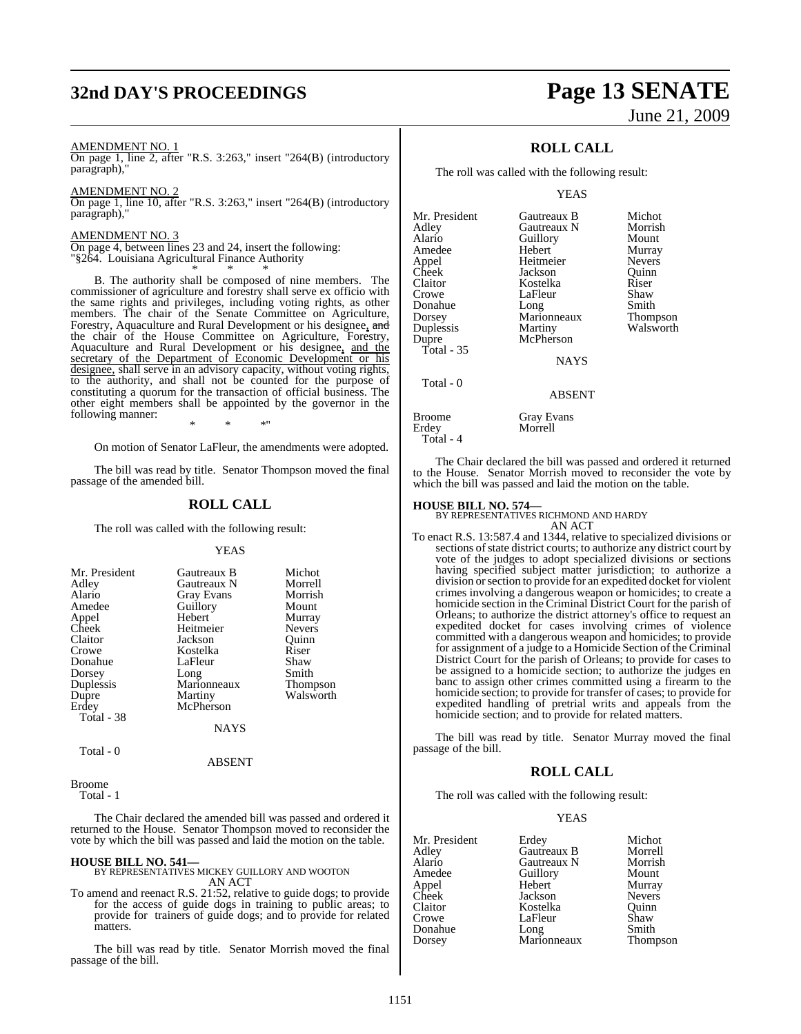## **32nd DAY'S PROCEEDINGS Page 13 SENATE**

#### AMENDMENT NO. 1

On page 1, line 2, after "R.S. 3:263," insert "264(B) (introductory paragraph),"

AMENDMENT NO. 2

On page 1, line 10, after "R.S. 3:263," insert "264(B) (introductory paragraph),"

#### AMENDMENT NO. 3

On page 4, between lines 23 and 24, insert the following: "§264. Louisiana Agricultural Finance Authority \* \* \*

B. The authority shall be composed of nine members. The commissioner of agriculture and forestry shall serve ex officio with the same rights and privileges, including voting rights, as other members. The chair of the Senate Committee on Agriculture, Forestry, Aquaculture and Rural Development or his designee, and the chair of the House Committee on Agriculture, Forestry, Aquaculture and Rural Development or his designee, and the secretary of the Department of Economic Development or his designee, shall serve in an advisory capacity, without voting rights, to the authority, and shall not be counted for the purpose of constituting a quorum for the transaction of official business. The other eight members shall be appointed by the governor in the following manner:

\* \* \*" On motion of Senator LaFleur, the amendments were adopted.

The bill was read by title. Senator Thompson moved the final passage of the amended bill.

### **ROLL CALL**

The roll was called with the following result:

#### YEAS

| Mr. President | Gautreaux B       | Michot          |
|---------------|-------------------|-----------------|
| Adley         | Gautreaux N       | Morrell         |
| Alario        | <b>Gray Evans</b> | Morrish         |
| Amedee        | Guillory          | Mount           |
| Appel         | Hebert            | Murray          |
| Cheek         | Heitmeier         | <b>Nevers</b>   |
| Claitor       | Jackson           | Ouinn           |
| Crowe         | Kostelka          | Riser           |
| Donahue       | LaFleur           | Shaw            |
| Dorsey        | Long              | Smith           |
| Duplessis     | Marionneaux       | <b>Thompson</b> |
| Dupre         | Martiny           | Walsworth       |
| Erdey         | McPherson         |                 |
| Total - 38    |                   |                 |
|               | NAYS              |                 |

Total - 0

ABSENT

Broome

Total - 1

The Chair declared the amended bill was passed and ordered it returned to the House. Senator Thompson moved to reconsider the vote by which the bill was passed and laid the motion on the table.

**HOUSE BILL NO. 541—** BY REPRESENTATIVES MICKEY GUILLORY AND WOOTON AN ACT

To amend and reenact R.S. 21:52, relative to guide dogs; to provide for the access of guide dogs in training to public areas; to provide for trainers of guide dogs; and to provide for related matters.

The bill was read by title. Senator Morrish moved the final passage of the bill.

# June 21, 2009

### **ROLL CALL**

The roll was called with the following result:

YEAS

| Mr. President | Gautreaux B   | Michot        |
|---------------|---------------|---------------|
| Adley         | Gautreaux N   | Morrish       |
| Alario        | Guillory      | Mount         |
| Amedee        | Hebert        | Murray        |
| Appel         | Heitmeier     | <b>Nevers</b> |
| Cheek         | Jackson       | Ouinn         |
| Claitor       | Kostelka      | Riser         |
| Crowe         | LaFleur       | Shaw          |
| Donahue       | Long          | Smith         |
| Dorsey        | Marionneaux   | Thompson      |
| Duplessis     | Martiny       | Walsworth     |
| Dupre         | McPherson     |               |
| Total - 35    |               |               |
|               | <b>NAYS</b>   |               |
| Total - 0     |               |               |
|               | <b>ABSENT</b> |               |

| <b>Broome</b> | <b>Gray Evans</b> |
|---------------|-------------------|
| Erdev         | Morrell           |
| Total - 4     |                   |

The Chair declared the bill was passed and ordered it returned to the House. Senator Morrish moved to reconsider the vote by which the bill was passed and laid the motion on the table.

### **HOUSE BILL NO. 574—** BY REPRESENTATIVES RICHMOND AND HARDY

AN ACT

To enact R.S. 13:587.4 and 1344, relative to specialized divisions or sections of state district courts; to authorize any district court by vote of the judges to adopt specialized divisions or sections having specified subject matter jurisdiction; to authorize a division or section to provide for an expedited docket for violent crimes involving a dangerous weapon or homicides; to create a homicide section in the Criminal District Court for the parish of Orleans; to authorize the district attorney's office to request an expedited docket for cases involving crimes of violence committed with a dangerous weapon and homicides; to provide for assignment of a judge to a Homicide Section of the Criminal District Court for the parish of Orleans; to provide for cases to be assigned to a homicide section; to authorize the judges en banc to assign other crimes committed using a firearm to the homicide section; to provide for transfer of cases; to provide for expedited handling of pretrial writs and appeals from the homicide section; and to provide for related matters.

The bill was read by title. Senator Murray moved the final passage of the bill.

#### **ROLL CALL**

The roll was called with the following result:

#### YEAS

| Mr. President | Erdey       | Michot        |
|---------------|-------------|---------------|
| Adley         | Gautreaux B | Morrell       |
| Alario        | Gautreaux N | Morrish       |
| Amedee        | Guillory    | Mount         |
| Appel         | Hebert      | Murray        |
| Cheek         | Jackson     | <b>Nevers</b> |
| Claitor       | Kostelka    | Ouinn         |
| Crowe         | LaFleur     | Shaw          |
| Donahue       | Long        | Smith         |
| Dorsey        | Marionneaux | Thompson      |
|               |             |               |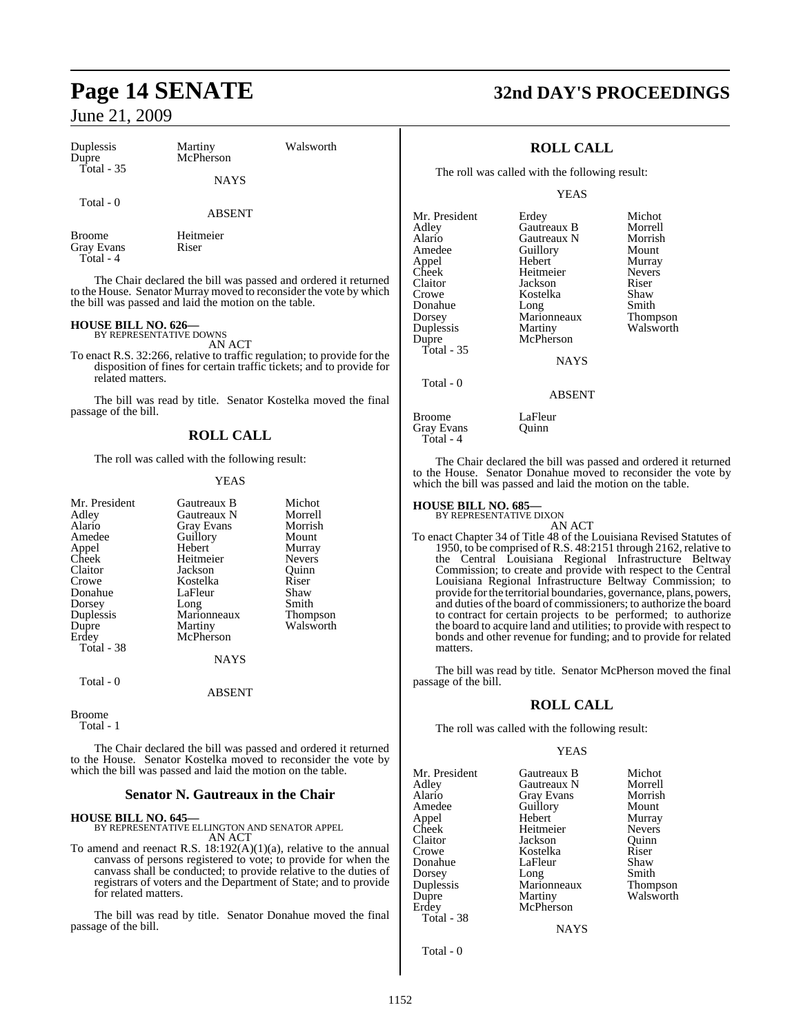| Duplessis<br>Dupre<br><b>Total - 35</b> | Martiny<br>McPherson<br><b>NAYS</b> | Walsworth |  |
|-----------------------------------------|-------------------------------------|-----------|--|
| Total - 0                               | <b>ABSENT</b>                       |           |  |
| Broome<br>Gray Evans<br>Total - 4       | Heitmeier<br>Riser                  |           |  |

The Chair declared the bill was passed and ordered it returned to the House. Senator Murray moved to reconsider the vote by which the bill was passed and laid the motion on the table.

### **HOUSE BILL NO. 626—** BY REPRESENTATIVE DOWNS

AN ACT

To enact R.S. 32:266, relative to traffic regulation; to provide for the disposition of fines for certain traffic tickets; and to provide for related matters.

The bill was read by title. Senator Kostelka moved the final passage of the bill.

### **ROLL CALL**

The roll was called with the following result:

#### YEAS

| Mr. President<br>Adley | Gautreaux B<br>Gautreaux N | Michot<br>Morrell |
|------------------------|----------------------------|-------------------|
| Alario<br>Amedee       | Gray Evans<br>Guillory     | Morrish<br>Mount  |
| Appel                  | Hebert                     | Murray            |
| Cheek                  | Heitmeier                  | <b>Nevers</b>     |
| Claitor                | Jackson                    | Ouinn             |
| Crowe                  | Kostelka                   | Riser             |
| Donahue                | LaFleur                    | Shaw              |
| Dorsey                 | Long                       | Smith             |
| Duplessis              | Marionneaux                | Thompson          |
| Dupre                  | Martiny                    | Walsworth         |
| Erdev                  | McPherson                  |                   |
| Total - 38             |                            |                   |
|                        | NAYS                       |                   |
| Total - 0              | <b>ABSENT</b>              |                   |

Broome Total - 1

The Chair declared the bill was passed and ordered it returned to the House. Senator Kostelka moved to reconsider the vote by which the bill was passed and laid the motion on the table.

#### **Senator N. Gautreaux in the Chair**

### **HOUSE BILL NO. 645—** BY REPRESENTATIVE ELLINGTON AND SENATOR APPEL AN ACT

To amend and reenact R.S. 18:192(A)(1)(a), relative to the annual canvass of persons registered to vote; to provide for when the canvass shall be conducted; to provide relative to the duties of registrars of voters and the Department of State; and to provide for related matters.

The bill was read by title. Senator Donahue moved the final passage of the bill.

## **Page 14 SENATE 32nd DAY'S PROCEEDINGS**

### **ROLL CALL**

The roll was called with the following result:

YEAS

| Erdey         | Michot          |
|---------------|-----------------|
| Gautreaux B   | Morrell         |
| Gautreaux N   | Morrish         |
| Guillory      | Mount           |
| Hebert        | Murray          |
| Heitmeier     | <b>Nevers</b>   |
| Jackson       | Riser           |
| Kostelka      | Shaw            |
| Long          | Smith           |
| Marionneaux   | <b>Thompson</b> |
| Martiny       | Walsworth       |
| McPherson     |                 |
|               |                 |
|               |                 |
| <b>ABSENT</b> |                 |
|               | <b>NAYS</b>     |

Broome LaFleur<br>Gray Evans Quinn Gray Evans Total - 4

The Chair declared the bill was passed and ordered it returned to the House. Senator Donahue moved to reconsider the vote by which the bill was passed and laid the motion on the table.

### **HOUSE BILL NO. 685—** BY REPRESENTATIVE DIXON

AN ACT To enact Chapter 34 of Title 48 of the Louisiana Revised Statutes of 1950, to be comprised of R.S. 48:2151 through 2162, relative to the Central Louisiana Regional Infrastructure Beltway Commission; to create and provide with respect to the Central Louisiana Regional Infrastructure Beltway Commission; to provide forthe territorial boundaries, governance, plans, powers, and duties of the board of commissioners; to authorize the board to contract for certain projects to be performed; to authorize the board to acquire land and utilities; to provide with respect to bonds and other revenue for funding; and to provide for related matters.

The bill was read by title. Senator McPherson moved the final passage of the bill.

### **ROLL CALL**

The roll was called with the following result:

#### YEAS

| Mr. President | Gautreaux B       | Michot        |
|---------------|-------------------|---------------|
| Adley         | Gautreaux N       | Morrell       |
| Alario        | <b>Gray Evans</b> | Morrish       |
| Amedee        | Guillory          | Mount         |
| Appel         | Hebert            | Murray        |
| Cheek         | Heitmeier         | <b>Nevers</b> |
| Claitor       | Jackson           | Ouinn         |
| Crowe         | Kostelka          | Riser         |
| Donahue       | LaFleur           | Shaw          |
| Dorsey        | Long              | Smith         |
| Duplessis     | Marionneaux       | Thompson      |
| Dupre         | Martiny           | Walsworth     |
| Erdey         | McPherson         |               |
| Total - 38    |                   |               |

**NAYS** 

Total - 0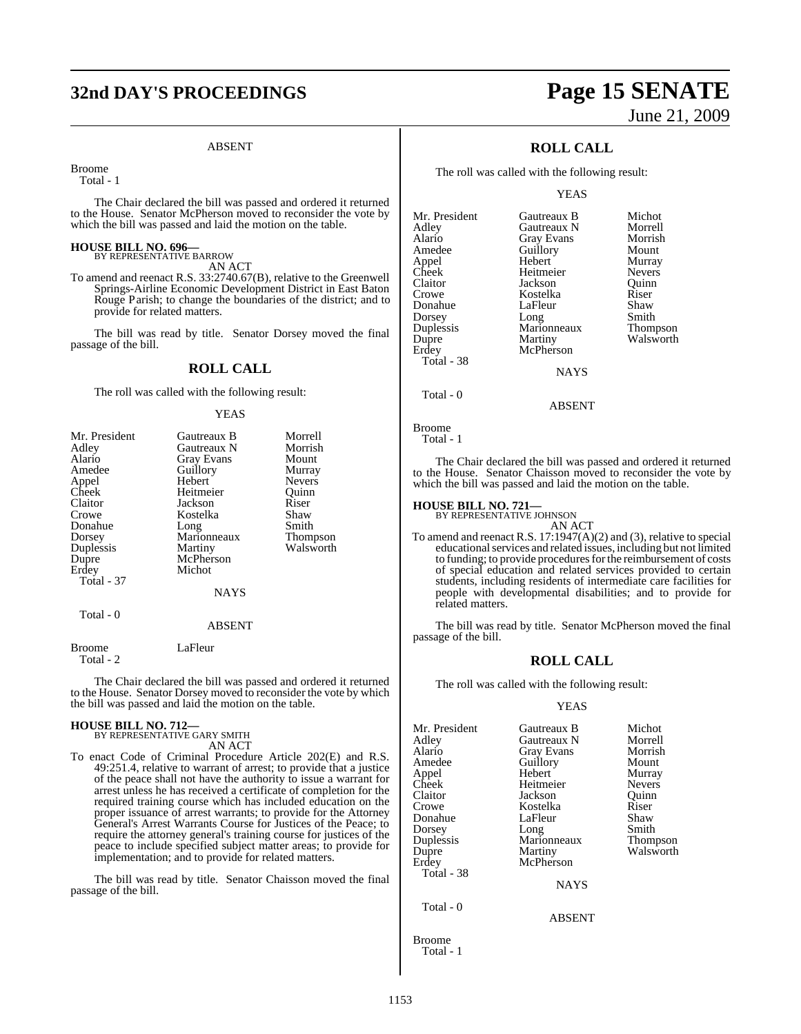## **32nd DAY'S PROCEEDINGS Page 15 SENATE**

#### ABSENT

Broome

Total - 1

The Chair declared the bill was passed and ordered it returned to the House. Senator McPherson moved to reconsider the vote by which the bill was passed and laid the motion on the table.

### **HOUSE BILL NO. 696—** BY REPRESENTATIVE BARROW

AN ACT

To amend and reenact R.S. 33:2740.67(B), relative to the Greenwell Springs-Airline Economic Development District in East Baton Rouge Parish; to change the boundaries of the district; and to provide for related matters.

The bill was read by title. Senator Dorsey moved the final passage of the bill.

#### **ROLL CALL**

The roll was called with the following result:

#### YEAS

| Mr. President<br>Adley | Gautreaux B<br>Gautreaux N | Morrell<br>Morrish |
|------------------------|----------------------------|--------------------|
| Alario                 | Gray Evans                 | Mount              |
| Amedee                 | Guillory                   | Murray             |
| Appel                  | Hebert                     | <b>Nevers</b>      |
| Cheek                  | Heitmeier                  | Quinn              |
| Claitor                | Jackson                    | Riser              |
| Crowe                  | Kostelka                   | Shaw               |
| Donahue                | Long                       | Smith              |
| Dorsey                 | Marionneaux                | Thompson           |
| Duplessis              | Martiny                    | Walsworth          |
| Dupre                  | McPherson                  |                    |
| Erdey                  | Michot                     |                    |
| Total - 37             |                            |                    |
|                        | <b>NAYS</b>                |                    |
| Total - 0              | <b>ABSENT</b>              |                    |

Broome LaFleur Total - 2

The Chair declared the bill was passed and ordered it returned to the House. Senator Dorsey moved to reconsider the vote by which the bill was passed and laid the motion on the table.

### **HOUSE BILL NO. 712—** BY REPRESENTATIVE GARY SMITH

AN ACT

To enact Code of Criminal Procedure Article 202(E) and R.S. 49:251.4, relative to warrant of arrest; to provide that a justice of the peace shall not have the authority to issue a warrant for arrest unless he has received a certificate of completion for the required training course which has included education on the proper issuance of arrest warrants; to provide for the Attorney General's Arrest Warrants Course for Justices of the Peace; to require the attorney general's training course for justices of the peace to include specified subject matter areas; to provide for implementation; and to provide for related matters.

The bill was read by title. Senator Chaisson moved the final passage of the bill.

# June 21, 2009

### **ROLL CALL**

The roll was called with the following result:

YEAS

| Mr. President | Gautreaux B       | Michot          |
|---------------|-------------------|-----------------|
| Adley         | Gautreaux N       | Morrell         |
| Alario        | <b>Gray Evans</b> | Morrish         |
| Amedee        | Guillory          | Mount           |
| Appel         | Hebert            | Murray          |
| Cheek         | Heitmeier         | <b>Nevers</b>   |
| Claitor       | Jackson           | Ouinn           |
| Crowe         | Kostelka          | Riser           |
| Donahue       | LaFleur           | Shaw            |
| Dorsey        | Long              | Smith           |
| Duplessis     | Marionneaux       | <b>Thompson</b> |
| Dupre         | Martiny           | Walsworth       |
| Erdey         | McPherson         |                 |
| Total - 38    |                   |                 |
|               | <b>NAYS</b>       |                 |
|               |                   |                 |

Broome Total - 1

Total - 0

The Chair declared the bill was passed and ordered it returned to the House. Senator Chaisson moved to reconsider the vote by which the bill was passed and laid the motion on the table.

ABSENT

## **HOUSE BILL NO. 721—** BY REPRESENTATIVE JOHNSON

AN ACT

To amend and reenact R.S. 17:1947(A)(2) and (3), relative to special educationalservices and related issues, including but not limited to funding; to provide procedures for the reimbursement of costs of special education and related services provided to certain students, including residents of intermediate care facilities for people with developmental disabilities; and to provide for related matters.

The bill was read by title. Senator McPherson moved the final passage of the bill.

#### **ROLL CALL**

The roll was called with the following result:

#### YEAS

| Gautreaux B   | Michot        |
|---------------|---------------|
| Gautreaux N   | Morrell       |
| Gray Evans    | Morrish       |
| Guillory      | Mount         |
| Hebert        | Murray        |
| Heitmeier     | <b>Nevers</b> |
| Jackson       | Ouinn         |
| Kostelka      | Riser         |
| LaFleur       | Shaw          |
|               | Smith         |
| Marionneaux   | Thompson      |
| Martiny       | Walsworth     |
| McPherson     |               |
|               |               |
| <b>NAYS</b>   |               |
|               |               |
| <b>ABSENT</b> |               |
|               | Long          |

Broome Total - 1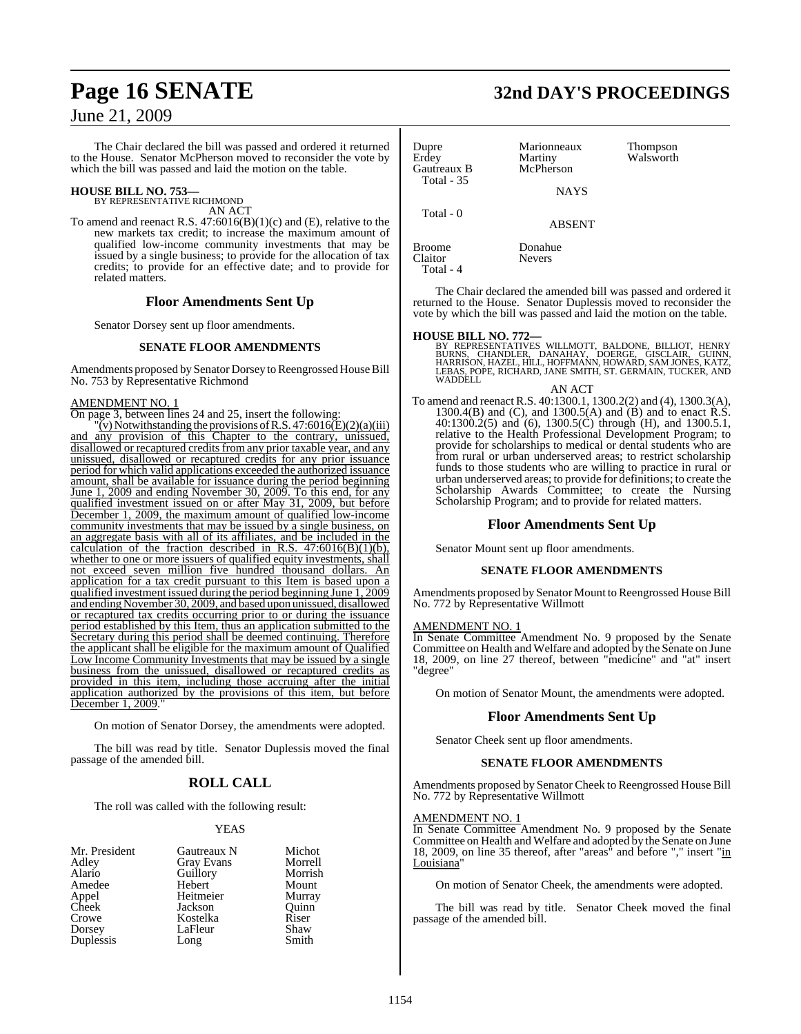The Chair declared the bill was passed and ordered it returned to the House. Senator McPherson moved to reconsider the vote by which the bill was passed and laid the motion on the table.

## **HOUSE BILL NO. 753—** BY REPRESENTATIVE RICHMOND

AN ACT

To amend and reenact R.S. 47:6016(B)(1)(c) and (E), relative to the new markets tax credit; to increase the maximum amount of qualified low-income community investments that may be issued by a single business; to provide for the allocation of tax credits; to provide for an effective date; and to provide for related matters.

#### **Floor Amendments Sent Up**

Senator Dorsey sent up floor amendments.

#### **SENATE FLOOR AMENDMENTS**

Amendments proposed by Senator Dorsey to Reengrossed House Bill No. 753 by Representative Richmond

#### AMENDMENT NO. 1

On page 3, between lines 24 and 25, insert the following:

 $\overline{y}$  (v) Notwithstanding the provisions of R.S. 47:6016(E)(2)(a)(iii) and any provision of this Chapter to the contrary, unissued, disallowed or recaptured credits from any prior taxable year, and any unissued, disallowed or recaptured credits for any prior issuance period for which valid applications exceeded the authorized issuance amount, shall be available for issuance during the period beginning June 1, 2009 and ending November 30, 2009. To this end, for any qualified investment issued on or after May 31, 2009, but before December 1, 2009, the maximum amount of qualified low-income community investments that may be issued by a single business, on an aggregate basis with all of its affiliates, and be included in the calculation of the fraction described in R.S.  $47:6016(B)(1)(b)$ , whether to one or more issuers of qualified equity investments, shall not exceed seven million five hundred thousand dollars. An application for a tax credit pursuant to this Item is based upon a qualified investment issued during the period beginning June 1, 2009 and ending November 30, 2009, and based upon unissued, disallowed or recaptured tax credits occurring prior to or during the issuance period established by this Item, thus an application submitted to the Secretary during this period shall be deemed continuing. Therefore the applicant shall be eligible for the maximum amount of Qualified Low Income Community Investments that may be issued by a single business from the unissued, disallowed or recaptured credits as provided in this item, including those accruing after the initial application authorized by the provisions of this item, but before December 1, 2009.

On motion of Senator Dorsey, the amendments were adopted.

The bill was read by title. Senator Duplessis moved the final passage of the amended bill.

### **ROLL CALL**

The roll was called with the following result:

#### YEAS

| Mr. President | Gautreaux N       | Michot  |
|---------------|-------------------|---------|
| Adley         | <b>Gray Evans</b> | Morrell |
| Alario        | Guillory          | Morrish |
| Amedee        | Hebert            | Mount   |
| Appel         | Heitmeier         | Murray  |
| Cheek         | Jackson           | Ouinn   |
| Crowe         | Kostelka          | Riser   |
| Dorsey        | LaFleur           | Shaw    |
| Duplessis     | Long              | Smith   |

## **Page 16 SENATE 32nd DAY'S PROCEEDINGS**

| Dupre<br>Erdey<br>Gautreaux B<br><b>Total - 35</b> | Marionneaux<br>Martiny<br>McPherson<br><b>NAYS</b> | Thompson<br>Walsworth |
|----------------------------------------------------|----------------------------------------------------|-----------------------|
| Total $-0$                                         | <b>ABSENT</b>                                      |                       |
| Broome<br>Claitor                                  | Donahue<br><b>Nevers</b>                           |                       |

The Chair declared the amended bill was passed and ordered it returned to the House. Senator Duplessis moved to reconsider the vote by which the bill was passed and laid the motion on the table.

Total - 4

**HOUSE BILL NO. 772—**<br>BY REPRESENTATIVES WILLMOTT, BALDONE, BILLIOT, HENRY<br>BURNS, CHANDLER, DANAHAY, DOERGE, GISCLAIR, GUINN,<br>HARRISON, HAZEL, HILL, HOFFMANN, HOWARD, SAM JONES, KATZ, LEBAS, POPE, RICHARD, JANE SMITH, ST. GERMAIN, TUCKER, AND WADDELL

AN ACT To amend and reenact R.S. 40:1300.1, 1300.2(2) and (4), 1300.3(A), 1300.4(B) and (C), and 1300.5(A) and (B) and to enact R.S. 40:1300.2(5) and (6), 1300.5(C) through (H), and 1300.5.1, relative to the Health Professional Development Program; to provide for scholarships to medical or dental students who are from rural or urban underserved areas; to restrict scholarship funds to those students who are willing to practice in rural or urban underserved areas; to provide for definitions; to create the Scholarship Awards Committee; to create the Nursing Scholarship Program; and to provide for related matters.

#### **Floor Amendments Sent Up**

Senator Mount sent up floor amendments.

#### **SENATE FLOOR AMENDMENTS**

Amendments proposed by Senator Mount to Reengrossed House Bill No. 772 by Representative Willmott

#### AMENDMENT NO. 1

In Senate Committee Amendment No. 9 proposed by the Senate Committee on Health and Welfare and adopted by the Senate on June 18, 2009, on line 27 thereof, between "medicine" and "at" insert "degree"

On motion of Senator Mount, the amendments were adopted.

#### **Floor Amendments Sent Up**

Senator Cheek sent up floor amendments.

#### **SENATE FLOOR AMENDMENTS**

Amendments proposed by Senator Cheek to Reengrossed House Bill No. 772 by Representative Willmott

#### AMENDMENT NO. 1

In Senate Committee Amendment No. 9 proposed by the Senate Committee on Health and Welfare and adopted by the Senate on June 18, 2009, on line 35 thereof, after "areas" and before "," insert "in Louisiana"

On motion of Senator Cheek, the amendments were adopted.

The bill was read by title. Senator Cheek moved the final passage of the amended bill.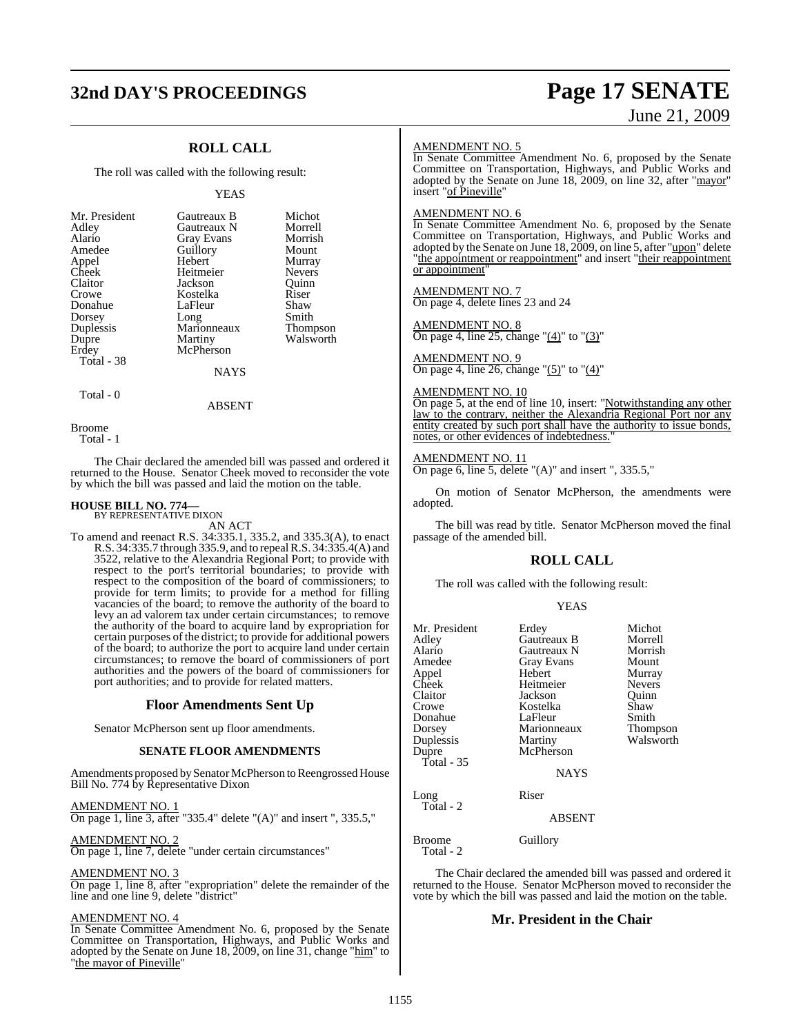## **32nd DAY'S PROCEEDINGS Page 17 SENATE**

# June 21, 2009

### **ROLL CALL**

The roll was called with the following result:

#### YEAS

**Michot** Morrell Morrish<br>Mount

Murray Nevers<sup>1</sup> Quinn<br>Riser

Shaw Smith Thompson Walsworth

| Mr. President | Gautreaux B       | Micho        |
|---------------|-------------------|--------------|
| Adley         | Gautreaux N       | <b>Morre</b> |
| Alario        | <b>Gray Evans</b> | Morris       |
| Amedee        | Guillory          | Mount        |
| Appel         | Hebert            | Murray       |
| Cheek         | Heitmeier         | Nevers       |
| Claitor       | Jackson           | Ouinn        |
| Crowe         | Kostelka          | Riser        |
| Donahue       | LaFleur           | Shaw         |
| Dorsey        | Long              | Smith        |
| Duplessis     | Marionneaux       | Thomp        |
| Dupre         | Martiny           | Walsw        |
| Erdey         | McPherson         |              |
| Total - 38    |                   |              |
|               | NAYS              |              |
|               |                   |              |

Broome

Total - 0

Total - 1

The Chair declared the amended bill was passed and ordered it returned to the House. Senator Cheek moved to reconsider the vote by which the bill was passed and laid the motion on the table.

ABSENT

### **HOUSE BILL NO. 774—** BY REPRESENTATIVE DIXON

AN ACT

To amend and reenact R.S. 34:335.1, 335.2, and 335.3(A), to enact R.S. 34:335.7 through 335.9, and to repeal R.S. 34:335.4(A) and 3522, relative to the Alexandria Regional Port; to provide with respect to the port's territorial boundaries; to provide with respect to the composition of the board of commissioners; to provide for term limits; to provide for a method for filling vacancies of the board; to remove the authority of the board to levy an ad valorem tax under certain circumstances; to remove the authority of the board to acquire land by expropriation for certain purposes of the district; to provide for additional powers of the board; to authorize the port to acquire land under certain circumstances; to remove the board of commissioners of port authorities and the powers of the board of commissioners for port authorities; and to provide for related matters.

#### **Floor Amendments Sent Up**

Senator McPherson sent up floor amendments.

#### **SENATE FLOOR AMENDMENTS**

Amendments proposed by Senator McPherson to Reengrossed House Bill No. 774 by Representative Dixon

AMENDMENT NO. 1

On page 1, line 3, after "335.4" delete "(A)" and insert ", 335.5,"

AMENDMENT NO. 2

On page 1, line 7, delete "under certain circumstances"

#### AMENDMENT NO. 3

On page 1, line 8, after "expropriation" delete the remainder of the line and one line 9, delete "district"

#### AMENDMENT NO. 4

In Senate Committee Amendment No. 6, proposed by the Senate Committee on Transportation, Highways, and Public Works and adopted by the Senate on June 18, 2009, on line 31, change "him" to 'the mayor of Pineville'

#### AMENDMENT NO. 5

In Senate Committee Amendment No. 6, proposed by the Senate Committee on Transportation, Highways, and Public Works and adopted by the Senate on June 18, 2009, on line 32, after "mayor" insert "of Pineville"

#### AMENDMENT NO. 6

In Senate Committee Amendment No. 6, proposed by the Senate Committee on Transportation, Highways, and Public Works and adopted by the Senate on June 18, 2009, on line 5, after "upon" delete "the appointment or reappointment" and insert "their reappointment or appointment"

#### AMENDMENT NO. 7

On page 4, delete lines 23 and 24

#### AMENDMENT NO. 8

On page 4, line 25, change " $(4)$ " to " $(3)$ "

AMENDMENT NO. 9 On page 4, line 26, change " $(5)$ " to " $(4)$ "

#### AMENDMENT NO. 10

On page 5, at the end of line 10, insert: "Notwithstanding any other law to the contrary, neither the Alexandria Regional Port nor any entity created by such port shall have the authority to issue bonds, notes, or other evidences of indebtedness.

#### AMENDMENT NO. 11

On page 6, line 5, delete  $(A)$ " and insert ", 335.5,"

On motion of Senator McPherson, the amendments were adopted.

The bill was read by title. Senator McPherson moved the final passage of the amended bill.

#### **ROLL CALL**

The roll was called with the following result:

|  | v |
|--|---|
|  |   |

| Mr. President<br>Adley<br>Alario<br>Amedee<br>Appel<br>Cheek<br>Claitor<br>Crowe<br>Donahue<br>Dorsey<br>Duplessis<br>Dupre<br>Total - $35$ | Erdey<br>Gautreaux B<br>Gautreaux N<br><b>Gray Evans</b><br>Hebert<br>Heitmeier<br>Jackson<br>Kostelka<br>LaFleur<br>Marionneaux<br>Martiny<br>McPherson<br><b>NAYS</b> | Michot<br>Morrell<br>Morrish<br>Mount<br>Murray<br><b>Nevers</b><br>Ouinn<br>Shaw<br>Smith<br>Thompson<br>Walsworth |
|---------------------------------------------------------------------------------------------------------------------------------------------|-------------------------------------------------------------------------------------------------------------------------------------------------------------------------|---------------------------------------------------------------------------------------------------------------------|
| Long<br>Total - 2                                                                                                                           | Riser<br><b>ABSENT</b>                                                                                                                                                  |                                                                                                                     |
| Broome                                                                                                                                      | Guillory                                                                                                                                                                |                                                                                                                     |

Total - 2

The Chair declared the amended bill was passed and ordered it returned to the House. Senator McPherson moved to reconsider the vote by which the bill was passed and laid the motion on the table.

#### **Mr. President in the Chair**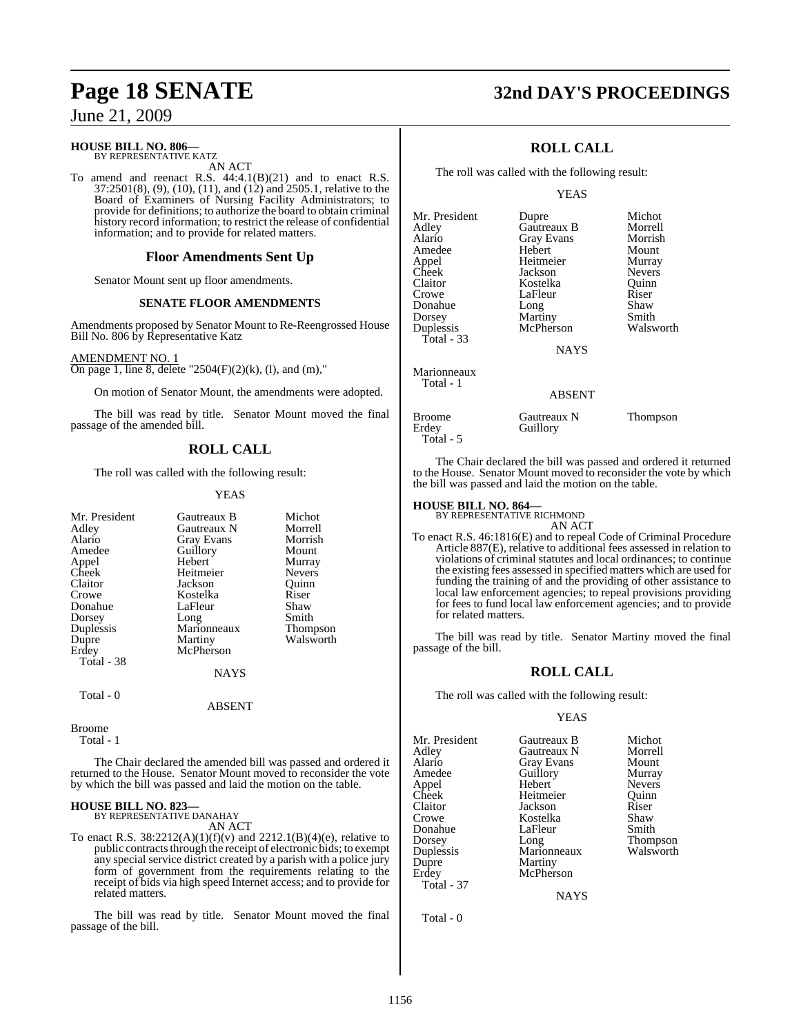#### **HOUSE BILL NO. 806—** BY REPRESENTATIVE KATZ

AN ACT

To amend and reenact R.S. 44:4.1(B)(21) and to enact R.S. 37:2501(8), (9), (10), (11), and (12) and 2505.1, relative to the Board of Examiners of Nursing Facility Administrators; to provide for definitions; to authorize the board to obtain criminal history record information; to restrict the release of confidential information; and to provide for related matters.

#### **Floor Amendments Sent Up**

Senator Mount sent up floor amendments.

#### **SENATE FLOOR AMENDMENTS**

Amendments proposed by Senator Mount to Re-Reengrossed House Bill No. 806 by Representative Katz

#### AMENDMENT NO. 1

On page 1, line 8, delete "2504(F)(2)(k), (l), and (m),"

On motion of Senator Mount, the amendments were adopted.

The bill was read by title. Senator Mount moved the final passage of the amended bill.

### **ROLL CALL**

The roll was called with the following result:

#### YEAS

| Mr. President | Gautreaux B       | Michot          |
|---------------|-------------------|-----------------|
| Adley         | Gautreaux N       | Morrell         |
| Alario        | <b>Gray Evans</b> | Morrish         |
| Amedee        | Guillory          | Mount           |
| Appel         | Hebert            | Murray          |
| Cheek         | Heitmeier         | <b>Nevers</b>   |
| Claitor       | Jackson           | Ouinn           |
| Crowe         | Kostelka          | Riser           |
| Donahue       | LaFleur           | Shaw            |
| Dorsey        | Long              | Smith           |
| Duplessis     | Marionneaux       | <b>Thompson</b> |
| Dupre         | Martiny           | Walsworth       |
| Erdey         | McPherson         |                 |
| Total - 38    |                   |                 |
|               | <b>NAYS</b>       |                 |
| Total - 0     |                   |                 |
|               | <b>ABSENT</b>     |                 |

Broome

Total - 1

The Chair declared the amended bill was passed and ordered it returned to the House. Senator Mount moved to reconsider the vote by which the bill was passed and laid the motion on the table.

## **HOUSE BILL NO. 823—** BY REPRESENTATIVE DANAHAY

AN ACT

To enact R.S.  $38:2212(A)(1)(f)(v)$  and  $2212.1(B)(4)(e)$ , relative to public contracts through the receipt of electronic bids; to exempt any special service district created by a parish with a police jury form of government from the requirements relating to the receipt of bids via high speed Internet access; and to provide for related matters.

The bill was read by title. Senator Mount moved the final passage of the bill.

## **Page 18 SENATE 32nd DAY'S PROCEEDINGS**

### **ROLL CALL**

The roll was called with the following result:

YEAS

| Mr. President | Dupre             | Michot        |
|---------------|-------------------|---------------|
| Adley         | Gautreaux B       | Morrell       |
| Alario        | <b>Gray Evans</b> | Morrish       |
| Amedee        | Hebert            | Mount         |
| Appel         | Heitmeier         | Murray        |
| Cheek         | Jackson           | <b>Nevers</b> |
| Claitor       | Kostelka          | Ouinn         |
| Crowe         | LaFleur           | Riser         |
| Donahue       | Long              | Shaw          |
| Dorsey        | Martiny           | Smith         |
| Duplessis     | McPherson         | Walsworth     |
| Total - 33    |                   |               |
|               | <b>NAYS</b>       |               |
| Marionneaux   |                   |               |
| Total - 1     |                   |               |
|               | ABSENT            |               |
|               |                   |               |

| Broome    | Gautreaux N | <b>Thompson</b> |
|-----------|-------------|-----------------|
| Erdey     | Guillory    |                 |
| Total - 5 |             |                 |

The Chair declared the bill was passed and ordered it returned to the House. Senator Mount moved to reconsider the vote by which the bill was passed and laid the motion on the table.

### **HOUSE BILL NO. 864—** BY REPRESENTATIVE RICHMOND

AN ACT

To enact R.S. 46:1816(E) and to repeal Code of Criminal Procedure Article 887(E), relative to additional fees assessed in relation to violations of criminal statutes and local ordinances; to continue the existing fees assessed in specified matters which are used for funding the training of and the providing of other assistance to local law enforcement agencies; to repeal provisions providing for fees to fund local law enforcement agencies; and to provide for related matters.

The bill was read by title. Senator Martiny moved the final passage of the bill.

#### **ROLL CALL**

The roll was called with the following result:

#### YEAS

| Mr. President     | Gautreaux B | Michot          |
|-------------------|-------------|-----------------|
|                   |             |                 |
| Adley             | Gautreaux N | Morrell         |
| Alario            | Gray Evans  | Mount           |
| Amedee            | Guillory    | Murray          |
| Appel             | Hebert      | <b>Nevers</b>   |
| Cheek             | Heitmeier   | Ouinn           |
| Claitor           | Jackson     | Riser           |
| Crowe             | Kostelka    | Shaw            |
| Donahue           | LaFleur     | Smith           |
| Dorsey            | Long        | <b>Thompson</b> |
| Duplessis         | Marionneaux | Walsworth       |
| Dupre             | Martiny     |                 |
| Erdey             | McPherson   |                 |
| <b>Total - 37</b> |             |                 |
|                   |             |                 |

**NAYS** 

Total - 0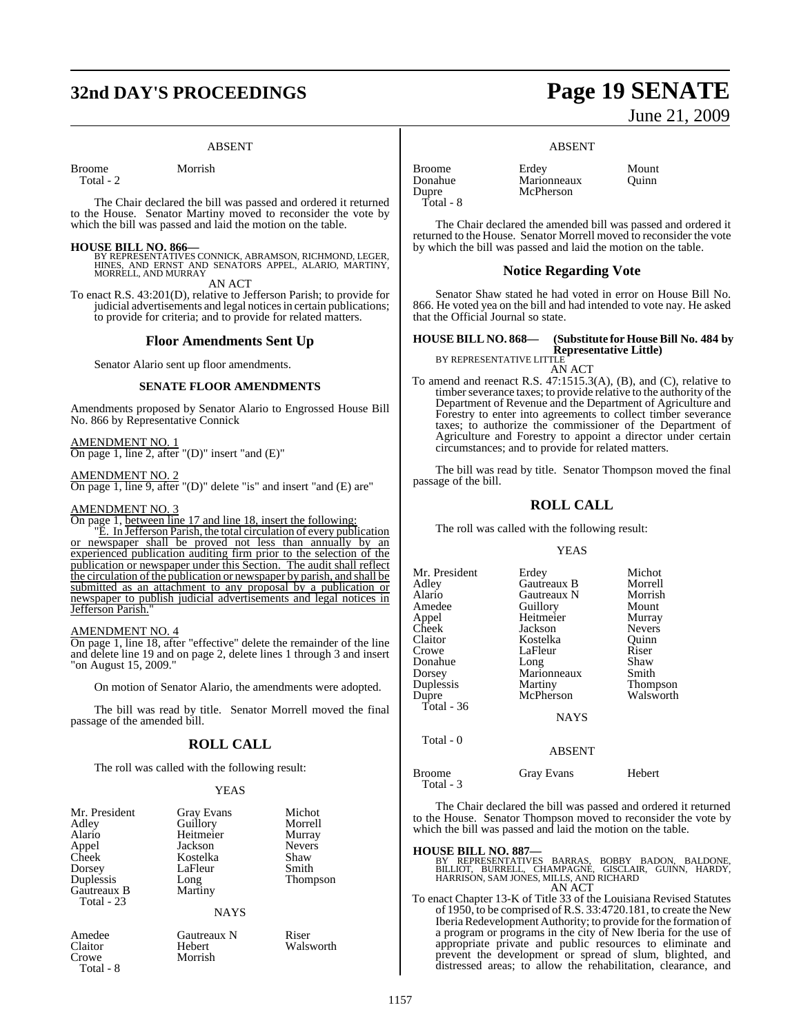## **32nd DAY'S PROCEEDINGS Page 19 SENATE**

#### ABSENT

Broome Morrish

Total - 2

The Chair declared the bill was passed and ordered it returned to the House. Senator Martiny moved to reconsider the vote by which the bill was passed and laid the motion on the table.

**HOUSE BILL NO. 866—** BY REPRESENTATIVES CONNICK, ABRAMSON, RICHMOND, LEGER, HINES, AND ERNST AND SENATORS APPEL, ALARIO, MARTINY, MORRELL, AND MURRAY

AN ACT

To enact R.S. 43:201(D), relative to Jefferson Parish; to provide for judicial advertisements and legal notices in certain publications; to provide for criteria; and to provide for related matters.

#### **Floor Amendments Sent Up**

Senator Alario sent up floor amendments.

#### **SENATE FLOOR AMENDMENTS**

Amendments proposed by Senator Alario to Engrossed House Bill No. 866 by Representative Connick

AMENDMENT NO. 1

On page 1, line 2, after "(D)" insert "and (E)"

#### AMENDMENT NO. 2

On page 1, line 9, after "(D)" delete "is" and insert "and (E) are"

#### AMENDMENT NO. 3

On page 1, between line 17 and line 18, insert the following:

"E. In Jefferson Parish, the total circulation of every publication or newspaper shall be proved not less than annually by an experienced publication auditing firm prior to the selection of the publication or newspaper under this Section. The audit shall reflect the circulation of the publication or newspaper by parish, and shall be submitted as an attachment to any proposal by a publication or newspaper to publish judicial advertisements and legal notices in Jefferson Parish.

#### AMENDMENT NO. 4

Crowe Morrish

Total - 8

On page 1, line 18, after "effective" delete the remainder of the line and delete line 19 and on page 2, delete lines 1 through 3 and insert "on August 15, 2009."

On motion of Senator Alario, the amendments were adopted.

The bill was read by title. Senator Morrell moved the final passage of the amended bill.

#### **ROLL CALL**

The roll was called with the following result:

#### **YEAS**

| Mr. President<br>Adley<br>Alario<br>Appel<br>Cheek<br>Dorsey<br>Duplessis<br>Gautreaux B<br>Total - 23 | <b>Gray Evans</b><br>Guillory<br>Heitmeier<br>Jackson<br>Kostelka<br>LaFleur<br>Long<br>Martiny | Michot<br>Morrell<br>Murray<br><b>Nevers</b><br>Shaw<br>Smith<br><b>Thompson</b> |
|--------------------------------------------------------------------------------------------------------|-------------------------------------------------------------------------------------------------|----------------------------------------------------------------------------------|
|                                                                                                        | <b>NAYS</b>                                                                                     |                                                                                  |
| Amedee<br>Claitor                                                                                      | Gautreaux N<br>Hebert                                                                           | Riser<br>Walsworth                                                               |

# June 21, 2009

#### ABSENT

**McPherson** 

Donahue Marionneaux<br>
Dupre McPherson Total - 8

The Chair declared the amended bill was passed and ordered it returned to the House. Senator Morrell moved to reconsider the vote by which the bill was passed and laid the motion on the table.

#### **Notice Regarding Vote**

Senator Shaw stated he had voted in error on House Bill No. 866. He voted yea on the bill and had intended to vote nay. He asked that the Official Journal so state.

#### **HOUSE BILL NO. 868— (Substitute for House Bill No. 484 by Representative Little)**

BY REPRESENTATIVE LITTLE

AN ACT

To amend and reenact R.S. 47:1515.3(A), (B), and (C), relative to timber severance taxes; to provide relative to the authority of the Department of Revenue and the Department of Agriculture and Forestry to enter into agreements to collect timber severance taxes; to authorize the commissioner of the Department of Agriculture and Forestry to appoint a director under certain circumstances; and to provide for related matters.

The bill was read by title. Senator Thompson moved the final passage of the bill.

### **ROLL CALL**

The roll was called with the following result:

#### YEAS

| Mr. President | Erdey       | Michot        |
|---------------|-------------|---------------|
| Adley         | Gautreaux B | Morrell       |
| Alario        | Gautreaux N | Morrish       |
| Amedee        | Guillory    | Mount         |
| Appel         | Heitmeier   | Murray        |
| Cheek         | Jackson     | <b>Nevers</b> |
| Claitor       | Kostelka    | Ouinn         |
| Crowe         | LaFleur     | Riser         |
| Donahue       | Long        | Shaw          |
| Dorsey        | Marionneaux | Smith         |
| Duplessis     | Martiny     | Thompson      |
| Dupre         | McPherson   | Walsworth     |
| Total - 36    |             |               |
|               | <b>NAYS</b> |               |
| Total - 0     |             |               |

Total - 3

Broome Gray Evans Hebert

The Chair declared the bill was passed and ordered it returned to the House. Senator Thompson moved to reconsider the vote by which the bill was passed and laid the motion on the table.

ABSENT

#### **HOUSE BILL NO. 887—**

BY REPRESENTATIVES BARRAS, BOBBY BADON, BALDONE,<br>BILLIOT, BURRELL, CHAMPAGNE, GISCLAIR, GUINN, HARDY,<br>HARRISON,SAMJONES,MILLS,AND-RICHARD AN ACT

To enact Chapter 13-K of Title 33 of the Louisiana Revised Statutes of 1950, to be comprised ofR.S. 33:4720.181, to create the New IberiaRedevelopment Authority; to provide forthe formation of a program or programs in the city of New Iberia for the use of appropriate private and public resources to eliminate and prevent the development or spread of slum, blighted, and distressed areas; to allow the rehabilitation, clearance, and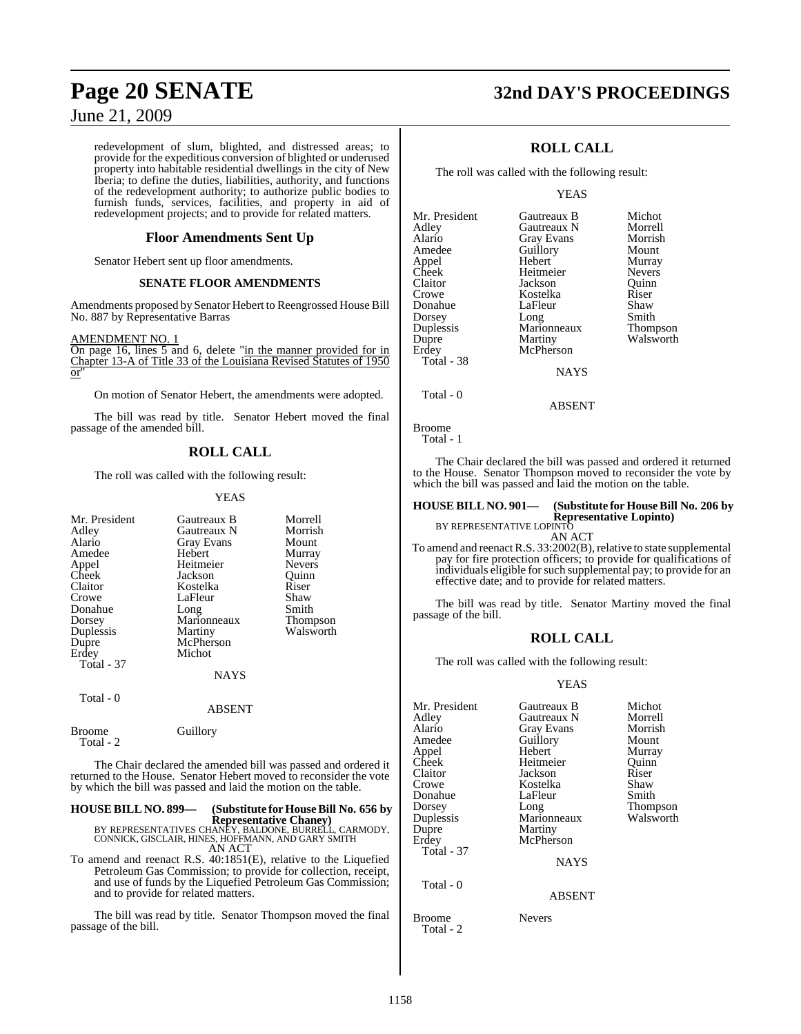redevelopment of slum, blighted, and distressed areas; to provide for the expeditious conversion of blighted or underused property into habitable residential dwellings in the city of New Iberia; to define the duties, liabilities, authority, and functions of the redevelopment authority; to authorize public bodies to furnish funds, services, facilities, and property in aid of redevelopment projects; and to provide for related matters.

### **Floor Amendments Sent Up**

Senator Hebert sent up floor amendments.

### **SENATE FLOOR AMENDMENTS**

Amendments proposed by Senator Hebert to Reengrossed House Bill No. 887 by Representative Barras

#### AMENDMENT NO. 1

On page 16, lines 5 and 6, delete "in the manner provided for in Chapter 13-A of Title 33 of the Louisiana Revised Statutes of 1950 or"

On motion of Senator Hebert, the amendments were adopted.

The bill was read by title. Senator Hebert moved the final passage of the amended bill.

### **ROLL CALL**

The roll was called with the following result:

#### YEAS

| Mr. President<br>Adley<br>Alario<br>Amedee<br>Appel<br>Cheek<br>Claitor<br>Crowe<br>Donahue<br>Dorsey<br>Duplessis<br>Dupre<br>Erdey<br>Total - 37<br>Total - 0 | Gautreaux B<br>Gautreaux N<br>Gray Evans<br>Hebert<br>Heitmeier<br>Jackson<br>Kostelka<br>LaFleur<br>Long<br>Marionneaux<br>Martiny<br>McPherson<br>Michot<br>NAYS<br><b>ABSENT</b> | Morrell<br>Morrish<br>Mount<br>Murray<br><b>Nevers</b><br>Ouinn<br>Riser<br>Shaw<br>Smith<br>Thompson<br>Walsworth |
|-----------------------------------------------------------------------------------------------------------------------------------------------------------------|-------------------------------------------------------------------------------------------------------------------------------------------------------------------------------------|--------------------------------------------------------------------------------------------------------------------|
| <b>Broome</b><br>Total - 2                                                                                                                                      | Guillory                                                                                                                                                                            |                                                                                                                    |

The Chair declared the amended bill was passed and ordered it returned to the House. Senator Hebert moved to reconsider the vote by which the bill was passed and laid the motion on the table.

### **HOUSE BILL NO. 899— (Substitute for HouseBill No. 656 by**

**Representative Chaney)** BY REPRESENTATIVES CHANEY, BALDONE, BURRELL, CARMODY, CONNICK, GISCLAIR, HINES, HOFFMANN, AND GARY SMITH AN ACT

To amend and reenact R.S. 40:1851(E), relative to the Liquefied Petroleum Gas Commission; to provide for collection, receipt, and use of funds by the Liquefied Petroleum Gas Commission; and to provide for related matters.

The bill was read by title. Senator Thompson moved the final passage of the bill.

## **Page 20 SENATE 32nd DAY'S PROCEEDINGS**

### **ROLL CALL**

The roll was called with the following result:

#### YEAS

| Mr. President | Gautreaux B       | Michot          |
|---------------|-------------------|-----------------|
| Adley         | Gautreaux N       | Morrell         |
| Alario        | <b>Gray Evans</b> | Morrish         |
| Amedee        | Guillory          | Mount           |
| Appel         | Hebert            | Murray          |
| Cheek         | Heitmeier         | <b>Nevers</b>   |
| Claitor       | Jackson           | Ouinn           |
| Crowe         | Kostelka          | Riser           |
| Donahue       | LaFleur           | Shaw            |
| Dorsey        | Long              | Smith           |
| Duplessis     | Marionneaux       | <b>Thompson</b> |
| Dupre         | Martiny           | Walsworth       |
| Erdey         | McPherson         |                 |
| Total - 38    |                   |                 |
|               | <b>NAYS</b>       |                 |
|               |                   |                 |

Total - 0

Broome

Total - 1

The Chair declared the bill was passed and ordered it returned to the House. Senator Thompson moved to reconsider the vote by which the bill was passed and laid the motion on the table.

ABSENT

### **HOUSE BILL NO. 901— (Substitute for HouseBill No. 206 by Representative Lopinto)** BY REPRESENTATIVE LOPINTO

AN ACT

To amend and reenact R.S. 33:2002(B), relative to state supplemental pay for fire protection officers; to provide for qualifications of individuals eligible for such supplemental pay; to provide for an effective date; and to provide for related matters.

The bill was read by title. Senator Martiny moved the final passage of the bill.

### **ROLL CALL**

The roll was called with the following result:

#### YEAS

| Mr. President | Gautreaux B   | Michot    |
|---------------|---------------|-----------|
| Adley         | Gautreaux N   | Morrell   |
| Alario        | Gray Evans    | Morrish   |
| Amedee        | Guillory      | Mount     |
| Appel         | Hebert        | Murray    |
| Cheek         | Heitmeier     | Ouinn     |
| Claitor       | Jackson       | Riser     |
| Crowe         | Kostelka      | Shaw      |
| Donahue       | LaFleur       | Smith     |
| Dorsey        | Long          | Thompson  |
| Duplessis     | Marionneaux   | Walsworth |
| Dupre         | Martiny       |           |
| Erdey         | McPherson     |           |
| Total - 37    |               |           |
|               | <b>NAYS</b>   |           |
| Total - 0     |               |           |
|               | <b>ABSENT</b> |           |
| Broome        | Nevers        |           |

Total - 2

1158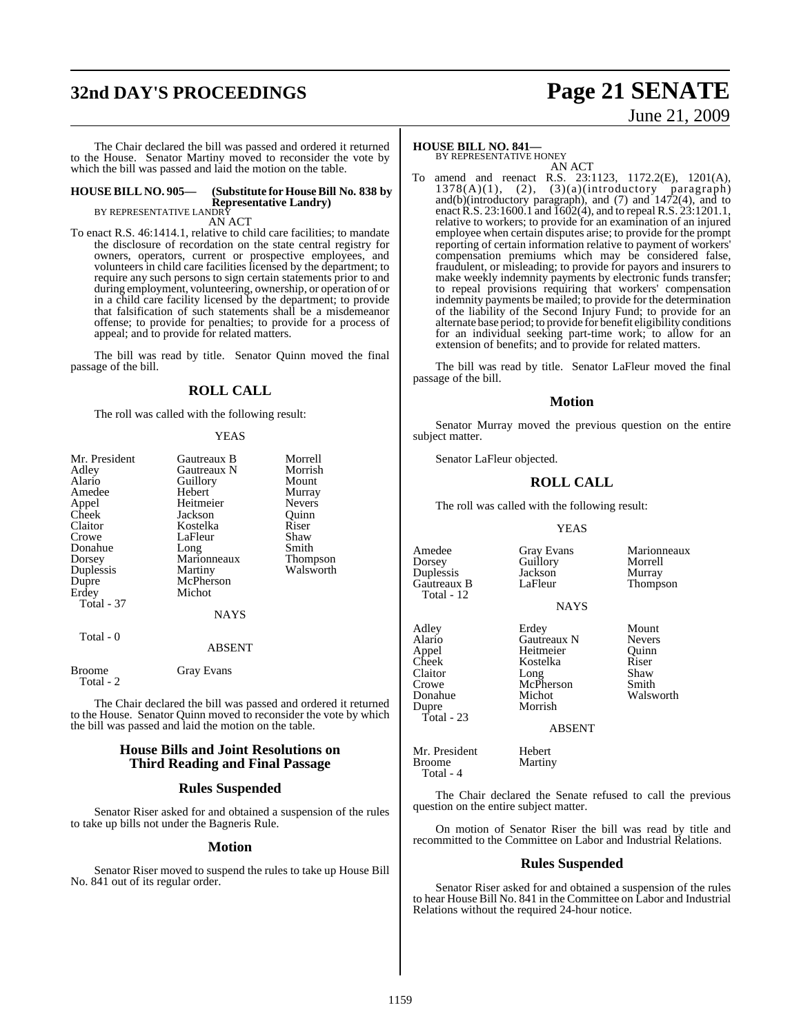## **32nd DAY'S PROCEEDINGS Page 21 SENATE**

#### The Chair declared the bill was passed and ordered it returned to the House. Senator Martiny moved to reconsider the vote by which the bill was passed and laid the motion on the table.

#### **HOUSE BILL NO. 905— (Substitute for HouseBill No. 838 by Representative Landry)** BY REPRESENTATIVE LANDR

AN ACT

To enact R.S. 46:1414.1, relative to child care facilities; to mandate the disclosure of recordation on the state central registry for owners, operators, current or prospective employees, and volunteers in child care facilities licensed by the department; to require any such persons to sign certain statements prior to and during employment, volunteering, ownership, or operation of or in a child care facility licensed by the department; to provide that falsification of such statements shall be a misdemeanor offense; to provide for penalties; to provide for a process of appeal; and to provide for related matters.

The bill was read by title. Senator Quinn moved the final passage of the bill.

#### **ROLL CALL**

The roll was called with the following result:

#### **YEAS**

| Mr. President              | Gautreaux B   | Morrell       |
|----------------------------|---------------|---------------|
| Adley                      | Gautreaux N   | Morrish       |
| Alario                     | Guillory      | Mount         |
| Amedee                     | Hebert        | Murray        |
| Appel                      | Heitmeier     | <b>Nevers</b> |
| Cheek                      | Jackson       | Ouinn         |
| Claitor                    | Kostelka      | Riser         |
| Crowe                      | LaFleur       | Shaw          |
| Donahue                    | Long          | Smith         |
| Dorsey                     | Marionneaux   | Thompson      |
| Duplessis                  | Martiny       | Walsworth     |
| Dupre                      | McPherson     |               |
| Erdey                      | Michot        |               |
| Total - 37                 |               |               |
|                            | <b>NAYS</b>   |               |
| Total - 0                  |               |               |
|                            | <b>ABSENT</b> |               |
| <b>Broome</b><br>Total - 2 | Gray Evans    |               |
|                            |               |               |

The Chair declared the bill was passed and ordered it returned to the House. Senator Quinn moved to reconsider the vote by which the bill was passed and laid the motion on the table.

#### **House Bills and Joint Resolutions on Third Reading and Final Passage**

#### **Rules Suspended**

Senator Riser asked for and obtained a suspension of the rules to take up bills not under the Bagneris Rule.

#### **Motion**

Senator Riser moved to suspend the rules to take up House Bill No. 841 out of its regular order.

### **HOUSE BILL NO. 841—**

BY REPRESENTATIVE HONEY

AN ACT To amend and reenact R.S. 23:1123, 1172.2(E), 1201(A),  $1378(A)(1)$ ,  $(2)$ ,  $(3)(a)(introducing paragraph)$ and(b)(introductory paragraph), and (7) and 1472(4), and to enactR.S. 23:1600.1 and 1602(4), and to repeal R.S. 23:1201.1, relative to workers; to provide for an examination of an injured employee when certain disputes arise; to provide for the prompt reporting of certain information relative to payment of workers' compensation premiums which may be considered false, fraudulent, or misleading; to provide for payors and insurers to make weekly indemnity payments by electronic funds transfer; to repeal provisions requiring that workers' compensation indemnity payments be mailed; to provide for the determination of the liability of the Second Injury Fund; to provide for an alternate base period; to provide for benefit eligibility conditions for an individual seeking part-time work; to allow for an extension of benefits; and to provide for related matters.

The bill was read by title. Senator LaFleur moved the final passage of the bill.

#### **Motion**

Senator Murray moved the previous question on the entire subject matter.

Senator LaFleur objected.

#### **ROLL CALL**

The roll was called with the following result:

#### YEAS

Guillory Morrell<br>Jackson Murray

Amedee Gray Evans Marionneaux<br>
Dorsey Guillory Morrell Duplessis Jackson<br>Gautreaux B LaFleur Gautreaux B LaFleur Thompson Total - 12

Alario Gautreaux N Nevers Appel Heitmeier Quinn<br>
Cheek Kostelka Riser Cheek Kostelka<br>Claitor Long Claitor Long Shaw Crowe McPherson Smith Donahue Michot Walsworth Total - 23

NAYS Adley Erdey Mount<br>Alario Gautreaux N Nevers Morrish

Martiny

#### ABSENT

Mr. President Hebert<br>
Broome Martin Total - 4

The Chair declared the Senate refused to call the previous question on the entire subject matter.

On motion of Senator Riser the bill was read by title and recommitted to the Committee on Labor and Industrial Relations.

#### **Rules Suspended**

Senator Riser asked for and obtained a suspension of the rules to hear House Bill No. 841 in the Committee on Labor and Industrial Relations without the required 24-hour notice.

#### 1159

# June 21, 2009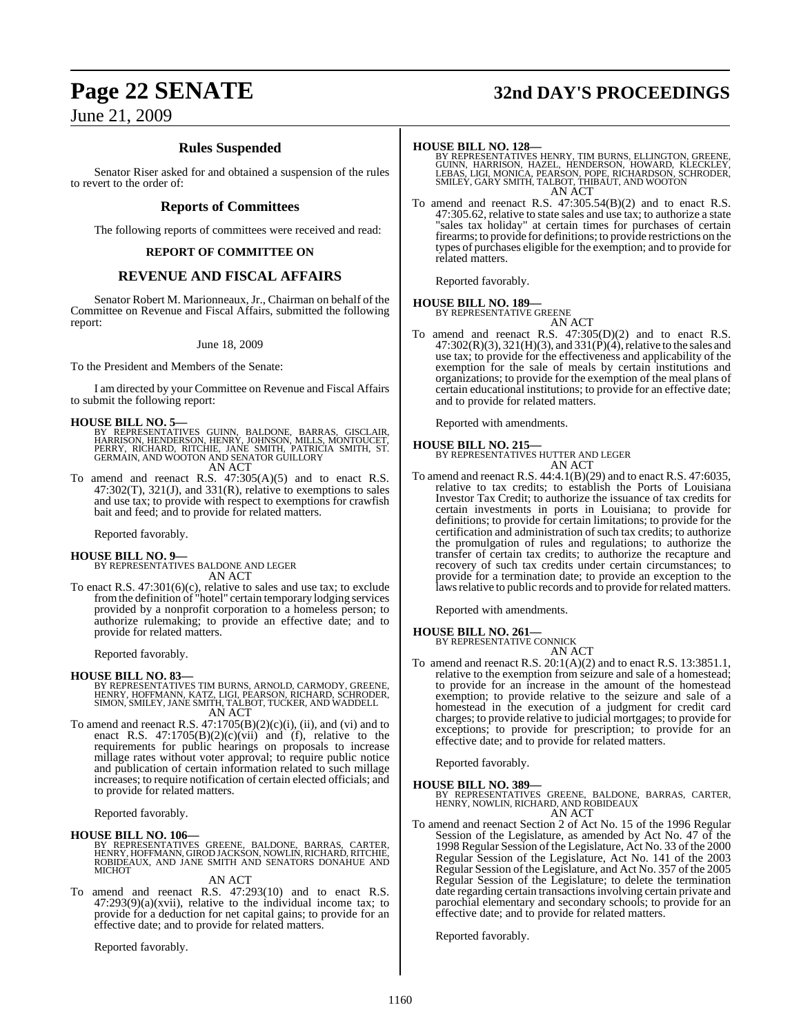## **Page 22 SENATE 32nd DAY'S PROCEEDINGS**

### June 21, 2009

### **Rules Suspended**

Senator Riser asked for and obtained a suspension of the rules to revert to the order of:

#### **Reports of Committees**

The following reports of committees were received and read:

#### **REPORT OF COMMITTEE ON**

### **REVENUE AND FISCAL AFFAIRS**

Senator Robert M. Marionneaux, Jr., Chairman on behalf of the Committee on Revenue and Fiscal Affairs, submitted the following report:

#### June 18, 2009

To the President and Members of the Senate:

I am directed by your Committee on Revenue and Fiscal Affairs to submit the following report:

#### **HOUSE BILL NO. 5—**

- BY REPRESENTATIVES GUINN, BALDONE, BARRAS, GISCLAIR,<br>HARRISON, HENDERSON, HENRY, JOHNSON, MILLS, MONTOUCET,<br>PERRY, RICHARD, RITCHIE, JANE SMITH, PATRICIA SMITH, ST.<br>GERMAIN, AND WOOTON AND SENATOR GUILLORY AN ACT
- To amend and reenact R.S. 47:305(A)(5) and to enact R.S.  $47:302(T)$ ,  $321(J)$ , and  $331(R)$ , relative to exemptions to sales

and use tax; to provide with respect to exemptions for crawfish bait and feed; and to provide for related matters.

Reported favorably.

### **HOUSE BILL NO. 9—** BY REPRESENTATIVES BALDONE AND LEGER AN ACT

To enact R.S. 47:301(6)(c), relative to sales and use tax; to exclude fromthe definition of "hotel" certain temporary lodging services provided by a nonprofit corporation to a homeless person; to authorize rulemaking; to provide an effective date; and to provide for related matters.

Reported favorably.

#### **HOUSE BILL NO. 83—**

- BY REPRESENTATIVES TIM BURNS, ARNOLD, CARMODY, GREENE,<br>HENRY, HOFFMANN, KATZ, LIGI, PEARSON, RICHARD, SCHRODER,<br>SIMON, SMILEY, JANE SMITH, TALBOT, TUCKER, AND WADDELL AN ACT
- To amend and reenact R.S.  $47:1705(B)(2)(c)(i)$ , (ii), and (vi) and to enact R.S.  $47:1705(B)(2)(c)(vii)$  and (f), relative to the requirements for public hearings on proposals to increase millage rates without voter approval; to require public notice and publication of certain information related to such millage increases; to require notification of certain elected officials; and to provide for related matters.

Reported favorably.

#### **HOUSE BILL NO. 106—**

BY REPRESENTATIVES GREENE, BALDONE, BARRAS, CARTER,<br>HENRY,HOFFMANN,GIRODJACKSON,NOWLIN,RICHARD,RITCHIE,<br>ROBIDEAUX, AND JANE SMITH AND SENATORS DONAHUE AND<br>MICHOT

#### AN ACT

To amend and reenact R.S. 47:293(10) and to enact R.S. 47:293(9)(a)(xvii), relative to the individual income tax; to provide for a deduction for net capital gains; to provide for an effective date; and to provide for related matters.

Reported favorably.

**HOUSE BILL NO. 128—**<br>BY REPRESENTATIVES HENRY, TIM BURNS, ELLINGTON, GREENE, GUINN, HARRISON, HAZEL, HENDERSON, HOWARD, KLECKLEY,<br>LEBAS, LIGI, MONICA, PEARSON, POPE, RICHARDSON, SCHRODER,<br>SMILEY, GARY SMITH, TALBOT, THIBA AN ACT

To amend and reenact R.S. 47:305.54(B)(2) and to enact R.S. 47:305.62, relative to state sales and use tax; to authorize a state "sales tax holiday" at certain times for purchases of certain firearms; to provide for definitions; to provide restrictions on the types of purchases eligible for the exemption; and to provide for related matters.

Reported favorably.

#### **HOUSE BILL NO. 189—**

BY REPRESENTATIVE GREENE

AN ACT To amend and reenact R.S. 47:305(D)(2) and to enact R.S.  $47:302(R)(3), 321(H)(3),$  and  $331(P)(4)$ , relative to the sales and use tax; to provide for the effectiveness and applicability of the exemption for the sale of meals by certain institutions and organizations; to provide for the exemption of the meal plans of certain educational institutions; to provide for an effective date; and to provide for related matters.

Reported with amendments.

#### **HOUSE BILL NO. 215—**

BY REPRESENTATIVES HUTTER AND LEGER AN ACT

To amend and reenact R.S. 44:4.1(B)(29) and to enact R.S. 47:6035, relative to tax credits; to establish the Ports of Louisiana Investor Tax Credit; to authorize the issuance of tax credits for certain investments in ports in Louisiana; to provide for definitions; to provide for certain limitations; to provide for the certification and administration of such tax credits; to authorize the promulgation of rules and regulations; to authorize the transfer of certain tax credits; to authorize the recapture and recovery of such tax credits under certain circumstances; to provide for a termination date; to provide an exception to the laws relative to public records and to provide for related matters.

Reported with amendments.

**HOUSE BILL NO. 261—**

BY REPRESENTATIVE CONNICK AN ACT

To amend and reenact R.S. 20:1(A)(2) and to enact R.S. 13:3851.1, relative to the exemption from seizure and sale of a homestead; to provide for an increase in the amount of the homestead exemption; to provide relative to the seizure and sale of a homestead in the execution of a judgment for credit card charges; to provide relative to judicial mortgages; to provide for exceptions; to provide for prescription; to provide for an effective date; and to provide for related matters.

Reported favorably.

**HOUSE BILL NO. 389—** BY REPRESENTATIVES GREENE, BALDONE, BARRAS, CARTER, HENRY, NOWLIN, RICHARD, AND ROBIDEAUX AN ACT

To amend and reenact Section 2 of Act No. 15 of the 1996 Regular Session of the Legislature, as amended by Act No. 47 of the 1998 Regular Session of the Legislature, Act No. 33 of the 2000 Regular Session of the Legislature, Act No. 141 of the 2003 Regular Session of the Legislature, and Act No. 357 of the 2005 Regular Session of the Legislature; to delete the termination date regarding certain transactionsinvolving certain private and parochial elementary and secondary schools; to provide for an effective date; and to provide for related matters.

Reported favorably.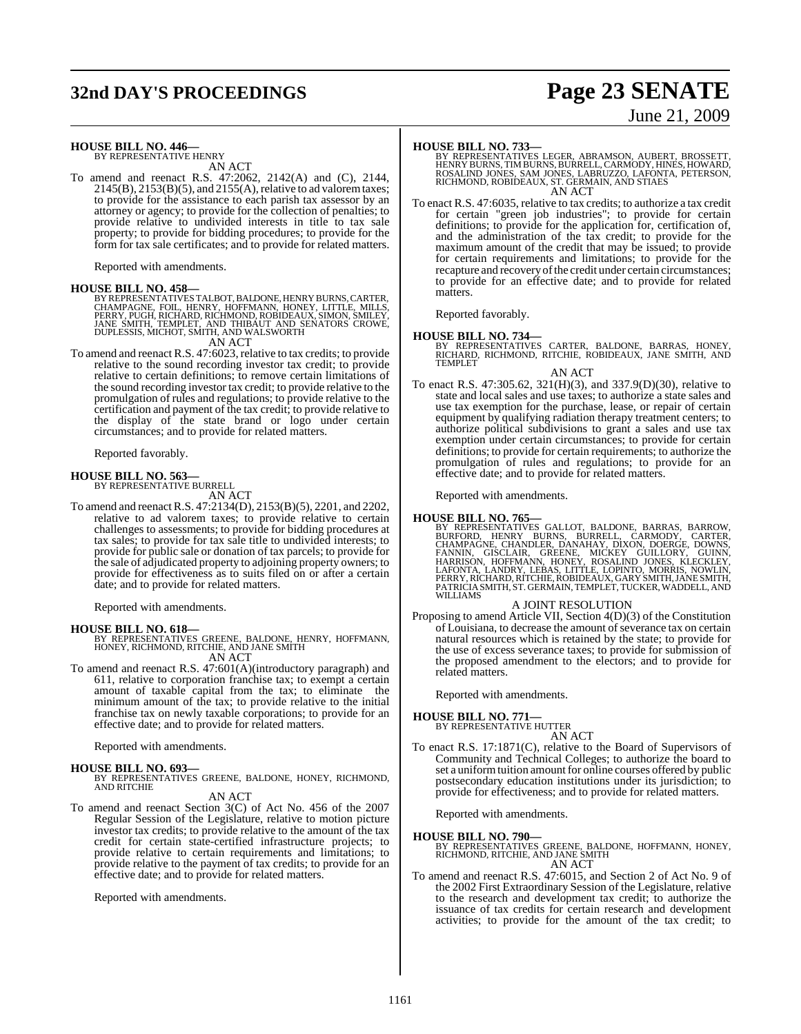## **32nd DAY'S PROCEEDINGS Page 23 SENATE**

# June 21, 2009

#### **HOUSE BILL NO. 446—**

BY REPRESENTATIVE HENRY AN ACT

To amend and reenact R.S. 47:2062, 2142(A) and (C), 2144,  $2145(B)$ ,  $2153(B)(5)$ , and  $2155(A)$ , relative to ad valorem taxes; to provide for the assistance to each parish tax assessor by an attorney or agency; to provide for the collection of penalties; to provide relative to undivided interests in title to tax sale property; to provide for bidding procedures; to provide for the form for tax sale certificates; and to provide for related matters.

Reported with amendments.

HOUSE BILL NO. 458-<br>
BY REPRESENTATIVES TALBOT, BALDONE, HENRY BURNS, CARTER,<br>
CHAMPAGNE, FOIL, HENRY, HOFFMANN, HONEY, LITTLE, MILLS,<br>
CHAMPAGNE, FOIL, HENRY, HOFFMANN, HONEY, LITTLE, MILLS,<br>
PERRY, PUGH, RICHARD, RICHMON

To amend and reenact R.S. 47:6023, relative to tax credits; to provide To amend and reenact R.S. 47:6023, relative to tax credits; to provide relative to the sound recording investor tax credit; to provide relative to certain definitions; to remove certain limitations of the sound recording investor tax credit; to provide relative to the promulgation of rules and regulations; to provide relative to the certification and payment of the tax credit; to provide relative to the display of the state brand or logo under certain circumstances; and to provide for related matters.

Reported favorably.

## **HOUSE BILL NO. 563—** BY REPRESENTATIVE BURRELL

AN ACT

To amend and reenactR.S. 47:2134(D), 2153(B)(5), 2201, and 2202, relative to ad valorem taxes; to provide relative to certain challenges to assessments; to provide for bidding procedures at tax sales; to provide for tax sale title to undivided interests; to provide for public sale or donation of tax parcels; to provide for the sale of adjudicated property to adjoining property owners; to provide for effectiveness as to suits filed on or after a certain date; and to provide for related matters.

Reported with amendments.

#### **HOUSE BILL NO. 618—**

BY REPRESENTATIVES GREENE, BALDONE, HENRY, HOFFMANN, HONEY, RICHMOND, RITCHIE, AND JANE SMITH AN ACT

To amend and reenact R.S. 47:601(A)(introductory paragraph) and 611, relative to corporation franchise tax; to exempt a certain amount of taxable capital from the tax; to eliminate the minimum amount of the tax; to provide relative to the initial franchise tax on newly taxable corporations; to provide for an effective date; and to provide for related matters.

Reported with amendments.

#### **HOUSE BILL NO. 693—**

BY REPRESENTATIVES GREENE, BALDONE, HONEY, RICHMOND, AND RITCHIE

#### AN ACT

To amend and reenact Section 3(C) of Act No. 456 of the 2007 Regular Session of the Legislature, relative to motion picture investor tax credits; to provide relative to the amount of the tax credit for certain state-certified infrastructure projects; to provide relative to certain requirements and limitations; to provide relative to the payment of tax credits; to provide for an effective date; and to provide for related matters.

Reported with amendments.

**HOUSE BILL NO. 733—**<br>BY REPRESENTATIVES LEGER, ABRAMSON, AUBERT, BROSSETT<br>HENRY BURNS, TIM BURNS, BURRELL, CARMODY, HINES, HOWARD,<br>ROSALIND JONES, SAM JONES, LABRUZZO, LAFONTA, PETERSON,<br>RICHMOND, ROBIDEAUX, ST. GERMAIN, AN ACT

To enact R.S. 47:6035, relative to tax credits; to authorize a tax credit for certain "green job industries"; to provide for certain definitions; to provide for the application for, certification of, and the administration of the tax credit; to provide for the maximum amount of the credit that may be issued; to provide for certain requirements and limitations; to provide for the recapture and recovery of the credit under certain circumstances; to provide for an effective date; and to provide for related matters.

Reported favorably.

#### **HOUSE BILL NO. 734—**

BY REPRESENTATIVES CARTER, BALDONE, BARRAS, HONEY, RICHARD, RICHMOND, RITCHIE, ROBIDEAUX, JANE SMITH, AND TEMPLET AN ACT

To enact R.S. 47:305.62, 321(H)(3), and 337.9(D)(30), relative to state and local sales and use taxes; to authorize a state sales and use tax exemption for the purchase, lease, or repair of certain equipment by qualifying radiation therapy treatment centers; to authorize political subdivisions to grant a sales and use tax exemption under certain circumstances; to provide for certain definitions; to provide for certain requirements; to authorize the promulgation of rules and regulations; to provide for an effective date; and to provide for related matters.

Reported with amendments.

#### **HOUSE BILL NO. 765—**

BY REPRESENTATIVES GALLOT, BALDONE, BARRAS, BARROW,<br>BURFORD, HENRY BURNS, BURRELL, CARMODY, CARTER,<br>CHAMPAGNE, CHANDLER, DANAHAY, DIXON, DOERGE, DOWNS,<br>FANNIN, GISCLAIR, GREENE, MICKEY GUILLORY, GUINN,<br>HARRISON, HOFFMANN, WILLIAMS

#### A JOINT RESOLUTION

Proposing to amend Article VII, Section 4(D)(3) of the Constitution of Louisiana, to decrease the amount of severance tax on certain natural resources which is retained by the state; to provide for the use of excess severance taxes; to provide for submission of the proposed amendment to the electors; and to provide for related matters.

Reported with amendments.

#### **HOUSE BILL NO. 771—**

BY REPRESENTATIVE HUTTER AN ACT

To enact R.S. 17:1871(C), relative to the Board of Supervisors of Community and Technical Colleges; to authorize the board to set a uniform tuition amount for online courses offered by public postsecondary education institutions under its jurisdiction; to provide for effectiveness; and to provide for related matters.

Reported with amendments.

#### **HOUSE BILL NO. 790—**

BY REPRESENTATIVES GREENE, BALDONE, HOFFMANN, HONEY, RICHMOND, RITCHIE, AND JANE SMITH AN ACT

To amend and reenact R.S. 47:6015, and Section 2 of Act No. 9 of the 2002 First Extraordinary Session of the Legislature, relative to the research and development tax credit; to authorize the issuance of tax credits for certain research and development activities; to provide for the amount of the tax credit; to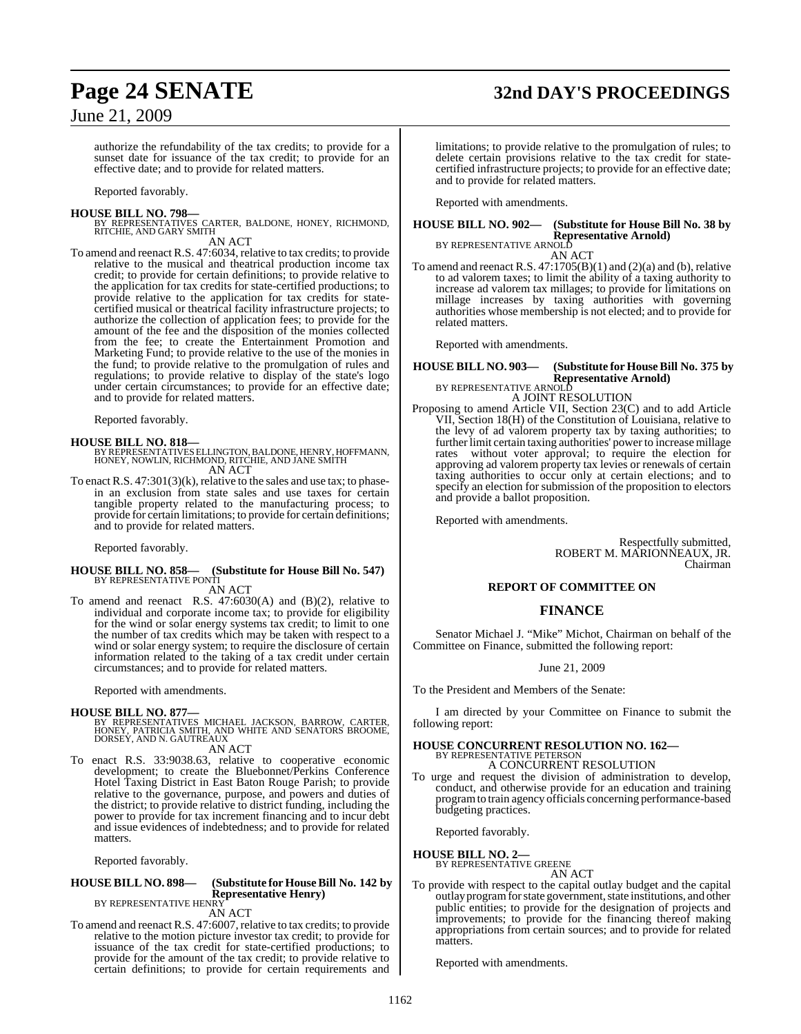## **Page 24 SENATE 32nd DAY'S PROCEEDINGS**

### June 21, 2009

authorize the refundability of the tax credits; to provide for a sunset date for issuance of the tax credit; to provide for an effective date; and to provide for related matters.

Reported favorably.

**HOUSE BILL NO. 798—** BY REPRESENTATIVES CARTER, BALDONE, HONEY, RICHMOND, RITCHIE, AND GARY SMITH AN ACT

To amend and reenact R.S. 47:6034, relative to tax credits; to provide relative to the musical and theatrical production income tax credit; to provide for certain definitions; to provide relative to the application for tax credits for state-certified productions; to provide relative to the application for tax credits for statecertified musical or theatrical facility infrastructure projects; to authorize the collection of application fees; to provide for the amount of the fee and the disposition of the monies collected from the fee; to create the Entertainment Promotion and Marketing Fund; to provide relative to the use of the monies in the fund; to provide relative to the promulgation of rules and regulations; to provide relative to display of the state's logo under certain circumstances; to provide for an effective date; and to provide for related matters.

Reported favorably.

**HOUSE BILL NO. 818—** BY REPRESENTATIVESELLINGTON,BALDONE, HENRY, HOFFMANN, HONEY, NOWLIN, RICHMOND, RITCHIE, AND JANE SMITH AN ACT

To enact R.S.  $47:301(3)(k)$ , relative to the sales and use tax; to phasein an exclusion from state sales and use taxes for certain tangible property related to the manufacturing process; to provide for certain limitations; to provide for certain definitions; and to provide for related matters.

Reported favorably.

## **HOUSE BILL NO. 858— (Substitute for House Bill No. 547)** BY REPRESENTATIVE PONTI

AN ACT

To amend and reenact R.S. 47:6030(A) and (B)(2), relative to individual and corporate income tax; to provide for eligibility for the wind or solar energy systems tax credit; to limit to one the number of tax credits which may be taken with respect to a wind or solar energy system; to require the disclosure of certain information related to the taking of a tax credit under certain circumstances; and to provide for related matters.

Reported with amendments.

#### **HOUSE BILL NO. 877—**

BY REPRESENTATIVES MICHAEL JACKSON, BARROW, CARTER,<br>HONEY, PATRICIA SMITH, AND WHITE AND SENATORS BROOME,<br>DORSEY, AND N. GAUTREAUX AN ACT

- To enact R.S. 33:9038.63, relative to cooperative economic development; to create the Bluebonnet/Perkins Conference
	- Hotel Taxing District in East Baton Rouge Parish; to provide relative to the governance, purpose, and powers and duties of the district; to provide relative to district funding, including the power to provide for tax increment financing and to incur debt and issue evidences of indebtedness; and to provide for related matters.

Reported favorably.

### **HOUSE BILL NO. 898— (Substitute for HouseBill No. 142 by**

#### **Representative Henry)** BY REPRESENTATIVE HENRY

AN ACT

To amend and reenact R.S. 47:6007, relative to tax credits; to provide relative to the motion picture investor tax credit; to provide for issuance of the tax credit for state-certified productions; to provide for the amount of the tax credit; to provide relative to certain definitions; to provide for certain requirements and

limitations; to provide relative to the promulgation of rules; to delete certain provisions relative to the tax credit for statecertified infrastructure projects; to provide for an effective date; and to provide for related matters.

Reported with amendments.

### **HOUSE BILL NO. 902— (Substitute for House Bill No. 38 by Representative Arnold)**<br>BY REPRESENTATIVE ARNOLD

AN ACT To amend and reenact R.S. 47:1705(B)(1) and (2)(a) and (b), relative to ad valorem taxes; to limit the ability of a taxing authority to increase ad valorem tax millages; to provide for limitations on millage increases by taxing authorities with governing authorities whose membership is not elected; and to provide for related matters.

Reported with amendments.

#### **HOUSE BILL NO. 903— (Substitute for HouseBill No. 375 by Representative Arnold)** BY REPRESENTATIVE ARNOLD

A JOINT RESOLUTION

Proposing to amend Article VII, Section 23(C) and to add Article VII, Section 18(H) of the Constitution of Louisiana, relative to the levy of ad valorem property tax by taxing authorities; to further limit certain taxing authorities' power to increase millage<br>rates without voter approval: to require the election for without voter approval; to require the election for approving ad valorem property tax levies or renewals of certain taxing authorities to occur only at certain elections; and to specify an election for submission of the proposition to electors and provide a ballot proposition.

Reported with amendments.

Respectfully submitted, ROBERT M. MARIONNEAUX, JR. Chairman

#### **REPORT OF COMMITTEE ON**

#### **FINANCE**

Senator Michael J. "Mike" Michot, Chairman on behalf of the Committee on Finance, submitted the following report:

June 21, 2009

To the President and Members of the Senate:

I am directed by your Committee on Finance to submit the following report:

### **HOUSE CONCURRENT RESOLUTION NO. 162—** BY REPRESENTATIVE PETERSON

A CONCURRENT RESOLUTION

To urge and request the division of administration to develop, conduct, and otherwise provide for an education and training programto train agency officials concerning performance-based budgeting practices.

Reported favorably.

**HOUSE BILL NO. 2—**

BY REPRESENTATIVE GREENE

- AN ACT
- To provide with respect to the capital outlay budget and the capital outlay program for state government, state institutions, and other public entities; to provide for the designation of projects and improvements; to provide for the financing thereof making appropriations from certain sources; and to provide for related matters.

Reported with amendments.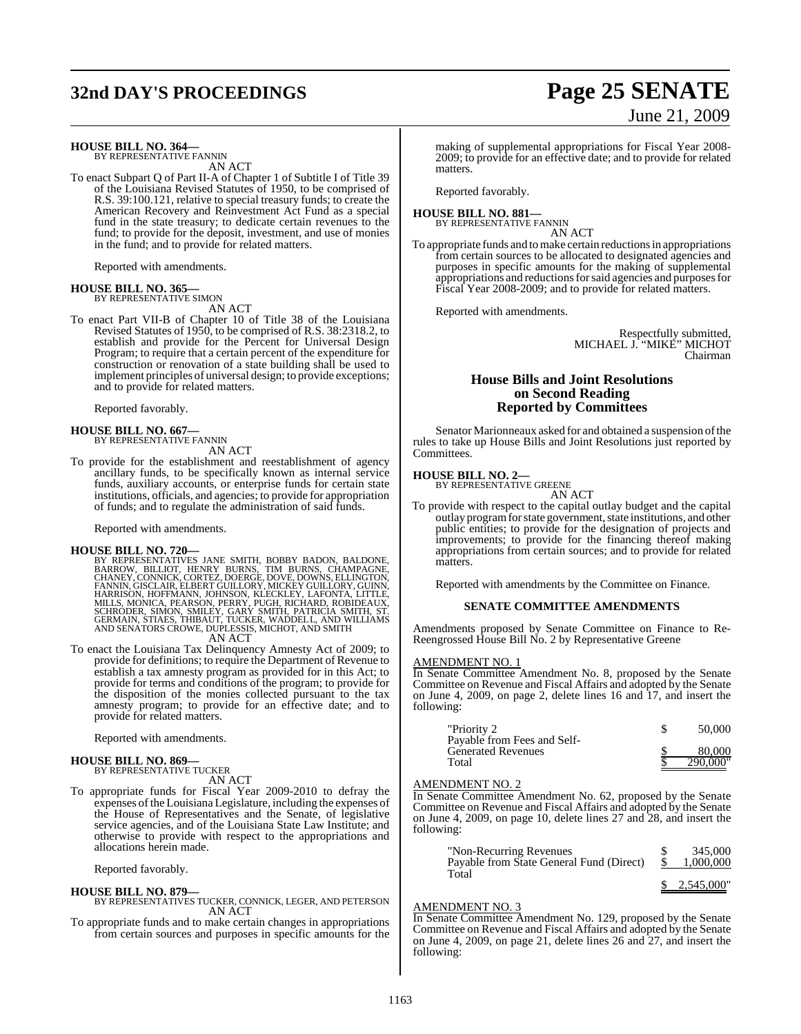## **32nd DAY'S PROCEEDINGS Page 25 SENATE**

#### **HOUSE BILL NO. 364—**

BY REPRESENTATIVE FANNIN AN ACT

To enact Subpart Q of Part II-A of Chapter 1 of Subtitle I of Title 39 of the Louisiana Revised Statutes of 1950, to be comprised of R.S. 39:100.121, relative to special treasury funds; to create the American Recovery and Reinvestment Act Fund as a special fund in the state treasury; to dedicate certain revenues to the fund; to provide for the deposit, investment, and use of monies in the fund; and to provide for related matters.

Reported with amendments.

#### **HOUSE BILL NO. 365—**

BY REPRESENTATIVE SIMON AN ACT

To enact Part VII-B of Chapter 10 of Title 38 of the Louisiana Revised Statutes of 1950, to be comprised of R.S. 38:2318.2, to establish and provide for the Percent for Universal Design Program; to require that a certain percent of the expenditure for construction or renovation of a state building shall be used to implement principles of universal design; to provide exceptions; and to provide for related matters.

Reported favorably.

#### **HOUSE BILL NO. 667—** BY REPRESENTATIVE FANNIN

AN ACT

To provide for the establishment and reestablishment of agency ancillary funds, to be specifically known as internal service funds, auxiliary accounts, or enterprise funds for certain state institutions, officials, and agencies; to provide for appropriation of funds; and to regulate the administration of said funds.

Reported with amendments.

**HOUSE BILL NO. 720—**<br>BY REPRESENTATIVES JANE SMITH, BOBBY BADON, BALDONE,<br>BARROW, BILLIOT, HENRY BURNS, TIM BURNS, CHAMPAGNE,<br>CHANEY, CONNICK, CORTEZ, DOERGE, DOVE, DOWNS, ELLINGTON,<br>FANNIN, GISCLAIR, ELBERT GUILLOR Y, MI AN ACT

To enact the Louisiana Tax Delinquency Amnesty Act of 2009; to provide for definitions; to require the Department of Revenue to establish a tax amnesty program as provided for in this Act; to provide for terms and conditions of the program; to provide for the disposition of the monies collected pursuant to the tax amnesty program; to provide for an effective date; and to provide for related matters.

Reported with amendments.

#### **HOUSE BILL NO. 869—** BY REPRESENTATIVE TUCKER

AN ACT

To appropriate funds for Fiscal Year 2009-2010 to defray the expenses ofthe Louisiana Legislature, including the expenses of the House of Representatives and the Senate, of legislative service agencies, and of the Louisiana State Law Institute; and otherwise to provide with respect to the appropriations and allocations herein made.

Reported favorably.

#### **HOUSE BILL NO. 879—**

- BY REPRESENTATIVES TUCKER, CONNICK, LEGER, AND PETERSON AN ACT
- To appropriate funds and to make certain changes in appropriations from certain sources and purposes in specific amounts for the

# June 21, 2009

making of supplemental appropriations for Fiscal Year 2008- 2009; to provide for an effective date; and to provide for related matters

Reported favorably.

**HOUSE BILL NO. 881—** BY REPRESENTATIVE FANNIN

AN ACT

To appropriate funds and to make certain reductions in appropriations from certain sources to be allocated to designated agencies and purposes in specific amounts for the making of supplemental appropriations and reductions for said agencies and purposes for Fiscal Year 2008-2009; and to provide for related matters.

Reported with amendments.

Respectfully submitted, MICHAEL J. "MIKE" MICHOT Chairman

#### **House Bills and Joint Resolutions on Second Reading Reported by Committees**

Senator Marionneaux asked for and obtained a suspension of the rules to take up House Bills and Joint Resolutions just reported by **Committees** 

## **HOUSE BILL NO. 2—** BY REPRESENTATIVE GREENE

AN ACT

To provide with respect to the capital outlay budget and the capital outlay programforstate government, state institutions, and other public entities; to provide for the designation of projects and improvements; to provide for the financing thereof making appropriations from certain sources; and to provide for related matters.

Reported with amendments by the Committee on Finance.

#### **SENATE COMMITTEE AMENDMENTS**

Amendments proposed by Senate Committee on Finance to Re-Reengrossed House Bill No. 2 by Representative Greene

#### AMENDMENT NO. 1

In Senate Committee Amendment No. 8, proposed by the Senate Committee on Revenue and Fiscal Affairs and adopted by the Senate on June 4, 2009, on page 2, delete lines 16 and 17, and insert the following:

| "Priority 2                                              | 50,000   |
|----------------------------------------------------------|----------|
| Payable from Fees and Self-<br><b>Generated Revenues</b> | 80,000   |
| Total                                                    | 290.000" |

#### AMENDMENT NO. 2

In Senate Committee Amendment No. 62, proposed by the Senate Committee on Revenue and Fiscal Affairs and adopted by the Senate on June 4, 2009, on page 10, delete lines 27 and 28, and insert the following:

| "Non-Recurring Revenues"<br>Payable from State General Fund (Direct)<br>Total | S. | 345,000<br>1,000,000 |
|-------------------------------------------------------------------------------|----|----------------------|
|                                                                               |    | \$2,545,000"         |

#### AMENDMENT NO. 3

In Senate Committee Amendment No. 129, proposed by the Senate Committee on Revenue and Fiscal Affairs and adopted by the Senate on June 4, 2009, on page 21, delete lines 26 and 27, and insert the following: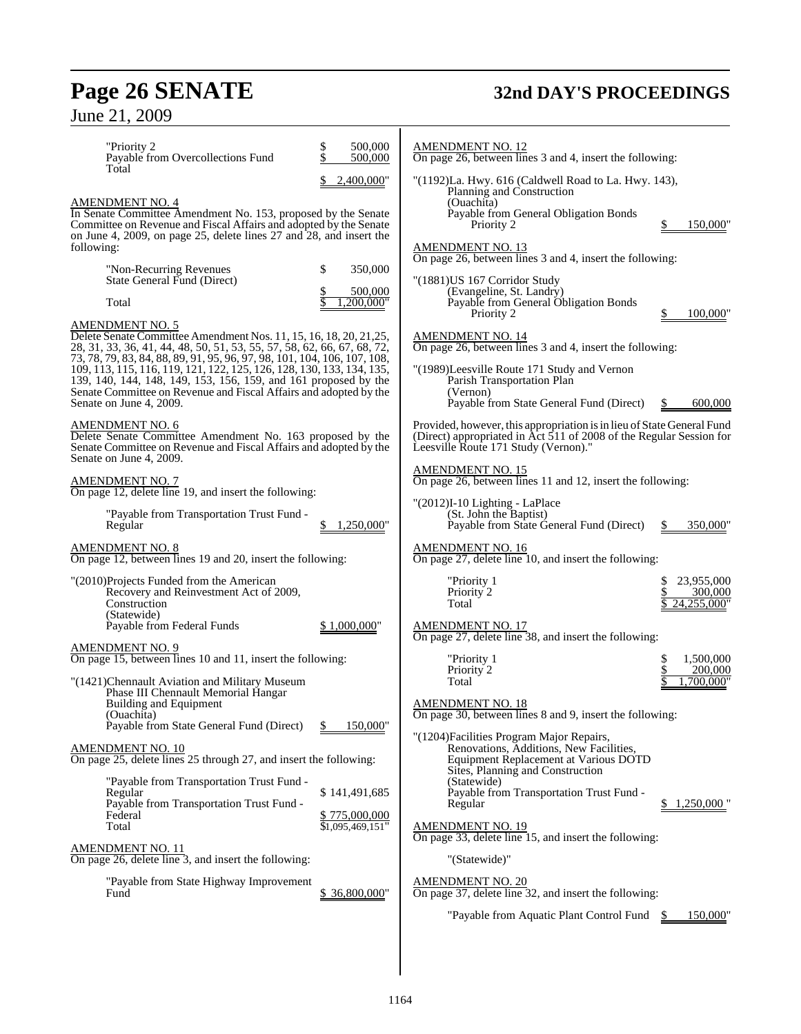## **Page 26 SENATE 32nd DAY'S PROCEEDINGS**

| \$<br>500,000<br>"Priority 2<br>Payable from Overcollections Fund<br>500,000<br>Total<br>2,400,000"<br><b>AMENDMENT NO. 4</b><br>In Senate Committee Amendment No. 153, proposed by the Senate<br>Committee on Revenue and Fiscal Affairs and adopted by the Senate<br>on June 4, 2009, on page 25, delete lines 27 and 28, and insert the<br>following:<br>\$<br>"Non-Recurring Revenues"<br>350,000<br>State General Fund (Direct)<br>500,000<br>Total<br>200.000"                                                                                                                                                                                                                                                                                                                                                                                                                                                                                                                 | <b>AMENDMENT NO. 12</b><br>On page 26, between lines 3 and 4, insert the following:<br>"(1192)La. Hwy. 616 (Caldwell Road to La. Hwy. 143),<br>Planning and Construction<br>(Ouachita)<br>Payable from General Obligation Bonds<br>Priority 2<br>150,000<br><b>AMENDMENT NO. 13</b><br>On page 26, between lines 3 and 4, insert the following:<br>"(1881) US 167 Corridor Study<br>(Evangeline, St. Landry)<br>Payable from General Obligation Bonds                                                                                                                                                                                                                                                                                                                                                                                                                         |
|--------------------------------------------------------------------------------------------------------------------------------------------------------------------------------------------------------------------------------------------------------------------------------------------------------------------------------------------------------------------------------------------------------------------------------------------------------------------------------------------------------------------------------------------------------------------------------------------------------------------------------------------------------------------------------------------------------------------------------------------------------------------------------------------------------------------------------------------------------------------------------------------------------------------------------------------------------------------------------------|-------------------------------------------------------------------------------------------------------------------------------------------------------------------------------------------------------------------------------------------------------------------------------------------------------------------------------------------------------------------------------------------------------------------------------------------------------------------------------------------------------------------------------------------------------------------------------------------------------------------------------------------------------------------------------------------------------------------------------------------------------------------------------------------------------------------------------------------------------------------------------|
| <b>AMENDMENT NO. 5</b><br>Delete Senate Committee Amendment Nos. 11, 15, 16, 18, 20, 21, 25,<br>28, 31, 33, 36, 41, 44, 48, 50, 51, 53, 55, 57, 58, 62, 66, 67, 68, 72,<br>73, 78, 79, 83, 84, 88, 89, 91, 95, 96, 97, 98, 101, 104, 106, 107, 108,<br>109, 113, 115, 116, 119, 121, 122, 125, 126, 128, 130, 133, 134, 135,<br>139, 140, 144, 148, 149, 153, 156, 159, and 161 proposed by the<br>Senate Committee on Revenue and Fiscal Affairs and adopted by the<br>Senate on June 4, 2009.<br>AMENDMENT NO. 6<br>Delete Senate Committee Amendment No. 163 proposed by the<br>Senate Committee on Revenue and Fiscal Affairs and adopted by the<br>Senate on June 4, 2009.<br>AMENDMENT NO. 7<br>On page 12, delete line 19, and insert the following:<br>"Payable from Transportation Trust Fund -                                                                                                                                                                             | 100,000<br>Priority 2<br><b>AMENDMENT NO. 14</b><br>On page 26, between lines 3 and 4, insert the following:<br>"(1989)Leesville Route 171 Study and Vernon<br>Parish Transportation Plan<br>(Vernon)<br>Payable from State General Fund (Direct)<br>\$<br>600,000<br>Provided, however, this appropriation is in lieu of State General Fund<br>(Direct) appropriated in Act 511 of 2008 of the Regular Session for<br>Leesville Route 171 Study (Vernon)."<br><b>AMENDMENT NO. 15</b><br>On page 26, between lines 11 and 12, insert the following:<br>"(2012)I-10 Lighting - LaPlace<br>(St. John the Baptist)                                                                                                                                                                                                                                                              |
| 1,250,000"<br>Regular<br><b>AMENDMENT NO. 8</b><br>On page 12, between lines 19 and 20, insert the following:<br>"(2010)Projects Funded from the American<br>Recovery and Reinvestment Act of 2009,<br>Construction<br>(Statewide)<br>Payable from Federal Funds<br>\$1,000,000"<br>AMENDMENT NO. 9<br>On page 15, between lines 10 and 11, insert the following:<br>"(1421)Chennault Aviation and Military Museum<br>Phase III Chennault Memorial Hangar<br>Building and Equipment<br>(Quachita)<br>Payable from State General Fund (Direct)<br>150,000"<br><u>AMENDMENT NO. 10</u><br>On page 25, delete lines 25 through 27, and insert the following:<br>"Payable from Transportation Trust Fund -<br>\$141,491,685<br>Regular<br>Payable from Transportation Trust Fund -<br>Federal<br>\$775,000,000<br>Total<br>\$1,095,469,151"<br><u>AMENDMENT NO. 11</u><br>On page 26, delete line $\overline{3}$ , and insert the following:<br>"Payable from State Highway Improvement" | Payable from State General Fund (Direct)<br>350,000<br><b>AMENDMENT NO. 16</b><br>On page 27, delete line 10, and insert the following:<br>23,955,000<br>"Priority 1<br>Priority 2<br>300,000<br>Total<br>24,255,000"<br><b>AMENDMENT NO. 17</b><br>On page 27, delete line 38, and insert the following:<br>\$<br>1,500,000<br>"Priority 1<br>Priority 2<br>200,000<br>.700.000"<br>Total<br><b>AMENDMENT NO. 18</b><br>On page 30, between lines 8 and 9, insert the following:<br>"(1204) Facilities Program Major Repairs,<br>Renovations, Additions, New Facilities,<br>Equipment Replacement at Various DOTD<br>Sites, Planning and Construction<br>(Statewide)<br>Payable from Transportation Trust Fund -<br>$1,250,000$ "<br>Regular<br><b>AMENDMENT NO. 19</b><br>On page 33, delete line 15, and insert the following:<br>"(Statewide)"<br><b>AMENDMENT NO. 20</b> |
| \$36,800,000"<br>Fund                                                                                                                                                                                                                                                                                                                                                                                                                                                                                                                                                                                                                                                                                                                                                                                                                                                                                                                                                                | On page 37, delete line 32, and insert the following:<br>"Payable from Aquatic Plant Control Fund<br>150,000"                                                                                                                                                                                                                                                                                                                                                                                                                                                                                                                                                                                                                                                                                                                                                                 |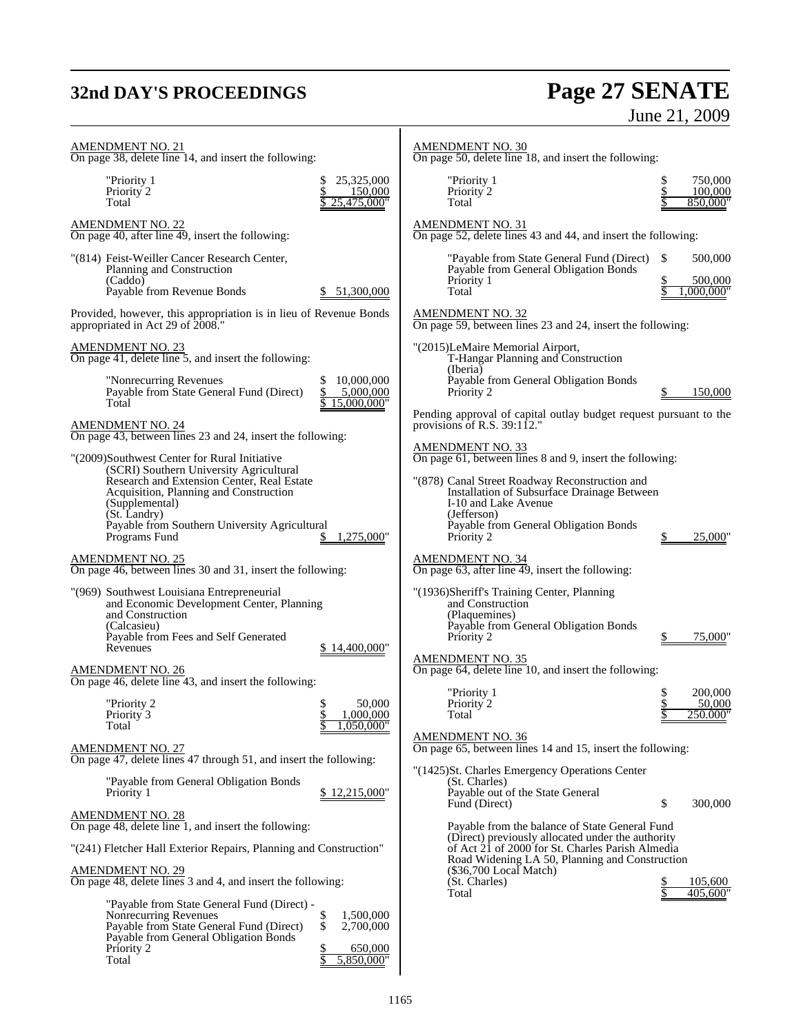## **32nd DAY'S PROCEEDINGS Page 27 SENATE** June 21, 2009

| <u>AMENDMENT NO. 21</u><br>On page 38, delete line 14, and insert the following:                                                                                                                                                                                                                                                                                             |                                                 | <b>AMENDMENT NO. 30</b><br>On page 50, delete line 18, and insert the following:                                                                                                                                                                                                                                    |                                 |
|------------------------------------------------------------------------------------------------------------------------------------------------------------------------------------------------------------------------------------------------------------------------------------------------------------------------------------------------------------------------------|-------------------------------------------------|---------------------------------------------------------------------------------------------------------------------------------------------------------------------------------------------------------------------------------------------------------------------------------------------------------------------|---------------------------------|
| "Priority 1<br>\$<br>Priority 2<br>Total                                                                                                                                                                                                                                                                                                                                     | 25,325,000<br>150,000<br>25,475,000"            | "Priority 1<br>Priority 2<br>Total                                                                                                                                                                                                                                                                                  | 750,000<br>100,000<br>850,000"  |
| <b>AMENDMENT NO. 22</b><br>On page 40, after line 49, insert the following:                                                                                                                                                                                                                                                                                                  |                                                 | <b>AMENDMENT NO. 31</b><br>On page 52, delete lines 43 and 44, and insert the following:                                                                                                                                                                                                                            |                                 |
| "(814) Feist-Weiller Cancer Research Center,<br>Planning and Construction<br>(Caddo)<br>Payable from Revenue Bonds                                                                                                                                                                                                                                                           | 51,300,000                                      | "Payable from State General Fund (Direct)<br>S<br>Payable from General Obligation Bonds<br>Priority 1<br>Total                                                                                                                                                                                                      | 500,000<br>500,000<br>.000.000" |
| Provided, however, this appropriation is in lieu of Revenue Bonds<br>appropriated in Act 29 of 2008."                                                                                                                                                                                                                                                                        |                                                 | <b>AMENDMENT NO. 32</b><br>On page 59, between lines 23 and 24, insert the following:                                                                                                                                                                                                                               |                                 |
| <u>AMENDMENT NO. 23</u><br>On page 41, delete line 5, and insert the following:<br>"Nonrecurring Revenues<br>Payable from State General Fund (Direct)<br>Total                                                                                                                                                                                                               | 10,000,000<br>5,000,000<br>15.000.000"          | "(2015)LeMaire Memorial Airport,<br>T-Hangar Planning and Construction<br>(Iberia)<br>Payable from General Obligation Bonds<br>Priority 2<br>Pending approval of capital outlay budget request pursuant to the                                                                                                      | 150,000                         |
| <u>AMENDMENT NO. 24</u><br>On page 43, between lines 23 and 24, insert the following:<br>"(2009)Southwest Center for Rural Initiative<br>(SCRI) Southern University Agricultural<br>Research and Extension Center, Real Estate<br>Acquisition, Planning and Construction<br>(Supplemental)<br>(St. Landry)<br>Payable from Southern University Agricultural<br>Programs Fund | 1,275,000"                                      | provisions of R.S. $39:112."$<br><b>AMENDMENT NO. 33</b><br>On page 61, between lines 8 and 9, insert the following:<br>"(878) Canal Street Roadway Reconstruction and<br>Installation of Subsurface Drainage Between<br>I-10 and Lake Avenue<br>(Jefferson)<br>Payable from General Obligation Bonds<br>Priority 2 | 25,000                          |
| AMENDMENT NO. 25<br>On page 46, between lines 30 and 31, insert the following:<br>"(969) Southwest Louisiana Entrepreneurial                                                                                                                                                                                                                                                 |                                                 | <b>AMENDMENT NO. 34</b><br>On page $63$ , after line $\overline{49}$ , insert the following:<br>"(1936)Sheriff's Training Center, Planning                                                                                                                                                                          |                                 |
| and Economic Development Center, Planning<br>and Construction<br>(Calcasieu)<br>Payable from Fees and Self Generated<br>Revenues                                                                                                                                                                                                                                             | \$14,400,000"                                   | and Construction<br>(Plaquemines)<br>Payable from General Obligation Bonds<br>Priority 2<br><b>AMENDMENT NO. 35</b>                                                                                                                                                                                                 | 75,000'                         |
| AMENDMENT NO. 26<br>On page 46, delete line $43$ , and insert the following:                                                                                                                                                                                                                                                                                                 |                                                 | On page 64, delete line 10, and insert the following:<br>"Priority 1                                                                                                                                                                                                                                                | 200,000                         |
| "Priority 2<br>\$<br>¢<br>Priority <sup>3</sup><br>Total                                                                                                                                                                                                                                                                                                                     | 50,000<br>1,000,000<br>1,050,000"               | Priority 2<br>Total<br><b>AMENDMENT NO. 36</b>                                                                                                                                                                                                                                                                      | 50,000<br>250.000"              |
| <b>AMENDMENT NO. 27</b><br>On page 47, delete lines 47 through 51, and insert the following:                                                                                                                                                                                                                                                                                 |                                                 | On page 65, between lines 14 and 15, insert the following:                                                                                                                                                                                                                                                          |                                 |
| "Payable from General Obligation Bonds"<br>Priority 1                                                                                                                                                                                                                                                                                                                        | \$12,215,000"                                   | "(1425) St. Charles Emergency Operations Center<br>(St. Charles)<br>Payable out of the State General                                                                                                                                                                                                                |                                 |
| <b>AMENDMENT NO. 28</b><br>On page 48, delete line 1, and insert the following:                                                                                                                                                                                                                                                                                              |                                                 | \$<br>Fund (Direct)<br>Payable from the balance of State General Fund                                                                                                                                                                                                                                               | 300,000                         |
| "(241) Fletcher Hall Exterior Repairs, Planning and Construction"<br>AMENDMENT NO. 29<br>On page 48, delete lines 3 and 4, and insert the following:                                                                                                                                                                                                                         |                                                 | (Direct) previously allocated under the authority<br>of Act 21 of 2000 for St. Charles Parish Almedia<br>Road Widening LA 50, Planning and Construction<br>$(\$36,700$ Local Match $)$<br>(St. Charles)                                                                                                             | 105,600                         |
| "Payable from State General Fund (Direct) -<br>\$<br>Nonrecurring Revenues<br>\$<br>Payable from State General Fund (Direct)<br>Payable from General Obligation Bonds<br>Priority 2<br>Total                                                                                                                                                                                 | 1,500,000<br>2,700,000<br>650,000<br>5,850,000" | Total                                                                                                                                                                                                                                                                                                               | 405,600                         |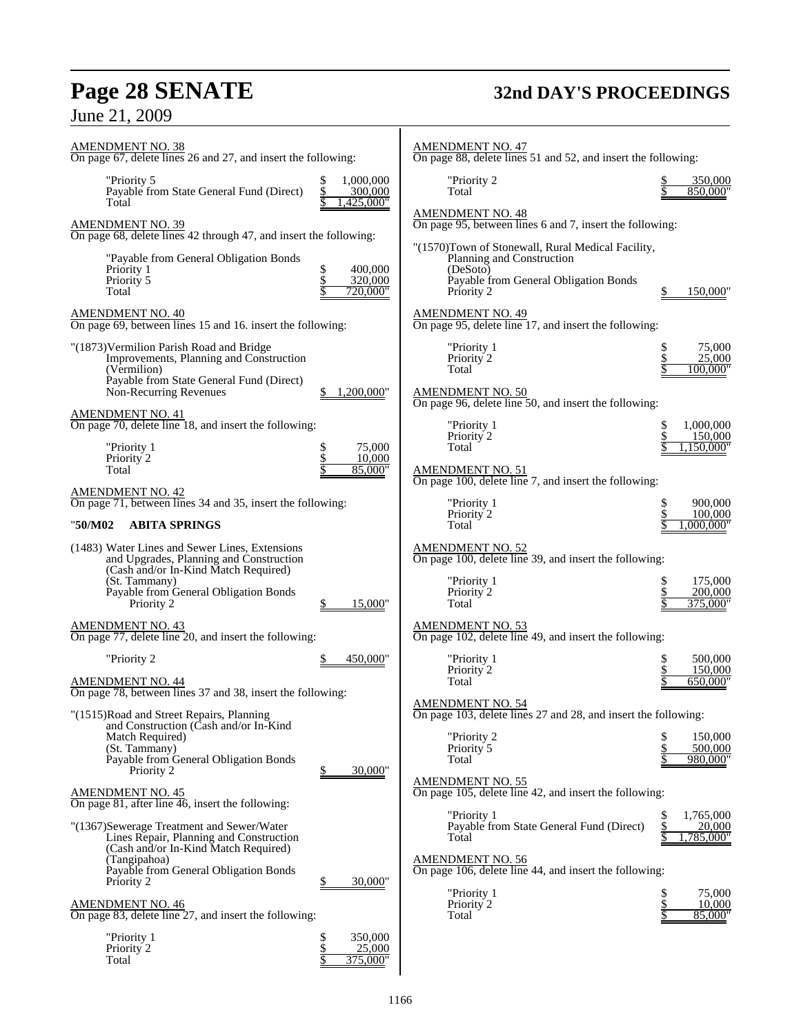## **Page 28 SENATE 32nd DAY'S PROCEEDINGS**

| <b>AMENDMENT NO. 38</b><br>On page 67, delete lines 26 and 27, and insert the following:                                                                                                                                                                                                |                                                   | <b>AMENDMENT NO. 47</b><br>On page 88, delete lines 51 and 52, and insert the following:                                                                                                    |                                                                                   |
|-----------------------------------------------------------------------------------------------------------------------------------------------------------------------------------------------------------------------------------------------------------------------------------------|---------------------------------------------------|---------------------------------------------------------------------------------------------------------------------------------------------------------------------------------------------|-----------------------------------------------------------------------------------|
| "Priority 5<br>Payable from State General Fund (Direct)<br>Total                                                                                                                                                                                                                        | 1,000,000<br>\$<br>300,000<br>.425.000"           | "Priority 2<br>Total                                                                                                                                                                        | 350,000<br>850,000"                                                               |
| $\frac{\text{AMENDMENT NO. 39}}{\text{On page 68, delete lines}}$ 42 through 47, and insert the following:                                                                                                                                                                              |                                                   | <b>AMENDMENT NO. 48</b><br>On page 95, between lines 6 and 7, insert the following:                                                                                                         |                                                                                   |
| "Payable from General Obligation Bonds<br>Priority 1<br>Priority 5<br>Total                                                                                                                                                                                                             | \$<br>400,000<br><u>\$</u><br>320,000<br>720,000" | "(1570)Town of Stonewall, Rural Medical Facility,<br>Planning and Construction<br>(DeSoto)<br>Payable from General Obligation Bonds<br>Priority 2                                           | 150,000                                                                           |
| <b>AMENDMENT NO. 40</b><br>On page 69, between lines 15 and 16. insert the following:                                                                                                                                                                                                   |                                                   | <b>AMENDMENT NO. 49</b><br>On page 95, delete line 17, and insert the following:                                                                                                            |                                                                                   |
| "(1873) Vermilion Parish Road and Bridge<br>Improvements, Planning and Construction<br>(Vermilion)<br>Payable from State General Fund (Direct)<br>Non-Recurring Revenues                                                                                                                | 1,200,000"                                        | "Priority 1<br>Priority 2<br>Total<br><b>AMENDMENT NO. 50</b><br>On page 96, delete line 50, and insert the following:                                                                      | 75,000<br>25,000<br>100,000"                                                      |
| <b>AMENDMENT NO. 41</b><br>On page 70, delete line 18, and insert the following:<br>"Priority 1<br>Priority <sup>2</sup><br>Total                                                                                                                                                       | 75,000<br>\$<br>\$<br>10,000<br>85.000"           | "Priority 1<br>Priority 2<br>Total<br><b>AMENDMENT NO. 51</b><br>On page 100, delete line 7, and insert the following:                                                                      | 1,000,000<br>150,000<br>1,150,000"                                                |
| <b>AMENDMENT NO. 42</b><br>On page 71, between lines 34 and 35, insert the following:<br><b>ABITA SPRINGS</b><br>"50/M02                                                                                                                                                                |                                                   | "Priority 1<br>Priority 2<br>Total                                                                                                                                                          | 900,000<br>100,000<br>.000.000'                                                   |
| (1483) Water Lines and Sewer Lines, Extensions<br>and Upgrades, Planning and Construction<br>(Cash and/or In-Kind Match Required)<br>(St. Tammany)<br>Payable from General Obligation Bonds<br>Priority 2                                                                               | 15,000"                                           | AMENDMENT NO. 52<br>On page 100, delete line 39, and insert the following:<br>"Priority 1<br>Priority 2<br>Total                                                                            | 175,000<br>200,000<br>375,000"                                                    |
| <b>AMENDMENT NO. 43</b><br>On page 77, delete line 20, and insert the following:                                                                                                                                                                                                        |                                                   | <b>AMENDMENT NO. 53</b><br>On page 102, delete line 49, and insert the following:                                                                                                           |                                                                                   |
| "Priority 2<br><b>AMENDMENT NO. 44</b><br>On page 78, between lines 37 and 38, insert the following:                                                                                                                                                                                    | 450,000"                                          | "Priority 1<br>Priority 2<br>Total<br><b>AMENDMENT NO. 54</b>                                                                                                                               | 500,000<br>150,000<br>650,000"                                                    |
| "(1515)Road and Street Repairs, Planning<br>and Construction (Cash and/or In-Kind<br>Match Required)<br>(St. Tammany)<br>Payable from General Obligation Bonds<br>Priority 2                                                                                                            | 30,000"                                           | On page 103, delete lines 27 and 28, and insert the following:<br>"Priority 2<br>Priority 5<br>Total                                                                                        | 150,000<br>500,000<br>980,000"                                                    |
| <b>AMENDMENT NO. 45</b><br>On page 81, after line $\overline{46}$ , insert the following:                                                                                                                                                                                               |                                                   | <b>AMENDMENT NO. 55</b><br>On page 105, delete line 42, and insert the following:                                                                                                           |                                                                                   |
| "(1367)Sewerage Treatment and Sewer/Water<br>Lines Repair, Planning and Construction<br>(Cash and/or In-Kind Match Required)<br>(Tangipahoa)<br>Payable from General Obligation Bonds<br>Priority 2<br><b>AMENDMENT NO. 46</b><br>On page 83, delete line 27, and insert the following: | 30,000"                                           | "Priority 1<br>Payable from State General Fund (Direct)<br>Total<br><b>AMENDMENT NO. 56</b><br>On page 106, delete line 44, and insert the following:<br>"Priority 1<br>Priority 2<br>Total | 1,765,000<br>\$<br>20,000<br>,785,000"<br>\$<br>75,000<br>\$<br>10,000<br>85,000" |
| "Priority 1<br>Priority 2<br>Total                                                                                                                                                                                                                                                      | \$<br>350,000<br>\$<br>25,000<br>\$<br>375,000"   |                                                                                                                                                                                             |                                                                                   |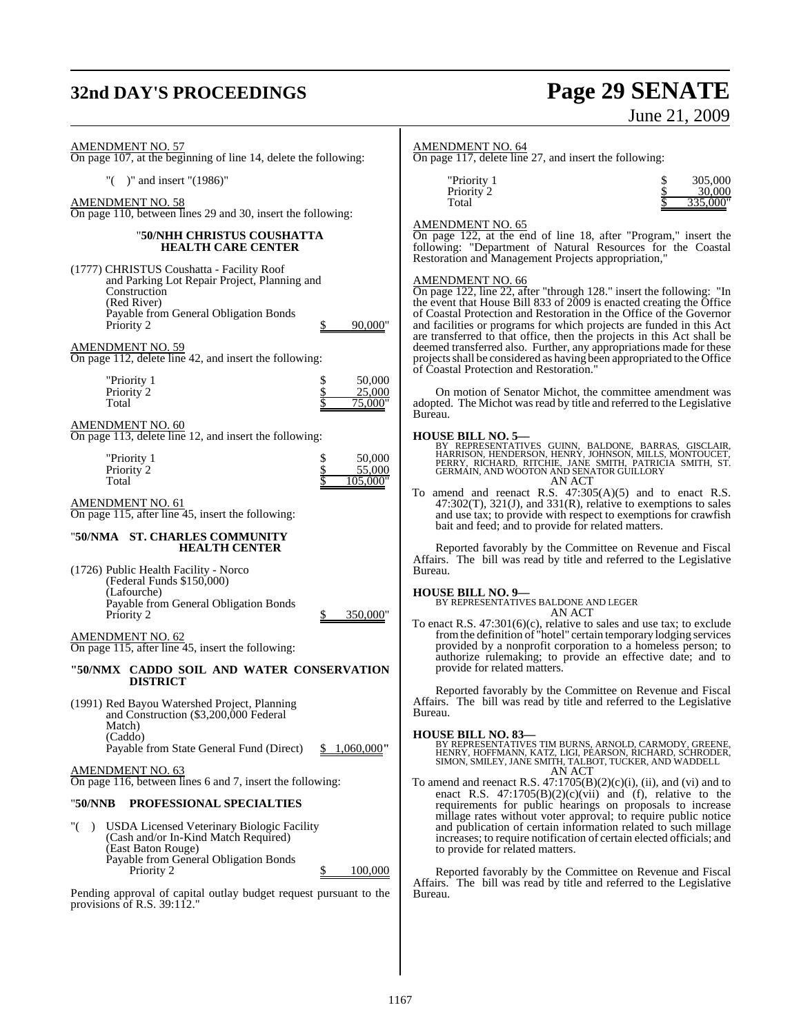## **32nd DAY'S PROCEEDINGS Page 29 SENATE**

# June 21, 2009

AMENDMENT NO. 57

On page 107, at the beginning of line 14, delete the following:

"( )" and insert "(1986)"

AMENDMENT NO. 58

On page 110, between lines 29 and 30, insert the following:

#### "**50/NHH CHRISTUS COUSHATTA HEALTH CARE CENTER**

(1777) CHRISTUS Coushatta - Facility Roof and Parking Lot Repair Project, Planning and Construction (Red River) Payable from General Obligation Bonds Priority 2 \$ 90,000"

AMENDMENT NO. 59

On page 112, delete line 42, and insert the following:

| "Priority 1 | 50,000  |
|-------------|---------|
| Priority 2  | 25,000  |
| Total       | 75,000" |

AMENDMENT NO. 60

On page 113, delete line 12, and insert the following:

| "Priority 1 | 50,000   |
|-------------|----------|
| Priority 2  | 55,000   |
| Total       | 105.000" |

AMENDMENT NO. 61

On page 115, after line 45, insert the following:

#### "**50/NMA ST. CHARLES COMMUNITY HEALTH CENTER**

(1726) Public Health Facility - Norco (Federal Funds \$150,000) (Lafourche) Payable from General Obligation Bonds Priority 2 \$ 350,000"

AMENDMENT NO. 62 On page 115, after line 45, insert the following:

- **"50/NMX CADDO SOIL AND WATER CONSERVATION DISTRICT**
- (1991) Red Bayou Watershed Project, Planning and Construction (\$3,200,000 Federal Match) (Caddo) Payable from State General Fund (Direct) \$ 1,060,000"

AMENDMENT NO. 63 On page 116, between lines 6 and 7, insert the following:

### "**50/NNB PROFESSIONAL SPECIALTIES**

"( ) USDA Licensed Veterinary Biologic Facility (Cash and/or In-Kind Match Required) (East Baton Rouge) Payable from General Obligation Bonds Priority 2  $\qquad \qquad$  8  $100,000$ 

Pending approval of capital outlay budget request pursuant to the provisions of R.S. 39:112."

#### AMENDMENT NO. 64

On page 117, delete line 27, and insert the following:

| "Priority 1<br>Priority 2<br>Total |  | 305,000<br>30,000<br>335,000" |
|------------------------------------|--|-------------------------------|
|------------------------------------|--|-------------------------------|

#### AMENDMENT NO. 65

On page 122, at the end of line 18, after "Program," insert the following: "Department of Natural Resources for the Coastal Restoration and Management Projects appropriation,

### AMENDMENT NO. 66

On page 122, line 22, after "through 128." insert the following: "In the event that House Bill 833 of 2009 is enacted creating the Office of Coastal Protection and Restoration in the Office of the Governor and facilities or programs for which projects are funded in this Act are transferred to that office, then the projects in this Act shall be deemed transferred also. Further, any appropriations made for these projectsshall be considered as having been appropriated to the Office of Coastal Protection and Restoration."

On motion of Senator Michot, the committee amendment was adopted. The Michot was read by title and referred to the Legislative Bureau.

- **HOUSE BILL NO. 5—**<br>BY REPRESENTATIVES GUINN, BALDONE, BARRAS, GISCLAIR, BARRISON, HENRISON, HENRY, JOHNSON, MILLS, MONTOUCET,<br>PERRY, RICHARD, RITCHIE, JANE SMITH, PATRICIA SMITH, ST.<br>GERMAIN, AND WOOTON AND SENATOR GUILLO AN ACT
- To amend and reenact R.S. 47:305(A)(5) and to enact R.S.  $47:302(T)$ ,  $321(J)$ , and  $331(R)$ , relative to exemptions to sales and use tax; to provide with respect to exemptions for crawfish bait and feed; and to provide for related matters.

Reported favorably by the Committee on Revenue and Fiscal Affairs. The bill was read by title and referred to the Legislative Bureau.

#### **HOUSE BILL NO. 9—**

BY REPRESENTATIVES BALDONE AND LEGER AN ACT

To enact R.S. 47:301(6)(c), relative to sales and use tax; to exclude fromthe definition of "hotel" certain temporary lodging services provided by a nonprofit corporation to a homeless person; to authorize rulemaking; to provide an effective date; and to provide for related matters.

Reported favorably by the Committee on Revenue and Fiscal Affairs. The bill was read by title and referred to the Legislative Bureau.

**HOUSE BILL NO. 83—** BY REPRESENTATIVES TIM BURNS, ARNOLD, CARMODY, GREENE, HENRY, HOFFMANN, KATZ, LIGI, PÉARSON, RICHARD, SĆHRODER,<br>SIMON, SMILEY, JANE SMITH, TALBOT, TUCKER, AND WADDELL AN ACT

To amend and reenact R.S.  $47:1705(B)(2)(c)(i)$ , (ii), and (vi) and to enact R.S.  $47:1705(B)(2)(c)(vii)$  and (f), relative to the requirements for public hearings on proposals to increase millage rates without voter approval; to require public notice and publication of certain information related to such millage increases; to require notification of certain elected officials; and to provide for related matters.

Reported favorably by the Committee on Revenue and Fiscal Affairs. The bill was read by title and referred to the Legislative Bureau.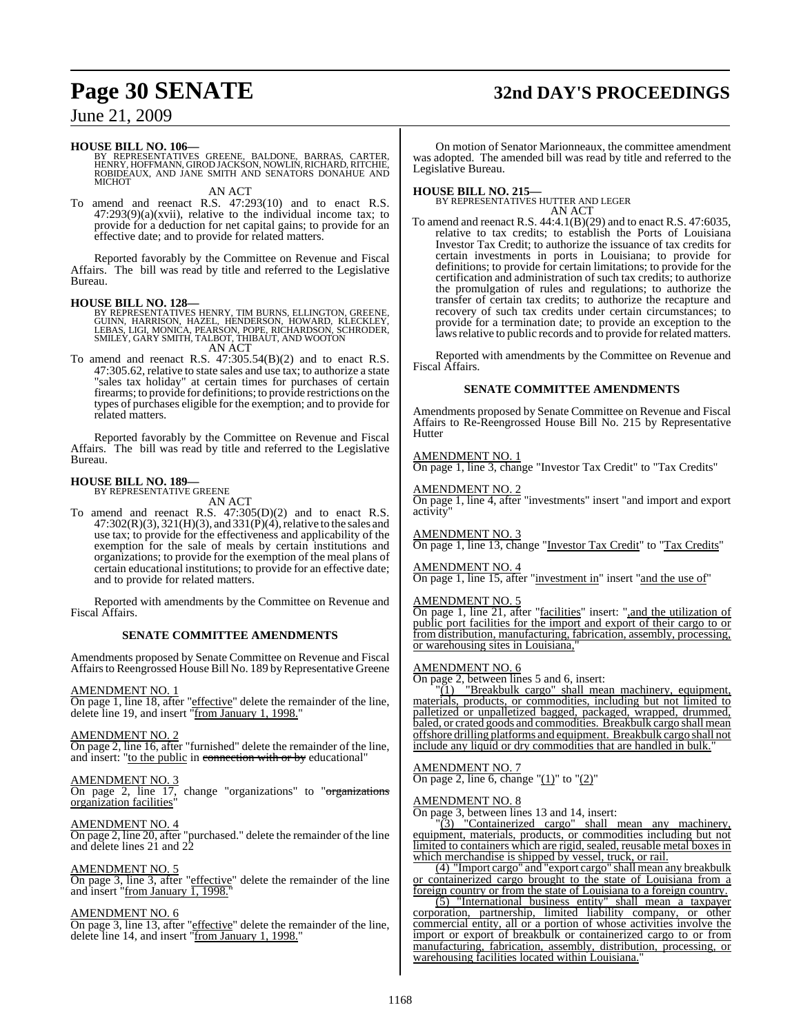## **Page 30 SENATE 32nd DAY'S PROCEEDINGS**

### June 21, 2009

#### **HOUSE BILL NO. 106—**

BY REPRESENTATIVES GREENE, BALDONE, BARRAS, CARTER,<br>HENRY,HOFFMANN,GIROD JACKSON,NOWLIN,RICHARD,RITCHIE,<br>ROBIDEAUX, AND JANE SMITH AND SENATORS DONAHUE AND **MICHOT** 

AN ACT To amend and reenact R.S. 47:293(10) and to enact R.S. 47:293(9)(a)(xvii), relative to the individual income tax; to provide for a deduction for net capital gains; to provide for an effective date; and to provide for related matters.

Reported favorably by the Committee on Revenue and Fiscal Affairs. The bill was read by title and referred to the Legislative Bureau.

#### **HOUSE BILL NO. 128—**

BY REPRESENTATIVES HENRY, TIM BURNS, ELLINGTON, GREENE,<br>GUINN, HARRISON, HAZEL, HENDERSON, HOWARD, KLECKLEY,<br>LEBAS, LIGI, MONICA, PEARSON, POPE, RICHARDSON, SCHRODER,<br>SMILEY, GARY SMITH, TALBOT, THIBAUT, AND WOOTON AN ACT

To amend and reenact R.S. 47:305.54(B)(2) and to enact R.S.

47:305.62, relative to state sales and use tax; to authorize a state "sales tax holiday" at certain times for purchases of certain firearms; to provide for definitions; to provide restrictions on the types of purchases eligible for the exemption; and to provide for related matters.

Reported favorably by the Committee on Revenue and Fiscal Affairs. The bill was read by title and referred to the Legislative Bureau.

#### **HOUSE BILL NO. 189—** BY REPRESENTATIVE GREENE

AN ACT

To amend and reenact R.S. 47:305(D)(2) and to enact R.S. 47:302(R)(3), 321(H)(3), and 331(P)(4), relative to the sales and use tax; to provide for the effectiveness and applicability of the exemption for the sale of meals by certain institutions and organizations; to provide for the exemption of the meal plans of certain educational institutions; to provide for an effective date; and to provide for related matters.

Reported with amendments by the Committee on Revenue and Fiscal Affairs.

#### **SENATE COMMITTEE AMENDMENTS**

Amendments proposed by Senate Committee on Revenue and Fiscal Affairs to Reengrossed House Bill No. 189 by Representative Greene

#### AMENDMENT NO. 1

On page 1, line 18, after "effective" delete the remainder of the line, delete line 19, and insert "from January 1, 1998."

#### AMENDMENT NO. 2

On page 2, line 16, after "furnished" delete the remainder of the line, and insert: "to the public in connection with or by educational"

#### AMENDMENT NO. 3

On page 2, line 17, change "organizations" to "<del>organizations</del> organization facilities"

#### AMENDMENT NO. 4

On page 2, line 20, after "purchased." delete the remainder of the line and delete lines 21 and 22

#### AMENDMENT NO. 5

On page 3, line 3, after "effective" delete the remainder of the line and insert "from January  $\overline{1, 1998}$ .

#### AMENDMENT NO. 6

On page 3, line 13, after "effective" delete the remainder of the line, delete line 14, and insert "from January 1, 1998."

On motion of Senator Marionneaux, the committee amendment was adopted. The amended bill was read by title and referred to the Legislative Bureau.

**HOUSE BILL NO. 215—** BY REPRESENTATIVES HUTTER AND LEGER AN ACT

To amend and reenact R.S. 44:4.1(B)(29) and to enact R.S. 47:6035, relative to tax credits; to establish the Ports of Louisiana Investor Tax Credit; to authorize the issuance of tax credits for certain investments in ports in Louisiana; to provide for definitions; to provide for certain limitations; to provide for the certification and administration of such tax credits; to authorize the promulgation of rules and regulations; to authorize the transfer of certain tax credits; to authorize the recapture and recovery of such tax credits under certain circumstances; to provide for a termination date; to provide an exception to the laws relative to public records and to provide for related matters.

Reported with amendments by the Committee on Revenue and Fiscal Affairs.

#### **SENATE COMMITTEE AMENDMENTS**

Amendments proposed by Senate Committee on Revenue and Fiscal Affairs to Re-Reengrossed House Bill No. 215 by Representative **Hutter** 

#### AMENDMENT NO. 1

On page 1, line 3, change "Investor Tax Credit" to "Tax Credits"

#### AMENDMENT NO. 2

On page 1, line 4, after "investments" insert "and import and export activity

AMENDMENT NO. 3

On page 1, line 13, change "Investor Tax Credit" to "Tax Credits"

#### AMENDMENT NO. 4

On page 1, line 15, after "investment in" insert "and the use of"

#### AMENDMENT NO. 5

On page 1, line 21, after "facilities" insert: ",and the utilization of public port facilities for the import and export of their cargo to or from distribution, manufacturing, fabrication, assembly, processing, or warehousing sites in Louisiana,"

#### AMENDMENT NO. 6

 $\overline{On}$  page 2, between lines 5 and 6, insert:<br>"(1) "Breakbulk cargo" shall mea

"Breakbulk cargo" shall mean machinery, equipment, materials, products, or commodities, including but not limited to palletized or unpalletized bagged, packaged, wrapped, drummed, baled, or crated goods and commodities. Breakbulk cargo shall mean offshore drilling platforms and equipment. Breakbulk cargo shall not include any liquid or dry commodities that are handled in bulk.

#### AMENDMENT NO. 7

On page 2, line 6, change " $(1)$ " to " $(2)$ "

#### AMENDMENT NO. 8

On page 3, between lines 13 and 14, insert:

"(3) "Containerized cargo" shall mean any machinery, equipment, materials, products, or commodities including but not limited to containers which are rigid, sealed, reusable metal boxes in which merchandise is shipped by vessel, truck, or rail.

(4) "Import cargo" and "export cargo" shall mean any breakbulk or containerized cargo brought to the state of Louisiana from a foreign country or from the state of Louisiana to a foreign country.

(5) "International business entity" shall mean a taxpayer corporation, partnership, limited liability company, or other commercial entity, all or a portion of whose activities involve the import or export of breakbulk or containerized cargo to or from manufacturing, fabrication, assembly, distribution, processing, or warehousing facilities located within Louisiana."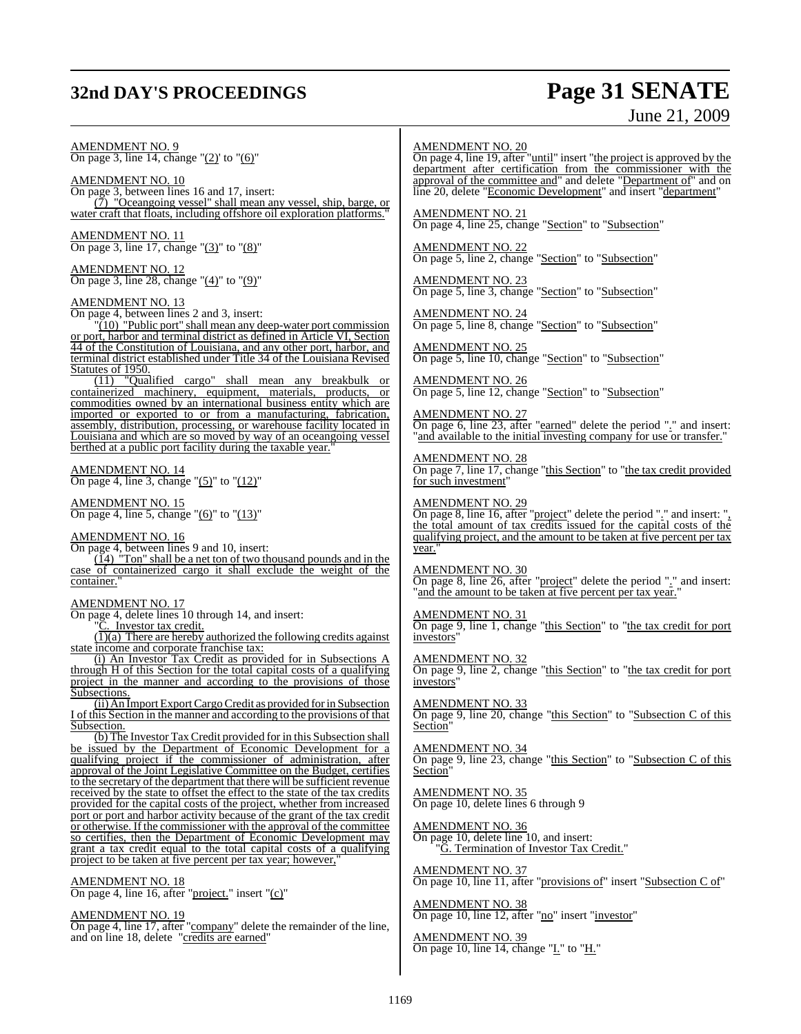## **32nd DAY'S PROCEEDINGS Page 31 SENATE**

# June 21, 2009

AMENDMENT NO. 9 On page 3, line 14, change " $(2)$ ' to " $(6)$ "

AMENDMENT NO. 10 On page 3, between lines 16 and 17, insert: (7) "Oceangoing vessel" shall mean any vessel, ship, barge, or water craft that floats, including offshore oil exploration platforms."

AMENDMENT NO. 11 On page 3, line 17, change "(3)" to "(8)"

AMENDMENT NO. 12 On page 3, line 28, change " $(4)$ " to " $(9)$ "

#### AMENDMENT NO. 13

On page 4, between lines 2 and 3, insert:

 $\sqrt{10}$  "Public port" shall mean any deep-water port commission or port, harbor and terminal district as defined in Article VI, Section 44 of the Constitution of Louisiana, and any other port, harbor, and terminal district established under Title 34 of the Louisiana Revised Statutes of 1950.

(11) "Qualified cargo" shall mean any breakbulk or containerized machinery, equipment, materials, products, or commodities owned by an international business entity which are imported or exported to or from a manufacturing, fabrication, assembly, distribution, processing, or warehouse facility located in Louisiana and which are so moved by way of an oceangoing vessel berthed at a public port facility during the taxable year.

#### AMENDMENT NO. 14 On page 4, line 3, change " $(5)$ " to " $(12)$ "

AMENDMENT NO. 15

On page 4, line 5, change " $(6)$ " to " $(13)$ "

#### AMENDMENT NO. 16

On page 4, between lines 9 and 10, insert:

 $(14)$  "Ton" shall be a net ton of two thousand pounds and in the case of containerized cargo it shall exclude the weight of the container.

#### AMENDMENT NO. 17

On page 4, delete lines 10 through 14, and insert:

"C. Investor tax credit.

 $\overline{(1)}$ (a) There are hereby authorized the following credits against state income and corporate franchise tax:

(i) An Investor Tax Credit as provided for in Subsections A through H of this Section for the total capital costs of a qualifying project in the manner and according to the provisions of those Subsections.

(ii) An ImportExportCargoCredit as provided forin Subsection I of this Section in the manner and according to the provisions of that Subsection.

(b) The Investor TaxCredit provided for in this Subsection shall be issued by the Department of Economic Development for a qualifying project if the commissioner of administration, after approval of the Joint Legislative Committee on the Budget, certifies to the secretary of the department that there will be sufficient revenue received by the state to offset the effect to the state of the tax credits provided for the capital costs of the project, whether from increased port or port and harbor activity because of the grant of the tax credit or otherwise. If the commissioner with the approval of the committee so certifies, then the Department of Economic Development may grant a tax credit equal to the total capital costs of a qualifying project to be taken at five percent per tax year; however,

#### AMENDMENT NO. 18

On page 4, line 16, after "project." insert "(c)"

#### AMENDMENT NO. 19

On page 4, line 17, after "company" delete the remainder of the line, and on line 18, delete "credits are earned"

#### AMENDMENT NO. 20

On page 4, line 19, after "until" insert "the project is approved by the department after certification from the commissioner with the approval of the committee and" and delete "Department of" and on line 20, delete "Economic Development" and insert "department"

AMENDMENT NO. 21 On page 4, line 25, change "Section" to "Subsection"

AMENDMENT NO. 22 On page 5, line 2, change "Section" to "Subsection"

AMENDMENT NO. 23 On page 5, line 3, change "Section" to "Subsection"

AMENDMENT NO. 24 On page 5, line 8, change "Section" to "Subsection"

AMENDMENT NO. 25 On page 5, line 10, change "Section" to "Subsection"

AMENDMENT NO. 26 On page 5, line 12, change "Section" to "Subsection"

#### AMENDMENT NO. 27

On page 6, line 23, after "earned" delete the period "." and insert: and available to the initial investing company for use or transfer.'

#### AMENDMENT NO. 28

On page 7, line 17, change "this Section" to "the tax credit provided for such investment"

#### AMENDMENT NO. 29

On page 8, line 16, after "project" delete the period "." and insert: ", the total amount of tax credits issued for the capital costs of the qualifying project, and the amount to be taken at five percent per tax year."

AMENDMENT NO. 30 On page 8, line 26, after "project" delete the period "." and insert: and the amount to be taken at five percent per tax year.

#### AMENDMENT NO. 31

On page 9, line 1, change "this Section" to "the tax credit for port investors"

#### AMENDMENT NO. 32

On page 9, line 2, change "this Section" to "the tax credit for port investors"

#### AMENDMENT NO. 33

On page 9, line 20, change "this Section" to "Subsection C of this Section<sup>1</sup>

#### AMENDMENT NO. 34

On page 9, line 23, change "this Section" to "Subsection C of this Section"

AMENDMENT NO. 35 On page 10, delete lines 6 through 9

#### AMENDMENT NO. 36

On page 10, delete line 10, and insert: G. Termination of Investor Tax Credit."

AMENDMENT NO. 37 On page 10, line 11, after "provisions of" insert "Subsection C of"

AMENDMENT NO. 38 On page 10, line 12, after "no" insert "investor"

AMENDMENT NO. 39 On page 10, line 14, change "I." to "H."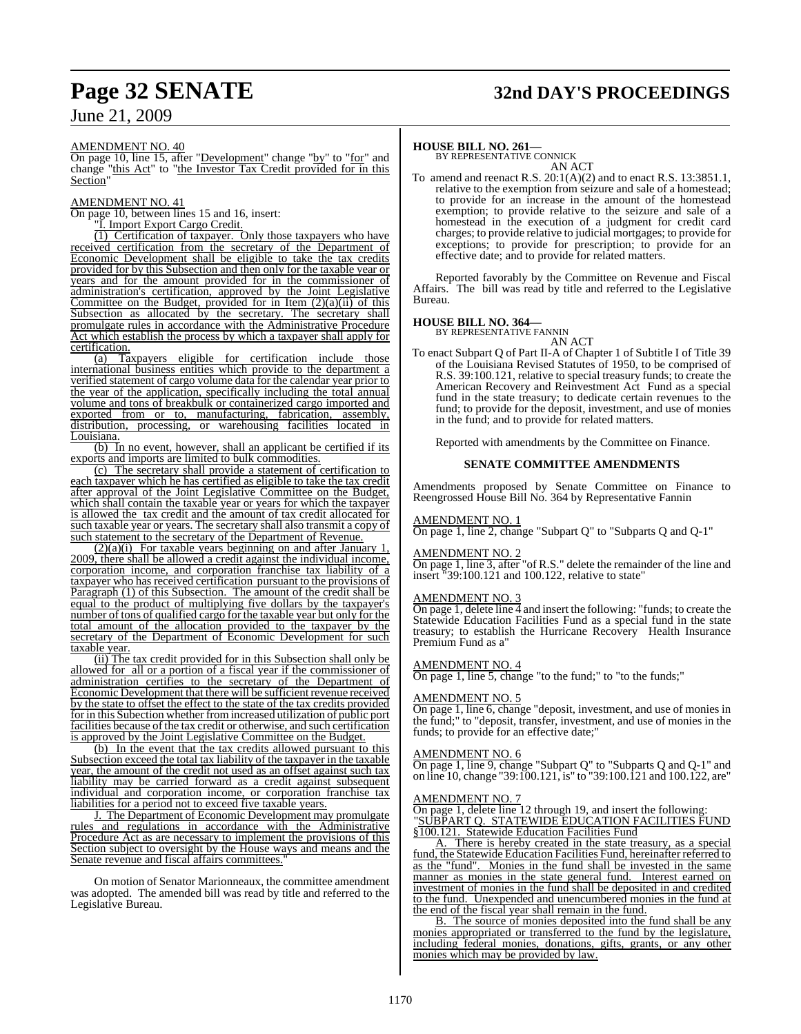## **Page 32 SENATE 32nd DAY'S PROCEEDINGS**

June 21, 2009

#### AMENDMENT NO. 40

On page 10, line 15, after "Development" change "by" to "for" and change "this Act" to "the Investor Tax Credit provided for in this Section"

#### AMENDMENT NO. 41

On page 10, between lines 15 and 16, insert:

"I. Import Export Cargo Credit.

(1) Certification of taxpayer. Only those taxpayers who have received certification from the secretary of the Department of Economic Development shall be eligible to take the tax credits provided for by this Subsection and then only for the taxable year or years and for the amount provided for in the commissioner of administration's certification, approved by the Joint Legislative Committee on the Budget, provided for in Item  $(2)(a)(ii)$  of this Subsection as allocated by the secretary. The secretary shall promulgate rules in accordance with the Administrative Procedure Act which establish the process by which a taxpayer shall apply for certification.

(a) Taxpayers eligible for certification include those international business entities which provide to the department a verified statement of cargo volume data for the calendar year prior to the year of the application, specifically including the total annual volume and tons of breakbulk or containerized cargo imported and exported from or to, manufacturing, fabrication, assembly, distribution, processing, or warehousing facilities located in Louisiana.

(b) In no event, however, shall an applicant be certified if its exports and imports are limited to bulk commodities.

(c) The secretary shall provide a statement of certification to each taxpayer which he has certified as eligible to take the tax credit after approval of the Joint Legislative Committee on the Budget, which shall contain the taxable year or years for which the taxpayer is allowed the tax credit and the amount of tax credit allocated for such taxable year or years. The secretary shall also transmit a copy of such statement to the secretary of the Department of Revenue.

 $(2)(a)(i)$  For taxable years beginning on and after January 1, 2009, there shall be allowed a credit against the individual income, corporation income, and corporation franchise tax liability of a taxpayer who has received certification pursuant to the provisions of Paragraph (1) of this Subsection. The amount of the credit shall be equal to the product of multiplying five dollars by the taxpayer's number of tons of qualified cargo for the taxable year but only for the total amount of the allocation provided to the taxpayer by the secretary of the Department of Economic Development for such taxable year.

(ii) The tax credit provided for in this Subsection shall only be allowed for all or a portion of a fiscal year if the commissioner of administration certifies to the secretary of the Department of Economic Development that there will be sufficient revenue received by the state to offset the effect to the state of the tax credits provided for in this Subection whether fromincreased utilization of public port facilities because of the tax credit or otherwise, and such certification is approved by the Joint Legislative Committee on the Budget.

(b) In the event that the tax credits allowed pursuant to this Subsection exceed the total tax liability of the taxpayer in the taxable year, the amount of the credit not used as an offset against such tax liability may be carried forward as a credit against subsequent individual and corporation income, or corporation franchise tax liabilities for a period not to exceed five taxable years.

J. The Department of Economic Development may promulgate rules and regulations in accordance with the Administrative Procedure Act as are necessary to implement the provisions of this Section subject to oversight by the House ways and means and the Senate revenue and fiscal affairs committees.

On motion of Senator Marionneaux, the committee amendment was adopted. The amended bill was read by title and referred to the Legislative Bureau.

### **HOUSE BILL NO. 261—** BY REPRESENTATIVE CONNICK

AN ACT

To amend and reenact R.S. 20:1(A)(2) and to enact R.S. 13:3851.1, relative to the exemption from seizure and sale of a homestead; to provide for an increase in the amount of the homestead exemption; to provide relative to the seizure and sale of a homestead in the execution of a judgment for credit card charges; to provide relative to judicial mortgages; to provide for exceptions; to provide for prescription; to provide for an effective date; and to provide for related matters.

Reported favorably by the Committee on Revenue and Fiscal Affairs. The bill was read by title and referred to the Legislative Bureau.

## **HOUSE BILL NO. 364—** BY REPRESENTATIVE FANNIN

AN ACT

To enact Subpart Q of Part II-A of Chapter 1 of Subtitle I of Title 39 of the Louisiana Revised Statutes of 1950, to be comprised of R.S. 39:100.121, relative to special treasury funds; to create the American Recovery and Reinvestment Act Fund as a special fund in the state treasury; to dedicate certain revenues to the fund; to provide for the deposit, investment, and use of monies in the fund; and to provide for related matters.

Reported with amendments by the Committee on Finance.

#### **SENATE COMMITTEE AMENDMENTS**

Amendments proposed by Senate Committee on Finance to Reengrossed House Bill No. 364 by Representative Fannin

#### AMENDMENT NO. 1

On page 1, line 2, change "Subpart Q" to "Subparts Q and Q-1"

### AMENDMENT NO. 2

On page 1, line 3, after "of R.S." delete the remainder of the line and insert "39:100.121 and 100.122, relative to state"

#### AMENDMENT NO. 3

On page 1, delete line  $\overline{4}$  and insert the following: "funds; to create the Statewide Education Facilities Fund as a special fund in the state treasury; to establish the Hurricane Recovery Health Insurance Premium Fund as a"

#### AMENDMENT NO. 4

On page 1, line 5, change "to the fund;" to "to the funds;"

#### AMENDMENT NO. 5

On page 1, line 6, change "deposit, investment, and use of monies in the fund;" to "deposit, transfer, investment, and use of monies in the funds; to provide for an effective date;"

#### AMENDMENT NO. 6

On page 1, line 9, change "Subpart Q" to "Subparts Q and Q-1" and on line 10, change "39:100.121, is" to "39:100.121 and 100.122, are"

#### AMENDMENT NO. 7

On page 1, delete line 12 through 19, and insert the following: "SUBPART Q. STATEWIDE EDUCATION FACILITIES FUND §100.121. Statewide Education Facilities Fund

A. There is hereby created in the state treasury, as a special fund, the Statewide Education Facilities Fund, hereinafter referred to as the "fund". Monies in the fund shall be invested in the same manner as monies in the state general fund. Interest earned on investment of monies in the fund shall be deposited in and credited to the fund. Unexpended and unencumbered monies in the fund at the end of the fiscal year shall remain in the fund.

B. The source of monies deposited into the fund shall be any monies appropriated or transferred to the fund by the legislature, including federal monies, donations, gifts, grants, or any other monies which may be provided by law.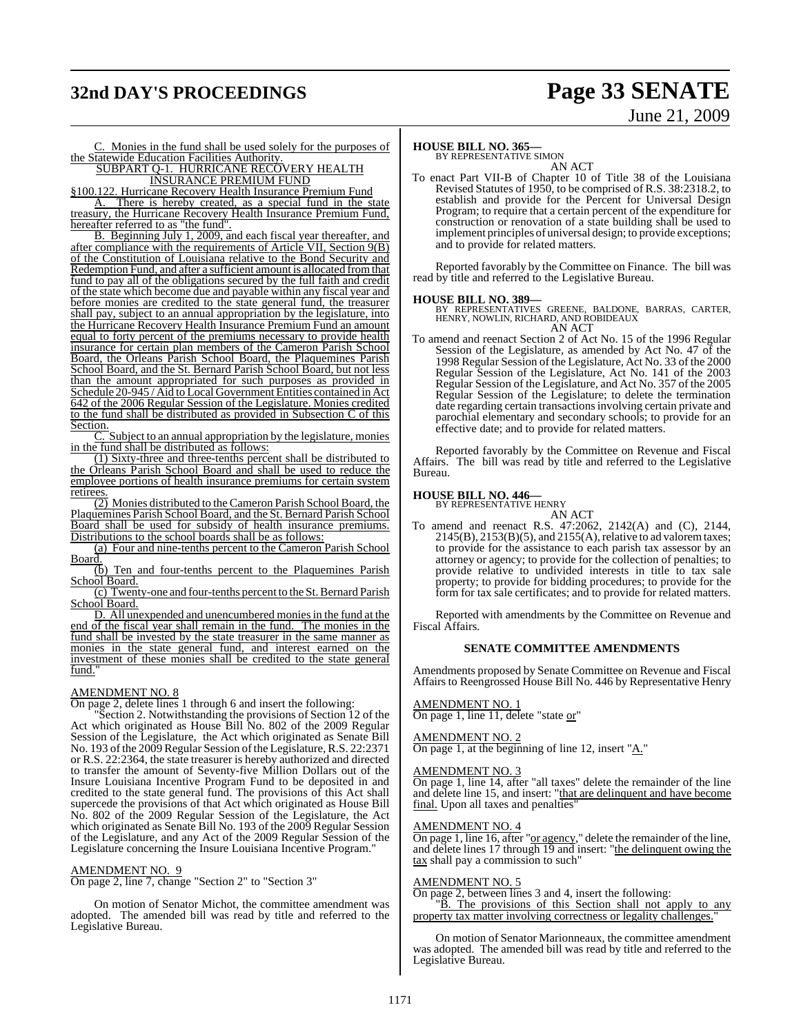## **32nd DAY'S PROCEEDINGS Page 33 SENATE**

# June 21, 2009

C. Monies in the fund shall be used solely for the purposes of the Statewide Education Facilities Authority.

#### SUBPART Q-1. HURRICANE RECOVERY HEALTH **INSURANCE PREMIUM FUND**

§100.122. Hurricane Recovery Health Insurance Premium Fund

A. There is hereby created, as a special fund in the state treasury, the Hurricane Recovery Health Insurance Premium Fund, hereafter referred to as "the fund".

B. Beginning July 1, 2009, and each fiscal year thereafter, and after compliance with the requirements of Article VII, Section 9(B) of the Constitution of Louisiana relative to the Bond Security and Redemption Fund, and after a sufficient amount is allocated fromthat fund to pay all of the obligations secured by the full faith and credit of the state which become due and payable within any fiscal year and before monies are credited to the state general fund, the treasurer shall pay, subject to an annual appropriation by the legislature, into the Hurricane Recovery Health Insurance Premium Fund an amount equal to forty percent of the premiums necessary to provide health insurance for certain plan members of the Cameron Parish School Board, the Orleans Parish School Board, the Plaquemines Parish School Board, and the St. Bernard Parish School Board, but not less than the amount appropriated for such purposes as provided in Schedule 20-945 / Aid to Local Government Entities contained in Act 642 of the 2006 Regular Session of the Legislature. Monies credited to the fund shall be distributed as provided in Subsection C of this Section.

C. Subject to an annual appropriation by the legislature, monies in the fund shall be distributed as follows:

(1) Sixty-three and three-tenths percent shall be distributed to the Orleans Parish School Board and shall be used to reduce the employee portions of health insurance premiums for certain system retirees

 $\overline{(2)}$  Monies distributed to the Cameron Parish School Board, the Plaquemines Parish School Board, and the St. Bernard Parish School Board shall be used for subsidy of health insurance premiums. Distributions to the school boards shall be as follows:

(a) Four and nine-tenths percent to the Cameron Parish School Board.

(b) Ten and four-tenths percent to the Plaquemines Parish School Board.

(c) Twenty-one and four-tenths percent to the St. Bernard Parish School Board.

D. All unexpended and unencumbered monies in the fund at the end of the fiscal year shall remain in the fund. The monies in the fund shall be invested by the state treasurer in the same manner as monies in the state general fund, and interest earned on the investment of these monies shall be credited to the state general fund.

### AMENDMENT NO. 8

On page 2, delete lines 1 through 6 and insert the following:

"Section 2. Notwithstanding the provisions of Section 12 of the Act which originated as House Bill No. 802 of the 2009 Regular Session of the Legislature, the Act which originated as Senate Bill No. 193 ofthe 2009 Regular Session ofthe Legislature, R.S. 22:2371 or R.S. 22:2364, the state treasurer is hereby authorized and directed to transfer the amount of Seventy-five Million Dollars out of the Insure Louisiana Incentive Program Fund to be deposited in and credited to the state general fund. The provisions of this Act shall supercede the provisions of that Act which originated as House Bill No. 802 of the 2009 Regular Session of the Legislature, the Act which originated as Senate Bill No. 193 of the 2009 Regular Session of the Legislature, and any Act of the 2009 Regular Session of the Legislature concerning the Insure Louisiana Incentive Program."

#### AMENDMENT NO. 9

On page 2, line 7, change "Section 2" to "Section 3"

On motion of Senator Michot, the committee amendment was adopted. The amended bill was read by title and referred to the Legislative Bureau.

### **HOUSE BILL NO. 365—**

BY REPRESENTATIVE SIMON AN ACT

To enact Part VII-B of Chapter 10 of Title 38 of the Louisiana Revised Statutes of 1950, to be comprised of R.S. 38:2318.2, to establish and provide for the Percent for Universal Design Program; to require that a certain percent of the expenditure for construction or renovation of a state building shall be used to implement principles of universal design; to provide exceptions; and to provide for related matters.

Reported favorably by the Committee on Finance. The bill was read by title and referred to the Legislative Bureau.

#### **HOUSE BILL NO. 389—**

BY REPRESENTATIVES GREENE, BALDONE, BARRAS, CARTER, HENRY, NOWLIN, RICHARD, AND ROBIDEAUX AN ACT

To amend and reenact Section 2 of Act No. 15 of the 1996 Regular Session of the Legislature, as amended by Act No. 47 of the 1998 Regular Session of the Legislature, Act No. 33 of the 2000 Regular Session of the Legislature, Act No. 141 of the 2003 Regular Session of the Legislature, and Act No. 357 of the 2005 Regular Session of the Legislature; to delete the termination date regarding certain transactionsinvolving certain private and parochial elementary and secondary schools; to provide for an effective date; and to provide for related matters.

Reported favorably by the Committee on Revenue and Fiscal Affairs. The bill was read by title and referred to the Legislative Bureau.

## **HOUSE BILL NO. 446—** BY REPRESENTATIVE HENRY

AN ACT

To amend and reenact R.S. 47:2062, 2142(A) and (C), 2144,  $2145(B)$ ,  $2153(B)(5)$ , and  $2155(A)$ , relative to ad valorem taxes; to provide for the assistance to each parish tax assessor by an attorney or agency; to provide for the collection of penalties; to provide relative to undivided interests in title to tax sale property; to provide for bidding procedures; to provide for the form for tax sale certificates; and to provide for related matters.

Reported with amendments by the Committee on Revenue and Fiscal Affairs.

#### **SENATE COMMITTEE AMENDMENTS**

Amendments proposed by Senate Committee on Revenue and Fiscal Affairs to Reengrossed House Bill No. 446 by Representative Henry

#### AMENDMENT NO. 1

On page 1, line 11, delete "state or"

### AMEND<u>MENT NO. 2</u>

On page 1, at the beginning of line 12, insert "A."

#### AMENDMENT NO. 3

On page 1, line 14, after "all taxes" delete the remainder of the line and delete line 15, and insert: "that are delinquent and have become final. Upon all taxes and penalties'

#### AMENDMENT NO. 4

On page 1, line 16, after "or agency," delete the remainder of the line, and delete lines 17 through 19 and insert: "the delinquent owing the tax shall pay a commission to such"

#### AMENDMENT NO. 5

On page 2, between lines 3 and 4, insert the following: "B. The provisions of this Section shall not apply to any property tax matter involving correctness or legality challenges."

On motion of Senator Marionneaux, the committee amendment was adopted. The amended bill was read by title and referred to the Legislative Bureau.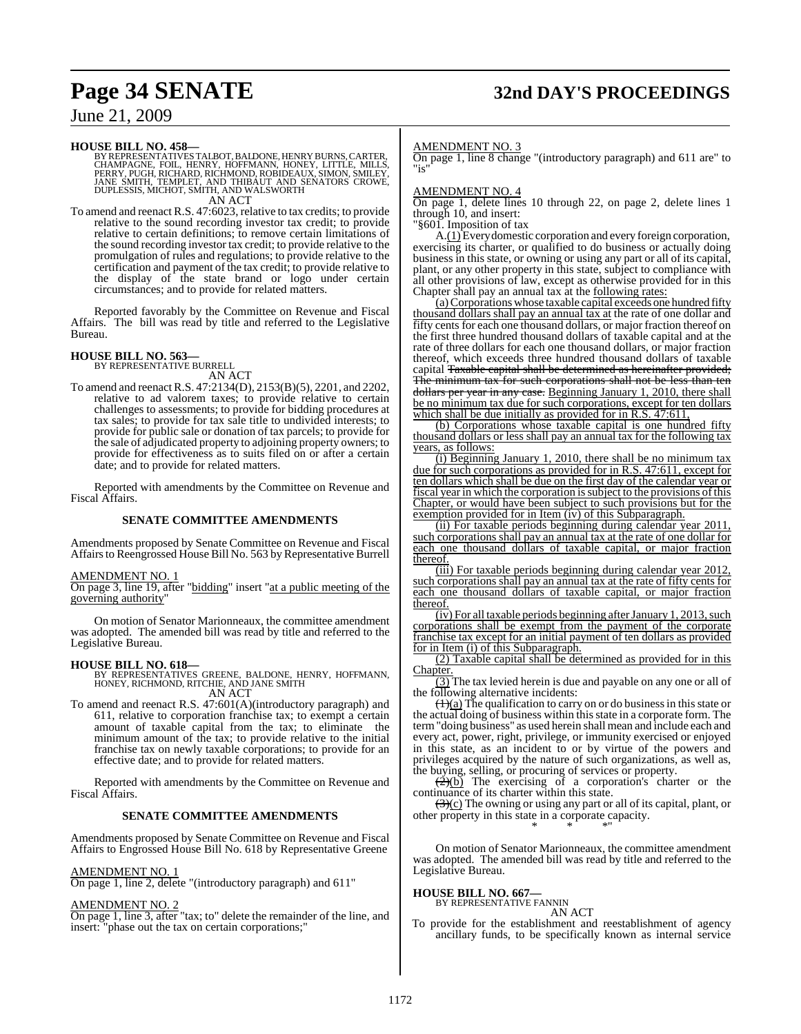## **Page 34 SENATE 32nd DAY'S PROCEEDINGS**

### June 21, 2009

**HOUSE BILL NO. 458—**<br>BY REPRESENTATIVES TALBOT, BALDONE, HENRY BURNS, CARTER,<br>CHAMPAGNE, FOIL, HENRY, HOFFMANN, HONEY, LITTLE, MILLS,<br>PERRY, PUGH, RICHARD, RICHMOND, ROBIDEAUX, SIMON, SMILEY, JANE SMITH, TEMPLET, AND THIBAUT AND SENATORS CROWE, DUPLESSIS, MICHOT, SMITH, AND WALSWORTH AN ACT

To amend and reenact R.S. 47:6023, relative to tax credits; to provide relative to the sound recording investor tax credit; to provide relative to certain definitions; to remove certain limitations of the sound recording investor tax credit; to provide relative to the promulgation of rules and regulations; to provide relative to the certification and payment of the tax credit; to provide relative to the display of the state brand or logo under certain circumstances; and to provide for related matters.

Reported favorably by the Committee on Revenue and Fiscal Affairs. The bill was read by title and referred to the Legislative Bureau.

#### **HOUSE BILL NO. 563—**

BY REPRESENTATIVE BURRELL AN ACT

To amend and reenactR.S. 47:2134(D), 2153(B)(5), 2201, and 2202, relative to ad valorem taxes; to provide relative to certain challenges to assessments; to provide for bidding procedures at tax sales; to provide for tax sale title to undivided interests; to provide for public sale or donation of tax parcels; to provide for the sale of adjudicated property to adjoining property owners; to provide for effectiveness as to suits filed on or after a certain date; and to provide for related matters.

Reported with amendments by the Committee on Revenue and Fiscal Affairs.

#### **SENATE COMMITTEE AMENDMENTS**

Amendments proposed by Senate Committee on Revenue and Fiscal Affairs to Reengrossed House Bill No. 563 by Representative Burrell

#### AMENDMENT NO. 1

On page 3, line 19, after "bidding" insert "at a public meeting of the governing authority"

On motion of Senator Marionneaux, the committee amendment was adopted. The amended bill was read by title and referred to the Legislative Bureau.

**HOUSE BILL NO. 618—** BY REPRESENTATIVES GREENE, BALDONE, HENRY, HOFFMANN, HONEY, RICHMOND, RITCHIE, AND JANE SMITH AN ACT

To amend and reenact R.S. 47:601(A)(introductory paragraph) and 611, relative to corporation franchise tax; to exempt a certain amount of taxable capital from the tax; to eliminate the minimum amount of the tax; to provide relative to the initial franchise tax on newly taxable corporations; to provide for an effective date; and to provide for related matters.

Reported with amendments by the Committee on Revenue and Fiscal Affairs.

#### **SENATE COMMITTEE AMENDMENTS**

Amendments proposed by Senate Committee on Revenue and Fiscal Affairs to Engrossed House Bill No. 618 by Representative Greene

#### AMENDMENT NO. 1

On page 1, line 2, delete "(introductory paragraph) and 611"

#### AMENDMENT NO. 2

On page 1, line 3, after "tax; to" delete the remainder of the line, and insert: "phase out the tax on certain corporations;"

#### AMENDMENT NO. 3

On page 1, line 8 change "(introductory paragraph) and 611 are" to "is"

#### AMENDMENT NO. 4

On page 1, delete lines 10 through 22, on page 2, delete lines 1 through 10, and insert:

"§601. Imposition of tax

A.(1) Every domestic corporation and every foreign corporation, exercising its charter, or qualified to do business or actually doing business in this state, or owning or using any part or all of its capital, plant, or any other property in this state, subject to compliance with all other provisions of law, except as otherwise provided for in this Chapter shall pay an annual tax at the following rates:

(a)Corporations whose taxable capital exceeds one hundred fifty thousand dollars shall pay an annual tax at the rate of one dollar and fifty cents for each one thousand dollars, or major fraction thereof on the first three hundred thousand dollars of taxable capital and at the rate of three dollars for each one thousand dollars, or major fraction thereof, which exceeds three hundred thousand dollars of taxable capital Taxable capital shall be determined as hereinafter provided; The minimum tax for such corporations shall not be less than ten dollars per year in any case. Beginning January 1, 2010, there shall be no minimum tax due for such corporations, except for ten dollars which shall be due initially as provided for in R.S. 47:611,

(b) Corporations whose taxable capital is one hundred fifty thousand dollars or less shall pay an annual tax for the following tax years, as follows:

(i) Beginning January 1, 2010, there shall be no minimum tax due for such corporations as provided for in R.S. 47:611, except for ten dollars which shall be due on the first day of the calendar year or fiscal year in which the corporation is subject to the provisions of this Chapter, or would have been subject to such provisions but for the exemption provided for in Item (iv) of this Subparagraph.

(ii) For taxable periods beginning during calendar year 2011, such corporations shall pay an annual tax at the rate of one dollar for each one thousand dollars of taxable capital, or major fraction thereof.

(iii) For taxable periods beginning during calendar year 2012, such corporations shall pay an annual tax at the rate of fifty cents for each one thousand dollars of taxable capital, or major fraction thereof.

 $(iv)$  For all taxable periods beginning after January 1, 2013, such corporations shall be exempt from the payment of the corporate franchise tax except for an initial payment of ten dollars as provided for in Item (i) of this Subparagraph.

(2) Taxable capital shall be determined as provided for in this Chapter.

(3) The tax levied herein is due and payable on any one or all of the following alternative incidents:

 $\frac{1}{2}$  The qualification to carry on or do business in this state or the actual doing of business within this state in a corporate form. The term"doing business" as used herein shall mean and include each and every act, power, right, privilege, or immunity exercised or enjoyed in this state, as an incident to or by virtue of the powers and privileges acquired by the nature of such organizations, as well as, the buying, selling, or procuring of services or property.

 $\left(\frac{2}{2}\right)$  The exercising of a corporation's charter or the continuance of its charter within this state.

(3)(c) The owning or using any part or all of its capital, plant, or other property in this state in a corporate capacity. \* \* \*"

On motion of Senator Marionneaux, the committee amendment was adopted. The amended bill was read by title and referred to the Legislative Bureau.

#### **HOUSE BILL NO. 667—**

BY REPRESENTATIVE FANNIN

AN ACT To provide for the establishment and reestablishment of agency ancillary funds, to be specifically known as internal service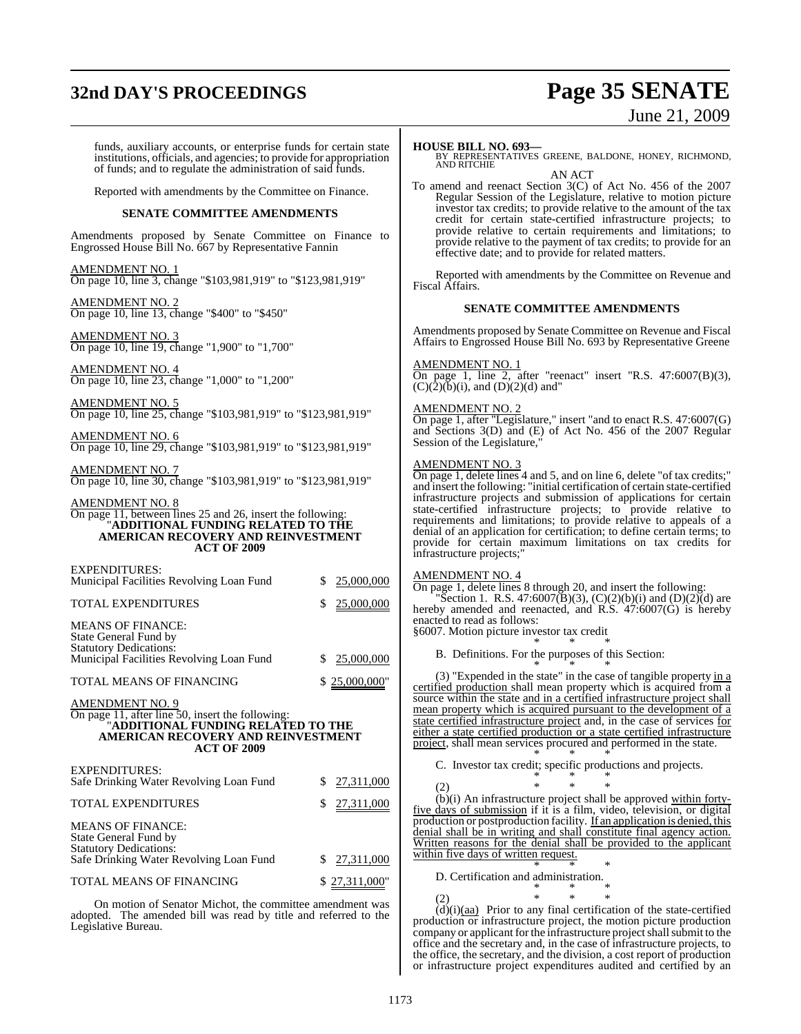## **32nd DAY'S PROCEEDINGS Page 35 SENATE**

# June 21, 2009

funds, auxiliary accounts, or enterprise funds for certain state institutions, officials, and agencies; to provide for appropriation of funds; and to regulate the administration of said funds. Reported with amendments by the Committee on Finance. **SENATE COMMITTEE AMENDMENTS** Amendments proposed by Senate Committee on Finance to Engrossed House Bill No. 667 by Representative Fannin AMENDMENT NO. 1 On page 10, line 3, change "\$103,981,919" to "\$123,981,919" AMENDMENT NO. 2 On page 10, line 13, change "\$400" to "\$450" AMENDMENT NO. 3 On page 10, line 19, change "1,900" to "1,700" AMENDMENT NO. 4 On page 10, line 23, change "1,000" to "1,200" AMENDMENT NO. 5 On page 10, line 25, change "\$103,981,919" to "\$123,981,919" AMENDMENT NO. 6 On page 10, line 29, change "\$103,981,919" to "\$123,981,919" AMENDMENT NO. 7 On page 10, line 30, change "\$103,981,919" to "\$123,981,919" AMENDMENT NO. 8 On page 11, between lines 25 and 26, insert the following: "**ADDITIONAL FUNDING RELATED TO THE AMERICAN RECOVERY AND REINVESTMENT ACT OF 2009** EXPENDITURES: Municipal Facilities Revolving Loan Fund \$ 25,000,000 TOTAL EXPENDITURES  $$ 25,000,000$ MEANS OF FINANCE: State General Fund by Statutory Dedications: Municipal Facilities Revolving Loan Fund \$ 25,000,000 TOTAL MEANS OF FINANCING \$25,000,000 AMENDMENT NO. 9 On page 11, after line 50, insert the following: "**ADDITIONAL FUNDING RELATED TO THE AMERICAN RECOVERY AND REINVESTMENT ACT OF 2009** EXPENDITURES: Safe Drinking Water Revolving Loan Fund \$ 27,311,000 TOTAL EXPENDITURES \$ 27,311,000 MEANS OF FINANCE: State General Fund by Statutory Dedications: Safe Drinking Water Revolving Loan Fund \$ 27,311,000

TOTAL MEANS OF FINANCING \$27,311,000"

On motion of Senator Michot, the committee amendment was adopted. The amended bill was read by title and referred to the Legislative Bureau.

To amend and reenact Section 3(C) of Act No. 456 of the 2007 Regular Session of the Legislature, relative to motion picture investor tax credits; to provide relative to the amount of the tax credit for certain state-certified infrastructure projects; to provide relative to certain requirements and limitations; to provide relative to the payment of tax credits; to provide for an effective date; and to provide for related matters.

Reported with amendments by the Committee on Revenue and Fiscal Affairs.

#### **SENATE COMMITTEE AMENDMENTS**

Amendments proposed by Senate Committee on Revenue and Fiscal Affairs to Engrossed House Bill No. 693 by Representative Greene

#### AMENDMENT NO. 1

On page 1, line 2, after "reenact" insert "R.S.  $47:6007(B)(3)$ ,  $(C)(\bar{2})(\bar{b})(i)$ , and  $(D)(2)(d)$  and"

#### AMENDMENT NO. 2

On page 1, after "Legislature," insert "and to enact R.S. 47:6007(G) and Sections 3(D) and (E) of Act No. 456 of the 2007 Regular Session of the Legislature,

#### AMENDMENT NO. 3

On page 1, delete lines 4 and 5, and on line 6, delete "of tax credits;" and insert the following: "initial certification of certain state-certified infrastructure projects and submission of applications for certain state-certified infrastructure projects; to provide relative to requirements and limitations; to provide relative to appeals of a denial of an application for certification; to define certain terms; to provide for certain maximum limitations on tax credits for infrastructure projects;"

#### AMENDMENT NO. 4

On page 1, delete lines 8 through 20, and insert the following:

"Section 1. R.S. 47:6007(B)(3), (C)(2)(b)(i) and (D)(2)(d) are hereby amended and reenacted, and R.S. 47:6007(G) is hereby enacted to read as follows:

§6007. Motion picture investor tax credit \* \* \*

B. Definitions. For the purposes of this Section:

\* \* \* (3) "Expended in the state" in the case of tangible property in a certified production shall mean property which is acquired from a source within the state and in a certified infrastructure project shall mean property which is acquired pursuant to the development of a state certified infrastructure project and, in the case of services for either a state certified production or a state certified infrastructure project, shall mean services procured and performed in the state. \* \* \*

C. Investor tax credit; specific productions and projects. \* \* \*

(2) \* \* \*

(b)(i) An infrastructure project shall be approved within fortyfive days of submission if it is a film, video, television, or digital production or postproduction facility. If an application is denied, this denial shall be in writing and shall constitute final agency action. Written reasons for the denial shall be provided to the applicant within five days of written request. \* \* \*

D. Certification and administration.

$$
\begin{array}{ccccccccc}\n & & & & & & * & * & * \\
(2) & & & & & * & * & * \\
& & & & & * & & * \\
& & & & & & \ddots & & \vdots \\
& & & & & & & & \ddots & \vdots \\
& & & & & & & & & \ddots & \vdots \\
& & & & & & & & & & \ddots & \vdots \\
& & & & & & & & & & & \ddots & \vdots \\
& & & & & & & & & & & & \ddots & \vdots \\
& & & & & & & & & & & & & \ddots & \vdots \\
& & & & & & & & & & & & & & \end{array}
$$

 $(d)(i)(aa)$  Prior to any final certification of the state-certified production or infrastructure project, the motion picture production company or applicant for the infrastructure project shall submit to the office and the secretary and, in the case of infrastructure projects, to the office, the secretary, and the division, a cost report of production or infrastructure project expenditures audited and certified by an

**HOUSE BILL NO. 693—** BY REPRESENTATIVES GREENE, BALDONE, HONEY, RICHMOND, AND RITCHIE AN ACT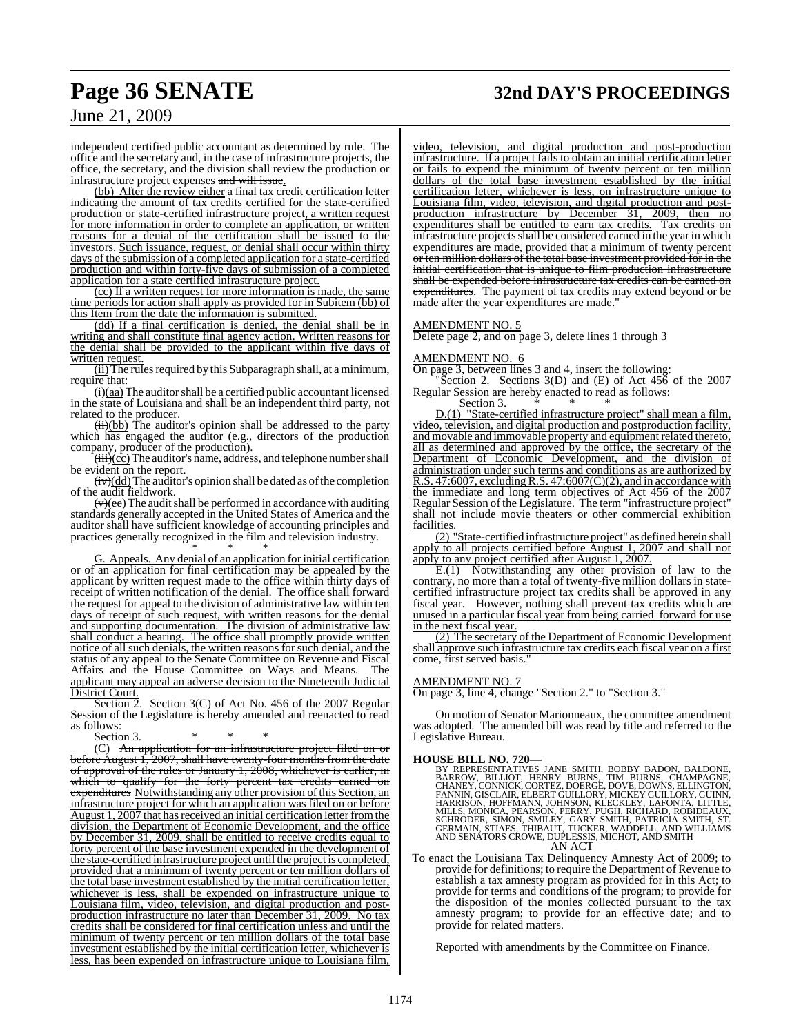## **Page 36 SENATE 32nd DAY'S PROCEEDINGS**

June 21, 2009

independent certified public accountant as determined by rule. The office and the secretary and, in the case of infrastructure projects, the office, the secretary, and the division shall review the production or infrastructure project expenses and will issue.

(bb) After the review either a final tax credit certification letter indicating the amount of tax credits certified for the state-certified production or state-certified infrastructure project, a written request for more information in order to complete an application, or written reasons for a denial of the certification shall be issued to the investors. Such issuance, request, or denial shall occur within thirty days of the submission of a completed application for a state-certified production and within forty-five days of submission of a completed application for a state certified infrastructure project.

(cc) If a written request for more information is made, the same time periods for action shall apply as provided for in Subitem (bb) of this Item from the date the information is submitted.

(dd) If a final certification is denied, the denial shall be in writing and shall constitute final agency action. Written reasons for the denial shall be provided to the applicant within five days of written request.

(ii) The rules required by this Subparagraph shall, at a minimum, require that:

 $\overline{(i)}$ (aa) The auditor shall be a certified public accountant licensed in the state of Louisiana and shall be an independent third party, not related to the producer.

 $(ii)(bb)$  The auditor's opinion shall be addressed to the party which has engaged the auditor (e.g., directors of the production company, producer of the production).

 $\overline{(\overrightarrow{iii})(\overrightarrow{cc})}$  The auditor's name, address, and telephone number shall be evident on the report.

 $(iv)(dd)$  The auditor's opinion shall be dated as of the completion of the audit fieldwork.

 $(v)(ee)$  The audit shall be performed in accordance with auditing standards generally accepted in the United States of America and the auditor shall have sufficient knowledge of accounting principles and practices generally recognized in the film and television industry.

\* \* \* G. Appeals. Any denial of an application for initial certification or of an application for final certification may be appealed by the applicant by written request made to the office within thirty days of receipt of written notification of the denial. The office shall forward the request for appeal to the division of administrative law within ten days of receipt of such request, with written reasons for the denial and supporting documentation. The division of administrative law shall conduct a hearing. The office shall promptly provide written notice of all such denials, the written reasons for such denial, and the status of any appeal to the Senate Committee on Revenue and Fiscal Affairs and the House Committee on Ways and Means. The applicant may appeal an adverse decision to the Nineteenth Judicial District Court.

Section 2. Section 3(C) of Act No. 456 of the 2007 Regular Session of the Legislature is hereby amended and reenacted to read as follows:

Section 3.

(C) An application for an infrastructure project filed on or before August 1, 2007, shall have twenty-four months from the date of approval of the rules or January 1, 2008, whichever is earlier, in which to qualify for the forty percent tax credits earned on expenditures Notwithstanding any other provision of this Section, an infrastructure project for which an application was filed on or before August 1, 2007 that has received an initial certification letter from the division, the Department of Economic Development, and the office by December 31, 2009, shall be entitled to receive credits equal to forty percent of the base investment expended in the development of the state-certified infrastructure project until the project is completed, provided that a minimum of twenty percent or ten million dollars of the total base investment established by the initial certification letter, whichever is less, shall be expended on infrastructure unique to Louisiana film, video, television, and digital production and postproduction infrastructure no later than December 31, 2009. No tax credits shall be considered for final certification unless and until the minimum of twenty percent or ten million dollars of the total base investment established by the initial certification letter, whichever is less, has been expended on infrastructure unique to Louisiana film,

video, television, and digital production and post-production infrastructure. If a project fails to obtain an initial certification letter or fails to expend the minimum of twenty percent or ten million dollars of the total base investment established by the initial certification letter, whichever is less, on infrastructure unique to Louisiana film, video, television, and digital production and postproduction infrastructure by December 31, 2009, then no expenditures shall be entitled to earn tax credits. Tax credits on infrastructure projects shall be considered earned in the year in which expenditures are made, provided that a minimum of twenty percent or ten million dollars of the total base investment provided for in the initial certification that is unique to film production infrastructure shall be expended before infrastructure tax credits can be earned on expenditures. The payment of tax credits may extend beyond or be made after the year expenditures are made."

#### AMENDMENT NO. 5

Delete page 2, and on page 3, delete lines 1 through 3

#### AMENDMENT NO. 6

On page 3, between lines 3 and 4, insert the following:

"Section 2. Sections  $3(D)$  and  $(E)$  of Act  $45\overline{6}$  of the 2007 Regular Session are hereby enacted to read as follows:

Section 3.

D.(1) "State-certified infrastructure project" shall mean a film, video, television, and digital production and postproduction facility, and movable and immovable property and equipment related thereto, all as determined and approved by the office, the secretary of the Department of Economic Development, and the division of administration under such terms and conditions as are authorized by R.S. 47:6007, excluding R.S. 47:6007(C)(2), and in accordance with the immediate and long term objectives of Act 456 of the 2007 Regular Session of the Legislature. The term "infrastructure project" shall not include movie theaters or other commercial exhibition facilities.

 $\overline{(2)}$  "State-certified infrastructure project" as defined herein shall apply to all projects certified before August 1, 2007 and shall not apply to any project certified after August 1, 2007.

E.(1) Notwithstanding any other provision of law to the contrary, no more than a total of twenty-five million dollars in statecertified infrastructure project tax credits shall be approved in any fiscal year. However, nothing shall prevent tax credits which are unused in a particular fiscal year from being carried forward for use in the next fiscal year.

(2) The secretary of the Department of Economic Development shall approve such infrastructure tax credits each fiscal year on a first come, first served basis."

#### AMENDMENT NO. 7

On page 3, line 4, change "Section 2." to "Section 3."

On motion of Senator Marionneaux, the committee amendment was adopted. The amended bill was read by title and referred to the Legislative Bureau.

**HOUSE BILL NO. 720—** BY REPRESENTATIVES JANE SMITH, BOBBY BADON, BALDONE, BARROW, BILLIOT, HENRY BURNS, TIM BURNS, CHAMPAGNE,<br>CHANEY,CONNICK,CORTEZ,DOERGE,DOVE,DOWNS,ELLINGTON,<br>FANNIN,GISCLAIR,ELBERT GUILLORY,MICKEY GUILLORY,GUINT<br>HARRISON, HOFFMANN, JOHNSON,KLECKLEY, LAFONTA, LITTLE,<br>MILLS, MON AN ACT

To enact the Louisiana Tax Delinquency Amnesty Act of 2009; to provide for definitions; to require the Department of Revenue to establish a tax amnesty program as provided for in this Act; to provide for terms and conditions of the program; to provide for the disposition of the monies collected pursuant to the tax amnesty program; to provide for an effective date; and to provide for related matters.

Reported with amendments by the Committee on Finance.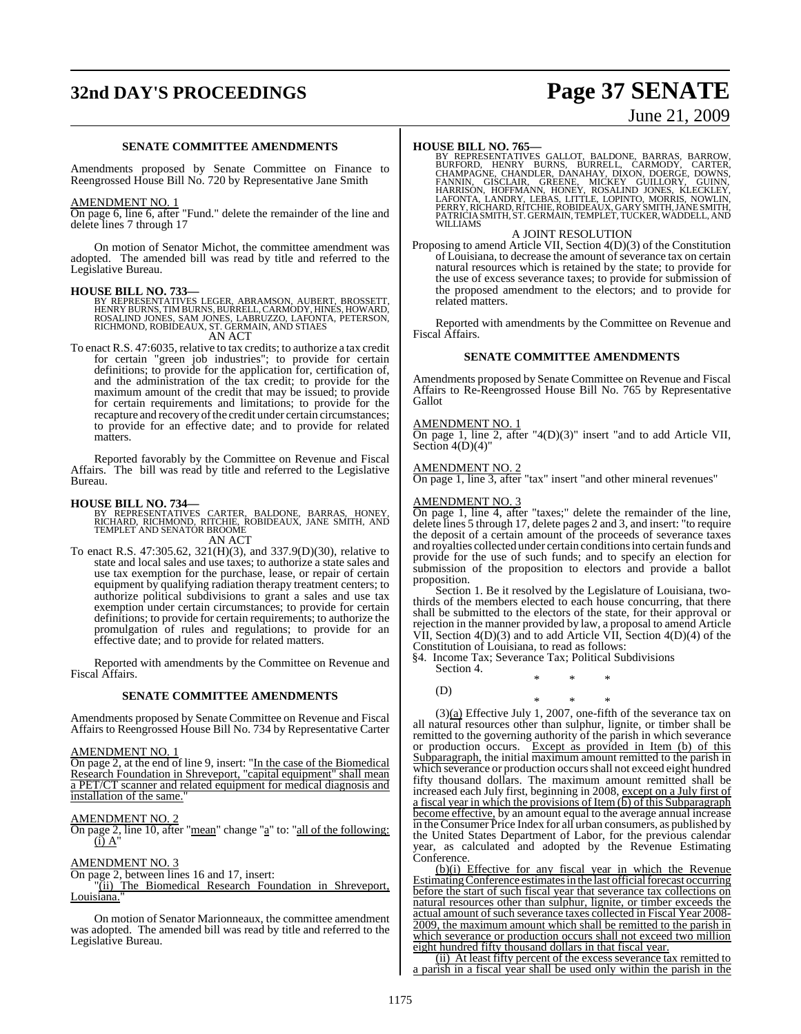## **32nd DAY'S PROCEEDINGS Page 37 SENATE**

# June 21, 2009

#### **SENATE COMMITTEE AMENDMENTS**

Amendments proposed by Senate Committee on Finance to Reengrossed House Bill No. 720 by Representative Jane Smith

#### AMENDMENT NO. 1

On page 6, line 6, after "Fund." delete the remainder of the line and delete lines 7 through 17

On motion of Senator Michot, the committee amendment was adopted. The amended bill was read by title and referred to the Legislative Bureau.

#### **HOUSE BILL NO. 733—**

BY REPRESENTATIVES LEGER, ABRAMSON, AUBERT, BROSSETT,<br>HENRY BURNS, TIM BURNS, BURRELL, CARMODY, HINES, HOWARD,<br>ROSALIND JONES, SAM JONES, LABRUZZO, LAFONTA, PETERSON,<br>RICHMOND, ROBIDEAUX, ST. GERMAIN, AND STIAES AN ACT

To enact R.S. 47:6035, relative to tax credits; to authorize a tax credit for certain "green job industries"; to provide for certain definitions; to provide for the application for, certification of, and the administration of the tax credit; to provide for the maximum amount of the credit that may be issued; to provide for certain requirements and limitations; to provide for the recapture and recovery of the credit under certain circumstances; to provide for an effective date; and to provide for related matters.

Reported favorably by the Committee on Revenue and Fiscal Affairs. The bill was read by title and referred to the Legislative Bureau.

**HOUSE BILL NO. 734—**<br>BY REPRESENTATIVES CARTER, BALDONE, BARRAS, HONEY,<br>RICHARD, RICHMOND, RITCHIE, ROBIDEAUX, JANE SMITH, AND<br>TEMPLET AND SENATOR BROOME AN ACT

To enact R.S. 47:305.62, 321(H)(3), and 337.9(D)(30), relative to state and local sales and use taxes; to authorize a state sales and use tax exemption for the purchase, lease, or repair of certain equipment by qualifying radiation therapy treatment centers; to authorize political subdivisions to grant a sales and use tax exemption under certain circumstances; to provide for certain definitions; to provide for certain requirements; to authorize the promulgation of rules and regulations; to provide for an effective date; and to provide for related matters.

Reported with amendments by the Committee on Revenue and Fiscal Affairs.

#### **SENATE COMMITTEE AMENDMENTS**

Amendments proposed by Senate Committee on Revenue and Fiscal Affairs to Reengrossed House Bill No. 734 by Representative Carter

#### AMENDMENT NO. 1

On page 2, at the end of line 9, insert: "In the case of the Biomedical Research Foundation in Shreveport, "capital equipment" shall mean a PET/CT scanner and related equipment for medical diagnosis and installation of the same.

#### AMENDMENT NO. 2

On page 2, line 10, after "mean" change "a" to: "all of the following:  $(i)$  A'

#### AMENDMENT NO. 3

On page 2, between lines 16 and 17, insert:

"(ii) The Biomedical Research Foundation in Shreveport, Louisiana."

On motion of Senator Marionneaux, the committee amendment was adopted. The amended bill was read by title and referred to the Legislative Bureau.

**HOUSE BILL NO. 765—**<br>BY REPRESENTATIVES GALLOT, BALDONE, BARRAS, BARROW, BURFORD, HENRY BURNS, BURRELL, CARMODY, CARTER,<br>CHAMPAGNE, CHANDLER, DANAHAY, DIXON, DOERGE, DOWNS,<br>FANNIN, GISCLAIR, GREENE, MICKEY GUILLORY, GUINN WILLIAMS

#### A JOINT RESOLUTION

Proposing to amend Article VII, Section 4(D)(3) of the Constitution of Louisiana, to decrease the amount of severance tax on certain natural resources which is retained by the state; to provide for the use of excess severance taxes; to provide for submission of the proposed amendment to the electors; and to provide for related matters.

Reported with amendments by the Committee on Revenue and Fiscal Affairs.

#### **SENATE COMMITTEE AMENDMENTS**

Amendments proposed by Senate Committee on Revenue and Fiscal Affairs to Re-Reengrossed House Bill No. 765 by Representative Gallot

#### AMENDMENT NO. 1

On page 1, line 2, after "4(D)(3)" insert "and to add Article VII, Section  $4(D)(4)$ "

#### AMENDMENT NO. 2

 $\frac{\overline{X_{11}}}{\overline{X_{12}}}{\overline{X_{12}}}\left( \frac{\overline{X_{11}}}{\overline{X_{12}}}\right)$  insert "and other mineral revenues"

#### AMENDMENT NO. 3

**COLOGET 1, line 4, after "taxes;"** delete the remainder of the line, delete lines 5 through 17, delete pages 2 and 3, and insert: "to require the deposit of a certain amount of the proceeds of severance taxes and royalties collected under certain conditionsinto certain funds and provide for the use of such funds; and to specify an election for submission of the proposition to electors and provide a ballot proposition.

Section 1. Be it resolved by the Legislature of Louisiana, twothirds of the members elected to each house concurring, that there shall be submitted to the electors of the state, for their approval or rejection in the manner provided by law, a proposal to amend Article VII, Section  $4(D)(3)$  and to add Article VII, Section  $4(D)(4)$  of the Constitution of Louisiana, to read as follows:

§4. Income Tax; Severance Tax; Political Subdivisions

Section 4. \* \* \* (D)

\* \* \*  $(3)(a)$  Effective July 1, 2007, one-fifth of the severance tax on all natural resources other than sulphur, lignite, or timber shall be remitted to the governing authority of the parish in which severance or production occurs. Except as provided in Item (b) of this Subparagraph, the initial maximum amount remitted to the parish in which severance or production occurs shall not exceed eight hundred fifty thousand dollars. The maximum amount remitted shall be increased each July first, beginning in 2008, except on a July first of a fiscal year in which the provisions of Item  $(b)$  of this Subparagraph become effective, by an amount equal to the average annual increase in theConsumer Price Index for all urban consumers, as published by the United States Department of Labor, for the previous calendar year, as calculated and adopted by the Revenue Estimating Conference.

(b)(i) Effective for any fiscal year in which the Revenue EstimatingConference estimatesin the last official forecast occurring before the start of such fiscal year that severance tax collections on natural resources other than sulphur, lignite, or timber exceeds the actual amount of such severance taxes collected in Fiscal Year 2008-2009, the maximum amount which shall be remitted to the parish in which severance or production occurs shall not exceed two million eight hundred fifty thousand dollars in that fiscal year.

(ii) At least fifty percent of the excess severance tax remitted to a parish in a fiscal year shall be used only within the parish in the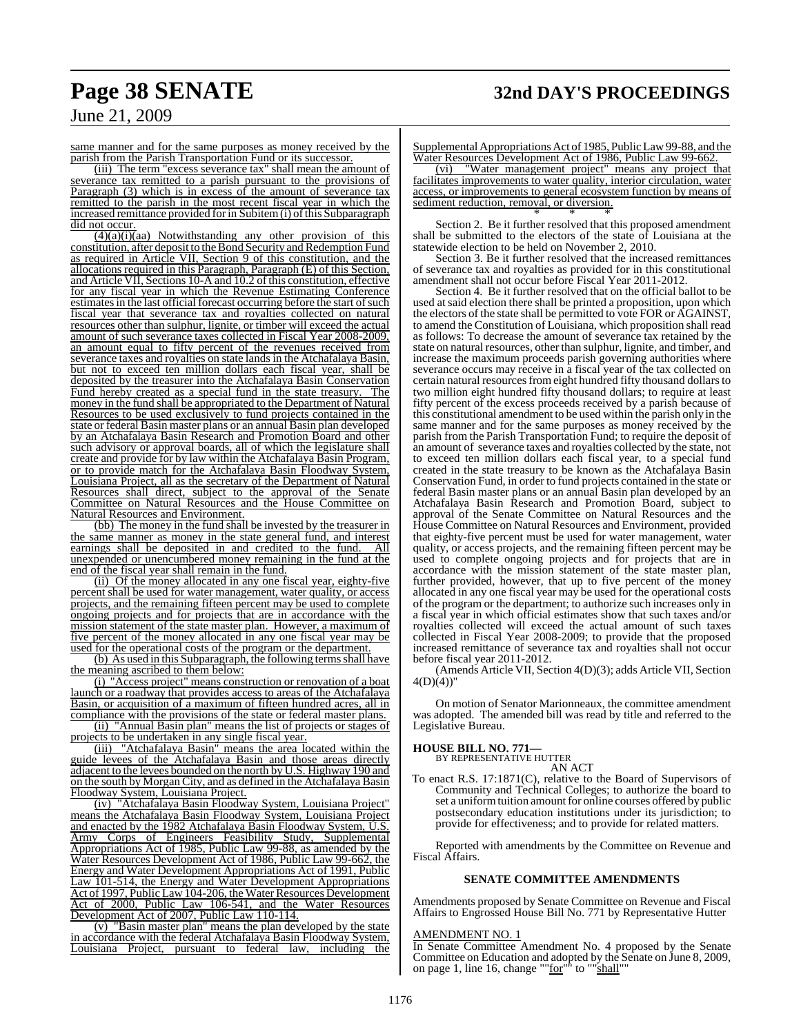## **Page 38 SENATE 32nd DAY'S PROCEEDINGS**

### June 21, 2009

same manner and for the same purposes as money received by the parish from the Parish Transportation Fund or its successor.

(iii) The term "excess severance tax" shall mean the amount of severance tax remitted to a parish pursuant to the provisions of Paragraph (3) which is in excess of the amount of severance tax remitted to the parish in the most recent fiscal year in which the  $increased$  remittance provided for in Subitem $(i)$  of this Subparagraph did not occur.

 $(4)(a)(i)(aa)$  Notwithstanding any other provision of this constitution, after deposit to the Bond Security and Redemption Fund as required in Article VII, Section 9 of this constitution, and the allocations required in this Paragraph, Paragraph (E) of this Section, and Article VII, Sections 10-A and 10.2 ofthis constitution, effective for any fiscal year in which the Revenue Estimating Conference estimates in the last official forecast occurring before the start of such fiscal year that severance tax and royalties collected on natural resources other than sulphur, lignite, or timber will exceed the actual amount of such severance taxes collected in Fiscal Year 2008-2009, an amount equal to fifty percent of the revenues received from severance taxes and royalties on state lands in the Atchafalaya Basin, but not to exceed ten million dollars each fiscal year, shall be deposited by the treasurer into the Atchafalaya Basin Conservation Fund hereby created as a special fund in the state treasury. The money in the fund shall be appropriated to the Department of Natural Resources to be used exclusively to fund projects contained in the state or federal Basin master plans or an annual Basin plan developed by an Atchafalaya Basin Research and Promotion Board and other such advisory or approval boards, all of which the legislature shall create and provide for by law within the Atchafalaya Basin Program, or to provide match for the Atchafalaya Basin Floodway System, Louisiana Project, all as the secretary of the Department of Natural Resources shall direct, subject to the approval of the Senate Committee on Natural Resources and the House Committee on Natural Resources and Environment.

(bb) The money in the fund shall be invested by the treasurer in the same manner as money in the state general fund, and interest<br>earnings shall be deposited in and credited to the fund. All earnings shall be deposited in and credited to the fund. unexpended or unencumbered money remaining in the fund at the end of the fiscal year shall remain in the fund.

(ii) Of the money allocated in any one fiscal year, eighty-five percent shall be used for water management, water quality, or access projects, and the remaining fifteen percent may be used to complete ongoing projects and for projects that are in accordance with the mission statement of the state master plan. However, a maximum of five percent of the money allocated in any one fiscal year may be used for the operational costs of the program or the department.

(b) As used in this Subparagraph, the following terms shall have the meaning ascribed to them below:

(i) "Access project" means construction or renovation of a boat launch or a roadway that provides access to areas of the Atchafalaya Basin, or acquisition of a maximum of fifteen hundred acres, all in compliance with the provisions of the state or federal master plans.

(ii) "Annual Basin plan" means the list of projects or stages of projects to be undertaken in any single fiscal year.

(iii) "Atchafalaya Basin" means the area located within the guide levees of the Atchafalaya Basin and those areas directly adjacent to the levees bounded on the north by U.S. Highway 190 and on the south by Morgan City, and as defined in the Atchafalaya Basin Floodway System, Louisiana Project.

(iv) "Atchafalaya Basin Floodway System, Louisiana Project" means the Atchafalaya Basin Floodway System, Louisiana Project and enacted by the 1982 Atchafalaya Basin Floodway System, U.S. Army Corps of Engineers Feasibility Study, Supplemental Appropriations Act of 1985, Public Law 99-88, as amended by the Water Resources Development Act of 1986, Public Law 99-662, the Energy and Water Development Appropriations Act of 1991, Public Law 101-514, the Energy and Water Development Appropriations Act of 1997, Public Law 104-206, the Water Resources Development Act of 2000, Public Law 106-541, and the Water Resources Development Act of 2007, Public Law 110-114.

(v) "Basin master plan" means the plan developed by the state in accordance with the federal Atchafalaya Basin Floodway System,<br>Louisiana Proiect, pursuant to federal law, including the pursuant to federal law, including the

Supplemental Appropriations Act of 1985, Public Law 99-88, and the Water Resources Development Act of 1986, Public Law 99-662.

(vi) "Water management project" means any project that facilitates improvements to water quality, interior circulation, water access, or improvements to general ecosystem function by means of sediment reduction, removal, or diversion. \* \* \*

Section 2. Be it further resolved that this proposed amendment shall be submitted to the electors of the state of Louisiana at the statewide election to be held on November 2, 2010.

Section 3. Be it further resolved that the increased remittances of severance tax and royalties as provided for in this constitutional amendment shall not occur before Fiscal Year 2011-2012.

Section 4. Be it further resolved that on the official ballot to be used at said election there shall be printed a proposition, upon which the electors of the state shall be permitted to vote FOR or AGAINST, to amend the Constitution of Louisiana, which proposition shall read as follows: To decrease the amount of severance tax retained by the state on natural resources, other than sulphur, lignite, and timber, and increase the maximum proceeds parish governing authorities where severance occurs may receive in a fiscal year of the tax collected on certain natural resources from eight hundred fifty thousand dollars to two million eight hundred fifty thousand dollars; to require at least fifty percent of the excess proceeds received by a parish because of this constitutional amendment to be used within the parish only in the same manner and for the same purposes as money received by the parish from the Parish Transportation Fund; to require the deposit of an amount of severance taxes and royalties collected by the state, not to exceed ten million dollars each fiscal year, to a special fund created in the state treasury to be known as the Atchafalaya Basin Conservation Fund, in order to fund projects contained in the state or federal Basin master plans or an annual Basin plan developed by an Atchafalaya Basin Research and Promotion Board, subject to approval of the Senate Committee on Natural Resources and the House Committee on Natural Resources and Environment, provided that eighty-five percent must be used for water management, water quality, or access projects, and the remaining fifteen percent may be used to complete ongoing projects and for projects that are in accordance with the mission statement of the state master plan, further provided, however, that up to five percent of the money allocated in any one fiscal year may be used for the operational costs of the program or the department; to authorize such increases only in a fiscal year in which official estimates show that such taxes and/or royalties collected will exceed the actual amount of such taxes collected in Fiscal Year 2008-2009; to provide that the proposed increased remittance of severance tax and royalties shall not occur before fiscal year 2011-2012.

(Amends Article VII, Section 4(D)(3); adds Article VII, Section  $4(D)(4)$ 

On motion of Senator Marionneaux, the committee amendment was adopted. The amended bill was read by title and referred to the Legislative Bureau.

#### **HOUSE BILL NO. 771—**

BY REPRESENTATIVE HUTTER AN ACT

To enact R.S. 17:1871(C), relative to the Board of Supervisors of Community and Technical Colleges; to authorize the board to set a uniform tuition amount for online courses offered by public postsecondary education institutions under its jurisdiction; to provide for effectiveness; and to provide for related matters.

Reported with amendments by the Committee on Revenue and Fiscal Affairs.

#### **SENATE COMMITTEE AMENDMENTS**

Amendments proposed by Senate Committee on Revenue and Fiscal Affairs to Engrossed House Bill No. 771 by Representative Hutter

### AMENDMENT NO. 1

In Senate Committee Amendment No. 4 proposed by the Senate Committee on Education and adopted by the Senate on June 8, 2009, on page 1, line 16, change ""for"<sup>"</sup> to ""shall""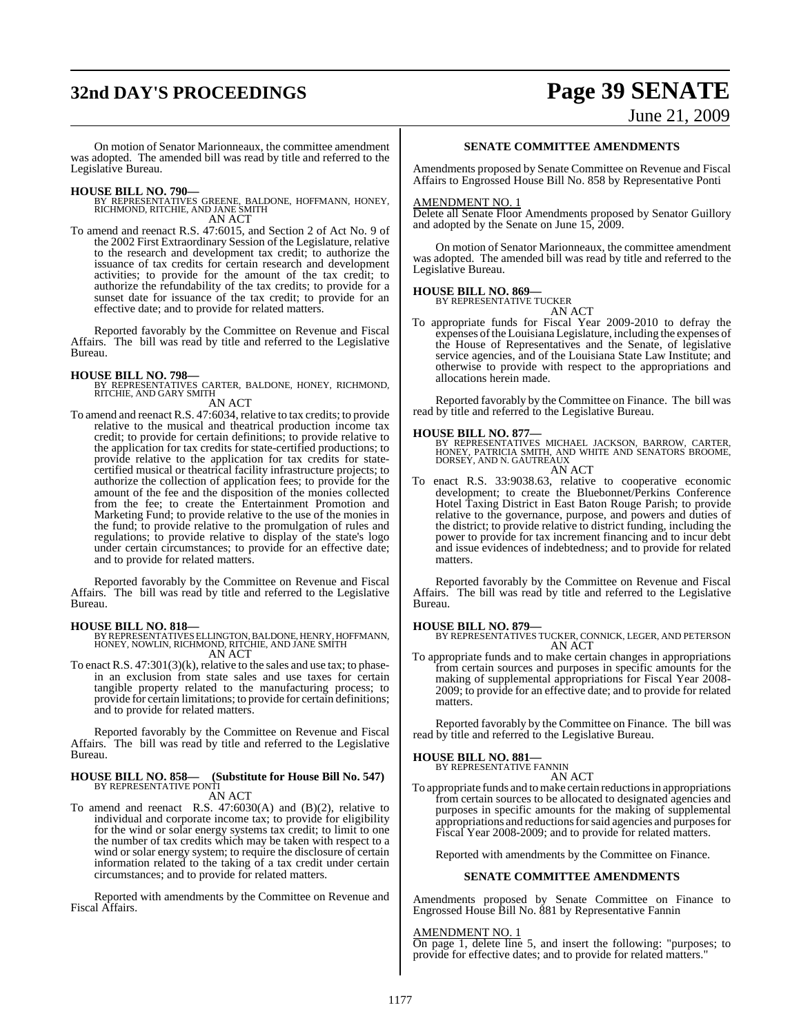## **32nd DAY'S PROCEEDINGS Page 39 SENATE**

June 21, 2009

On motion of Senator Marionneaux, the committee amendment was adopted. The amended bill was read by title and referred to the Legislative Bureau.

- **HOUSE BILL NO. 790—** BY REPRESENTATIVES GREENE, BALDONE, HOFFMANN, HONEY, RICHMOND, RITCHIE, AND JANE SMITH AN ACT
- To amend and reenact R.S. 47:6015, and Section 2 of Act No. 9 of the 2002 First Extraordinary Session of the Legislature, relative to the research and development tax credit; to authorize the issuance of tax credits for certain research and development activities; to provide for the amount of the tax credit; to authorize the refundability of the tax credits; to provide for a sunset date for issuance of the tax credit; to provide for an effective date; and to provide for related matters.

Reported favorably by the Committee on Revenue and Fiscal Affairs. The bill was read by title and referred to the Legislative Bureau.

**HOUSE BILL NO. 798—** BY REPRESENTATIVES CARTER, BALDONE, HONEY, RICHMOND, RITCHIE, AND GARY SMITH

AN ACT

To amend and reenact R.S. 47:6034, relative to tax credits; to provide relative to the musical and theatrical production income tax credit; to provide for certain definitions; to provide relative to the application for tax credits for state-certified productions; to provide relative to the application for tax credits for statecertified musical or theatrical facility infrastructure projects; to authorize the collection of application fees; to provide for the amount of the fee and the disposition of the monies collected from the fee; to create the Entertainment Promotion and Marketing Fund; to provide relative to the use of the monies in the fund; to provide relative to the promulgation of rules and regulations; to provide relative to display of the state's logo under certain circumstances; to provide for an effective date; and to provide for related matters.

Reported favorably by the Committee on Revenue and Fiscal Affairs. The bill was read by title and referred to the Legislative Bureau.

**HOUSE BILL NO. 818—** BY REPRESENTATIVESELLINGTON,BALDONE, HENRY, HOFFMANN, HONEY, NOWLIN, RICHMOND, RITCHIE, AND JANE SMITH AN ACT

To enact R.S. 47:301(3)(k), relative to the sales and use tax; to phasein an exclusion from state sales and use taxes for certain tangible property related to the manufacturing process; to provide for certain limitations; to provide for certain definitions; and to provide for related matters.

Reported favorably by the Committee on Revenue and Fiscal Affairs. The bill was read by title and referred to the Legislative Bureau.

## **HOUSE BILL NO. 858— (Substitute for House Bill No. 547)** BY REPRESENTATIVE PONTI

- AN ACT
- To amend and reenact R.S.  $47:6030(A)$  and  $(B)(2)$ , relative to individual and corporate income tax; to provide for eligibility for the wind or solar energy systems tax credit; to limit to one the number of tax credits which may be taken with respect to a wind or solar energy system; to require the disclosure of certain information related to the taking of a tax credit under certain circumstances; and to provide for related matters.

Reported with amendments by the Committee on Revenue and Fiscal Affairs.

#### **SENATE COMMITTEE AMENDMENTS**

Amendments proposed by Senate Committee on Revenue and Fiscal Affairs to Engrossed House Bill No. 858 by Representative Ponti

#### AMENDMENT NO. 1

Delete all Senate Floor Amendments proposed by Senator Guillory and adopted by the Senate on June 15, 2009.

On motion of Senator Marionneaux, the committee amendment was adopted. The amended bill was read by title and referred to the Legislative Bureau.

#### **HOUSE BILL NO. 869—**

BY REPRESENTATIVE TUCKER AN ACT

To appropriate funds for Fiscal Year 2009-2010 to defray the expenses of the Louisiana Legislature, including the expenses of the House of Representatives and the Senate, of legislative service agencies, and of the Louisiana State Law Institute; and otherwise to provide with respect to the appropriations and allocations herein made.

Reported favorably by the Committee on Finance. The bill was read by title and referred to the Legislative Bureau.

#### **HOUSE BILL NO. 877—**

BY REPRESENTATIVES MICHAEL JACKSON, BARROW, CARTER,<br>HONEY, PATRICIA SMITH, AND WHITE AND SENATORS BROOME,<br>DORSEY, AND N. GAUTREAUX AN ACT

To enact R.S. 33:9038.63, relative to cooperative economic development; to create the Bluebonnet/Perkins Conference Hotel Taxing District in East Baton Rouge Parish; to provide relative to the governance, purpose, and powers and duties of the district; to provide relative to district funding, including the power to provide for tax increment financing and to incur debt and issue evidences of indebtedness; and to provide for related matters.

Reported favorably by the Committee on Revenue and Fiscal Affairs. The bill was read by title and referred to the Legislative Bureau.

**HOUSE BILL NO. 879—** BY REPRESENTATIVES TUCKER, CONNICK, LEGER, AND PETERSON AN ACT

To appropriate funds and to make certain changes in appropriations from certain sources and purposes in specific amounts for the making of supplemental appropriations for Fiscal Year 2008- 2009; to provide for an effective date; and to provide for related matters.

Reported favorably by the Committee on Finance. The bill was read by title and referred to the Legislative Bureau.

#### **HOUSE BILL NO. 881—**

BY REPRESENTATIVE FANNIN AN ACT

To appropriate funds and to make certain reductions in appropriations from certain sources to be allocated to designated agencies and purposes in specific amounts for the making of supplemental appropriations and reductions for said agencies and purposes for Fiscal Year 2008-2009; and to provide for related matters.

Reported with amendments by the Committee on Finance.

#### **SENATE COMMITTEE AMENDMENTS**

Amendments proposed by Senate Committee on Finance to Engrossed House Bill No. 881 by Representative Fannin

#### AMENDMENT NO. 1

On page 1, delete line 5, and insert the following: "purposes; to provide for effective dates; and to provide for related matters."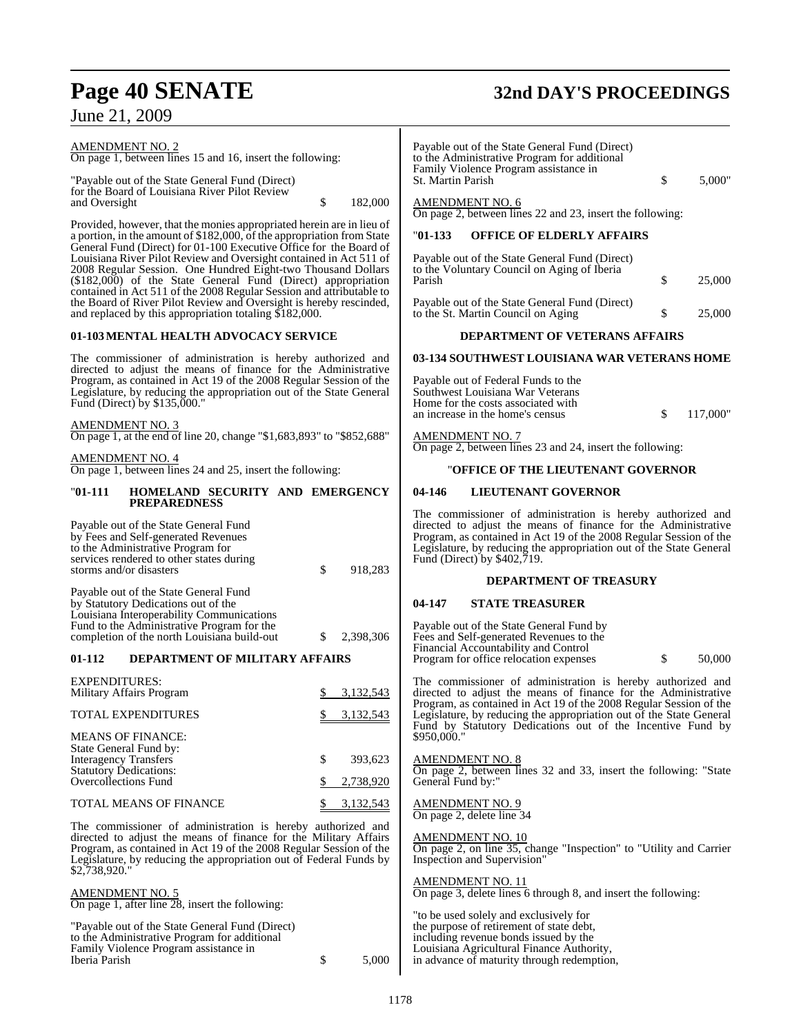#### AMENDMENT NO. 2 On page 1, between lines 15 and 16, insert the following: "Payable out of the State General Fund (Direct) for the Board of Louisiana River Pilot Review and Oversight  $\qquad$  \$ 182,000 Provided, however, that the monies appropriated herein are in lieu of a portion, in the amount of \$182,000, of the appropriation from State General Fund (Direct) for 01-100 Executive Office for the Board of Louisiana River Pilot Review and Oversight contained in Act 511 of 2008 Regular Session. One Hundred Eight-two Thousand Dollars (\$182,000) of the State General Fund (Direct) appropriation contained in Act 511 of the 2008 Regular Session and attributable to the Board of River Pilot Review and Oversight is hereby rescinded, and replaced by this appropriation totaling \$182,000. **01-103MENTAL HEALTH ADVOCACY SERVICE** The commissioner of administration is hereby authorized and directed to adjust the means of finance for the Administrative Program, as contained in Act 19 of the 2008 Regular Session of the Legislature, by reducing the appropriation out of the State General Fund (Direct) by \$135,000." AMENDMENT NO. 3 On page 1, at the end of line 20, change "\$1,683,893" to "\$852,688" AMENDMENT NO. 4 On page 1, between lines 24 and 25, insert the following: "**01-111 HOMELAND SECURITY AND EMERGENCY PREPAREDNESS** Payable out of the State General Fund by Fees and Self-generated Revenues to the Administrative Program for services rendered to other states during storms and/or disasters \$ 918,283 Payable out of the State General Fund by Statutory Dedications out of the Louisiana Interoperability Communications Fund to the Administrative Program for the completion of the north Louisiana build-out \$ 2,398,306 **01-112 DEPARTMENT OF MILITARY AFFAIRS** EXPENDITURES: Military Affairs Program  $\frac{$}{3,132,543}$ TOTAL EXPENDITURES  $$3,132,543$ MEANS OF FINANCE: State General Fund by: Interagency Transfers  $\qquad$  \$ 393,623 Statutory Dedications: Overcollections Fund \$ 2,738,920 TOTAL MEANS OF FINANCE  $$3,132,543$ The commissioner of administration is hereby authorized and directed to adjust the means of finance for the Military Affairs Program, as contained in Act 19 of the 2008 Regular Session of the Legislature, by reducing the appropriation out of Federal Funds by \$2,738,920." AMENDMENT NO. 5 On page 1, after line 28, insert the following: "Payable out of the State General Fund (Direct) to the Administrative Program for additional Family Violence Program assistance in Iberia Parish \$ 5,000 Payable out of the State General Fund (Direct) to the Administrative Program for additional Family Violence Program assistance in St. Martin Parish  $\qquad \qquad$  \$ 5.000" AMENDMENT NO. 6 On page 2, between lines 22 and 23, insert the following: "**01-133 OFFICE OF ELDERLY AFFAIRS** Payable out of the State General Fund (Direct) to the Voluntary Council on Aging of Iberia Parish \$ 25,000 Payable out of the State General Fund (Direct) to the St. Martin Council on Aging  $$ 25,000$ **DEPARTMENT OF VETERANS AFFAIRS 03-134 SOUTHWEST LOUISIANA WAR VETERANS HOME** Payable out of Federal Funds to the Southwest Louisiana War Veterans Home for the costs associated with an increase in the home's census  $\qquad$  \$ 117,000" AMENDMENT NO. 7 On page 2, between lines 23 and 24, insert the following: "**OFFICE OF THE LIEUTENANT GOVERNOR 04-146 LIEUTENANT GOVERNOR** The commissioner of administration is hereby authorized and directed to adjust the means of finance for the Administrative Program, as contained in Act 19 of the 2008 Regular Session of the Legislature, by reducing the appropriation out of the State General Fund (Direct) by \$402,719. **DEPARTMENT OF TREASURY 04-147 STATE TREASURER** Payable out of the State General Fund by Fees and Self-generated Revenues to the Financial Accountability and Control Program for office relocation expenses  $\qquad$  \$ 50,000 The commissioner of administration is hereby authorized and directed to adjust the means of finance for the Administrative Program, as contained in Act 19 of the 2008 Regular Session of the Legislature, by reducing the appropriation out of the State General Fund by Statutory Dedications out of the Incentive Fund by \$950,000." AMENDMENT NO. 8 On page 2, between lines 32 and 33, insert the following: "State General Fund by:' AMENDMENT NO. 9 On page 2, delete line 34 AMENDMENT NO. 10 On page 2, on line 35, change "Inspection" to "Utility and Carrier Inspection and Supervision" AMENDMENT NO. 11 On page 3, delete lines 6 through 8, and insert the following: "to be used solely and exclusively for the purpose of retirement of state debt, including revenue bonds issued by the Louisiana Agricultural Finance Authority,

in advance of maturity through redemption,

## **Page 40 SENATE 32nd DAY'S PROCEEDINGS**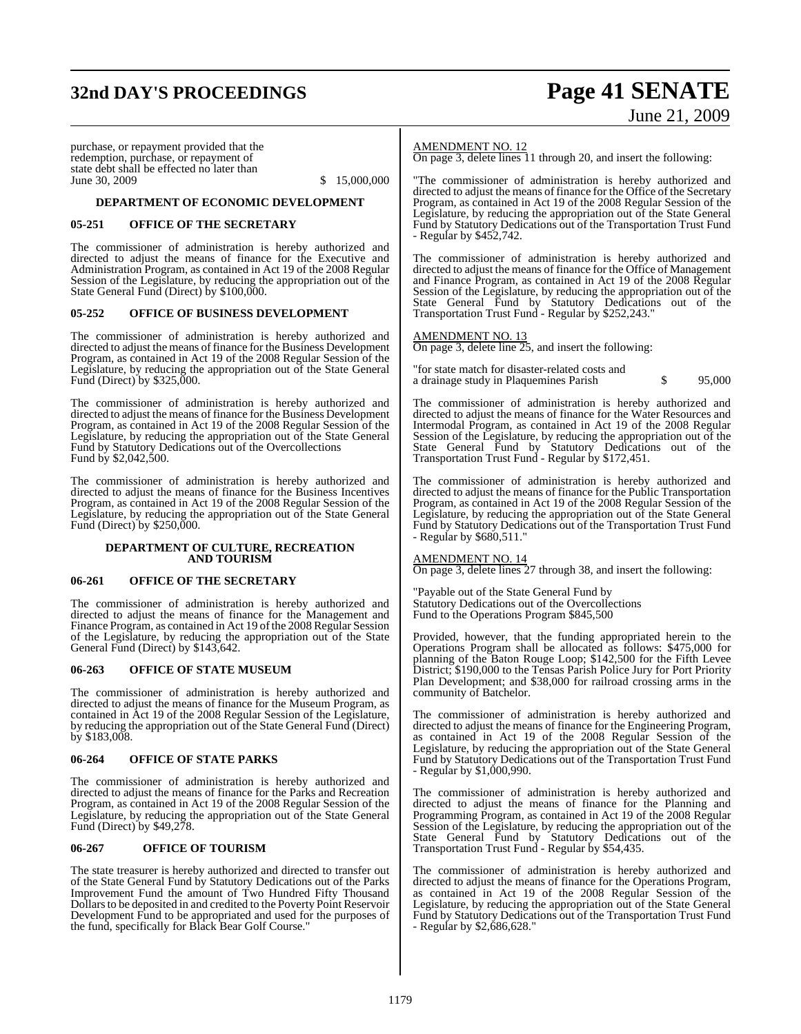## **32nd DAY'S PROCEEDINGS Page 41 SENATE**

# June 21, 2009

purchase, or repayment provided that the redemption, purchase, or repayment of state debt shall be effected no later than<br>June 30, 2009

 $$15,000,000$ 

#### **DEPARTMENT OF ECONOMIC DEVELOPMENT**

#### **05-251 OFFICE OF THE SECRETARY**

The commissioner of administration is hereby authorized and directed to adjust the means of finance for the Executive and Administration Program, as contained in Act 19 of the 2008 Regular Session of the Legislature, by reducing the appropriation out of the State General Fund (Direct) by \$100,000.

#### **05-252 OFFICE OF BUSINESS DEVELOPMENT**

The commissioner of administration is hereby authorized and directed to adjust the means offinance for the Business Development Program, as contained in Act 19 of the 2008 Regular Session of the Legislature, by reducing the appropriation out of the State General Fund (Direct) by \$325,000.

The commissioner of administration is hereby authorized and directed to adjust the means of finance for the Business Development Program, as contained in Act 19 of the 2008 Regular Session of the Legislature, by reducing the appropriation out of the State General Fund by Statutory Dedications out of the Overcollections Fund by \$2,042,500.

The commissioner of administration is hereby authorized and directed to adjust the means of finance for the Business Incentives Program, as contained in Act 19 of the 2008 Regular Session of the Legislature, by reducing the appropriation out of the State General Fund (Direct) by \$250,000.

#### **DEPARTMENT OF CULTURE, RECREATION AND TOURISM**

#### **06-261 OFFICE OF THE SECRETARY**

The commissioner of administration is hereby authorized and directed to adjust the means of finance for the Management and Finance Program, as contained in Act 19 of the 2008 Regular Session of the Legislature, by reducing the appropriation out of the State General Fund (Direct) by \$143,642.

#### **06-263 OFFICE OF STATE MUSEUM**

The commissioner of administration is hereby authorized and directed to adjust the means of finance for the Museum Program, as contained in Act 19 of the 2008 Regular Session of the Legislature, by reducing the appropriation out of the State General Fund (Direct) by \$183,008.

#### **06-264 OFFICE OF STATE PARKS**

The commissioner of administration is hereby authorized and directed to adjust the means of finance for the Parks and Recreation Program, as contained in Act 19 of the 2008 Regular Session of the Legislature, by reducing the appropriation out of the State General Fund (Direct) by \$49,278.

#### **06-267 OFFICE OF TOURISM**

The state treasurer is hereby authorized and directed to transfer out of the State General Fund by Statutory Dedications out of the Parks Improvement Fund the amount of Two Hundred Fifty Thousand Dollars to be deposited in and credited to the Poverty Point Reservoir Development Fund to be appropriated and used for the purposes of the fund, specifically for Black Bear Golf Course."

#### AMENDMENT NO. 12

On page 3, delete lines 11 through 20, and insert the following:

"The commissioner of administration is hereby authorized and directed to adjust the means of finance for the Office of the Secretary Program, as contained in Act 19 of the 2008 Regular Session of the Legislature, by reducing the appropriation out of the State General Fund by Statutory Dedications out of the Transportation Trust Fund - Regular by \$452,742.

The commissioner of administration is hereby authorized and directed to adjust the means of finance for the Office of Management and Finance Program, as contained in Act 19 of the 2008 Regular Session of the Legislature, by reducing the appropriation out of the State General Fund by Statutory Dedications out of the Transportation Trust Fund - Regular by \$252,243."

#### AMENDMENT NO. 13

On page 3, delete line 25, and insert the following:

"for state match for disaster-related costs and a drainage study in Plaquemines Parish  $\qquad$  \$ 95,000

The commissioner of administration is hereby authorized and directed to adjust the means of finance for the Water Resources and Intermodal Program, as contained in Act 19 of the 2008 Regular Session of the Legislature, by reducing the appropriation out of the State General Fund by Statutory Dedications out of the Transportation Trust Fund - Regular by \$172,451.

The commissioner of administration is hereby authorized and directed to adjust the means of finance for the Public Transportation Program, as contained in Act 19 of the 2008 Regular Session of the Legislature, by reducing the appropriation out of the State General Fund by Statutory Dedications out of the Transportation Trust Fund - Regular by \$680,511."

#### AMENDMENT NO. 14

On page 3, delete lines 27 through 38, and insert the following:

"Payable out of the State General Fund by Statutory Dedications out of the Overcollections Fund to the Operations Program \$845,500

Provided, however, that the funding appropriated herein to the Operations Program shall be allocated as follows: \$475,000 for planning of the Baton Rouge Loop; \$142,500 for the Fifth Levee District; \$190,000 to the Tensas Parish Police Jury for Port Priority Plan Development; and \$38,000 for railroad crossing arms in the community of Batchelor.

The commissioner of administration is hereby authorized and directed to adjust the means of finance for the Engineering Program, as contained in Act 19 of the 2008 Regular Session of the Legislature, by reducing the appropriation out of the State General Fund by Statutory Dedications out of the Transportation Trust Fund - Regular by \$1,000,990.

The commissioner of administration is hereby authorized and directed to adjust the means of finance for the Planning and Programming Program, as contained in Act 19 of the 2008 Regular Session of the Legislature, by reducing the appropriation out of the State General Fund by Statutory Dedications out of the Transportation Trust Fund - Regular by \$54,435.

The commissioner of administration is hereby authorized and directed to adjust the means of finance for the Operations Program, as contained in Act 19 of the 2008 Regular Session of the Legislature, by reducing the appropriation out of the State General Fund by Statutory Dedications out of the Transportation Trust Fund - Regular by \$2,686,628."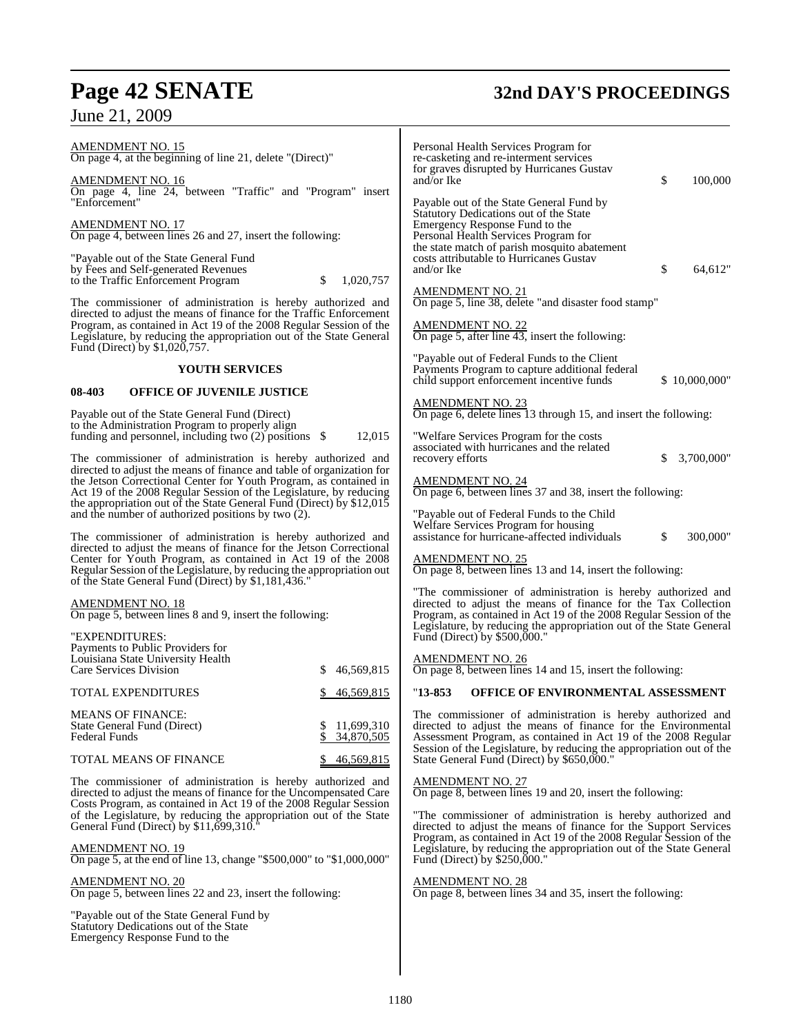# Page 42 SENATE<br>June 21, 2009

## **32nd DAY'S PROCEEDINGS**

| <u>AMENDMENT NO. 15</u><br>On page 4, at the beginning of line 21, delete "(Direct)"                                                                                                                                                                                                     | Personal Health Services Program for<br>re-casketing and re-interment services                                                                                                                              |
|------------------------------------------------------------------------------------------------------------------------------------------------------------------------------------------------------------------------------------------------------------------------------------------|-------------------------------------------------------------------------------------------------------------------------------------------------------------------------------------------------------------|
| <u>AMENDMENT NO. 16</u><br>On page 4, line 24, between "Traffic" and "Program" insert<br>"Enforcement"                                                                                                                                                                                   | for graves disrupted by Hurricanes Gustav<br>\$<br>and/or Ike<br>100,000<br>Payable out of the State General Fund by                                                                                        |
| <b>AMENDMENT NO. 17</b><br>On page 4, between lines 26 and 27, insert the following:                                                                                                                                                                                                     | Statutory Dedications out of the State<br>Emergency Response Fund to the<br>Personal Health Services Program for<br>the state match of parish mosquito abatement                                            |
| "Payable out of the State General Fund<br>by Fees and Self-generated Revenues<br>to the Traffic Enforcement Program<br>\$<br>1,020,757                                                                                                                                                   | costs attributable to Hurricanes Gustav<br>and/or Ike<br>\$<br>64,612"                                                                                                                                      |
| The commissioner of administration is hereby authorized and<br>directed to adjust the means of finance for the Traffic Enforcement                                                                                                                                                       | <b>AMENDMENT NO. 21</b><br>On page 5, line 38, delete "and disaster food stamp"                                                                                                                             |
| Program, as contained in Act 19 of the 2008 Regular Session of the<br>Legislature, by reducing the appropriation out of the State General<br>Fund (Direct) by \$1,020,757.                                                                                                               | <b>AMENDMENT NO. 22</b><br>On page 5, after line $43$ , insert the following:                                                                                                                               |
| <b>YOUTH SERVICES</b>                                                                                                                                                                                                                                                                    | "Payable out of Federal Funds to the Client"<br>Payments Program to capture additional federal<br>child support enforcement incentive funds<br>\$10,000,000"                                                |
| 08-403<br><b>OFFICE OF JUVENILE JUSTICE</b>                                                                                                                                                                                                                                              |                                                                                                                                                                                                             |
| Payable out of the State General Fund (Direct)<br>to the Administration Program to properly align                                                                                                                                                                                        | <b>AMENDMENT NO. 23</b><br>On page 6, delete lines 13 through 15, and insert the following:                                                                                                                 |
| funding and personnel, including two $(2)$ positions \$<br>12,015<br>The commissioner of administration is hereby authorized and                                                                                                                                                         | "Welfare Services Program for the costs<br>associated with hurricanes and the related<br>recovery efforts<br>\$<br>3,700,000"                                                                               |
| directed to adjust the means of finance and table of organization for<br>the Jetson Correctional Center for Youth Program, as contained in<br>Act 19 of the 2008 Regular Session of the Legislature, by reducing<br>the appropriation out of the State General Fund (Direct) by \$12,015 | <b>AMENDMENT NO. 24</b><br>On page 6, between lines 37 and 38, insert the following:                                                                                                                        |
| and the number of authorized positions by two (2).                                                                                                                                                                                                                                       | "Payable out of Federal Funds to the Child<br>Welfare Services Program for housing                                                                                                                          |
| The commissioner of administration is hereby authorized and<br>directed to adjust the means of finance for the Jetson Correctional<br>Center for Youth Program, as contained in Act 19 of the 2008<br>Regular Session of the Legislature, by reducing the appropriation out              | assistance for hurricane-affected individuals<br>\$<br>300,000"<br><b>AMENDMENT NO. 25</b><br>On page 8, between lines 13 and 14, insert the following:                                                     |
| of the State General Fund (Direct) by \$1,181,436."                                                                                                                                                                                                                                      | "The commissioner of administration is hereby authorized and                                                                                                                                                |
| <b>AMENDMENT NO. 18</b><br>On page 5, between lines 8 and 9, insert the following:                                                                                                                                                                                                       | directed to adjust the means of finance for the Tax Collection<br>Program, as contained in Act 19 of the 2008 Regular Session of the<br>Legislature, by reducing the appropriation out of the State General |
| "EXPENDITURES:<br>Payments to Public Providers for                                                                                                                                                                                                                                       | Fund (Direct) by \$500,000."                                                                                                                                                                                |
| Louisiana State University Health<br>Care Services Division<br>46,569,815<br>S                                                                                                                                                                                                           | <b>AMENDMENT NO. 26</b><br>On page 8, between lines 14 and 15, insert the following:                                                                                                                        |
| <b>TOTAL EXPENDITURES</b><br>46,569,815                                                                                                                                                                                                                                                  | OFFICE OF ENVIRONMENTAL ASSESSMENT<br>$"13-853"$                                                                                                                                                            |
| <b>MEANS OF FINANCE:</b><br>\$<br>11,699,310<br>State General Fund (Direct)<br>\$<br><b>Federal Funds</b><br>34,870,505                                                                                                                                                                  | The commissioner of administration is hereby authorized and<br>directed to adjust the means of finance for the Environmental<br>Assessment Program, as contained in Act 19 of the 2008 Regular              |
| TOTAL MEANS OF FINANCE<br>46,569,815                                                                                                                                                                                                                                                     | Session of the Legislature, by reducing the appropriation out of the<br>State General Fund (Direct) by \$650,000."                                                                                          |
| The commissioner of administration is hereby authorized and<br>directed to adjust the means of finance for the Uncompensated Care<br>Costs Program, as contained in Act 19 of the 2008 Regular Session                                                                                   | <b>AMENDMENT NO. 27</b><br>On page 8, between lines 19 and 20, insert the following:                                                                                                                        |
| of the Legislature, by reducing the appropriation out of the State<br>General Fund (Direct) by $$11,699,310.$ <sup>"</sup>                                                                                                                                                               | "The commissioner of administration is hereby authorized and<br>directed to adjust the means of finance for the Support Services<br>Program, as contained in Act 19 of the 2008 Regular Session of the      |
| <b>AMENDMENT NO. 19</b><br>On page 5, at the end of line 13, change "\$500,000" to "\$1,000,000"                                                                                                                                                                                         | Legislature, by reducing the appropriation out of the State General<br>Fund (Direct) by \$250,000."                                                                                                         |
| <b>AMENDMENT NO. 20</b><br>On page 5, between lines 22 and 23, insert the following:                                                                                                                                                                                                     | <b>AMENDMENT NO. 28</b><br>On page 8, between lines 34 and 35, insert the following:                                                                                                                        |
| "Payable out of the State General Fund by<br>Statutory Dedications out of the State<br>Emergency Response Fund to the                                                                                                                                                                    |                                                                                                                                                                                                             |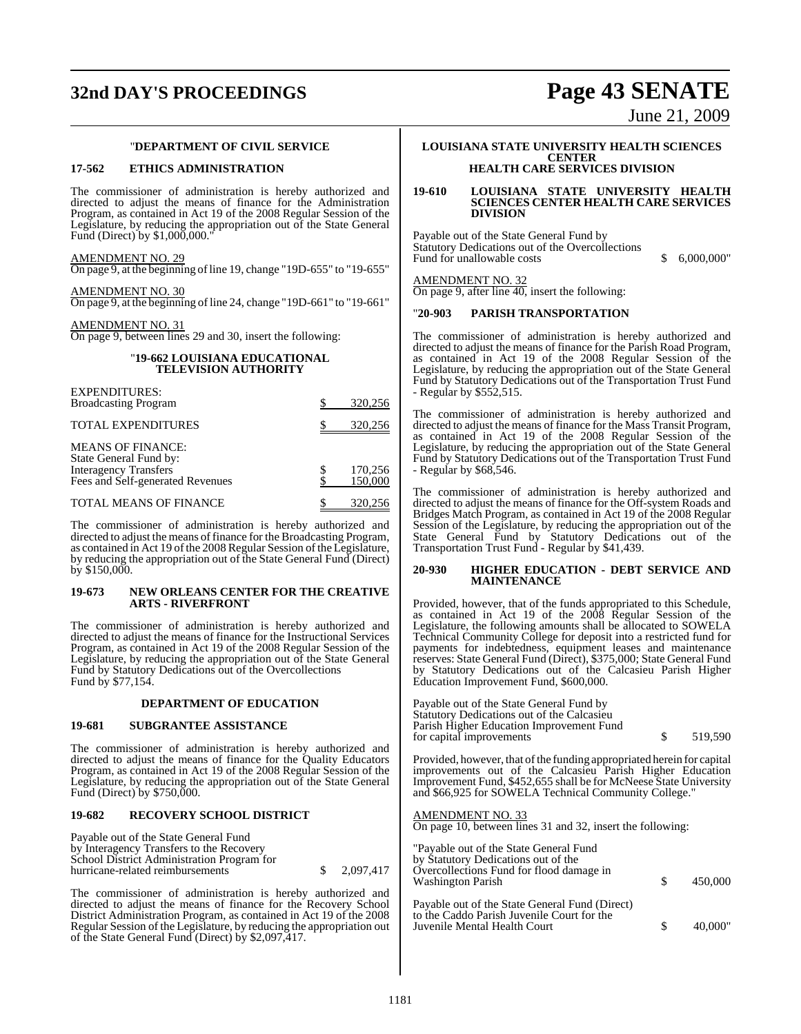## **32nd DAY'S PROCEEDINGS Page 43 SENATE**

June 21, 2009

#### "**DEPARTMENT OF CIVIL SERVICE**

#### **17-562 ETHICS ADMINISTRATION**

The commissioner of administration is hereby authorized and directed to adjust the means of finance for the Administration Program, as contained in Act 19 of the 2008 Regular Session of the Legislature, by reducing the appropriation out of the State General Fund (Direct) by \$1,000,000."

### AMENDMENT NO. 29

On page 9, at the beginning ofline 19, change "19D-655" to "19-655"

#### AMENDMENT NO. 30 On page 9, at the beginning ofline 24, change "19D-661" to "19-661"

#### AMENDMENT NO. 31

On page 9, between lines 29 and 30, insert the following:

#### "**19-662 LOUISIANA EDUCATIONAL TELEVISION AUTHORITY**

| <b>EXPENDITURES:</b><br><b>Broadcasting Program</b>                                                             | 320,256            |
|-----------------------------------------------------------------------------------------------------------------|--------------------|
| <b>TOTAL EXPENDITURES</b>                                                                                       | 320,256            |
| <b>MEANS OF FINANCE:</b><br>State General Fund by:<br>Interagency Transfers<br>Fees and Self-generated Revenues | 170,256<br>150,000 |
| <b>TOTAL MEANS OF FINANCE</b>                                                                                   | 320,256            |

The commissioner of administration is hereby authorized and directed to adjust the means offinance for the Broadcasting Program, as contained in Act 19 of the 2008 Regular Session of the Legislature, by reducing the appropriation out of the State General Fund (Direct) by \$150,000.

#### **19-673 NEW ORLEANS CENTER FOR THE CREATIVE ARTS - RIVERFRONT**

The commissioner of administration is hereby authorized and directed to adjust the means of finance for the Instructional Services Program, as contained in Act 19 of the 2008 Regular Session of the Legislature, by reducing the appropriation out of the State General Fund by Statutory Dedications out of the Overcollections Fund by \$77,154.

#### **DEPARTMENT OF EDUCATION**

#### **19-681 SUBGRANTEE ASSISTANCE**

The commissioner of administration is hereby authorized and directed to adjust the means of finance for the Quality Educators Program, as contained in Act 19 of the 2008 Regular Session of the Legislature, by reducing the appropriation out of the State General Fund (Direct) by \$750,000.

#### **19-682 RECOVERY SCHOOL DISTRICT**

| Payable out of the State General Fund<br>by Interagency Transfers to the Recovery |           |
|-----------------------------------------------------------------------------------|-----------|
| School District Administration Program for<br>hurricane-related reimbursements    | 2.097.417 |
|                                                                                   |           |

The commissioner of administration is hereby authorized and directed to adjust the means of finance for the Recovery School District Administration Program, as contained in Act 19 of the 2008 Regular Session of the Legislature, by reducing the appropriation out of the State General Fund (Direct) by \$2,097,417.

#### **LOUISIANA STATE UNIVERSITY HEALTH SCIENCES CENTER HEALTH CARE SERVICES DIVISION**

#### **19-610 LOUISIANA STATE UNIVERSITY HEALTH SCIENCES CENTER HEALTH CARE SERVICES DIVISION**

Payable out of the State General Fund by Statutory Dedications out of the Overcollections Fund for unallowable costs  $$ 6,000,000"$ 

AMENDMENT NO. 32 On page 9, after line 40, insert the following:

#### "**20-903 PARISH TRANSPORTATION**

The commissioner of administration is hereby authorized and directed to adjust the means of finance for the Parish Road Program, as contained in Act 19 of the 2008 Regular Session of the Legislature, by reducing the appropriation out of the State General Fund by Statutory Dedications out of the Transportation Trust Fund - Regular by \$552,515.

The commissioner of administration is hereby authorized and directed to adjust the means of finance for the Mass Transit Program, as contained in Act 19 of the 2008 Regular Session of the Legislature, by reducing the appropriation out of the State General Fund by Statutory Dedications out of the Transportation Trust Fund - Regular by \$68,546.

The commissioner of administration is hereby authorized and directed to adjust the means of finance for the Off-system Roads and Bridges Match Program, as contained in Act 19 of the 2008 Regular Session of the Legislature, by reducing the appropriation out of the State General Fund by Statutory Dedications out of the Transportation Trust Fund - Regular by \$41,439.

#### **20-930 HIGHER EDUCATION - DEBT SERVICE AND MAINTENANCE**

Provided, however, that of the funds appropriated to this Schedule, as contained in Act 19 of the 2008 Regular Session of the Legislature, the following amounts shall be allocated to SOWELA Technical Community College for deposit into a restricted fund for payments for indebtedness, equipment leases and maintenance reserves: State General Fund (Direct), \$375,000; State General Fund by Statutory Dedications out of the Calcasieu Parish Higher Education Improvement Fund, \$600,000.

Payable out of the State General Fund by Statutory Dedications out of the Calcasieu Parish Higher Education Improvement Fund for capital improvements  $\sim$  \$ 519,590

Provided, however, that of the funding appropriated herein for capital improvements out of the Calcasieu Parish Higher Education Improvement Fund, \$452,655 shall be for McNeese State University and \$66,925 for SOWELA Technical Community College."

#### <u>AMENDMENT NO. 33</u>

On page 10, between lines 31 and 32, insert the following:

"Payable out of the State General Fund by Statutory Dedications out of the Overcollections Fund for flood damage in Washington Parish  $\qquad \qquad$  \$ 450,000 Payable out of the State General Fund (Direct)

to the Caddo Parish Juvenile Court for the Juvenile Mental Health Court \$ 40,000"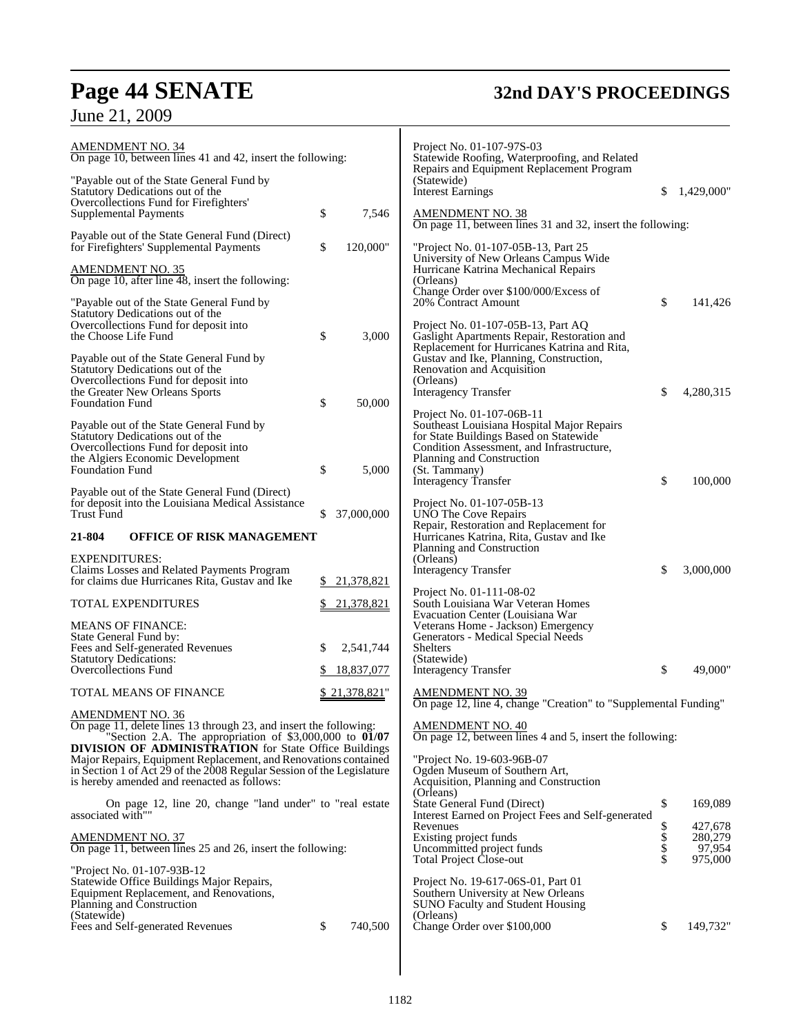## **Page 44 SENATE 32nd DAY'S PROCEEDINGS**

|  |  |  | June 21, 2009 |
|--|--|--|---------------|
|--|--|--|---------------|

| AMENDMENT NO. 34<br>On page 10, between lines 41 and 42, insert the following:                                                                                                                                                                          |                  | Project No. 01-107-97S-03<br>Statewide Roofing, Waterproofing, and Related                                                                                     |                |                              |
|---------------------------------------------------------------------------------------------------------------------------------------------------------------------------------------------------------------------------------------------------------|------------------|----------------------------------------------------------------------------------------------------------------------------------------------------------------|----------------|------------------------------|
| "Payable out of the State General Fund by<br>Statutory Dedications out of the                                                                                                                                                                           |                  | Repairs and Equipment Replacement Program<br>(Statewide)<br><b>Interest Earnings</b>                                                                           | \$             | 1,429,000"                   |
| Overcollections Fund for Firefighters'<br>Supplemental Payments                                                                                                                                                                                         | \$<br>7,546      | <b>AMENDMENT NO. 38</b><br>On page 11, between lines 31 and 32, insert the following:                                                                          |                |                              |
| Payable out of the State General Fund (Direct)<br>for Firefighters' Supplemental Payments                                                                                                                                                               | \$<br>120,000"   | "Project No. 01-107-05B-13, Part 25                                                                                                                            |                |                              |
| <u>AMENDMENT NO. 35</u><br>On page 10, after line 48, insert the following:                                                                                                                                                                             |                  | University of New Orleans Campus Wide<br>Hurricane Katrina Mechanical Repairs<br>(Orleans)                                                                     |                |                              |
| "Payable out of the State General Fund by<br>Statutory Dedications out of the                                                                                                                                                                           |                  | Change Order over \$100/000/Excess of<br>20% Contract Amount                                                                                                   | \$             | 141,426                      |
| Overcollections Fund for deposit into<br>the Choose Life Fund                                                                                                                                                                                           | \$<br>3,000      | Project No. 01-107-05B-13, Part AQ<br>Gaslight Apartments Repair, Restoration and                                                                              |                |                              |
| Payable out of the State General Fund by<br>Statutory Dedications out of the<br>Overcollections Fund for deposit into                                                                                                                                   |                  | Replacement for Hurricanes Katrina and Rita,<br>Gustav and Ike, Planning, Construction,<br>Renovation and Acquisition<br>(Orleans)                             |                |                              |
| the Greater New Orleans Sports<br><b>Foundation Fund</b>                                                                                                                                                                                                | \$<br>50,000     | <b>Interagency Transfer</b>                                                                                                                                    | \$             | 4,280,315                    |
| Payable out of the State General Fund by<br>Statutory Dedications out of the<br>Overcollections Fund for deposit into                                                                                                                                   |                  | Project No. 01-107-06B-11<br>Southeast Louisiana Hospital Major Repairs<br>for State Buildings Based on Statewide<br>Condition Assessment, and Infrastructure, |                |                              |
| the Algiers Economic Development<br><b>Foundation Fund</b>                                                                                                                                                                                              | \$<br>5,000      | Planning and Construction<br>(St. Tammany)<br>Interagency Transfer                                                                                             | \$             | 100,000                      |
| Payable out of the State General Fund (Direct)<br>for deposit into the Louisiana Medical Assistance<br><b>Trust Fund</b>                                                                                                                                | 37,000,000<br>\$ | Project No. 01-107-05B-13<br>UNO The Cove Repairs                                                                                                              |                |                              |
| 21-804<br><b>OFFICE OF RISK MANAGEMENT</b>                                                                                                                                                                                                              |                  | Repair, Restoration and Replacement for<br>Hurricanes Katrina, Rita, Gustav and Ike<br>Planning and Construction                                               |                |                              |
| <b>EXPENDITURES:</b>                                                                                                                                                                                                                                    |                  | (Orleans)                                                                                                                                                      |                |                              |
| Claims Losses and Related Payments Program<br>for claims due Hurricanes Rita, Gustav and Ike                                                                                                                                                            | 21,378,821<br>S. | <b>Interagency Transfer</b>                                                                                                                                    | \$             | 3,000,000                    |
| <b>TOTAL EXPENDITURES</b>                                                                                                                                                                                                                               | \$<br>21,378,821 | Project No. 01-111-08-02<br>South Louisiana War Veteran Homes<br>Evacuation Center (Louisiana War                                                              |                |                              |
| <b>MEANS OF FINANCE:</b><br>State General Fund by:                                                                                                                                                                                                      |                  | Veterans Home - Jackson) Emergency<br>Generators - Medical Special Needs                                                                                       |                |                              |
| Fees and Self-generated Revenues<br><b>Statutory Dedications:</b>                                                                                                                                                                                       | 2,541,744<br>\$  | <b>Shelters</b><br>(Statewide)                                                                                                                                 |                |                              |
| Overcollections Fund                                                                                                                                                                                                                                    | 18,837,077<br>P. | <b>Interagency Transfer</b>                                                                                                                                    | \$             | 49,000"                      |
| TOTAL MEANS OF FINANCE                                                                                                                                                                                                                                  | \$21,378,821"    | <b>AMENDMENT NO. 39</b><br>On page 12, line 4, change "Creation" to "Supplemental Funding"                                                                     |                |                              |
| AMENDMENT NO. 36<br>On page 11, delete lines 13 through 23, and insert the following:<br>"Section 2.A. The appropriation of $$3,000,000$ to $01/07$                                                                                                     |                  | <b>AMENDMENT NO. 40</b><br>On page 12, between lines 4 and 5, insert the following:                                                                            |                |                              |
| <b>DIVISION OF ADMINISTRATION</b> for State Office Buildings<br>Major Repairs, Equipment Replacement, and Renovations contained<br>in Section 1 of Act 29 of the 2008 Regular Session of the Legislature<br>is hereby amended and reenacted as follows: |                  | "Project No. 19-603-96B-07<br>Ogden Museum of Southern Art,<br>Acquisition, Planning and Construction                                                          |                |                              |
| On page 12, line 20, change "land under" to "real estate<br>associated with""                                                                                                                                                                           |                  | (Orleans)<br>State General Fund (Direct)<br>Interest Earned on Project Fees and Self-generated                                                                 | \$             | 169,089                      |
| <b>AMENDMENT NO. 37</b><br>On page 11, between lines 25 and 26, insert the following:                                                                                                                                                                   |                  | Revenues<br>Existing project funds<br>Uncommitted project funds                                                                                                | \$<br>\$<br>\$ | 427,678<br>280,279<br>97,954 |
|                                                                                                                                                                                                                                                         |                  | <b>Total Project Close-out</b>                                                                                                                                 |                | 975,000                      |
| "Project No. 01-107-93B-12<br>Statewide Office Buildings Major Repairs,<br>Equipment Replacement, and Renovations,<br>Planning and Construction<br>(Statewide)                                                                                          |                  | Project No. 19-617-06S-01, Part 01<br>Southern University at New Orleans<br><b>SUNO Faculty and Student Housing</b><br>(Orleans)                               |                |                              |
| Fees and Self-generated Revenues                                                                                                                                                                                                                        | \$<br>740,500    | Change Order over \$100,000                                                                                                                                    | \$             | 149,732"                     |
|                                                                                                                                                                                                                                                         |                  |                                                                                                                                                                |                |                              |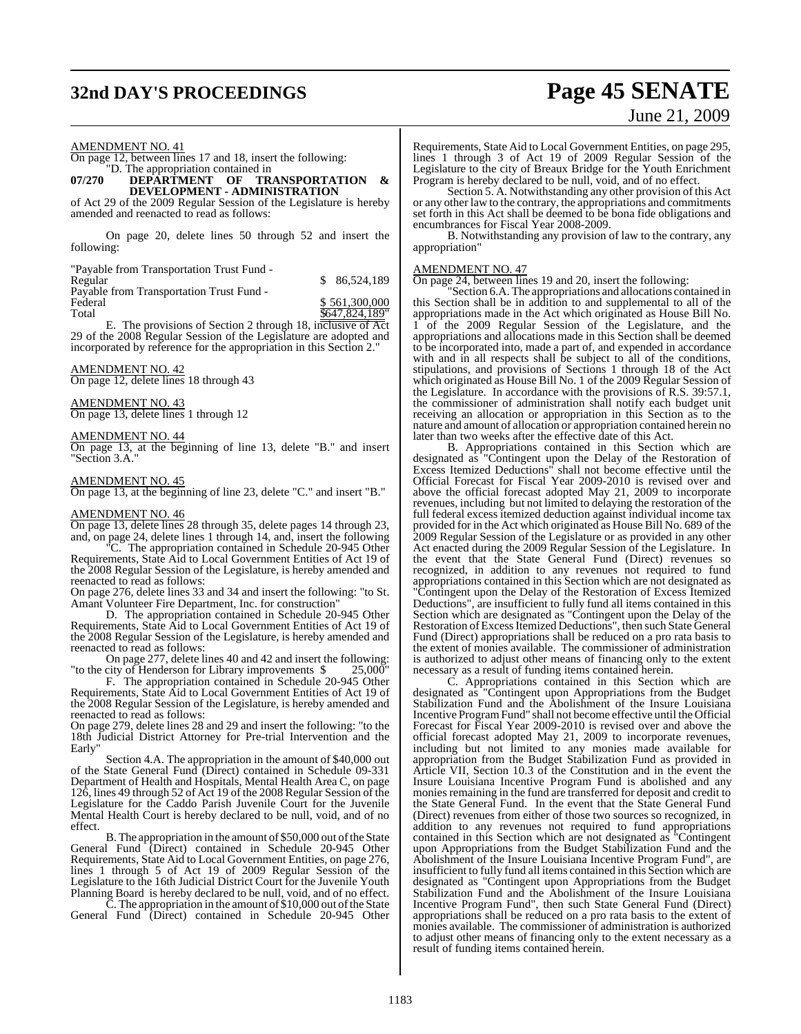## **32nd DAY'S PROCEEDINGS Page 45 SENATE**

# June 21, 2009

#### AMENDMENT NO. 41

#### On page 12, between lines 17 and 18, insert the following: "D. The appropriation contained in

#### **07/270 DEPARTMENT OF TRANSPORTATION & DEVELOPMENT - ADMINISTRATION**

of Act 29 of the 2009 Regular Session of the Legislature is hereby amended and reenacted to read as follows:

On page 20, delete lines 50 through 52 and insert the following:

"Payable from Transportation Trust Fund -

| Regular                                  | \$ 86,524,189 |
|------------------------------------------|---------------|
| Payable from Transportation Trust Fund - |               |
| Federal                                  | \$561,300,000 |

Total \$647,824,189"

E. The provisions of Section 2 through 18, inclusive of Act 29 of the 2008 Regular Session of the Legislature are adopted and incorporated by reference for the appropriation in this Section 2."

#### AMENDMENT NO. 42

On page 12, delete lines 18 through 43

#### AMENDMENT NO. 43

On page 13, delete lines 1 through 12

#### AMENDMENT NO. 44

On page 13, at the beginning of line 13, delete "B." and insert "Section 3.A."

#### AMENDMENT NO. 45

On page 13, at the beginning of line 23, delete "C." and insert "B."

#### AMENDMENT NO. 46

On page 13, delete lines 28 through 35, delete pages 14 through 23, and, on page 24, delete lines 1 through 14, and, insert the following

"C. The appropriation contained in Schedule 20-945 Other Requirements, State Aid to Local Government Entities of Act 19 of the 2008 Regular Session of the Legislature, is hereby amended and reenacted to read as follows:

On page 276, delete lines 33 and 34 and insert the following: "to St. Amant Volunteer Fire Department, Inc. for construction"

D. The appropriation contained in Schedule 20-945 Other Requirements, State Aid to Local Government Entities of Act 19 of the 2008 Regular Session of the Legislature, is hereby amended and reenacted to read as follows:

On page 277, delete lines 40 and 42 and insert the following: "to the city of Henderson for Library improvements \$ 25,000"

F. The appropriation contained in Schedule 20-945 Other Requirements, State Aid to Local Government Entities of Act 19 of the 2008 Regular Session of the Legislature, is hereby amended and reenacted to read as follows:

On page 279, delete lines 28 and 29 and insert the following: "to the 18th Judicial District Attorney for Pre-trial Intervention and the Early"

Section 4.A. The appropriation in the amount of \$40,000 out of the State General Fund (Direct) contained in Schedule 09-331 Department of Health and Hospitals, Mental Health Area C, on page 126, lines 49 through 52 of Act 19 of the 2008 Regular Session of the Legislature for the Caddo Parish Juvenile Court for the Juvenile Mental Health Court is hereby declared to be null, void, and of no effect.

B. The appropriation in the amount of \$50,000 out of the State General Fund (Direct) contained in Schedule 20-945 Other Requirements, State Aid to Local Government Entities, on page 276, lines 1 through 5 of Act 19 of 2009 Regular Session of the Legislature to the 16th Judicial District Court for the Juvenile Youth Planning Board is hereby declared to be null, void, and of no effect.

C. The appropriation in the amount of \$10,000 out ofthe State General Fund (Direct) contained in Schedule 20-945 Other

Requirements, State Aid to Local Government Entities, on page 295, lines 1 through 3 of Act 19 of 2009 Regular Session of the Legislature to the city of Breaux Bridge for the Youth Enrichment Program is hereby declared to be null, void, and of no effect.

Section 5. A. Notwithstanding any other provision of this Act or any other law to the contrary, the appropriations and commitments set forth in this Act shall be deemed to be bona fide obligations and encumbrances for Fiscal Year 2008-2009.

B. Notwithstanding any provision of law to the contrary, any appropriation"

#### AMENDMENT NO. 47

On page 24, between lines 19 and 20, insert the following:

"Section 6.A. The appropriations and allocations contained in this Section shall be in addition to and supplemental to all of the appropriations made in the Act which originated as House Bill No. 1 of the 2009 Regular Session of the Legislature, and the appropriations and allocations made in this Section shall be deemed to be incorporated into, made a part of, and expended in accordance with and in all respects shall be subject to all of the conditions, stipulations, and provisions of Sections 1 through 18 of the Act which originated as House Bill No. 1 of the 2009 Regular Session of the Legislature. In accordance with the provisions of R.S. 39:57.1, the commissioner of administration shall notify each budget unit receiving an allocation or appropriation in this Section as to the nature and amount of allocation or appropriation contained herein no later than two weeks after the effective date of this Act.

B. Appropriations contained in this Section which are designated as "Contingent upon the Delay of the Restoration of Excess Itemized Deductions" shall not become effective until the Official Forecast for Fiscal Year 2009-2010 is revised over and above the official forecast adopted May 21, 2009 to incorporate revenues, including but not limited to delaying the restoration of the full federal excess itemized deduction against individual income tax provided for in the Act which originated as House Bill No. 689 of the 2009 Regular Session of the Legislature or as provided in any other Act enacted during the 2009 Regular Session of the Legislature. In the event that the State General Fund (Direct) revenues so recognized, in addition to any revenues not required to fund appropriations contained in this Section which are not designated as "Contingent upon the Delay of the Restoration of Excess Itemized Deductions", are insufficient to fully fund all items contained in this Section which are designated as "Contingent upon the Delay of the Restoration of Excess Itemized Deductions", then such State General Fund (Direct) appropriations shall be reduced on a pro rata basis to the extent of monies available. The commissioner of administration is authorized to adjust other means of financing only to the extent necessary as a result of funding items contained herein.<br>C. Appropriations contained in this Section

Appropriations contained in this Section which are designated as "Contingent upon Appropriations from the Budget Stabilization Fund and the Abolishment of the Insure Louisiana Incentive ProgramFund" shall not become effective until the Official Forecast for Fiscal Year 2009-2010 is revised over and above the official forecast adopted May 21, 2009 to incorporate revenues, including but not limited to any monies made available for appropriation from the Budget Stabilization Fund as provided in Article VII, Section 10.3 of the Constitution and in the event the Insure Louisiana Incentive Program Fund is abolished and any monies remaining in the fund are transferred for deposit and credit to the State General Fund. In the event that the State General Fund (Direct) revenues from either of those two sources so recognized, in addition to any revenues not required to fund appropriations contained in this Section which are not designated as "Contingent upon Appropriations from the Budget Stabilization Fund and the Abolishment of the Insure Louisiana Incentive Program Fund", are insufficient to fully fund all items contained in this Section which are designated as "Contingent upon Appropriations from the Budget Stabilization Fund and the Abolishment of the Insure Louisiana Incentive Program Fund", then such State General Fund (Direct) appropriations shall be reduced on a pro rata basis to the extent of monies available. The commissioner of administration is authorized to adjust other means of financing only to the extent necessary as a result of funding items contained herein.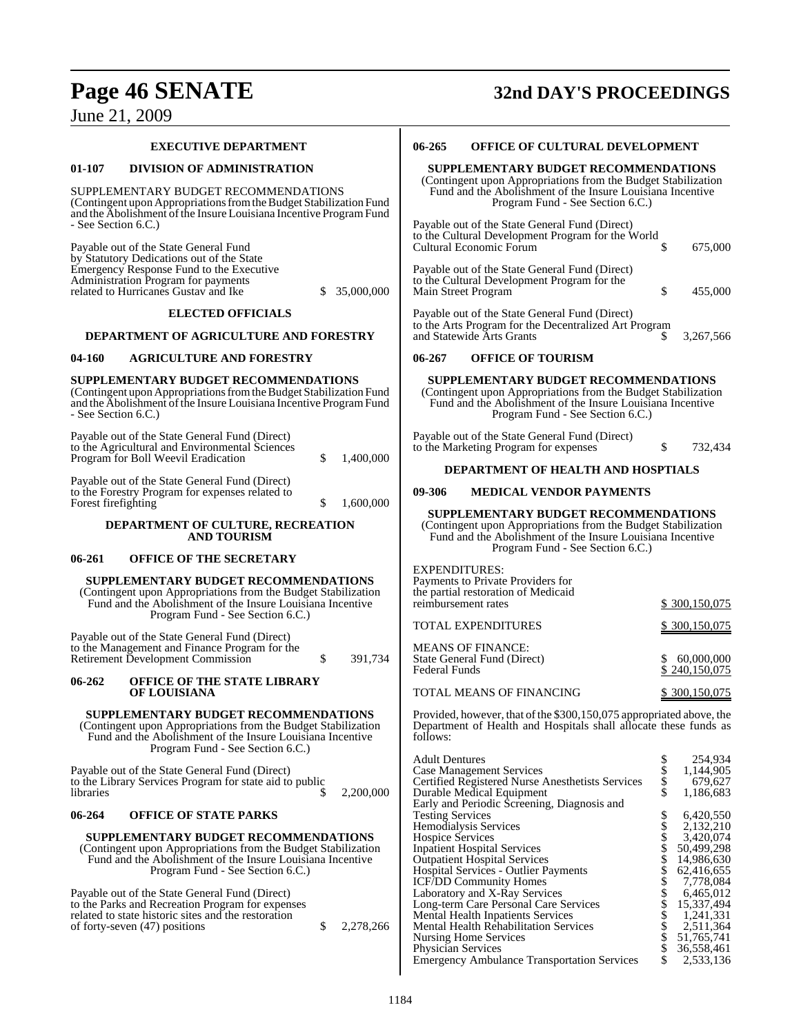## **Page 46 SENATE 32nd DAY'S PROCEEDINGS** June 21, 2009

| <b>EXECUTIVE DEPARTMENT</b>                                                                                                                                                                                   | 06-265<br><b>OFFICE OF CULTURAL DEVELOPMENT</b>                                                                                                                                                                                                                                                                 |
|---------------------------------------------------------------------------------------------------------------------------------------------------------------------------------------------------------------|-----------------------------------------------------------------------------------------------------------------------------------------------------------------------------------------------------------------------------------------------------------------------------------------------------------------|
| 01-107<br><b>DIVISION OF ADMINISTRATION</b>                                                                                                                                                                   | SUPPLEMENTARY BUDGET RECOMMENDATIONS                                                                                                                                                                                                                                                                            |
| SUPPLEMENTARY BUDGET RECOMMENDATIONS<br>(Contingent upon Appropriations from the Budget Stabilization Fund<br>and the Abolishment of the Insure Louisiana Incentive Program Fund<br>- See Section 6.C.)       | (Contingent upon Appropriations from the Budget Stabilization<br>Fund and the Abolishment of the Insure Louisiana Incentive<br>Program Fund - See Section 6.C.)<br>Payable out of the State General Fund (Direct)                                                                                               |
| Payable out of the State General Fund<br>by Statutory Dedications out of the State<br>Emergency Response Fund to the Executive<br>Administration Program for payments                                         | to the Cultural Development Program for the World<br>\$<br>Cultural Economic Forum<br>675,000<br>Payable out of the State General Fund (Direct)                                                                                                                                                                 |
| related to Hurricanes Gustav and Ike<br>35,000,000<br>S.                                                                                                                                                      | to the Cultural Development Program for the<br>\$<br>Main Street Program<br>455,000                                                                                                                                                                                                                             |
| <b>ELECTED OFFICIALS</b><br>DEPARTMENT OF AGRICULTURE AND FORESTRY                                                                                                                                            | Payable out of the State General Fund (Direct)<br>to the Arts Program for the Decentralized Art Program<br>and Statewide Arts Grants<br>3,267,566                                                                                                                                                               |
|                                                                                                                                                                                                               |                                                                                                                                                                                                                                                                                                                 |
| <b>AGRICULTURE AND FORESTRY</b><br>04-160                                                                                                                                                                     | 06-267<br><b>OFFICE OF TOURISM</b>                                                                                                                                                                                                                                                                              |
| SUPPLEMENTARY BUDGET RECOMMENDATIONS<br>(Contingent upon Appropriations from the Budget Stabilization Fund<br>and the Abolishment of the Insure Louisiana Incentive Program Fund<br>- See Section 6.C.)       | SUPPLEMENTARY BUDGET RECOMMENDATIONS<br>(Contingent upon Appropriations from the Budget Stabilization<br>Fund and the Abolishment of the Insure Louisiana Incentive<br>Program Fund - See Section 6.C.)                                                                                                         |
| Payable out of the State General Fund (Direct)<br>to the Agricultural and Environmental Sciences<br>Program for Boll Weevil Eradication<br>\$<br>1,400,000                                                    | Payable out of the State General Fund (Direct)<br>\$<br>to the Marketing Program for expenses<br>732,434                                                                                                                                                                                                        |
| Payable out of the State General Fund (Direct)<br>to the Forestry Program for expenses related to                                                                                                             | DEPARTMENT OF HEALTH AND HOSPTIALS<br>09-306<br><b>MEDICAL VENDOR PAYMENTS</b>                                                                                                                                                                                                                                  |
| Forest firefighting<br>1,600,000<br>\$                                                                                                                                                                        | SUPPLEMENTARY BUDGET RECOMMENDATIONS                                                                                                                                                                                                                                                                            |
| DEPARTMENT OF CULTURE, RECREATION<br><b>AND TOURISM</b>                                                                                                                                                       | (Contingent upon Appropriations from the Budget Stabilization<br>Fund and the Abolishment of the Insure Louisiana Incentive<br>Program Fund - See Section 6.C.)                                                                                                                                                 |
| <b>OFFICE OF THE SECRETARY</b><br>06-261                                                                                                                                                                      |                                                                                                                                                                                                                                                                                                                 |
| SUPPLEMENTARY BUDGET RECOMMENDATIONS<br>(Contingent upon Appropriations from the Budget Stabilization<br>Fund and the Abolishment of the Insure Louisiana Incentive<br>Program Fund - See Section 6.C.)       | <b>EXPENDITURES:</b><br>Payments to Private Providers for<br>the partial restoration of Medicaid<br>reimbursement rates<br>\$ 300,150,075                                                                                                                                                                       |
|                                                                                                                                                                                                               | TOTAL EXPENDITURES<br>\$300,150,075                                                                                                                                                                                                                                                                             |
| Payable out of the State General Fund (Direct)<br>to the Management and Finance Program for the<br>\$<br>Retirement Development Commission<br>391,734                                                         | <b>MEANS OF FINANCE:</b><br>State General Fund (Direct)<br>60,000,000<br><b>Federal Funds</b><br>\$240,150,075                                                                                                                                                                                                  |
| <b>OFFICE OF THE STATE LIBRARY</b><br>06-262<br>OF LOUISIANA                                                                                                                                                  | TOTAL MEANS OF FINANCING<br>\$300,150,075                                                                                                                                                                                                                                                                       |
| SUPPLEMENTARY BUDGET RECOMMENDATIONS<br>(Contingent upon Appropriations from the Budget Stabilization)<br>Fund and the Abolishment of the Insure Louisiana Incentive<br>Program Fund - See Section 6.C.)      | Provided, however, that of the \$300,150,075 appropriated above, the<br>Department of Health and Hospitals shall allocate these funds as<br>follows:                                                                                                                                                            |
| Payable out of the State General Fund (Direct)<br>to the Library Services Program for state aid to public<br>libraries<br>2,200,000<br>S                                                                      | \$<br><b>Adult Dentures</b><br>254,934<br>\$<br><b>Case Management Services</b><br>1,144,905<br>\$<br>Certified Registered Nurse Anesthetists Services<br>679,627<br>\$<br>1,186,683<br>Durable Medical Equipment                                                                                               |
| 06-264<br><b>OFFICE OF STATE PARKS</b>                                                                                                                                                                        | Early and Periodic Screening, Diagnosis and<br>\$<br>6,420,550<br><b>Testing Services</b>                                                                                                                                                                                                                       |
| SUPPLEMENTARY BUDGET RECOMMENDATIONS<br>(Contingent upon Appropriations from the Budget Stabilization)<br>Fund and the Abolishment of the Insure Louisiana Incentive<br>Program Fund - See Section 6.C.)      | \$<br>Hemodialysis Services<br>2,132,210<br><b>Hospice Services</b><br>\$<br>3,420,074<br>\$<br>50,499,298<br><b>Inpatient Hospital Services</b><br>\$<br>14,986,630<br><b>Outpatient Hospital Services</b><br>Hospital Services - Outlier Payments<br>62,416,655<br><b>ICF/DD Community Homes</b><br>7,778,084 |
| Payable out of the State General Fund (Direct)<br>to the Parks and Recreation Program for expenses<br>related to state historic sites and the restoration<br>\$<br>2,278,266<br>of forty-seven (47) positions | 6,465,012<br>Laboratory and X-Ray Services<br>Long-term Care Personal Care Services<br>15,337,494<br><b>Mental Health Inpatients Services</b><br>1.241.331<br>2,511,364<br>Mental Health Rehabilitation Services<br>Nursing Home Services<br>51,765,741                                                         |

Physician Services  $\$$  36,558,461 Emergency Ambulance Transportation Services \$ 2,533,136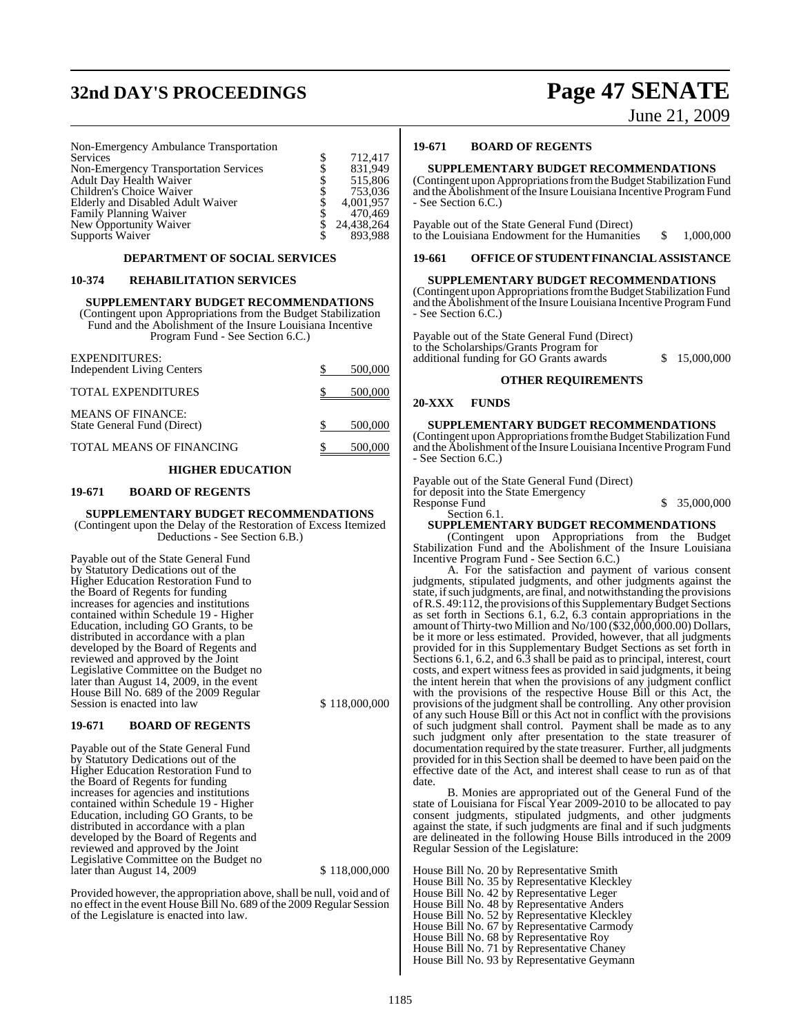## **32nd DAY'S PROCEEDINGS Page 47 SENATE**

June 21, 2009

Non-Emergency Ambulance Transportation Services \$ 712,417

| Non-Emergency Transportation Services | 831.949       |
|---------------------------------------|---------------|
| <b>Adult Day Health Waiver</b>        | 515,806       |
| Children's Choice Waiver              | 753,036       |
| Elderly and Disabled Adult Waiver     | 4.001.957     |
| Family Planning Waiver                | 470.469       |
| New Opportunity Waiver                | \$ 24,438,264 |
| Supports Waiver                       | 893.988       |

#### **DEPARTMENT OF SOCIAL SERVICES**

#### **10-374 REHABILITATION SERVICES**

#### **SUPPLEMENTARY BUDGET RECOMMENDATIONS**

(Contingent upon Appropriations from the Budget Stabilization Fund and the Abolishment of the Insure Louisiana Incentive Program Fund - See Section 6.C.)

| <b>EXPENDITURES:</b><br><b>Independent Living Centers</b> | 500,000    |
|-----------------------------------------------------------|------------|
| <b>TOTAL EXPENDITURES</b>                                 | $-500,000$ |
| <b>MEANS OF FINANCE:</b><br>State General Fund (Direct)   | 500,000    |
| TOTAL MEANS OF FINANCING                                  | 500,000    |

#### **HIGHER EDUCATION**

#### **19-671 BOARD OF REGENTS**

#### **SUPPLEMENTARY BUDGET RECOMMENDATIONS** (Contingent upon the Delay of the Restoration of Excess Itemized

Deductions - See Section 6.B.)

Payable out of the State General Fund by Statutory Dedications out of the Higher Education Restoration Fund to the Board of Regents for funding increases for agencies and institutions contained within Schedule 19 - Higher Education, including GO Grants, to be distributed in accordance with a plan developed by the Board of Regents and reviewed and approved by the Joint Legislative Committee on the Budget no later than August 14, 2009, in the event House Bill No. 689 of the 2009 Regular Session is enacted into law \$ 118,000,000

#### **19-671 BOARD OF REGENTS**

Payable out of the State General Fund by Statutory Dedications out of the Higher Education Restoration Fund to the Board of Regents for funding increases for agencies and institutions contained within Schedule 19 - Higher Education, including GO Grants, to be distributed in accordance with a plan developed by the Board of Regents and reviewed and approved by the Joint Legislative Committee on the Budget no 118,000,000 \$ 118,000,000

Provided however, the appropriation above, shall be null, void and of no effect in the event House Bill No. 689 of the 2009 Regular Session of the Legislature is enacted into law.

#### **19-671 BOARD OF REGENTS**

#### **SUPPLEMENTARY BUDGET RECOMMENDATIONS**

(Contingent upon Appropriations from the Budget Stabilization Fund and the Abolishment of the Insure Louisiana Incentive Program Fund - See Section 6.C.)

Payable out of the State General Fund (Direct) to the Louisiana Endowment for the Humanities  $$ 1,000,000$ 

#### **19-661 OFFICEOFSTUDENT FINANCIAL ASSISTANCE**

#### **SUPPLEMENTARY BUDGET RECOMMENDATIONS**

(Contingent upon Appropriations from the Budget Stabilization Fund and the Abolishment of the Insure Louisiana Incentive Program Fund - See Section 6.C.)

Payable out of the State General Fund (Direct) to the Scholarships/Grants Program for additional funding for GO Grants awards  $$15,000,000$ 

#### **OTHER REQUIREMENTS**

#### **20-XXX FUNDS**

#### **SUPPLEMENTARY BUDGET RECOMMENDATIONS**

(Contingent upon Appropriations from the Budget Stabilization Fund and the Abolishment of the Insure Louisiana Incentive Program Fund - See Section 6.C.)

Payable out of the State General Fund (Direct) for deposit into the State Emergency Response Fund  $\qquad \qquad$  \$ 35,000,000 Section 6.1.

#### **SUPPLEMENTARY BUDGET RECOMMENDATIONS**

(Contingent upon Appropriations from the Budget Stabilization Fund and the Abolishment of the Insure Louisiana Incentive Program Fund - See Section 6.C.)

A. For the satisfaction and payment of various consent judgments, stipulated judgments, and other judgments against the state, if such judgments, are final, and notwithstanding the provisions of R.S. 49:112, the provisions of this Supplementary Budget Sections as set forth in Sections 6.1, 6.2, 6.3 contain appropriations in the amount of Thirty-two Million and No/100 (\$32,000,000.00) Dollars, be it more or less estimated. Provided, however, that all judgments provided for in this Supplementary Budget Sections as set forth in Sections 6.1, 6.2, and 6.3 shall be paid as to principal, interest, court costs, and expert witness fees as provided in said judgments, it being the intent herein that when the provisions of any judgment conflict with the provisions of the respective House Bill or this Act, the provisions of the judgment shall be controlling. Any other provision of any such House Bill or this Act not in conflict with the provisions of such judgment shall control. Payment shall be made as to any such judgment only after presentation to the state treasurer of documentation required by the state treasurer. Further, all judgments provided for in this Section shall be deemed to have been paid on the effective date of the Act, and interest shall cease to run as of that date.

B. Monies are appropriated out of the General Fund of the state of Louisiana for Fiscal Year 2009-2010 to be allocated to pay consent judgments, stipulated judgments, and other judgments against the state, if such judgments are final and if such judgments are delineated in the following House Bills introduced in the 2009 Regular Session of the Legislature:

House Bill No. 20 by Representative Smith House Bill No. 35 by Representative Kleckley House Bill No. 42 by Representative Leger House Bill No. 48 by Representative Anders House Bill No. 52 by Representative Kleckley House Bill No. 67 by Representative Carmody House Bill No. 68 by Representative Roy House Bill No. 71 by Representative Chaney House Bill No. 93 by Representative Geymann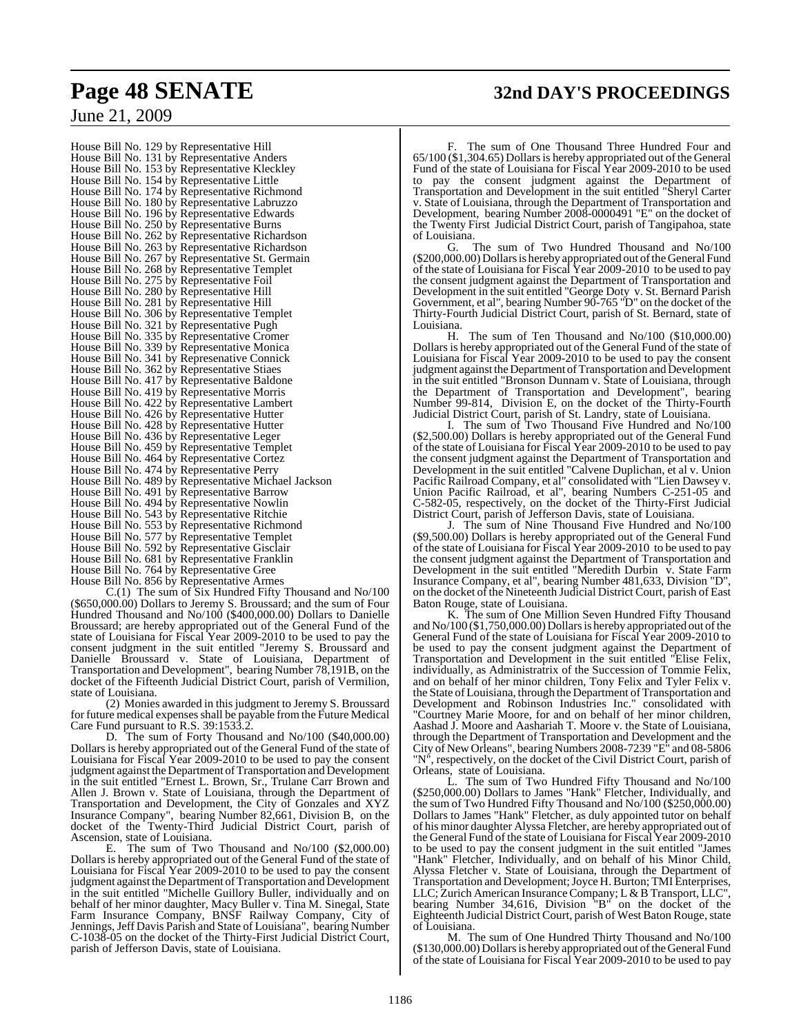## **Page 48 SENATE 32nd DAY'S PROCEEDINGS**

June 21, 2009

House Bill No. 129 by Representative Hill House Bill No. 131 by Representative Anders House Bill No. 153 by Representative Kleckley House Bill No. 154 by Representative Little House Bill No. 174 by Representative Richmond House Bill No. 180 by Representative Labruzzo House Bill No. 196 by Representative Edwards House Bill No. 250 by Representative Burns House Bill No. 262 by Representative Richardson House Bill No. 263 by Representative Richardson House Bill No. 267 by Representative St. Germain House Bill No. 268 by Representative Templet House Bill No. 275 by Representative Foil House Bill No. 280 by Representative Hill House Bill No. 281 by Representative Hill House Bill No. 306 by Representative Templet House Bill No. 321 by Representative Pugh House Bill No. 335 by Representative Cromer House Bill No. 339 by Representative Monica House Bill No. 341 by Represenative Connick House Bill No. 362 by Representative Stiaes House Bill No. 417 by Representative Baldone House Bill No. 419 by Representative Morris House Bill No. 422 by Representative Lambert House Bill No. 426 by Representative Hutter House Bill No. 428 by Representative Hutter House Bill No. 436 by Representative Leger House Bill No. 459 by Representative Templet House Bill No. 464 by Representative Cortez House Bill No. 474 by Representative Perry House Bill No. 489 by Representative Michael Jackson House Bill No. 491 by Representative Barrow House Bill No. 494 by Representative Nowlin House Bill No. 543 by Representative Ritchie House Bill No. 553 by Representative Richmond House Bill No. 577 by Representative Templet House Bill No. 592 by Representative Gisclair House Bill No. 681 by Representative Franklin House Bill No. 764 by Representative Gree House Bill No. 856 by Representative Armes

C.(1) The sum of Six Hundred Fifty Thousand and No/100 (\$650,000.00) Dollars to Jeremy S. Broussard; and the sum of Four Hundred Thousand and No/100 (\$400,000.00) Dollars to Danielle Broussard; are hereby appropriated out of the General Fund of the state of Louisiana for Fiscal Year 2009-2010 to be used to pay the consent judgment in the suit entitled "Jeremy S. Broussard and Danielle Broussard v. State of Louisiana, Department of Transportation and Development", bearing Number 78,191B, on the docket of the Fifteenth Judicial District Court, parish of Vermilion, state of Louisiana.

(2) Monies awarded in this judgment to Jeremy S. Broussard for future medical expenses shall be payable from the Future Medical Care Fund pursuant to R.S. 39:1533.2.

D. The sum of Forty Thousand and No/100 (\$40,000.00) Dollars is hereby appropriated out of the General Fund of the state of Louisiana for Fiscal Year 2009-2010 to be used to pay the consent judgment against the Department of Transportation and Development in the suit entitled "Ernest L. Brown, Sr., Trulane Carr Brown and Allen J. Brown v. State of Louisiana, through the Department of Transportation and Development, the City of Gonzales and XYZ Insurance Company", bearing Number 82,661, Division B, on the docket of the Twenty-Third Judicial District Court, parish of Ascension, state of Louisiana.

E. The sum of Two Thousand and No/100 (\$2,000.00) Dollars is hereby appropriated out of the General Fund of the state of Louisiana for Fiscal Year 2009-2010 to be used to pay the consent judgment against the Department of Transportation and Development in the suit entitled "Michelle Guillory Buller, individually and on behalf of her minor daughter, Macy Buller v. Tina M. Sinegal, State Farm Insurance Company, BNSF Railway Company, City of Jennings, Jeff Davis Parish and State of Louisiana", bearing Number C-1038-05 on the docket of the Thirty-First Judicial District Court, parish of Jefferson Davis, state of Louisiana.

The sum of One Thousand Three Hundred Four and 65/100 (\$1,304.65) Dollars is hereby appropriated out of the General Fund of the state of Louisiana for Fiscal Year 2009-2010 to be used to pay the consent judgment against the Department of Transportation and Development in the suit entitled "Sheryl Carter v. State of Louisiana, through the Department of Transportation and Development, bearing Number 2008-0000491 "E" on the docket of the Twenty First Judicial District Court, parish of Tangipahoa, state of Louisiana.

The sum of Two Hundred Thousand and No/100 (\$200,000.00) Dollars is hereby appropriated out of the General Fund of the state of Louisiana for Fiscal Year 2009-2010 to be used to pay the consent judgment against the Department of Transportation and Development in the suit entitled "George Doty v. St. Bernard Parish Government, et al", bearing Number 90-765 "D" on the docket of the Thirty-Fourth Judicial District Court, parish of St. Bernard, state of

Louisiana. The sum of Ten Thousand and No/100  $(\$10,000.00)$ Dollars is hereby appropriated out of the General Fund of the state of Louisiana for Fiscal Year 2009-2010 to be used to pay the consent judgment against the Department of Transportation and Development in the suit entitled "Bronson Dunnam v. State of Louisiana, through the Department of Transportation and Development", bearing Number 99-814, Division E, on the docket of the Thirty-Fourth Judicial District Court, parish of St. Landry, state of Louisiana.

The sum of Two Thousand Five Hundred and No/100 (\$2,500.00) Dollars is hereby appropriated out of the General Fund of the state of Louisiana for Fiscal Year 2009-2010 to be used to pay the consent judgment against the Department of Transportation and Development in the suit entitled "Calvene Duplichan, et al v. Union Pacific Railroad Company, et al" consolidated with "Lien Dawsey v. Union Pacific Railroad, et al", bearing Numbers C-251-05 and C-582-05, respectively, on the docket of the Thirty-First Judicial District Court, parish of Jefferson Davis, state of Louisiana.

J. The sum of Nine Thousand Five Hundred and No/100 (\$9,500.00) Dollars is hereby appropriated out of the General Fund of the state of Louisiana for Fiscal Year 2009-2010 to be used to pay the consent judgment against the Department of Transportation and Development in the suit entitled "Meredith Durbin  $\bar{v}$ . State Farm Insurance Company, et al", bearing Number 481,633, Division "D", on the docket of the Nineteenth Judicial District Court, parish of East Baton Rouge, state of Louisiana.

K. The sum of One Million Seven Hundred Fifty Thousand and No/100 (\$1,750,000.00) Dollarsis hereby appropriated out of the General Fund of the state of Louisiana for Fiscal Year 2009-2010 to be used to pay the consent judgment against the Department of Transportation and Development in the suit entitled "Elise Felix, individually, as Administratrix of the Succession of Tommie Felix, and on behalf of her minor children, Tony Felix and Tyler Felix v. the State of Louisiana, through the Department of Transportation and Development and Robinson Industries Inc." consolidated with "Courtney Marie Moore, for and on behalf of her minor children, Aashad J. Moore and Aashariah T. Moore v. the State of Louisiana, through the Department of Transportation and Development and the City of New Orleans", bearing Numbers 2008-7239 "E" and 08-5806 "N", respectively, on the docket of the Civil District Court, parish of Orleans, state of Louisiana.

L. The sum of Two Hundred Fifty Thousand and No/100 (\$250,000.00) Dollars to James "Hank" Fletcher, Individually, and the sum of Two Hundred Fifty Thousand and No/100 (\$250,000.00) Dollars to James "Hank" Fletcher, as duly appointed tutor on behalf of his minor daughter Alyssa Fletcher, are hereby appropriated out of the General Fund of the state of Louisiana for Fiscal Year 2009-2010 to be used to pay the consent judgment in the suit entitled "James "Hank" Fletcher, Individually, and on behalf of his Minor Child, Alyssa Fletcher v. State of Louisiana, through the Department of Transportation and Development;Joyce H.Burton; TMI Enterprises, LLC; Zurich American InsuranceCompany; L & B Transport, LLC", bearing Number 34,616, Division "B" on the docket of the Eighteenth Judicial District Court, parish of West Baton Rouge, state of Louisiana.

M. The sum of One Hundred Thirty Thousand and No/100 (\$130,000.00) Dollars is hereby appropriated out of the General Fund of the state of Louisiana for Fiscal Year 2009-2010 to be used to pay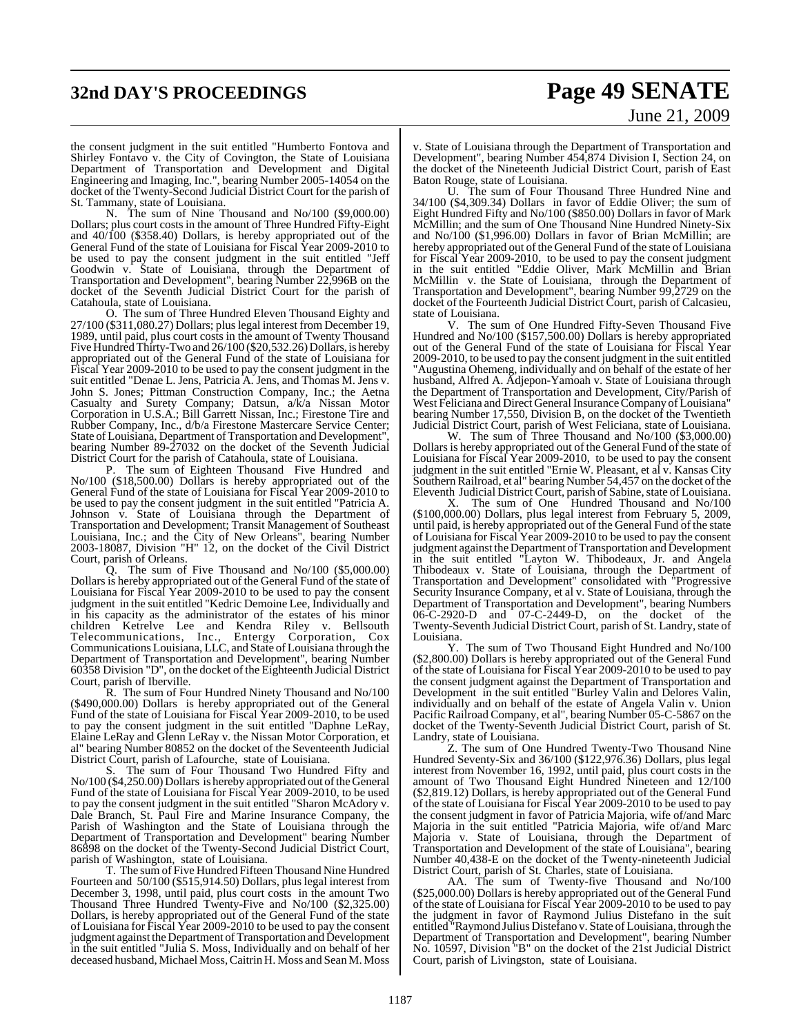## **32nd DAY'S PROCEEDINGS Page 49 SENATE** June 21, 2009

the consent judgment in the suit entitled "Humberto Fontova and Shirley Fontavo v. the City of Covington, the State of Louisiana Department of Transportation and Development and Digital Engineering and Imaging, Inc.", bearing Number 2005-14054 on the docket of the Twenty-Second Judicial District Court for the parish of St. Tammany, state of Louisiana.

N. The sum of Nine Thousand and No/100 (\$9,000.00) Dollars; plus court costs in the amount of Three Hundred Fifty-Eight and 40/100 (\$358.40) Dollars, is hereby appropriated out of the General Fund of the state of Louisiana for Fiscal Year 2009-2010 to be used to pay the consent judgment in the suit entitled "Jeff Goodwin v. State of Louisiana, through the Department of Transportation and Development", bearing Number 22,996B on the docket of the Seventh Judicial District Court for the parish of Catahoula, state of Louisiana.

O. The sum of Three Hundred Eleven Thousand Eighty and 27/100 (\$311,080.27) Dollars; pluslegal interest from December 19, 1989, until paid, plus court costs in the amount of Twenty Thousand Five Hundred Thirty-Two and 26/100 (\$20,532.26) Dollars, is hereby appropriated out of the General Fund of the state of Louisiana for Fiscal Year 2009-2010 to be used to pay the consent judgment in the suit entitled "Denae L. Jens, Patricia A. Jens, and Thomas M. Jens v. John S. Jones; Pittman Construction Company, Inc.; the Aetna Casualty and Surety Company; Datsun, a/k/a Nissan Motor Corporation in U.S.A.; Bill Garrett Nissan, Inc.; Firestone Tire and Rubber Company, Inc., d/b/a Firestone Mastercare Service Center; State of Louisiana, Department of Transportation and Development" bearing Number 89-27032 on the docket of the Seventh Judicial District Court for the parish of Catahoula, state of Louisiana.

P. The sum of Eighteen Thousand Five Hundred and No/100 (\$18,500.00) Dollars is hereby appropriated out of the General Fund of the state of Louisiana for Fiscal Year 2009-2010 to be used to pay the consent judgment in the suit entitled "Patricia A. Johnson v. State of Louisiana through the Department of Transportation and Development; Transit Management of Southeast Louisiana, Inc.; and the City of New Orleans", bearing Number 2003-18087, Division "H" 12, on the docket of the Civil District Court, parish of Orleans.

Q. The sum of Five Thousand and No/100 (\$5,000.00) Dollars is hereby appropriated out of the General Fund of the state of Louisiana for Fiscal Year 2009-2010 to be used to pay the consent judgment in the suit entitled "Kedric Demoine Lee, Individually and in his capacity as the administrator of the estates of his minor children Ketrelve Lee and Kendra Riley v. Bellsouth Telecommunications, Inc., Entergy Corporation, Cox Communications Louisiana, LLC, and State of Louisiana through the Department of Transportation and Development", bearing Number 60358 Division "D", on the docket of the Eighteenth Judicial District Court, parish of Iberville.

R. The sum of Four Hundred Ninety Thousand and No/100 (\$490,000.00) Dollars is hereby appropriated out of the General Fund of the state of Louisiana for Fiscal Year 2009-2010, to be used to pay the consent judgment in the suit entitled "Daphne LeRay, Elaine LeRay and Glenn LeRay v. the Nissan Motor Corporation, et al" bearing Number 80852 on the docket of the Seventeenth Judicial District Court, parish of Lafourche, state of Louisiana.

S. The sum of Four Thousand Two Hundred Fifty and No/100 (\$4,250.00) Dollars is hereby appropriated out of the General Fund of the state of Louisiana for Fiscal Year 2009-2010, to be used to pay the consent judgment in the suit entitled "Sharon McAdory v. Dale Branch, St. Paul Fire and Marine Insurance Company, the Parish of Washington and the State of Louisiana through the Department of Transportation and Development" bearing Number 86898 on the docket of the Twenty-Second Judicial District Court, parish of Washington, state of Louisiana.

T. The sum of Five Hundred Fifteen Thousand Nine Hundred Fourteen and 50/100 (\$515,914.50) Dollars, plus legal interest from December 3, 1998, until paid, plus court costs in the amount Two Thousand Three Hundred Twenty-Five and No/100 (\$2,325.00) Dollars, is hereby appropriated out of the General Fund of the state of Louisiana for Fiscal Year 2009-2010 to be used to pay the consent judgment against the Department of Transportation and Development in the suit entitled "Julia S. Moss, Individually and on behalf of her deceased husband, Michael Moss, Caitrin H. Moss and Sean M. Moss

v. State of Louisiana through the Department of Transportation and Development", bearing Number 454,874 Division I, Section 24, on the docket of the Nineteenth Judicial District Court, parish of East Baton Rouge, state of Louisiana.

U. The sum of Four Thousand Three Hundred Nine and 34/100 (\$4,309.34) Dollars in favor of Eddie Oliver; the sum of Eight Hundred Fifty and No/100 (\$850.00) Dollars in favor of Mark McMillin; and the sum of One Thousand Nine Hundred Ninety-Six and No/100 (\$1,996.00) Dollars in favor of Brian McMillin; are hereby appropriated out of the General Fund of the state of Louisiana for Fiscal Year 2009-2010, to be used to pay the consent judgment in the suit entitled "Eddie Oliver, Mark McMillin and Brian McMillin v. the State of Louisiana, through the Department of Transportation and Development", bearing Number 99,2729 on the docket of the Fourteenth Judicial District Court, parish of Calcasieu, state of Louisiana.

V. The sum of One Hundred Fifty-Seven Thousand Five Hundred and No/100 (\$157,500.00) Dollars is hereby appropriated out of the General Fund of the state of Louisiana for Fiscal Year 2009-2010, to be used to pay the consent judgment in the suit entitled "Augustina Ohemeng, individually and on behalf of the estate of her husband, Alfred A. Adjepon-Yamoah v. State of Louisiana through the Department of Transportation and Development, City/Parish of West Feliciana and Direct General Insurance Company of Louisiana" bearing Number 17,550, Division B, on the docket of the Twentieth Judicial District Court, parish of West Feliciana, state of Louisiana.

W. The sum of Three Thousand and No/100 (\$3,000.00) Dollars is hereby appropriated out of the General Fund of the state of Louisiana for Fiscal Year 2009-2010, to be used to pay the consent judgment in the suit entitled "Ernie W. Pleasant, et al v. Kansas City Southern Railroad, et al" bearing Number 54,457 on the docket of the Eleventh Judicial District Court, parish of Sabine, state of Louisiana.

X. The sum of One Hundred Thousand and No/100  $($100,000.00)$  Dollars, plus legal interest from February 5, 2009, until paid, is hereby appropriated out of the General Fund of the state of Louisiana for Fiscal Year 2009-2010 to be used to pay the consent judgment against the Department of Transportation and Development in the suit entitled "Layton W. Thibodeaux, Jr. and Angela Thibodeaux v. State of Louisiana, through the Department of Transportation and Development" consolidated with "Progressive Security Insurance Company, et al v. State of Louisiana, through the Department of Transportation and Development", bearing Numbers 06-C-2920-D and 07-C-2449-D, on the docket of the Twenty-Seventh Judicial District Court, parish of St. Landry, state of Louisiana.

Y. The sum of Two Thousand Eight Hundred and No/100 (\$2,800.00) Dollars is hereby appropriated out of the General Fund of the state of Louisiana for Fiscal Year 2009-2010 to be used to pay the consent judgment against the Department of Transportation and Development in the suit entitled "Burley Valin and Delores Valin, individually and on behalf of the estate of Angela Valin v. Union Pacific Railroad Company, et al", bearing Number 05-C-5867 on the docket of the Twenty-Seventh Judicial District Court, parish of St. Landry, state of Louisiana.

Z. The sum of One Hundred Twenty-Two Thousand Nine Hundred Seventy-Six and 36/100 (\$122,976.36) Dollars, plus legal interest from November 16, 1992, until paid, plus court costs in the amount of Two Thousand Eight Hundred Nineteen and 12/100 (\$2,819.12) Dollars, is hereby appropriated out of the General Fund of the state of Louisiana for Fiscal Year 2009-2010 to be used to pay the consent judgment in favor of Patricia Majoria, wife of/and Marc Majoria in the suit entitled "Patricia Majoria, wife of/and Marc Majoria v. State of Louisiana, through the Department of Transportation and Development of the state of Louisiana", bearing Number 40,438-E on the docket of the Twenty-nineteenth Judicial District Court, parish of St. Charles, state of Louisiana.

AA. The sum of Twenty-five Thousand and No/100 (\$25,000.00) Dollars is hereby appropriated out of the General Fund of the state of Louisiana for Fiscal Year 2009-2010 to be used to pay the judgment in favor of Raymond Julius Distefano in the suit entitled "Raymond Julius Distefano v. State of Louisiana, through the Department of Transportation and Development", bearing Number No. 10597, Division "B" on the docket of the 21st Judicial District Court, parish of Livingston, state of Louisiana.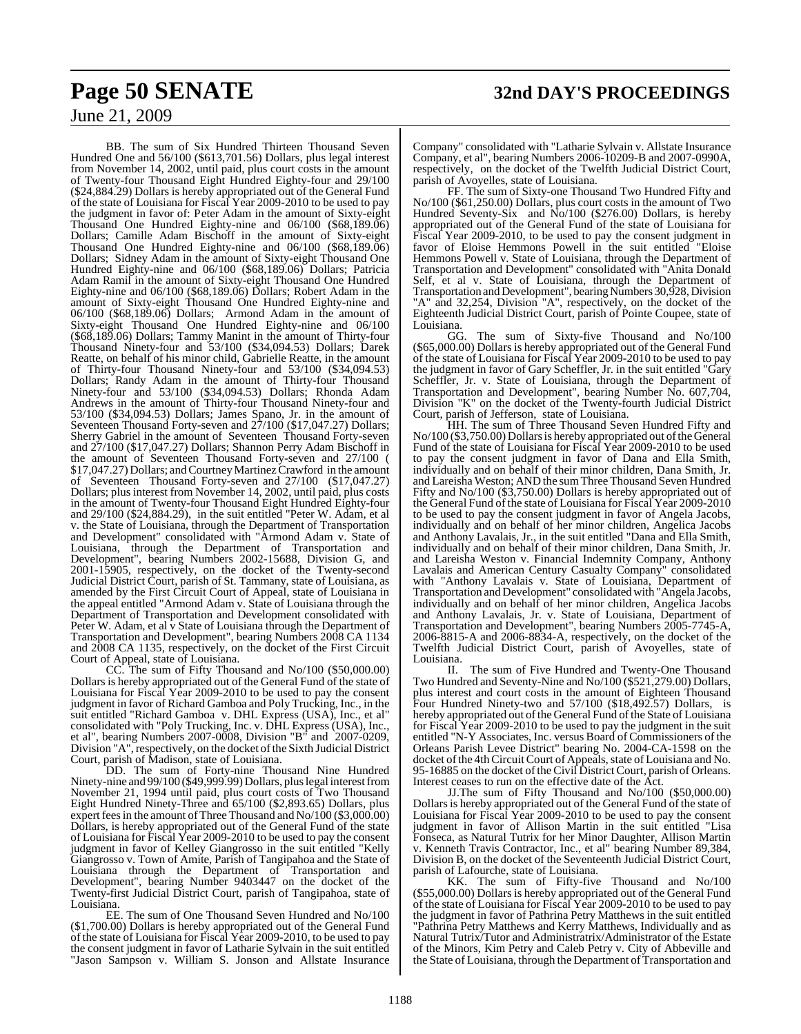BB. The sum of Six Hundred Thirteen Thousand Seven Hundred One and 56/100 (\$613,701.56) Dollars, plus legal interest from November 14, 2002, until paid, plus court costs in the amount of Twenty-four Thousand Eight Hundred Eighty-four and 29/100 (\$24,884.29) Dollars is hereby appropriated out of the General Fund of the state of Louisiana for Fiscal Year 2009-2010 to be used to pay the judgment in favor of: Peter Adam in the amount of Sixty-eight Thousand One Hundred Eighty-nine and 06/100 (\$68,189.06) Dollars; Camille Adam Bischoff in the amount of Sixty-eight Thousand One Hundred Eighty-nine and 06/100 (\$68,189.06) Dollars; Sidney Adam in the amount of Sixty-eight Thousand One Hundred Eighty-nine and 06/100 (\$68,189.06) Dollars; Patricia Adam Ramil in the amount of Sixty-eight Thousand One Hundred Eighty-nine and 06/100 (\$68,189.06) Dollars; Robert Adam in the amount of Sixty-eight Thousand One Hundred Eighty-nine and 06/100 (\$68,189.06) Dollars; Armond Adam in the amount of Sixty-eight Thousand One Hundred Eighty-nine and 06/100 (\$68,189.06) Dollars; Tammy Manint in the amount of Thirty-four Thousand Ninety-four and 53/100 (\$34,094.53) Dollars; Darek Reatte, on behalf of his minor child, Gabrielle Reatte, in the amount of Thirty-four Thousand Ninety-four and 53/100 (\$34,094.53) Dollars; Randy Adam in the amount of Thirty-four Thousand Ninety-four and 53/100 (\$34,094.53) Dollars; Rhonda Adam Andrews in the amount of Thirty-four Thousand Ninety-four and 53/100 (\$34,094.53) Dollars; James Spano, Jr. in the amount of Seventeen Thousand Forty-seven and 27/100 (\$17,047.27) Dollars; Sherry Gabriel in the amount of Seventeen Thousand Forty-seven and 27/100 (\$17,047.27) Dollars; Shannon Perry Adam Bischoff in the amount of Seventeen Thousand Forty-seven and 27/100 ( \$17,047.27) Dollars; and Courtney Martinez Crawford in the amount of Seventeen Thousand Forty-seven and 27/100 (\$17,047.27) Dollars; plus interest from November 14, 2002, until paid, plus costs in the amount of Twenty-four Thousand Eight Hundred Eighty-four and 29/100 (\$24,884.29), in the suit entitled "Peter W. Adam, et al v. the State of Louisiana, through the Department of Transportation and Development" consolidated with "Armond Adam v. State of Louisiana, through the Department of Transportation and Development", bearing Numbers 2002-15688, Division G, and 2001-15905, respectively, on the docket of the Twenty-second Judicial District Court, parish of St. Tammany, state of Louisiana, as amended by the First Circuit Court of Appeal, state of Louisiana in the appeal entitled "Armond Adam v. State of Louisiana through the Department of Transportation and Development consolidated with Peter W. Adam, et al v State of Louisiana through the Department of Transportation and Development", bearing Numbers 2008 CA 1134 and 2008 CA 1135, respectively, on the docket of the First Circuit Court of Appeal, state of Louisiana.

CC. The sum of Fifty Thousand and No/100 (\$50,000.00) Dollars is hereby appropriated out of the General Fund of the state of Louisiana for Fiscal Year 2009-2010 to be used to pay the consent judgment in favor of Richard Gamboa and Poly Trucking, Inc., in the suit entitled "Richard Gamboa v. DHL Express (USA), Inc., et al" consolidated with "Poly Trucking, Inc. v. DHL Express (USA), Inc., et al", bearing Numbers 2007-0008, Division "B" and 2007-0209, Division "A", respectively, on the docket of the Sixth Judicial District Court, parish of Madison, state of Louisiana.

DD. The sum of Forty-nine Thousand Nine Hundred Ninety-nine and 99/100 (\$49,999.99) Dollars, plus legal interest from November 21, 1994 until paid, plus court costs of Two Thousand Eight Hundred Ninety-Three and 65/100 (\$2,893.65) Dollars, plus expert fees in the amount of Three Thousand and No/100 (\$3,000.00) Dollars, is hereby appropriated out of the General Fund of the state of Louisiana for Fiscal Year 2009-2010 to be used to pay the consent judgment in favor of Kelley Giangrosso in the suit entitled "Kelly Giangrosso v. Town of Amite, Parish of Tangipahoa and the State of Louisiana through the Department of Transportation and Development", bearing Number 9403447 on the docket of the Twenty-first Judicial District Court, parish of Tangipahoa, state of Louisiana.

EE. The sum of One Thousand Seven Hundred and No/100 (\$1,700.00) Dollars is hereby appropriated out of the General Fund of the state of Louisiana for Fiscal Year 2009-2010, to be used to pay the consent judgment in favor of Latharie Sylvain in the suit entitled "Jason Sampson v. William S. Jonson and Allstate Insurance

Company" consolidated with "Latharie Sylvain v. Allstate Insurance Company, et al", bearing Numbers 2006-10209-B and 2007-0990A, respectively, on the docket of the Twelfth Judicial District Court, parish of Avoyelles, state of Louisiana.

FF. The sum of Sixty-one Thousand Two Hundred Fifty and No/100 (\$61,250.00) Dollars, plus court costs in the amount of Two Hundred Seventy-Six and No/100 (\$276.00) Dollars, is hereby appropriated out of the General Fund of the state of Louisiana for Fiscal Year 2009-2010, to be used to pay the consent judgment in favor of Eloise Hemmons Powell in the suit entitled "Eloise Hemmons Powell v. State of Louisiana, through the Department of Transportation and Development" consolidated with "Anita Donald Self, et al v. State of Louisiana, through the Department of Transportation and Development", bearing Numbers 30,928, Division "A" and 32,254, Division "A", respectively, on the docket of the Eighteenth Judicial District Court, parish of Pointe Coupee, state of Louisiana.

GG. The sum of Sixty-five Thousand and No/100 (\$65,000.00) Dollars is hereby appropriated out of the General Fund of the state of Louisiana for Fiscal Year 2009-2010 to be used to pay the judgment in favor of Gary Scheffler, Jr. in the suit entitled "Gary Scheffler, Jr. v. State of Louisiana, through the Department of Transportation and Development", bearing Number No. 607,704, Division "K" on the docket of the Twenty-fourth Judicial District Court, parish of Jefferson, state of Louisiana.

HH. The sum of Three Thousand Seven Hundred Fifty and No/100 (\$3,750.00) Dollars is hereby appropriated out of the General Fund of the state of Louisiana for Fiscal Year 2009-2010 to be used to pay the consent judgment in favor of Dana and Ella Smith, individually and on behalf of their minor children, Dana Smith, Jr. and Lareisha Weston; AND the sum Three Thousand Seven Hundred Fifty and No/100 (\$3,750.00) Dollars is hereby appropriated out of the General Fund of the state of Louisiana for Fiscal Year 2009-2010 to be used to pay the consent judgment in favor of Angela Jacobs, individually and on behalf of her minor children, Angelica Jacobs and Anthony Lavalais, Jr., in the suit entitled "Dana and Ella Smith, individually and on behalf of their minor children, Dana Smith, Jr. and Lareisha Weston v. Financial Indemnity Company, Anthony Lavalais and American Century Casualty Company" consolidated with "Anthony Lavalais v. State of Louisiana, Department of Transportation and Development" consolidated with "Angela Jacobs, individually and on behalf of her minor children, Angelica Jacobs and Anthony Lavalais, Jr. v. State of Louisiana, Department of Transportation and Development", bearing Numbers 2005-7745-A, 2006-8815-A and 2006-8834-A, respectively, on the docket of the Twelfth Judicial District Court, parish of Avoyelles, state of

Louisiana.<br>II. The sum of Five Hundred and Twenty-One Thousand Two Hundred and Seventy-Nine and No/100 (\$521,279.00) Dollars, plus interest and court costs in the amount of Eighteen Thousand Four Hundred Ninety-two and 57/100 (\$18,492.57) Dollars, is hereby appropriated out of the General Fund of the State of Louisiana for Fiscal Year 2009-2010 to be used to pay the judgment in the suit entitled "N-Y Associates, Inc. versus Board of Commissioners of the Orleans Parish Levee District" bearing No. 2004-CA-1598 on the docket of the 4th Circuit Court of Appeals, state of Louisiana and No. 95-16885 on the docket of the Civil District Court, parish of Orleans. Interest ceases to run on the effective date of the Act.

JJ.The sum of Fifty Thousand and No/100 (\$50,000.00) Dollars is hereby appropriated out of the General Fund of the state of Louisiana for Fiscal Year 2009-2010 to be used to pay the consent judgment in favor of Allison Martin in the suit entitled "Lisa Fonseca, as Natural Tutrix for her Minor Daughter, Allison Martin v. Kenneth Travis Contractor, Inc., et al" bearing Number 89,384, Division B, on the docket of the Seventeenth Judicial District Court, parish of Lafourche, state of Louisiana.

KK. The sum of Fifty-five Thousand and No/100 (\$55,000.00) Dollars is hereby appropriated out of the General Fund of the state of Louisiana for Fiscal Year 2009-2010 to be used to pay the judgment in favor of Pathrina Petry Matthews in the suit entitled "Pathrina Petry Matthews and Kerry Matthews, Individually and as Natural Tutrix/Tutor and Administratrix/Administrator of the Estate of the Minors, Kim Petry and Caleb Petry v. City of Abbeville and the State of Louisiana, through the Department of Transportation and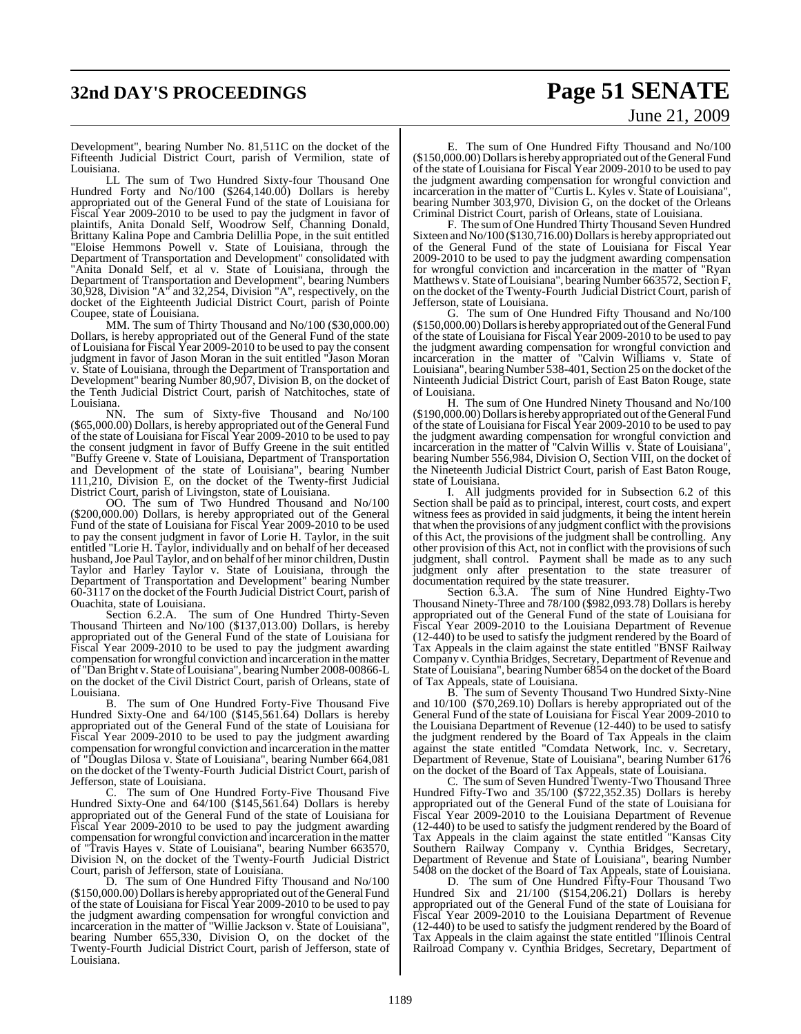## **32nd DAY'S PROCEEDINGS Page 51 SENATE**

# June 21, 2009

Development", bearing Number No. 81,511C on the docket of the Fifteenth Judicial District Court, parish of Vermilion, state of Louisiana.

LL The sum of Two Hundred Sixty-four Thousand One Hundred Forty and No/100 (\$264,140.00) Dollars is hereby appropriated out of the General Fund of the state of Louisiana for Fiscal Year 2009-2010 to be used to pay the judgment in favor of plaintifs, Anita Donald Self, Woodrow Self, Channing Donald, Brittany Kalina Pope and Cambria Delillia Pope, in the suit entitled "Eloise Hemmons Powell v. State of Louisiana, through the Department of Transportation and Development" consolidated with "Anita Donald Self, et al v. State of Louisiana, through the Department of Transportation and Development", bearing Numbers 30,928, Division "A" and 32,254, Division "A", respectively, on the docket of the Eighteenth Judicial District Court, parish of Pointe Coupee, state of Louisiana.

MM. The sum of Thirty Thousand and No/100 (\$30,000.00) Dollars, is hereby appropriated out of the General Fund of the state of Louisiana for Fiscal Year 2009-2010 to be used to pay the consent judgment in favor of Jason Moran in the suit entitled "Jason Moran v. State of Louisiana, through the Department of Transportation and Development" bearing Number 80,907, Division B, on the docket of the Tenth Judicial District Court, parish of Natchitoches, state of Louisiana.<br>NN

The sum of Sixty-five Thousand and No/100 (\$65,000.00) Dollars, is hereby appropriated out of the General Fund of the state of Louisiana for Fiscal Year 2009-2010 to be used to pay the consent judgment in favor of Buffy Greene in the suit entitled "Buffy Greene v. State of Louisiana, Department of Transportation and Development of the state of Louisiana", bearing Number 111,210, Division E, on the docket of the Twenty-first Judicial District Court, parish of Livingston, state of Louisiana.

OO. The sum of Two Hundred Thousand and No/100 (\$200,000.00) Dollars, is hereby appropriated out of the General Fund of the state of Louisiana for Fiscal Year 2009-2010 to be used to pay the consent judgment in favor of Lorie H. Taylor, in the suit entitled "Lorie H. Taylor, individually and on behalf of her deceased husband,Joe Paul Taylor, and on behalf of her minor children, Dustin Taylor and Harley Taylor v. State of Louisiana, through the Department of Transportation and Development" bearing Number 60-3117 on the docket of the Fourth Judicial District Court, parish of Ouachita, state of Louisiana.

Section 6.2.A. The sum of One Hundred Thirty-Seven Thousand Thirteen and No/100 (\$137,013.00) Dollars, is hereby appropriated out of the General Fund of the state of Louisiana for Fiscal Year 2009-2010 to be used to pay the judgment awarding compensation for wrongful conviction and incarceration in the matter of "DanBright v. State ofLouisiana", bearing Number 2008-00866-L on the docket of the Civil District Court, parish of Orleans, state of Louisiana.

B. The sum of One Hundred Forty-Five Thousand Five Hundred Sixty-One and 64/100 (\$145,561.64) Dollars is hereby appropriated out of the General Fund of the state of Louisiana for Fiscal Year 2009-2010 to be used to pay the judgment awarding compensation for wrongful conviction and incarceration in the matter of "Douglas Dilosa v. State of Louisiana", bearing Number 664,081 on the docket of the Twenty-Fourth Judicial District Court, parish of Jefferson, state of Louisiana.

The sum of One Hundred Forty-Five Thousand Five Hundred Sixty-One and 64/100 (\$145,561.64) Dollars is hereby appropriated out of the General Fund of the state of Louisiana for Fiscal Year 2009-2010 to be used to pay the judgment awarding compensation for wrongful conviction and incarceration in the matter of "Travis Hayes v. State of Louisiana", bearing Number 663570, Division N, on the docket of the Twenty-Fourth Judicial District Court, parish of Jefferson, state of Louisiana.

D. The sum of One Hundred Fifty Thousand and No/100 (\$150,000.00) Dollars is hereby appropriated out of the General Fund of the state of Louisiana for Fiscal Year 2009-2010 to be used to pay the judgment awarding compensation for wrongful conviction and incarceration in the matter of "Willie Jackson v. State of Louisiana", bearing Number 655,330, Division O, on the docket of the Twenty-Fourth Judicial District Court, parish of Jefferson, state of Louisiana.

E. The sum of One Hundred Fifty Thousand and No/100 (\$150,000.00) Dollarsis hereby appropriated out oftheGeneral Fund of the state of Louisiana for Fiscal Year 2009-2010 to be used to pay the judgment awarding compensation for wrongful conviction and incarceration in the matter of "Curtis L. Kyles v. State of Louisiana", bearing Number 303,970, Division G, on the docket of the Orleans Criminal District Court, parish of Orleans, state of Louisiana.

F. The sum of One Hundred Thirty Thousand Seven Hundred Sixteen and No/100 (\$130,716.00) Dollars is hereby appropriated out of the General Fund of the state of Louisiana for Fiscal Year 2009-2010 to be used to pay the judgment awarding compensation for wrongful conviction and incarceration in the matter of "Ryan Matthews v. State of Louisiana", bearing Number 663572, Section F, on the docket of the Twenty-Fourth Judicial District Court, parish of Jefferson, state of Louisiana.

G. The sum of One Hundred Fifty Thousand and No/100 (\$150,000.00) Dollarsis hereby appropriated out of the General Fund of the state of Louisiana for Fiscal Year 2009-2010 to be used to pay the judgment awarding compensation for wrongful conviction and incarceration in the matter of "Calvin Williams v. State of Louisiana", bearing Number 538-401, Section 25 on the docket of the Ninteenth Judicial District Court, parish of East Baton Rouge, state of Louisiana.

H. The sum of One Hundred Ninety Thousand and No/100 (\$190,000.00) Dollarsis hereby appropriated out oftheGeneral Fund of the state of Louisiana for Fiscal Year 2009-2010 to be used to pay the judgment awarding compensation for wrongful conviction and incarceration in the matter of "Calvin Willis v. State of Louisiana", bearing Number 556,984, Division O, Section VIII, on the docket of the Nineteenth Judicial District Court, parish of East Baton Rouge, state of Louisiana.

I. All judgments provided for in Subsection 6.2 of this Section shall be paid as to principal, interest, court costs, and expert witness fees as provided in said judgments, it being the intent herein that when the provisions of any judgment conflict with the provisions of this Act, the provisions of the judgment shall be controlling. Any other provision of this Act, not in conflict with the provisions of such judgment, shall control. Payment shall be made as to any such judgment only after presentation to the state treasurer of documentation required by the state treasurer.

Section 6.3.A. The sum of Nine Hundred Eighty-Two Thousand Ninety-Three and 78/100 (\$982,093.78) Dollarsis hereby appropriated out of the General Fund of the state of Louisiana for Fiscal Year 2009-2010 to the Louisiana Department of Revenue (12-440) to be used to satisfy the judgment rendered by the Board of Tax Appeals in the claim against the state entitled "BNSF Railway Company v. Cynthia Bridges, Secretary, Department of Revenue and State of Louisiana", bearing Number 6854 on the docket of the Board of Tax Appeals, state of Louisiana.

B. The sum of Seventy Thousand Two Hundred Sixty-Nine and 10/100 (\$70,269.10) Dollars is hereby appropriated out of the General Fund of the state of Louisiana for Fiscal Year 2009-2010 to the Louisiana Department of Revenue (12-440) to be used to satisfy the judgment rendered by the Board of Tax Appeals in the claim against the state entitled "Comdata Network, Inc. v. Secretary, Department of Revenue, State of Louisiana", bearing Number 6176 on the docket of the Board of Tax Appeals, state of Louisiana.

C. The sum of Seven Hundred Twenty-Two Thousand Three Hundred Fifty-Two and 35/100 (\$722,352.35) Dollars is hereby appropriated out of the General Fund of the state of Louisiana for Fiscal Year 2009-2010 to the Louisiana Department of Revenue (12-440) to be used to satisfy the judgment rendered by the Board of Tax Appeals in the claim against the state entitled "Kansas City Southern Railway Company v. Cynthia Bridges, Secretary, Department of Revenue and State of Louisiana", bearing Number 5408 on the docket of the Board of Tax Appeals, state of Louisiana.

D. The sum of One Hundred Fifty-Four Thousand Two Hundred Six and 21/100 (\$154,206.21) Dollars is hereby appropriated out of the General Fund of the state of Louisiana for Fiscal Year 2009-2010 to the Louisiana Department of Revenue (12-440) to be used to satisfy the judgment rendered by the Board of Tax Appeals in the claim against the state entitled "Illinois Central Railroad Company v. Cynthia Bridges, Secretary, Department of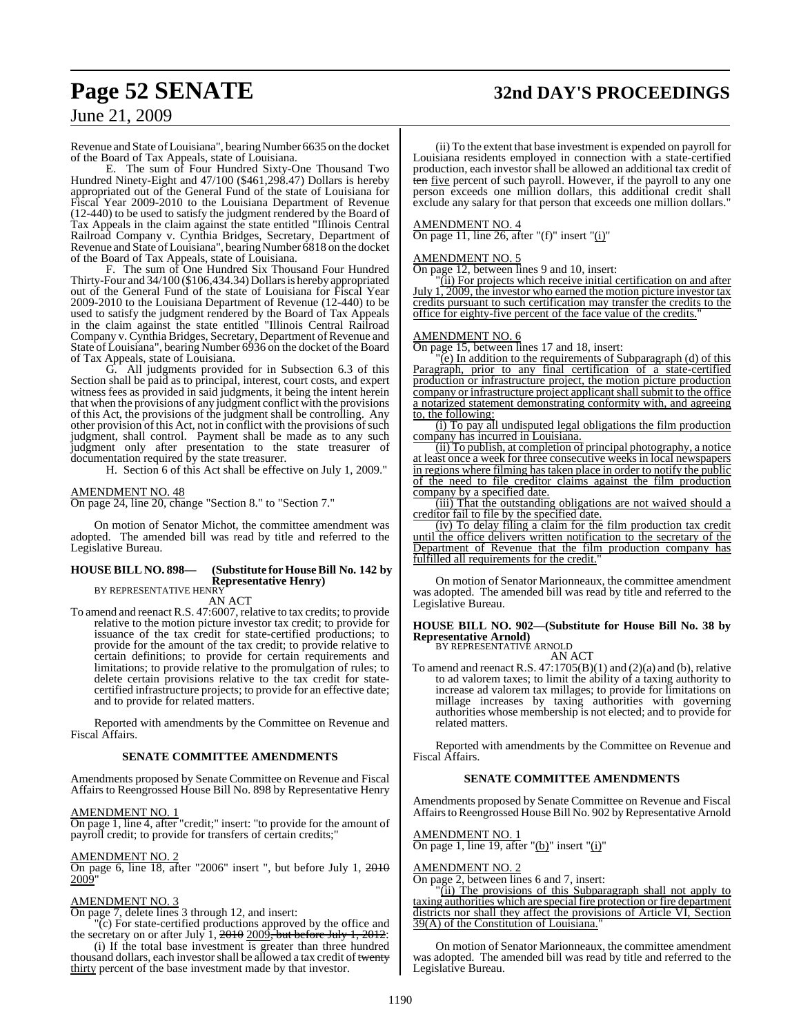## **Page 52 SENATE 32nd DAY'S PROCEEDINGS**

### June 21, 2009

Revenue and State of Louisiana", bearing Number 6635 on the docket of the Board of Tax Appeals, state of Louisiana.

E. The sum of Four Hundred Sixty-One Thousand Two Hundred Ninety-Eight and 47/100 (\$461,298.47) Dollars is hereby appropriated out of the General Fund of the state of Louisiana for Fiscal Year 2009-2010 to the Louisiana Department of Revenue (12-440) to be used to satisfy the judgment rendered by the Board of Tax Appeals in the claim against the state entitled "Illinois Central Railroad Company v. Cynthia Bridges, Secretary, Department of Revenue and State of Louisiana", bearing Number 6818 on the docket of the Board of Tax Appeals, state of Louisiana.

F. The sum of One Hundred Six Thousand Four Hundred Thirty-Four and 34/100 (\$106,434.34) Dollarsis hereby appropriated out of the General Fund of the state of Louisiana for Fiscal Year 2009-2010 to the Louisiana Department of Revenue (12-440) to be used to satisfy the judgment rendered by the Board of Tax Appeals in the claim against the state entitled "Illinois Central Railroad Company v. Cynthia Bridges, Secretary, Department of Revenue and State of Louisiana", bearing Number 6936 on the docket of the Board of Tax Appeals, state of Louisiana.

G. All judgments provided for in Subsection 6.3 of this Section shall be paid as to principal, interest, court costs, and expert witness fees as provided in said judgments, it being the intent herein that when the provisions of any judgment conflict with the provisions of this Act, the provisions of the judgment shall be controlling. Any other provision of this Act, not in conflict with the provisions of such judgment, shall control. Payment shall be made as to any such judgment only after presentation to the state treasurer of documentation required by the state treasurer.

H. Section 6 of this Act shall be effective on July 1, 2009."

#### AMENDMENT NO. 48

On page 24, line 20, change "Section 8." to "Section 7."

On motion of Senator Michot, the committee amendment was adopted. The amended bill was read by title and referred to the Legislative Bureau.

#### **HOUSE BILL NO. 898— (Substitute for House Bill No. 142 by Representative Henry)** BY REPRESENTATIVE HENRY

AN ACT

To amend and reenact R.S. 47:6007, relative to tax credits; to provide relative to the motion picture investor tax credit; to provide for issuance of the tax credit for state-certified productions; to provide for the amount of the tax credit; to provide relative to certain definitions; to provide for certain requirements and limitations; to provide relative to the promulgation of rules; to delete certain provisions relative to the tax credit for statecertified infrastructure projects; to provide for an effective date; and to provide for related matters.

Reported with amendments by the Committee on Revenue and Fiscal Affairs.

#### **SENATE COMMITTEE AMENDMENTS**

Amendments proposed by Senate Committee on Revenue and Fiscal Affairs to Reengrossed House Bill No. 898 by Representative Henry

#### AMENDMENT NO. 1

On page 1, line 4, after "credit;" insert: "to provide for the amount of payroll credit; to provide for transfers of certain credits;"

#### AMENDMENT NO. 2

On page 6, line 18, after "2006" insert ", but before July 1, 2010 <u>2009"</u>

#### AMENDMENT NO. 3

On page 7, delete lines 3 through 12, and insert:

"(c) For state-certified productions approved by the office and the secretary on or after July 1,  $2010$   $2009$ , but before July 1,  $2012$ :

(i) If the total base investment is greater than three hundred thousand dollars, each investor shall be allowed a tax credit of twenty thirty percent of the base investment made by that investor.

(ii) To the extent that base investment is expended on payroll for Louisiana residents employed in connection with a state-certified production, each investor shall be allowed an additional tax credit of ten five percent of such payroll. However, if the payroll to any one person exceeds one million dollars, this additional credit shall exclude any salary for that person that exceeds one million dollars."

#### AMENDMENT NO. 4

On page 11, line 26, after "(f)" insert " $(i)$ "

#### AMENDMENT NO. 5

On page 12, between lines 9 and 10, insert:

"(ii) For projects which receive initial certification on and after July  $1, 2009$ , the investor who earned the motion picture investor tax credits pursuant to such certification may transfer the credits to the office for eighty-five percent of the face value of the credits."

#### AMENDMENT NO. 6

On page 15, between lines 17 and 18, insert:

"(e) In addition to the requirements of Subparagraph (d) of this Paragraph, prior to any final certification of a state-certified production or infrastructure project, the motion picture production company or infrastructure project applicant shall submit to the office a notarized statement demonstrating conformity with, and agreeing to, the following:

(i) To pay all undisputed legal obligations the film production company has incurred in Louisiana.

(ii) To publish, at completion of principal photography, a notice at least once a week for three consecutive weeks in local newspapers in regions where filming has taken place in order to notify the public of the need to file creditor claims against the film production company by a specified date.

(iii) That the outstanding obligations are not waived should a creditor fail to file by the specified date.

(iv) To delay filing a claim for the film production tax credit until the office delivers written notification to the secretary of the Department of Revenue that the film production company has fulfilled all requirements for the credit.

On motion of Senator Marionneaux, the committee amendment was adopted. The amended bill was read by title and referred to the Legislative Bureau.

#### **HOUSE BILL NO. 902—(Substitute for House Bill No. 38 by Representative Arnold)** BY REPRESENTATIVE ARNOLD

AN ACT

To amend and reenact R.S.  $47:1705(B)(1)$  and  $(2)(a)$  and  $(b)$ , relative to ad valorem taxes; to limit the ability of a taxing authority to increase ad valorem tax millages; to provide for limitations on millage increases by taxing authorities with governing authorities whose membership is not elected; and to provide for related matters.

Reported with amendments by the Committee on Revenue and Fiscal Affairs.

#### **SENATE COMMITTEE AMENDMENTS**

Amendments proposed by Senate Committee on Revenue and Fiscal Affairs to Reengrossed House Bill No. 902 by Representative Arnold

AMENDMENT NO. 1

On page 1, line 19, after "(b)" insert "(i)"

#### AMENDMENT NO. 2

On page 2, between lines 6 and 7, insert:

(ii) The provisions of this Subparagraph shall not apply to taxing authorities which are special fire protection or fire department districts nor shall they affect the provisions of Article VI, Section 39(A) of the Constitution of Louisiana."

On motion of Senator Marionneaux, the committee amendment was adopted. The amended bill was read by title and referred to the Legislative Bureau.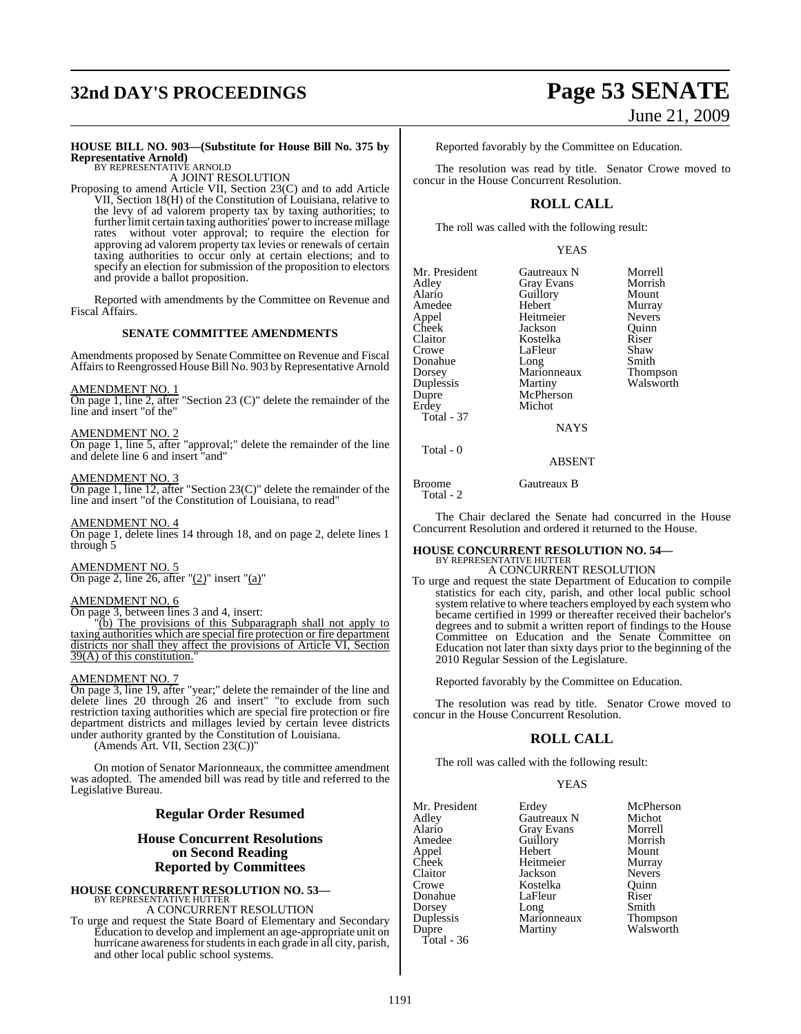## **32nd DAY'S PROCEEDINGS Page 53 SENATE**

# June 21, 2009

Morrell Morrish<br>Mount

Murray Nevers Quinn<br>Riser

Shaw Smith Thompson Walsworth

### **HOUSE BILL NO. 903—(Substitute for House Bill No. 375 by Representative Arnold)** BY REPRESENTATIVE ARNOLD

A JOINT RESOLUTION

Proposing to amend Article VII, Section 23(C) and to add Article VII, Section 18(H) of the Constitution of Louisiana, relative to the levy of ad valorem property tax by taxing authorities; to further limit certain taxing authorities' power to increase millage<br>rates without voter approval: to require the election for without voter approval; to require the election for approving ad valorem property tax levies or renewals of certain taxing authorities to occur only at certain elections; and to specify an election for submission of the proposition to electors and provide a ballot proposition.

Reported with amendments by the Committee on Revenue and Fiscal Affairs.

#### **SENATE COMMITTEE AMENDMENTS**

Amendments proposed by Senate Committee on Revenue and Fiscal Affairs to Reengrossed House Bill No. 903 by Representative Arnold

#### AMENDMENT NO. 1

On page 1, line 2, after "Section 23 (C)" delete the remainder of the line and insert "of the"

#### AMENDMENT NO. 2

On page 1, line 5, after "approval;" delete the remainder of the line and delete line 6 and insert "and"

#### AMENDMENT NO. 3

On page 1, line 12, after "Section 23(C)" delete the remainder of the line and insert "of the Constitution of Louisiana, to read"

#### AMENDMENT NO. 4

On page 1, delete lines 14 through 18, and on page 2, delete lines 1 through 5

#### AMENDMENT NO. 5

On page 2, line 26, after " $(2)$ " insert " $(a)$ "

### AMENDMENT NO. 6

On page 3, between lines 3 and 4, insert:

"(b) The provisions of this Subparagraph shall not apply to taxing authorities which are special fire protection or fire department districts nor shall they affect the provisions of Article VI, Section  $39(A)$  of this constitution.

#### AMENDMENT NO. 7

On page 3, line 19, after "year;" delete the remainder of the line and delete lines 20 through 26 and insert" "to exclude from such restriction taxing authorities which are special fire protection or fire department districts and millages levied by certain levee districts under authority granted by the Constitution of Louisiana.

(Amends Art. VII, Section 23(C))"

On motion of Senator Marionneaux, the committee amendment was adopted. The amended bill was read by title and referred to the Legislative Bureau.

### **Regular Order Resumed**

### **House Concurrent Resolutions on Second Reading Reported by Committees**

### **HOUSE CONCURRENT RESOLUTION NO. 53—** BY REPRESENTATIVE HUTTER A CONCURRENT RESOLUTION

To urge and request the State Board of Elementary and Secondary Education to develop and implement an age-appropriate unit on hurricane awareness for students in each grade in all city, parish, and other local public school systems.

Reported favorably by the Committee on Education.

The resolution was read by title. Senator Crowe moved to concur in the House Concurrent Resolution.

### **ROLL CALL**

The roll was called with the following result:

#### YEAS

| Mr. President | Gautreaux N       | <b>Morre</b> |
|---------------|-------------------|--------------|
| Adlev         | <b>Gray Evans</b> | Morris       |
|               |                   |              |
| Alario        | Guillory          | Mount        |
| Amedee        | Hebert            | Murray       |
| Appel         | Heitmeier         | Nevers       |
| Cheek         | Jackson           | Ouinn        |
| Claitor       | Kostelka          | Riser        |
| Crowe         | LaFleur           | Shaw         |
| Donahue       | Long              | Smith        |
| Dorsey        | Marionneaux       | Thomp        |
| Duplessis     | Martiny           | Walsw        |
| Dupre         | McPherson         |              |
| Erdey         | Michot            |              |
| Total - 37    |                   |              |
|               | <b>NAYS</b>       |              |
|               |                   |              |

#### ABSENT

Broome Gautreaux B Total - 2

Total - 0

The Chair declared the Senate had concurred in the House Concurrent Resolution and ordered it returned to the House.

#### **HOUSE CONCURRENT RESOLUTION NO. 54—** BY REPRESENTATIVE HUTTER

A CONCURRENT RESOLUTION

To urge and request the state Department of Education to compile statistics for each city, parish, and other local public school system relative to where teachers employed by each system who became certified in 1999 or thereafter received their bachelor's degrees and to submit a written report of findings to the House Committee on Education and the Senate Committee on Education not later than sixty days prior to the beginning of the 2010 Regular Session of the Legislature.

Reported favorably by the Committee on Education.

The resolution was read by title. Senator Crowe moved to concur in the House Concurrent Resolution.

#### **ROLL CALL**

The roll was called with the following result:

#### YEAS

| Mr. President<br>Adley<br>Alario<br>Amedee<br>Appel<br>Cheek<br>Claitor | Erdey<br>Gautreaux N<br><b>Gray Evans</b><br>Guillory<br>Hebert<br>Heitmeier<br>Jackson | McPherson<br>Michot<br>Morrell<br>Morrish<br>Mount<br>Murray<br><b>Nevers</b> |
|-------------------------------------------------------------------------|-----------------------------------------------------------------------------------------|-------------------------------------------------------------------------------|
|                                                                         |                                                                                         |                                                                               |
|                                                                         |                                                                                         |                                                                               |
|                                                                         |                                                                                         |                                                                               |
|                                                                         |                                                                                         |                                                                               |
| Crowe                                                                   | Kostelka                                                                                | Ouinn                                                                         |
| Donahue                                                                 | LaFleur                                                                                 | Riser                                                                         |
| Dorsey                                                                  | Long                                                                                    | Smith                                                                         |
| Duplessis                                                               | Marionneaux                                                                             | Thompson                                                                      |
| Dupre                                                                   | Martiny                                                                                 | Walsworth                                                                     |
| Total - 36                                                              |                                                                                         |                                                                               |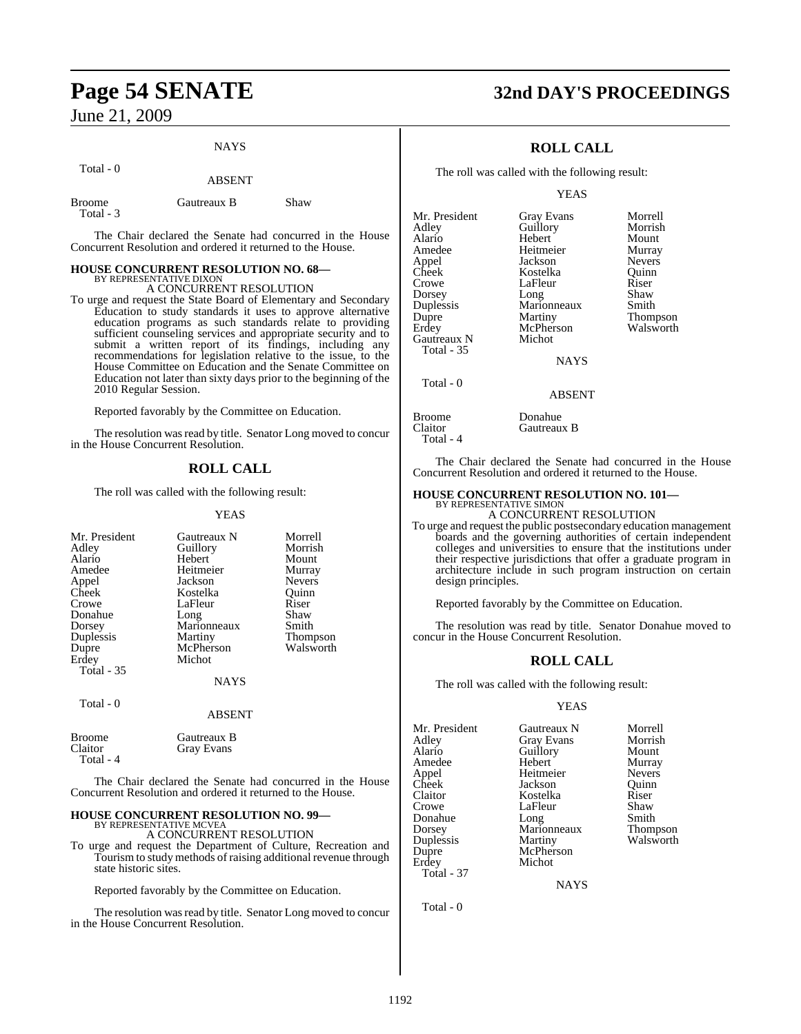Total - 0

## **NAYS** ABSENT

| Gautreaux B | Shaw |
|-------------|------|
|             |      |

The Chair declared the Senate had concurred in the House Concurrent Resolution and ordered it returned to the House.

#### **HOUSE CONCURRENT RESOLUTION NO. 68—** BY REPRESENTATIVE DIXON

A CONCURRENT RESOLUTION

To urge and request the State Board of Elementary and Secondary Education to study standards it uses to approve alternative education programs as such standards relate to providing sufficient counseling services and appropriate security and to submit a written report of its findings, including any recommendations for legislation relative to the issue, to the House Committee on Education and the Senate Committee on Education not later than sixty days prior to the beginning of the 2010 Regular Session.

Reported favorably by the Committee on Education.

The resolution was read by title. Senator Long moved to concur in the House Concurrent Resolution.

### **ROLL CALL**

The roll was called with the following result:

#### YEAS

| Mr. President     | Gautreaux N | Morrell       |
|-------------------|-------------|---------------|
|                   |             |               |
| Adley             | Guillory    | Morrish       |
| Alario            | Hebert      | Mount         |
| Amedee            | Heitmeier   | Murray        |
| Appel             | Jackson     | <b>Nevers</b> |
| Cheek             | Kostelka    | Ouinn         |
| Crowe             | LaFleur     | Riser         |
| Donahue           | Long        | Shaw          |
| Dorsey            | Marionneaux | Smith         |
| Duplessis         | Martiny     | Thompson      |
| Dupre             | McPherson   | Walsworth     |
| Erdey             | Michot      |               |
| <b>Total - 35</b> |             |               |
|                   | <b>NAYS</b> |               |
| Total - 0         |             |               |
|                   | ABSENT      |               |

| Broome    | Gautreaux B |
|-----------|-------------|
| Claitor   | Gray Evans  |
| Total - 4 |             |

The Chair declared the Senate had concurred in the House Concurrent Resolution and ordered it returned to the House.

#### **HOUSE CONCURRENT RESOLUTION NO. 99—** BY REPRESENTATIVE MCVEA

A CONCURRENT RESOLUTION

To urge and request the Department of Culture, Recreation and Tourism to study methods of raising additional revenue through state historic sites.

Reported favorably by the Committee on Education.

The resolution was read by title. Senator Long moved to concur in the House Concurrent Resolution.

## **Page 54 SENATE 32nd DAY'S PROCEEDINGS**

### **ROLL CALL**

The roll was called with the following result:

#### YEAS

| Mr. President | <b>Gray Evans</b> | Morrell       |
|---------------|-------------------|---------------|
| Adley         | Guillory          | Morrish       |
| Alario        | Hebert            | Mount         |
| Amedee        | Heitmeier         | Murray        |
| Appel         | Jackson           | <b>Nevers</b> |
| Cheek         | Kostelka          | Ouinn         |
| Crowe         | LaFleur           | Riser         |
| Dorsey        | Long              | Shaw          |
| Duplessis     | Marionneaux       | Smith         |
| Dupre         | Martiny           | Thompson      |
| Erdey         | McPherson         | Walsworth     |
| Gautreaux N   | Michot            |               |
| Total - 35    |                   |               |
|               | <b>NAYS</b>       |               |
| Total - 0     |                   |               |
|               | ABSENT            |               |

Broome Donahue<br>Claitor Gautreau Gautreaux B Total - 4

The Chair declared the Senate had concurred in the House Concurrent Resolution and ordered it returned to the House.

#### **HOUSE CONCURRENT RESOLUTION NO. 101—**

BY REPRESENTATIVE SIMON A CONCURRENT RESOLUTION

To urge and request the public postsecondary education management boards and the governing authorities of certain independent colleges and universities to ensure that the institutions under their respective jurisdictions that offer a graduate program in architecture include in such program instruction on certain design principles.

Reported favorably by the Committee on Education.

The resolution was read by title. Senator Donahue moved to concur in the House Concurrent Resolution.

### **ROLL CALL**

The roll was called with the following result:

#### YEAS

| Mr. President | Gautreaux N       | Morrell         |
|---------------|-------------------|-----------------|
| Adley         | <b>Gray Evans</b> | Morrish         |
| Alario        | Guillory          | Mount           |
| Amedee        | Hebert            | Murray          |
| Appel         | Heitmeier         | <b>Nevers</b>   |
| Cheek         | Jackson           | Ouinn           |
| Claitor       | Kostelka          | Riser           |
| Crowe         | LaFleur           | Shaw            |
| Donahue       | Long              | Smith           |
| Dorsey        | Marionneaux       | <b>Thompson</b> |
| Duplessis     | Martiny           | Walsworth       |
| Dupre         | McPherson         |                 |
| Erdey         | Michot            |                 |
| Total - 37    |                   |                 |
|               |                   |                 |

NAYS

Total - 0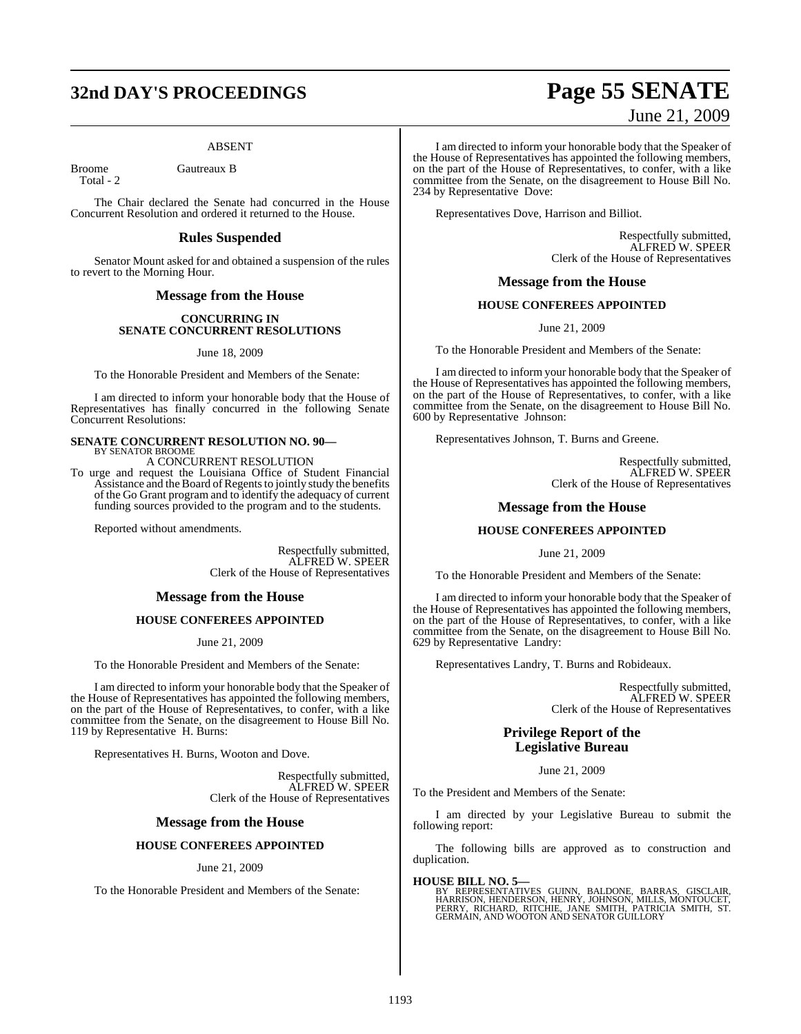## **32nd DAY'S PROCEEDINGS Page 55 SENATE**

#### ABSENT

Broome Gautreaux B

Total - 2

The Chair declared the Senate had concurred in the House Concurrent Resolution and ordered it returned to the House.

### **Rules Suspended**

Senator Mount asked for and obtained a suspension of the rules to revert to the Morning Hour.

#### **Message from the House**

#### **CONCURRING IN SENATE CONCURRENT RESOLUTIONS**

June 18, 2009

To the Honorable President and Members of the Senate:

I am directed to inform your honorable body that the House of Representatives has finally concurred in the following Senate Concurrent Resolutions:

## **SENATE CONCURRENT RESOLUTION NO. 90—** BY SENATOR BROOME

A CONCURRENT RESOLUTION

To urge and request the Louisiana Office of Student Financial Assistance and the Board of Regents to jointly study the benefits of the Go Grant program and to identify the adequacy of current funding sources provided to the program and to the students.

Reported without amendments.

Respectfully submitted, ALFRED W. SPEER Clerk of the House of Representatives

#### **Message from the House**

#### **HOUSE CONFEREES APPOINTED**

June 21, 2009

To the Honorable President and Members of the Senate:

I am directed to inform your honorable body that the Speaker of the House of Representatives has appointed the following members, on the part of the House of Representatives, to confer, with a like committee from the Senate, on the disagreement to House Bill No. 119 by Representative H. Burns:

Representatives H. Burns, Wooton and Dove.

Respectfully submitted, ALFRED W. SPEER Clerk of the House of Representatives

#### **Message from the House**

#### **HOUSE CONFEREES APPOINTED**

June 21, 2009

To the Honorable President and Members of the Senate:

# June 21, 2009

I am directed to inform your honorable body that the Speaker of the House of Representatives has appointed the following members, on the part of the House of Representatives, to confer, with a like committee from the Senate, on the disagreement to House Bill No. 234 by Representative Dove:

Representatives Dove, Harrison and Billiot.

Respectfully submitted, ALFRED W. SPEER Clerk of the House of Representatives

#### **Message from the House**

#### **HOUSE CONFEREES APPOINTED**

June 21, 2009

To the Honorable President and Members of the Senate:

I am directed to inform your honorable body that the Speaker of the House of Representatives has appointed the following members, on the part of the House of Representatives, to confer, with a like committee from the Senate, on the disagreement to House Bill No. 600 by Representative Johnson:

Representatives Johnson, T. Burns and Greene.

Respectfully submitted, ALFRED W. SPEER Clerk of the House of Representatives

#### **Message from the House**

#### **HOUSE CONFEREES APPOINTED**

June 21, 2009

To the Honorable President and Members of the Senate:

I am directed to inform your honorable body that the Speaker of the House of Representatives has appointed the following members, on the part of the House of Representatives, to confer, with a like committee from the Senate, on the disagreement to House Bill No. 629 by Representative Landry:

Representatives Landry, T. Burns and Robideaux.

Respectfully submitted, ALFRED W. SPEER Clerk of the House of Representatives

### **Privilege Report of the Legislative Bureau**

June 21, 2009

To the President and Members of the Senate:

I am directed by your Legislative Bureau to submit the following report:

The following bills are approved as to construction and duplication.

**HOUSE BILL NO. 5—**<br>BY REPRESENTATIVES GUINN, BALDONE, BARRAS, GISCLAIR, BARRISON, HENRISON, HENRY, JOHNSON, MILLS, MONTOUCET,<br>PERRY, RICHARD, RITCHIE, JANE SMITH, PATRICIA SMITH, ST.<br>GERMAIN, AND WOOTON AND SENATOR GUILLO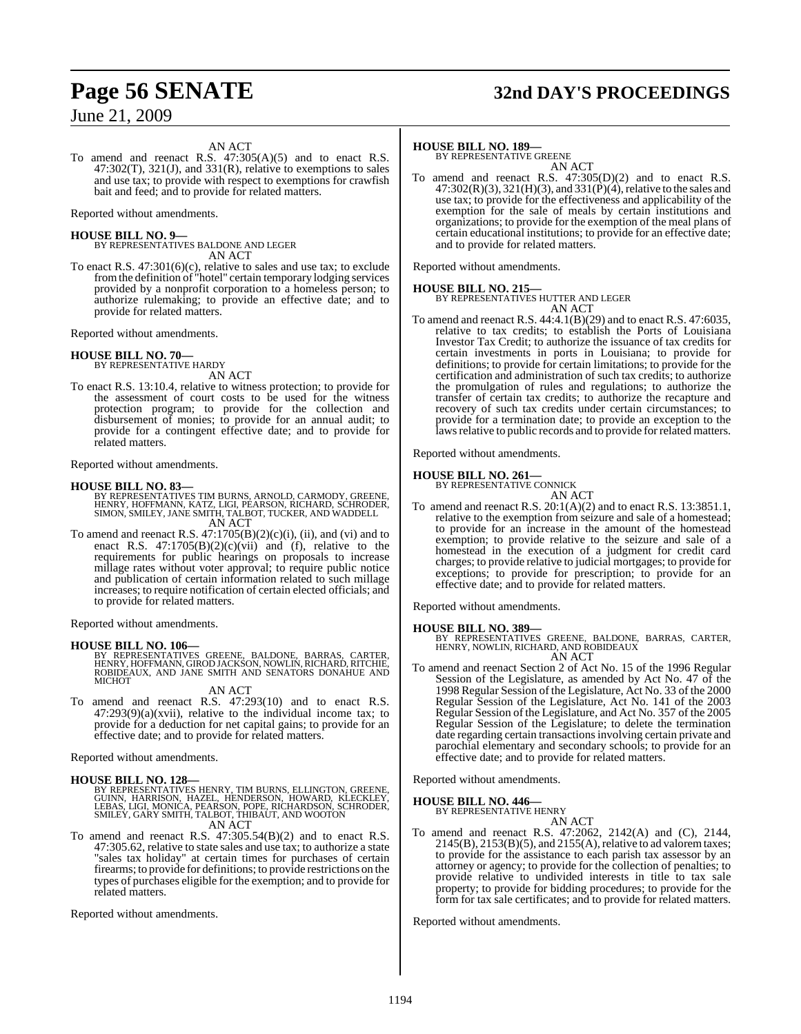## **Page 56 SENATE 32nd DAY'S PROCEEDINGS**

#### AN ACT

To amend and reenact R.S. 47:305(A)(5) and to enact R.S.  $47:302(T)$ ,  $321(J)$ , and  $331(R)$ , relative to exemptions to sales and use tax; to provide with respect to exemptions for crawfish bait and feed; and to provide for related matters.

Reported without amendments.

**HOUSE BILL NO. 9—** BY REPRESENTATIVES BALDONE AND LEGER AN ACT

To enact R.S. 47:301(6)(c), relative to sales and use tax; to exclude fromthe definition of "hotel" certain temporary lodging services provided by a nonprofit corporation to a homeless person; to authorize rulemaking; to provide an effective date; and to provide for related matters.

Reported without amendments.

#### **HOUSE BILL NO. 70—**

BY REPRESENTATIVE HARDY AN ACT

To enact R.S. 13:10.4, relative to witness protection; to provide for the assessment of court costs to be used for the witness protection program; to provide for the collection and disbursement of monies; to provide for an annual audit; to provide for a contingent effective date; and to provide for related matters.

Reported without amendments.

- **HOUSE BILL NO. 83—** BY REPRESENTATIVES TIM BURNS, ARNOLD, CARMODY, GREENE, HENRY, HOFFMANN, KATZ, LIGI, PEARSON, RICHARD, SCHRODER, SIMON, SMILEY, JANE SMITH, TALBOT, TUCKER, AND WADDELL AN ACT
- To amend and reenact R.S.  $47:1705(B)(2)(c)(i)$ , (ii), and (vi) and to enact R.S. 47:1705(B)(2)(c)(vii) and (f), relative to the requirements for public hearings on proposals to increase millage rates without voter approval; to require public notice and publication of certain information related to such millage increases; to require notification of certain elected officials; and to provide for related matters.

Reported without amendments.

**HOUSE BILL NO. 106—** BY REPRESENTATIVES GREENE, BALDONE, BARRAS, CARTER, HENRY, HOFFMANN, GIROD JACKSON, NOWLIN, RICHARD, RITCHIE, ROBIDEAUX, AND JANE SMITH AND SENATORS DONAHUE AND MICHOT

AN ACT

To amend and reenact R.S. 47:293(10) and to enact R.S.  $47:293(9)(a)(xvii)$ , relative to the individual income tax; to provide for a deduction for net capital gains; to provide for an effective date; and to provide for related matters.

Reported without amendments.

**HOUSE BILL NO. 128—**<br>BY REPRESENTATIVES HENRY, TIM BURNS, ELLINGTON, GREENE, GUINN, HARRISON, HOWARD, KLECKLEY,<br>CUINN, HARRISON, HAZEL, HENDERSON, HOWARD, KLECKLEY,<br>LEBAS, LIGI, MONICA, PEARSON, POPE, RICHARDSON, SCHRODER AN ACT

To amend and reenact R.S. 47:305.54(B)(2) and to enact R.S. 47:305.62, relative to state sales and use tax; to authorize a state "sales tax holiday" at certain times for purchases of certain firearms; to provide for definitions; to provide restrictions on the types of purchases eligible for the exemption; and to provide for related matters.

Reported without amendments.

#### **HOUSE BILL NO. 189—**

BY REPRESENTATIVE GREENE AN ACT

To amend and reenact R.S. 47:305(D)(2) and to enact R.S.  $47:302(R)(3), 321(H)(3),$  and  $331(P)(4)$ , relative to the sales and use tax; to provide for the effectiveness and applicability of the exemption for the sale of meals by certain institutions and organizations; to provide for the exemption of the meal plans of certain educational institutions; to provide for an effective date; and to provide for related matters.

Reported without amendments.

#### **HOUSE BILL NO. 215—**

BY REPRESENTATIVES HUTTER AND LEGER AN ACT

To amend and reenact R.S. 44:4.1(B)(29) and to enact R.S. 47:6035, relative to tax credits; to establish the Ports of Louisiana Investor Tax Credit; to authorize the issuance of tax credits for certain investments in ports in Louisiana; to provide for definitions; to provide for certain limitations; to provide for the certification and administration of such tax credits; to authorize the promulgation of rules and regulations; to authorize the transfer of certain tax credits; to authorize the recapture and recovery of such tax credits under certain circumstances; to provide for a termination date; to provide an exception to the laws relative to public records and to provide for related matters.

Reported without amendments.

#### **HOUSE BILL NO. 261—**

BY REPRESENTATIVE CONNICK AN ACT

To amend and reenact R.S. 20:1(A)(2) and to enact R.S. 13:3851.1, relative to the exemption from seizure and sale of a homestead; to provide for an increase in the amount of the homestead exemption; to provide relative to the seizure and sale of a homestead in the execution of a judgment for credit card charges; to provide relative to judicial mortgages; to provide for exceptions; to provide for prescription; to provide for an effective date; and to provide for related matters.

Reported without amendments.

#### **HOUSE BILL NO. 389—**

BY REPRESENTATIVES GREENE, BALDONE, BARRAS, CARTER, HENRY, NOWLIN, RICHARD, AND ROBIDEAUX AN ACT

To amend and reenact Section 2 of Act No. 15 of the 1996 Regular Session of the Legislature, as amended by Act No. 47 of the 1998 Regular Session of the Legislature, Act No. 33 of the 2000 Regular Session of the Legislature, Act No. 141 of the 2003 Regular Session of the Legislature, and Act No. 357 of the 2005 Regular Session of the Legislature; to delete the termination date regarding certain transactionsinvolving certain private and parochial elementary and secondary schools; to provide for an effective date; and to provide for related matters.

Reported without amendments.

#### **HOUSE BILL NO. 446—**

BY REPRESENTATIVE HENRY

- AN ACT To amend and reenact R.S. 47:2062, 2142(A) and (C), 2144,
- $2145(B)$ ,  $2153(B)(5)$ , and  $2155(A)$ , relative to ad valorem taxes; to provide for the assistance to each parish tax assessor by an attorney or agency; to provide for the collection of penalties; to provide relative to undivided interests in title to tax sale property; to provide for bidding procedures; to provide for the form for tax sale certificates; and to provide for related matters.

Reported without amendments.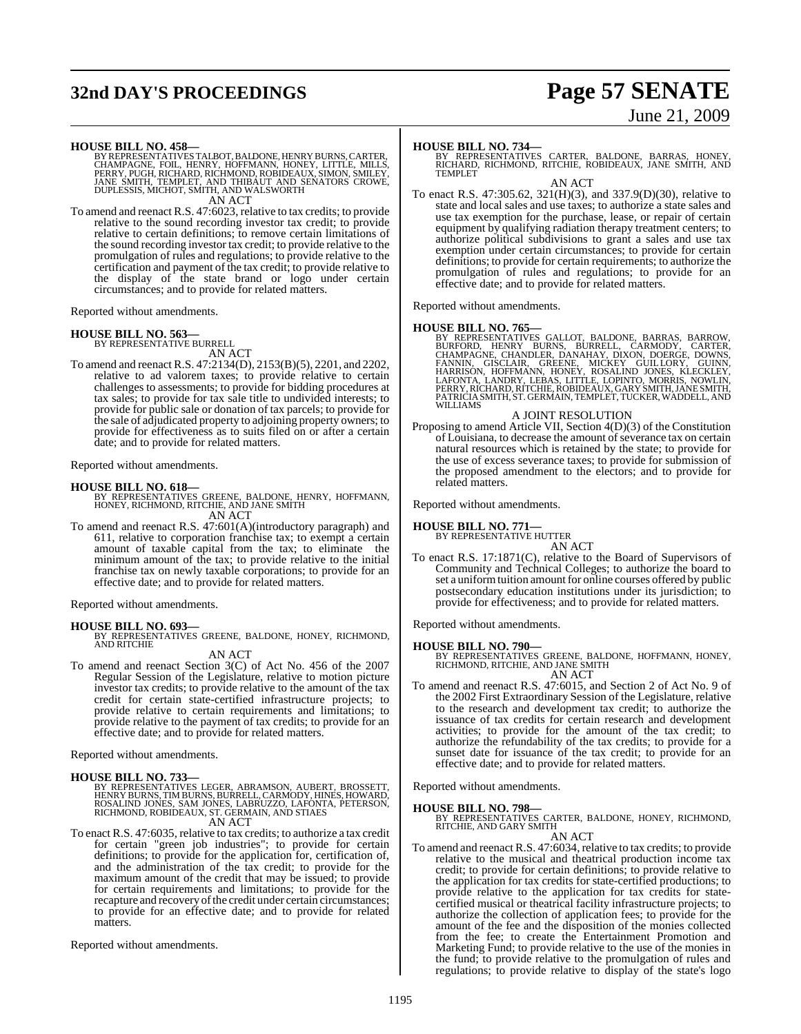## **32nd DAY'S PROCEEDINGS Page 57 SENATE**

# June 21, 2009

**HOUSE BILL NO. 458—**<br>BY REPRESENTATIVES TALBOT, BALDONE, HENRY BURNS, CARTER,<br>CHAMPAGNE, FOIL, HENRY, HOFFMANN, HONEY, LITTLE, MILLS,<br>PERRY, PUGH, RICHARD, RICHMOND, ROBIDEAUX, SIMON, SMILEY, JANE SMITH, TEMPLET, AND THIBAUT AND SENATORS CROWE, DUPLESSIS, MICHOT, SMITH, AND WALSWORTH AN ACT

To amend and reenact R.S. 47:6023, relative to tax credits; to provide relative to the sound recording investor tax credit; to provide relative to certain definitions; to remove certain limitations of the sound recording investor tax credit; to provide relative to the promulgation of rules and regulations; to provide relative to the certification and payment of the tax credit; to provide relative to the display of the state brand or logo under certain circumstances; and to provide for related matters.

Reported without amendments.

#### **HOUSE BILL NO. 563—**

BY REPRESENTATIVE BURRELL

AN ACT To amend and reenact R.S. 47:2134(D), 2153(B)(5), 2201, and 2202, relative to ad valorem taxes; to provide relative to certain challenges to assessments; to provide for bidding procedures at tax sales; to provide for tax sale title to undivided interests; to provide for public sale or donation of tax parcels; to provide for the sale of adjudicated property to adjoining property owners; to provide for effectiveness as to suits filed on or after a certain date; and to provide for related matters.

Reported without amendments.

**HOUSE BILL NO. 618—** BY REPRESENTATIVES GREENE, BALDONE, HENRY, HOFFMANN, HONEY, RICHMOND, RITCHIE, AND JANE SMITH AN ACT

To amend and reenact R.S. 47:601(A)(introductory paragraph) and 611, relative to corporation franchise tax; to exempt a certain amount of taxable capital from the tax; to eliminate the minimum amount of the tax; to provide relative to the initial franchise tax on newly taxable corporations; to provide for an effective date; and to provide for related matters.

Reported without amendments.

**HOUSE BILL NO. 693—** BY REPRESENTATIVES GREENE, BALDONE, HONEY, RICHMOND, AND RITCHIE AN ACT

To amend and reenact Section 3(C) of Act No. 456 of the 2007 Regular Session of the Legislature, relative to motion picture investor tax credits; to provide relative to the amount of the tax credit for certain state-certified infrastructure projects; to provide relative to certain requirements and limitations; to provide relative to the payment of tax credits; to provide for an effective date; and to provide for related matters.

Reported without amendments.

#### **HOUSE BILL NO. 733—**

BY REPRESENTATIVES LEGER, ABRAMSON, AUBERT, BROSSETT,<br>HENRY BURNS,TIM BURNS,BURRELL,CARMODY,HINES, HOWARD,<br>ROSALIND JONES, SAM JONES, LABRUZZO, LAFONTA, PETERSON, RICHMOND, ROBIDEAUX, ST. GERMAIN, AND STIAES AN ACT

To enact R.S. 47:6035, relative to tax credits; to authorize a tax credit for certain "green job industries"; to provide for certain definitions; to provide for the application for, certification of, and the administration of the tax credit; to provide for the maximum amount of the credit that may be issued; to provide for certain requirements and limitations; to provide for the recapture and recovery of the credit under certain circumstances; to provide for an effective date; and to provide for related matters.

Reported without amendments.

**HOUSE BILL NO. 734—** BY REPRESENTATIVES CARTER, BALDONE, BARRAS, HONEY, RICHARD, RICHMOND, RITCHIE, ROBIDEAUX, JANE SMITH, AND TEMPLET

AN ACT To enact R.S. 47:305.62, 321(H)(3), and 337.9(D)(30), relative to state and local sales and use taxes; to authorize a state sales and use tax exemption for the purchase, lease, or repair of certain equipment by qualifying radiation therapy treatment centers; to authorize political subdivisions to grant a sales and use tax exemption under certain circumstances; to provide for certain definitions; to provide for certain requirements; to authorize the promulgation of rules and regulations; to provide for an effective date; and to provide for related matters.

Reported without amendments.

#### **HOUSE BILL NO. 765—**

BY REPRESENTATIVES GALLOT, BALDONE, BARRAS, BARROW,<br>BURFORD, HENRY BURNS, BURRELL, CARMODY, CARTER,<br>CHAMPAGNE, CHANDLER, DANAHAY, DIXON, DOERGE, DOWNS,<br>FANNIN, GISCLAIR, GREENE, MICKEY GUILLORY, GUINN,<br>HARRISON, HOFFMANN, WILLIAMS

#### A JOINT RESOLUTION

Proposing to amend Article VII, Section 4(D)(3) of the Constitution of Louisiana, to decrease the amount of severance tax on certain natural resources which is retained by the state; to provide for the use of excess severance taxes; to provide for submission of the proposed amendment to the electors; and to provide for related matters.

Reported without amendments.

#### **HOUSE BILL NO. 771**

BY REPRESENTATIVE HUTTER AN ACT

To enact R.S. 17:1871(C), relative to the Board of Supervisors of Community and Technical Colleges; to authorize the board to set a uniform tuition amount for online courses offered by public postsecondary education institutions under its jurisdiction; to provide for effectiveness; and to provide for related matters.

Reported without amendments.

**HOUSE BILL NO. 790—** BY REPRESENTATIVES GREENE, BALDONE, HOFFMANN, HONEY, RICHMOND, RITCHIE, AND JANE SMITH AN ACT

To amend and reenact R.S. 47:6015, and Section 2 of Act No. 9 of the 2002 First Extraordinary Session of the Legislature, relative to the research and development tax credit; to authorize the issuance of tax credits for certain research and development activities; to provide for the amount of the tax credit; to authorize the refundability of the tax credits; to provide for a sunset date for issuance of the tax credit; to provide for an effective date; and to provide for related matters.

Reported without amendments.

#### **HOUSE BILL NO. 798—**

BY REPRESENTATIVES CARTER, BALDONE, HONEY, RICHMOND, RITCHIE, AND GARY SMITH

### AN ACT

To amend and reenact R.S. 47:6034, relative to tax credits; to provide relative to the musical and theatrical production income tax credit; to provide for certain definitions; to provide relative to the application for tax credits for state-certified productions; to provide relative to the application for tax credits for statecertified musical or theatrical facility infrastructure projects; to authorize the collection of application fees; to provide for the amount of the fee and the disposition of the monies collected from the fee; to create the Entertainment Promotion and Marketing Fund; to provide relative to the use of the monies in the fund; to provide relative to the promulgation of rules and regulations; to provide relative to display of the state's logo

1195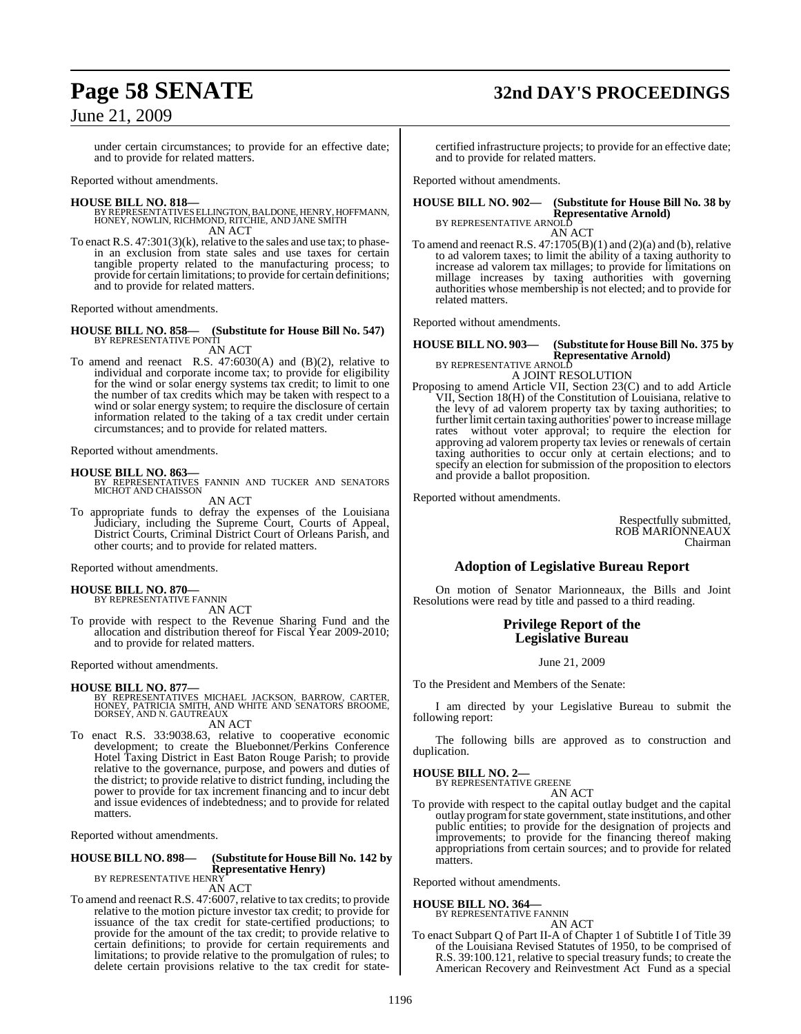## **Page 58 SENATE 32nd DAY'S PROCEEDINGS**

### June 21, 2009

under certain circumstances; to provide for an effective date; and to provide for related matters.

Reported without amendments.

#### **HOUSE BILL NO. 818—**

- BY REPRESENTATIVES ELLINGTON, BALDONE, HENRY, HOFFMANN,<br>HONEY, NOWLIN, RICHMOND, RITCHIE, AND JANE SMITH AN ACT
- To enact R.S. 47:301(3)(k), relative to the sales and use tax; to phasein an exclusion from state sales and use taxes for certain tangible property related to the manufacturing process; to provide for certain limitations; to provide for certain definitions; and to provide for related matters.

Reported without amendments.

#### **HOUSE BILL NO. 858— (Substitute for House Bill No. 547)** BY REPRESENTATIVE PONTI

AN ACT

To amend and reenact R.S. 47:6030(A) and (B)(2), relative to individual and corporate income tax; to provide for eligibility for the wind or solar energy systems tax credit; to limit to one the number of tax credits which may be taken with respect to a wind or solar energy system; to require the disclosure of certain information related to the taking of a tax credit under certain circumstances; and to provide for related matters.

Reported without amendments.

**HOUSE BILL NO. 863—** BY REPRESENTATIVES FANNIN AND TUCKER AND SENATORS MICHOT AND CHAISSON AN ACT

To appropriate funds to defray the expenses of the Louisiana Judiciary, including the Supreme Court, Courts of Appeal, District Courts, Criminal District Court of Orleans Parish, and other courts; and to provide for related matters.

Reported without amendments.

#### **HOUSE BILL NO. 870—**

BY REPRESENTATIVE FANNIN AN ACT

To provide with respect to the Revenue Sharing Fund and the allocation and distribution thereof for Fiscal Year 2009-2010; and to provide for related matters.

Reported without amendments.

#### **HOUSE BILL NO. 877—**

BY REPRESENTATIVES MICHAEL JACKSON, BARROW, CARTER,<br>HONEY, PATRICIA SMITH, AND WHITE AND SENATORS BROOME,<br>DORSEY, AND N. GAUTREAUX AN ACT

To enact R.S. 33:9038.63, relative to cooperative economic development; to create the Bluebonnet/Perkins Conference Hotel Taxing District in East Baton Rouge Parish; to provide relative to the governance, purpose, and powers and duties of the district; to provide relative to district funding, including the power to provide for tax increment financing and to incur debt and issue evidences of indebtedness; and to provide for related matters.

Reported without amendments.

#### **HOUSE BILL NO. 898— (Substitute for HouseBill No. 142 by Representative Henry)** BY REPRESENTATIVE HENRY

AN ACT

To amend and reenact R.S. 47:6007, relative to tax credits; to provide relative to the motion picture investor tax credit; to provide for issuance of the tax credit for state-certified productions; to provide for the amount of the tax credit; to provide relative to certain definitions; to provide for certain requirements and limitations; to provide relative to the promulgation of rules; to delete certain provisions relative to the tax credit for state-

certified infrastructure projects; to provide for an effective date; and to provide for related matters.

Reported without amendments.

### **HOUSE BILL NO. 902— (Substitute for House Bill No. 38 by Representative Arnold)**<br>BY REPRESENTATIVE ARNOLD

AN ACT To amend and reenact R.S. 47:1705(B)(1) and (2)(a) and (b), relative to ad valorem taxes; to limit the ability of a taxing authority to increase ad valorem tax millages; to provide for limitations on millage increases by taxing authorities with governing authorities whose membership is not elected; and to provide for related matters.

Reported without amendments.

### **HOUSE BILL NO. 903— (Substitute for House Bill No. 375 by Representative Arnold)**<br>BY REPRESENTATIVE ARNOLD

A JOINT RESOLUTION

Proposing to amend Article VII, Section 23(C) and to add Article VII, Section 18(H) of the Constitution of Louisiana, relative to the levy of ad valorem property tax by taxing authorities; to further limit certain taxing authorities' power to increase millage rates without voter approval; to require the election for approving ad valorem property tax levies or renewals of certain taxing authorities to occur only at certain elections; and to specify an election for submission of the proposition to electors and provide a ballot proposition.

Reported without amendments.

Respectfully submitted, ROB MARIONNEAUX Chairman

### **Adoption of Legislative Bureau Report**

On motion of Senator Marionneaux, the Bills and Joint Resolutions were read by title and passed to a third reading.

### **Privilege Report of the Legislative Bureau**

June 21, 2009

To the President and Members of the Senate:

I am directed by your Legislative Bureau to submit the following report:

The following bills are approved as to construction and duplication.

## **HOUSE BILL NO. 2—** BY REPRESENTATIVE GREENE

AN ACT

To provide with respect to the capital outlay budget and the capital outlay programfor state government, state institutions, and other public entities; to provide for the designation of projects and improvements; to provide for the financing thereof making appropriations from certain sources; and to provide for related matters.

Reported without amendments.

### **HOUSE BILL NO. 364—** BY REPRESENTATIVE FANNIN

AN ACT

To enact Subpart Q of Part II-A of Chapter 1 of Subtitle I of Title 39 of the Louisiana Revised Statutes of 1950, to be comprised of R.S. 39:100.121, relative to special treasury funds; to create the American Recovery and Reinvestment Act Fund as a special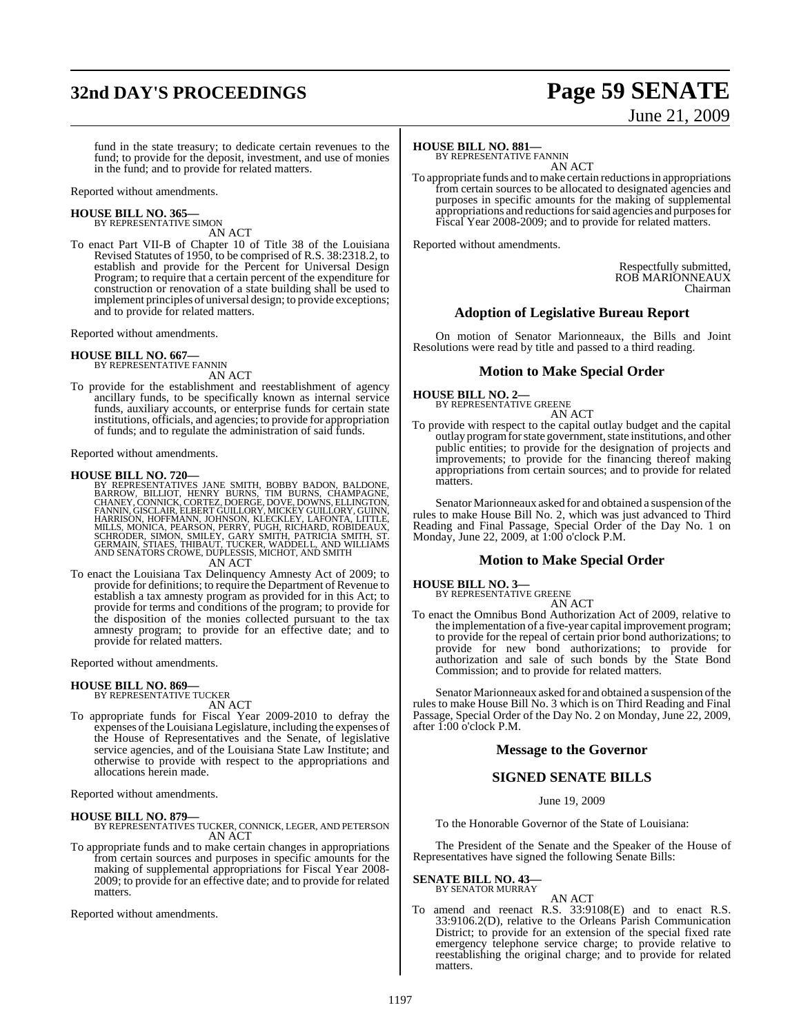## **32nd DAY'S PROCEEDINGS Page 59 SENATE**

# June 21, 2009

fund in the state treasury; to dedicate certain revenues to the fund; to provide for the deposit, investment, and use of monies in the fund; and to provide for related matters.

Reported without amendments.

#### **HOUSE BILL NO. 365—** BY REPRESENTATIVE SIMON

AN ACT

To enact Part VII-B of Chapter 10 of Title 38 of the Louisiana Revised Statutes of 1950, to be comprised of R.S. 38:2318.2, to establish and provide for the Percent for Universal Design Program; to require that a certain percent of the expenditure for construction or renovation of a state building shall be used to implement principles of universal design; to provide exceptions; and to provide for related matters.

Reported without amendments.

#### **HOUSE BILL NO. 667—**

BY REPRESENTATIVE FANNIN AN ACT

To provide for the establishment and reestablishment of agency ancillary funds, to be specifically known as internal service funds, auxiliary accounts, or enterprise funds for certain state institutions, officials, and agencies; to provide for appropriation of funds; and to regulate the administration of said funds.

Reported without amendments.

**HOUSE BILL NO. 720—**<br>BY REPRESENTATIVES JANE SMITH, BOBBY BADON, BALDONE,<br>BARROW, BILLIOT, HENRY BURNS, TIM BURNS, CHAMPAGNE,<br>CHANEY, CONNICK, CORTEZ, DOERGE, DOVE, DOWNS, ELLINGTON,<br>FANNIN, GISCLAIR, ELBERT GUILLORY, MIC

AN ACT

To enact the Louisiana Tax Delinquency Amnesty Act of 2009; to provide for definitions; to require the Department of Revenue to establish a tax amnesty program as provided for in this Act; to provide for terms and conditions of the program; to provide for the disposition of the monies collected pursuant to the tax amnesty program; to provide for an effective date; and to provide for related matters.

Reported without amendments.

#### **HOUSE BILL NO. 869—** BY REPRESENTATIVE TUCKER

AN ACT

To appropriate funds for Fiscal Year 2009-2010 to defray the expenses of the Louisiana Legislature, including the expenses of the House of Representatives and the Senate, of legislative service agencies, and of the Louisiana State Law Institute; and otherwise to provide with respect to the appropriations and allocations herein made.

Reported without amendments.

#### **HOUSE BILL NO. 879—** BY REPRESENTATIVES TUCKER, CONNICK, LEGER, AND PETERSON

AN ACT To appropriate funds and to make certain changes in appropriations

from certain sources and purposes in specific amounts for the making of supplemental appropriations for Fiscal Year 2008- 2009; to provide for an effective date; and to provide for related matters.

Reported without amendments.

### **HOUSE BILL NO. 881—**

BY REPRESENTATIVE FANNIN AN ACT

To appropriate funds and to make certain reductions in appropriations from certain sources to be allocated to designated agencies and purposes in specific amounts for the making of supplemental appropriations and reductions for said agencies and purposes for Fiscal Year 2008-2009; and to provide for related matters.

Reported without amendments.

Respectfully submitted, ROB MARIONNEAUX Chairman

### **Adoption of Legislative Bureau Report**

On motion of Senator Marionneaux, the Bills and Joint Resolutions were read by title and passed to a third reading.

### **Motion to Make Special Order**

**HOUSE BILL NO. 2—** BY REPRESENTATIVE GREENE

AN ACT

To provide with respect to the capital outlay budget and the capital outlay program for state government, state institutions, and other public entities; to provide for the designation of projects and improvements; to provide for the financing thereof making appropriations from certain sources; and to provide for related matters.

Senator Marionneaux asked for and obtained a suspension of the rules to make House Bill No. 2, which was just advanced to Third Reading and Final Passage, Special Order of the Day No. 1 on Monday, June 22, 2009, at 1:00 o'clock P.M.

#### **Motion to Make Special Order**

**HOUSE BILL NO. 3—** BY REPRESENTATIVE GREENE

AN ACT

To enact the Omnibus Bond Authorization Act of 2009, relative to the implementation of a five-year capital improvement program; to provide for the repeal of certain prior bond authorizations; to provide for new bond authorizations; to provide for authorization and sale of such bonds by the State Bond Commission; and to provide for related matters.

Senator Marionneaux asked for and obtained a suspension of the rules to make House Bill No. 3 which is on Third Reading and Final Passage, Special Order of the Day No. 2 on Monday, June 22, 2009, after  $1:00$  o'clock P.M.

### **Message to the Governor**

### **SIGNED SENATE BILLS**

June 19, 2009

To the Honorable Governor of the State of Louisiana:

The President of the Senate and the Speaker of the House of Representatives have signed the following Senate Bills:

### **SENATE BILL NO. 43—**

BY SENATOR MURRAY

AN ACT To amend and reenact R.S. 33:9108(E) and to enact R.S. 33:9106.2(D), relative to the Orleans Parish Communication District; to provide for an extension of the special fixed rate emergency telephone service charge; to provide relative to reestablishing the original charge; and to provide for related matters.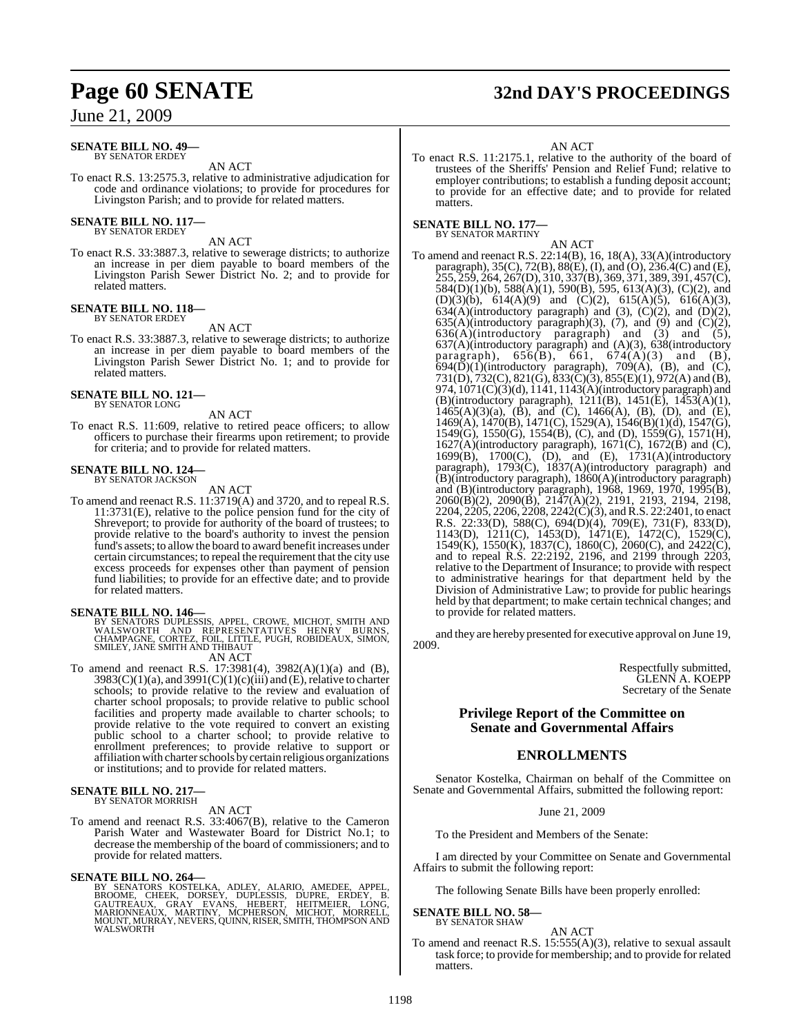#### **SENATE BILL NO. 49—** BY SENATOR ERDEY

AN ACT

To enact R.S. 13:2575.3, relative to administrative adjudication for code and ordinance violations; to provide for procedures for Livingston Parish; and to provide for related matters.

### **SENATE BILL NO. 117—** BY SENATOR ERDEY

AN ACT

To enact R.S. 33:3887.3, relative to sewerage districts; to authorize an increase in per diem payable to board members of the Livingston Parish Sewer District No. 2; and to provide for related matters.

#### **SENATE BILL NO. 118—** BY SENATOR ERDEY

AN ACT

To enact R.S. 33:3887.3, relative to sewerage districts; to authorize an increase in per diem payable to board members of the Livingston Parish Sewer District No. 1; and to provide for related matters.

#### **SENATE BILL NO. 121—** BY SENATOR LONG

AN ACT

To enact R.S. 11:609, relative to retired peace officers; to allow officers to purchase their firearms upon retirement; to provide for criteria; and to provide for related matters.

## **SENATE BILL NO. 124—** BY SENATOR JACKSON

AN ACT

To amend and reenact R.S. 11:3719(A) and 3720, and to repeal R.S. 11:3731(E), relative to the police pension fund for the city of Shreveport; to provide for authority of the board of trustees; to provide relative to the board's authority to invest the pension fund's assets; to allowthe board to award benefit increases under certain circumstances; to repeal the requirement that the city use excess proceeds for expenses other than payment of pension fund liabilities; to provide for an effective date; and to provide for related matters.

- **SENATE BILL NO. 146—**<br>BY SENATORS DUPLESSIS, APPEL, CROWE, MICHOT, SMITH AND<br>WALSWORTH AND REPRESENTATIVES HENRY BURNS,<br>CHAMPAGNE, CORTEZ, FOIL, LITTLE, PUGH, ROBIDEAUX, SIMON, SMILEY, JANE SMITH AND THIBAUT AN ACT
- To amend and reenact R.S. 17:3981(4), 3982(A)(1)(a) and (B),  $3983(C)(1)(a)$ , and  $3991(C)(1)(c)(iii)$  and (E), relative to charter schools; to provide relative to the review and evaluation of charter school proposals; to provide relative to public school facilities and property made available to charter schools; to provide relative to the vote required to convert an existing public school to a charter school; to provide relative to enrollment preferences; to provide relative to support or affiliation with charter schools by certain religious organizations or institutions; and to provide for related matters.

## **SENATE BILL NO. 217—** BY SENATOR MORRISH

#### AN ACT

To amend and reenact R.S. 33:4067(B), relative to the Cameron Parish Water and Wastewater Board for District No.1; to decrease the membership of the board of commissioners; and to provide for related matters.

SENATE BILL NO. 264—<br>BY SENATORS KOSTELKA, ADLEY, ALARIO, AMEDEE, APPEL,<br>BROOME, CHEEK, DORSEY, DUPLESSIS, DUPRE, ERDEY, B.<br>GAUTREAUX, GRAY EVANS, HEBERT, HEITMEIER, LONG,<br>MARIONNEAUX, MARTINY, MCPHERSON, MICHOT, MORRELL,<br>

## **Page 60 SENATE 32nd DAY'S PROCEEDINGS**

#### AN ACT

To enact R.S. 11:2175.1, relative to the authority of the board of trustees of the Sheriffs' Pension and Relief Fund; relative to employer contributions; to establish a funding deposit account; to provide for an effective date; and to provide for related matters.

#### **SENATE BILL NO. 177—** BY SENATOR MARTINY

AN ACT To amend and reenact R.S. 22:14(B), 16, 18(A), 33(A)(introductory paragraph), 35(C), 72(B), 88(E), (I), and (O), 236.4(C) and (E), 255, 259, 264, 267(D), 310, 337(B), 369, 371, 389, 391, 457(C), 584(D)(1)(b), 588(A)(1), 590(B), 595, 613(A)(3), (C)(2), and (D)(3)(b),  $614(A)(9)$  and (C)(2),  $615(A)(5)$ ,  $616(A)(3)$ ,  $634(A)$ (introductory paragraph) and (3), (C)(2), and (D)(2),  $635(A)$ (introductory paragraph)(3), (7), and (9) and (C)(2),  $636(A)$ (introductory paragraph) and (3) and (5), 637(A)(introductory paragraph) and (A)(3), 638(introductory paragraph),  $656(B)$ ,  $661$ ,  $674(A)(3)$  and  $(B)$ ,  $694(\overline{D})(1)$ (introductory paragraph), 709(A), (B), and (C), 731(D), 732(C), 821(G), 833(C)(3), 855(E)(1), 972(A) and (B), 974, 1071(C)(3)(d), 1141, 1143(A)(introductory paragraph) and (B)(introductory paragraph), 1211(B), 1451(E), 1453(A)(1),  $1465(A)(3)(a)$ ,  $(\dot{B})$ , and  $(\dot{C})$ ,  $1466(A)$ ,  $(B)$ ,  $(\dot{D})$ , and  $(\dot{E})$ , 1469(A), 1470(B), 1471(C), 1529(A), 1546(B)(1)(d), 1547(G),  $1549(\overrightarrow{G})$ ,  $1550(\overrightarrow{G})$ ,  $1554(\overrightarrow{B})$ , (C), and (D),  $1559(\overrightarrow{G})$ ,  $1571(\overrightarrow{H})$ ,  $1627(A)$ (introductory paragraph),  $1671(C)$ ,  $1672(B)$  and  $(C)$ , 1699(B), 1700(C), (D), and (E), 1731(A)(introductory paragraph), 1793(C), 1837(A)(introductory paragraph) and (B)(introductory paragraph), 1860(A)(introductory paragraph) and (B)(introductory paragraph), 1968, 1969, 1970, 1995(B), 2060(B)(2), 2090(B), 2147(A)(2), 2191, 2193, 2194, 2198, 2204, 2205, 2206, 2208, 2242(C)(3), and R.S. 22:2401, to enact R.S. 22:33(D), 588(C), 694(D)(4), 709(E), 731(F), 833(D), 1143(D), 1211(C), 1453(D), 1471(E), 1472(C), 1529(C), 1549(K), 1550(K), 1837(C), 1860(C), 2060(C), and 2422(C), and to repeal R.S. 22:2192, 2196, and 2199 through 2203, relative to the Department of Insurance; to provide with respect to administrative hearings for that department held by the Division of Administrative Law; to provide for public hearings held by that department; to make certain technical changes; and to provide for related matters.

and they are hereby presented for executive approval on June 19, 2009.

> Respectfully submitted, GLENN A. KOEPP Secretary of the Senate

#### **Privilege Report of the Committee on Senate and Governmental Affairs**

### **ENROLLMENTS**

Senator Kostelka, Chairman on behalf of the Committee on Senate and Governmental Affairs, submitted the following report:

June 21, 2009

To the President and Members of the Senate:

I am directed by your Committee on Senate and Governmental Affairs to submit the following report:

The following Senate Bills have been properly enrolled:

#### **SENATE BILL NO. 58—** BY SENATOR SHAW

AN ACT

To amend and reenact R.S. 15:555(A)(3), relative to sexual assault task force; to provide for membership; and to provide for related matters.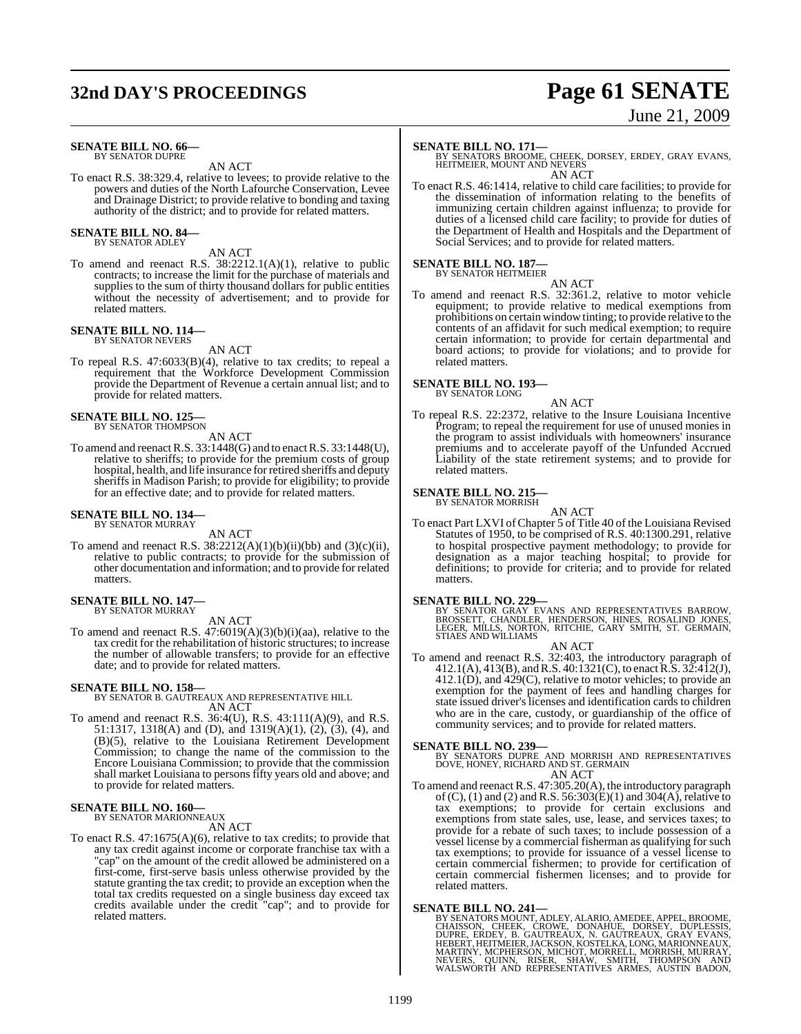## **32nd DAY'S PROCEEDINGS Page 61 SENATE**

# June 21, 2009

#### **SENATE BILL NO. 66—** BY SENATOR DUPRE

AN ACT

To enact R.S. 38:329.4, relative to levees; to provide relative to the powers and duties of the North Lafourche Conservation, Levee and Drainage District; to provide relative to bonding and taxing authority of the district; and to provide for related matters.

#### **SENATE BILL NO. 84—** BY SENATOR ADLEY

AN ACT

To amend and reenact R.S. 38:2212.1(A)(1), relative to public contracts; to increase the limit for the purchase of materials and supplies to the sum of thirty thousand dollars for public entities without the necessity of advertisement; and to provide for related matters.

#### **SENATE BILL NO. 114—**

BY SENATOR NEVERS AN ACT

To repeal R.S. 47:6033(B)(4), relative to tax credits; to repeal a requirement that the Workforce Development Commission provide the Department of Revenue a certain annual list; and to provide for related matters.

#### **SENATE BILL NO. 125—** BY SENATOR THOMPSON

AN ACT

To amend and reenact R.S. 33:1448(G) and to enact R.S. 33:1448(U), relative to sheriffs; to provide for the premium costs of group hospital, health, and life insurance for retired sheriffs and deputy sheriffs in Madison Parish; to provide for eligibility; to provide for an effective date; and to provide for related matters.

### **SENATE BILL NO. 134—** BY SENATOR MURRAY

AN ACT

To amend and reenact R.S.  $38:2212(A)(1)(b)(ii)(bb)$  and  $(3)(c)(ii)$ , relative to public contracts; to provide for the submission of other documentation and information; and to provide for related matters.

#### **SENATE BILL NO. 147—** BY SENATOR MURRAY

AN ACT

To amend and reenact R.S. 47:6019(A)(3)(b)(i)(aa), relative to the tax credit for the rehabilitation of historic structures; to increase the number of allowable transfers; to provide for an effective date; and to provide for related matters.

#### **SENATE BILL NO. 158—**

BY SENATOR B. GAUTREAUX AND REPRESENTATIVE HILL AN ACT

To amend and reenact R.S. 36:4(U), R.S. 43:111(A)(9), and R.S. 51:1317, 1318(A) and (D), and 1319(A)(1), (2), (3), (4), and (B)(5), relative to the Louisiana Retirement Development Commission; to change the name of the commission to the Encore Louisiana Commission; to provide that the commission shall market Louisiana to persons fifty years old and above; and to provide for related matters.

### **SENATE BILL NO. 160—** BY SENATOR MARIONNEAUX

AN ACT

To enact R.S. 47:1675(A)(6), relative to tax credits; to provide that any tax credit against income or corporate franchise tax with a "cap" on the amount of the credit allowed be administered on a first-come, first-serve basis unless otherwise provided by the statute granting the tax credit; to provide an exception when the total tax credits requested on a single business day exceed tax credits available under the credit "cap"; and to provide for related matters.

**SENATE BILL NO. 171—**<br>BY SENATORS BROOME, CHEEK, DORSEY, ERDEY, GRAY EVANS, HEITMEIER, MOUNT AND NEVERS **AN ACT** 

To enact R.S. 46:1414, relative to child care facilities; to provide for the dissemination of information relating to the benefits of immunizing certain children against influenza; to provide for duties of a licensed child care facility; to provide for duties of the Department of Health and Hospitals and the Department of Social Services; and to provide for related matters.

## **SENATE BILL NO. 187—** BY SENATOR HEITMEIER

AN ACT

To amend and reenact R.S. 32:361.2, relative to motor vehicle equipment; to provide relative to medical exemptions from prohibitions on certain window tinting; to provide relative to the contents of an affidavit for such medical exemption; to require certain information; to provide for certain departmental and board actions; to provide for violations; and to provide for related matters.

#### **SENATE BILL NO. 193—**

BY SENATOR LONG

AN ACT To repeal R.S. 22:2372, relative to the Insure Louisiana Incentive Program; to repeal the requirement for use of unused monies in the program to assist individuals with homeowners' insurance premiums and to accelerate payoff of the Unfunded Accrued Liability of the state retirement systems; and to provide for related matters.

#### **SENATE BILL NO. 215—**

BY SENATOR MORRISH

AN ACT To enact Part LXVI ofChapter 5 of Title 40 of the Louisiana Revised Statutes of 1950, to be comprised of R.S. 40:1300.291, relative to hospital prospective payment methodology; to provide for designation as a major teaching hospital; to provide for definitions; to provide for criteria; and to provide for related matters.

#### **SENATE BILL NO. 229—**

BY SENATOR GRAY EVANS AND REPRESENTATIVES BARROW,<br>BROSSETT, CHANDLER, HENDERSON, HINES, ROSALIND JONES,<br>LEGER, MILLS, NORTON, RITCHIE, GARY SMITH, ST. GERMAIN,<br>STIAES AND WILLIAMS

AN ACT

To amend and reenact R.S. 32:403, the introductory paragraph of  $412.1(A), 413(B),$  and R.S.  $40:1321(C)$ , to enact R.S.  $32:412(J)$ , 412.1(D), and 429(C), relative to motor vehicles; to provide an exemption for the payment of fees and handling charges for state issued driver's licenses and identification cards to children who are in the care, custody, or guardianship of the office of community services; and to provide for related matters.

**SENATE BILL NO. 239—**<br>BY SENATORS DUPRE AND MORRISH AND REPRESENTATIVES<br>DOVE, HONEY, RICHARD AND ST. GERMAIN AN ACT

To amend and reenact R.S. 47:305.20(A), the introductory paragraph of (C), (1) and (2) and R.S. 56:303(E)(1) and 304(A), relative to tax exemptions; to provide for certain exclusions and exemptions from state sales, use, lease, and services taxes; to provide for a rebate of such taxes; to include possession of a vessel license by a commercial fisherman as qualifying for such tax exemptions; to provide for issuance of a vessel license to certain commercial fishermen; to provide for certification of certain commercial fishermen licenses; and to provide for related matters.

SENATE BILL NO. 241—<br>BY SENATORS MOUNT, ADLEY, ALARIO, AMEDEE, APPEL, BROOME, CHAISSON, CHEEK, CROWE, DONAHUE, DORSEY, DUPLESSIS,<br>DUPRE, ERDEY, B. GAUTREAUX, N. GAUTREAUX, GRAY EVANS,<br>HEBERT, HEITMEIER, JACKSON, KOSTELKA,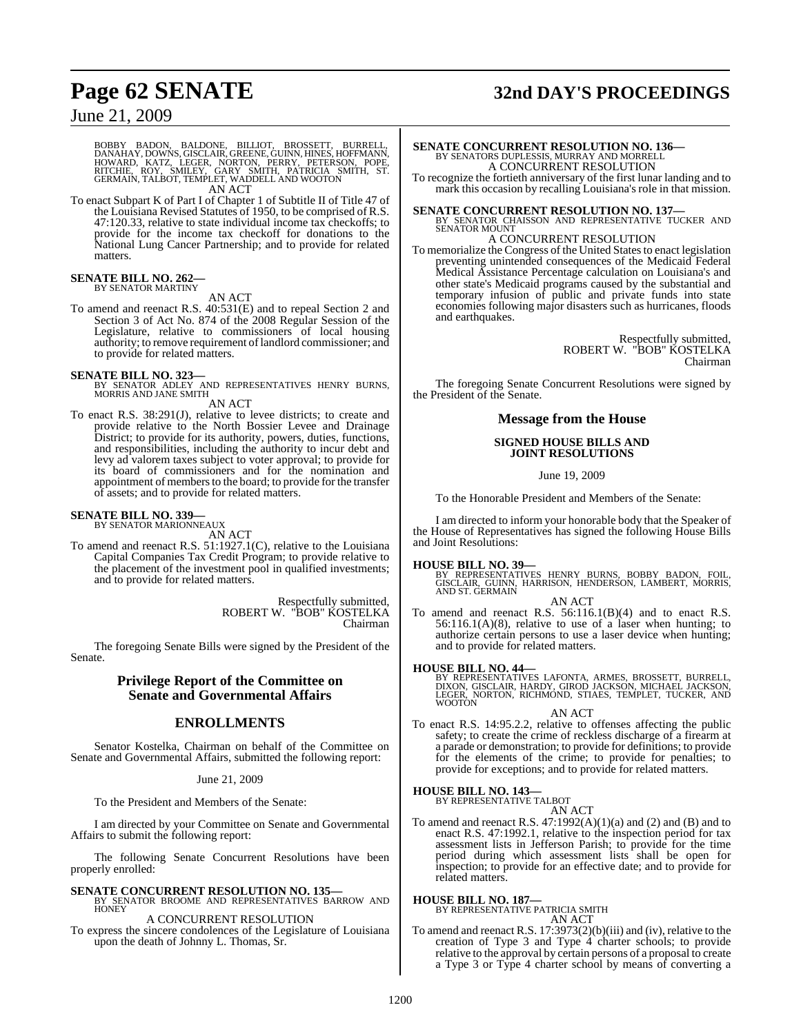## **Page 62 SENATE 32nd DAY'S PROCEEDINGS**

### June 21, 2009

BOBBY BADON, BALDONE, BILLIOT, BROSSETT, BURRELL,<br>DANAHAY,DOWNS,GISCLAIR,GREENE,GUINN,HINES,HOFFMANN,<br>HOWARD, KATZ, LEGER, NORTON, PERRY, PETERSON, POPE,<br>RITCHIE, ROY, SMILEY, GARY SMITH, PATRICIA SMITH, ST.<br>GERMAIN,TALBOT

To enact Subpart K of Part I of Chapter 1 of Subtitle II of Title 47 of the Louisiana Revised Statutes of 1950, to be comprised of R.S. 47:120.33, relative to state individual income tax checkoffs; to provide for the income tax checkoff for donations to the National Lung Cancer Partnership; and to provide for related matters.

#### **SENATE BILL NO. 262—** BY SENATOR MARTINY

AN ACT

To amend and reenact R.S. 40:531(E) and to repeal Section 2 and Section 3 of Act No. 874 of the 2008 Regular Session of the Legislature, relative to commissioners of local housing authority; to remove requirement oflandlord commissioner; and to provide for related matters.

#### **SENATE BILL NO. 323—**

BY SENATOR ADLEY AND REPRESENTATIVES HENRY BURNS, MORRIS AND JANE SMITH AN ACT

- To enact R.S. 38:291(J), relative to levee districts; to create and provide relative to the North Bossier Levee and Drainage
- District; to provide for its authority, powers, duties, functions, and responsibilities, including the authority to incur debt and levy ad valorem taxes subject to voter approval; to provide for its board of commissioners and for the nomination and appointment of members to the board; to provide for the transfer of assets; and to provide for related matters.

### **SENATE BILL NO. 339—** BY SENATOR MARIONNEAUX

AN ACT

To amend and reenact R.S. 51:1927.1(C), relative to the Louisiana Capital Companies Tax Credit Program; to provide relative to the placement of the investment pool in qualified investments; and to provide for related matters.

> Respectfully submitted, ROBERT W. "BOB" KOSTELKA Chairman

The foregoing Senate Bills were signed by the President of the Senate.

#### **Privilege Report of the Committee on Senate and Governmental Affairs**

### **ENROLLMENTS**

Senator Kostelka, Chairman on behalf of the Committee on Senate and Governmental Affairs, submitted the following report:

#### June 21, 2009

To the President and Members of the Senate:

I am directed by your Committee on Senate and Governmental Affairs to submit the following report:

The following Senate Concurrent Resolutions have been properly enrolled:

### **SENATE CONCURRENT RESOLUTION NO. 135—** BY SENATOR BROOME AND REPRESENTATIVES BARROW AND **HONEY**

A CONCURRENT RESOLUTION

To express the sincere condolences of the Legislature of Louisiana upon the death of Johnny L. Thomas, Sr.

## **SENATE CONCURRENT RESOLUTION NO. 136—**<br>BY SENATORS DUPLESSIS, MURRAY AND MORRELL<br>A CONCURRENT RESOLUTION

To recognize the fortieth anniversary of the first lunar landing and to mark this occasion by recalling Louisiana's role in that mission.

**SENATE CONCURRENT RESOLUTION NO. 137—BY SENATOR CHAISSON AND REPRESENTATIVE TUCKER AND SENATOR MOUNT** 

### A CONCURRENT RESOLUTION

To memorialize the Congress of the United States to enact legislation preventing unintended consequences of the Medicaid Federal Medical Assistance Percentage calculation on Louisiana's and other state's Medicaid programs caused by the substantial and temporary infusion of public and private funds into state economies following major disasters such as hurricanes, floods and earthquakes.

> Respectfully submitted, ROBERT W. "BOB" KOSTELKA Chairman

The foregoing Senate Concurrent Resolutions were signed by the President of the Senate.

### **Message from the House**

#### **SIGNED HOUSE BILLS AND JOINT RESOLUTIONS**

June 19, 2009

To the Honorable President and Members of the Senate:

I am directed to inform your honorable body that the Speaker of the House of Representatives has signed the following House Bills and Joint Resolutions:

#### **HOUSE BILL NO. 39—**

BY REPRESENTATIVES HENRY BURNS, BOBBY BADON, FOIL,<br>GISCLAIR, GUINN, HARRISON, HENDERSON, LAMBERT, MORRIS,<br>AND ST. GERMAIN

#### AN ACT

To amend and reenact R.S. 56:116.1(B)(4) and to enact R.S.  $56:116.1(A)(8)$ , relative to use of a laser when hunting; to authorize certain persons to use a laser device when hunting; and to provide for related matters.

**HOUSE BILL NO. 44—** BY REPRESENTATIVES LAFONTA, ARMES, BROSSETT, BURRELL, DIXON, GISCLAIR, HARDY, GIROD JACKSON, MICHAEL JACKSON, LEGER, NORTON, RICHMOND, STIAES, TEMPLET, TUCKER, AND WOOTON

AN ACT

To enact R.S. 14:95.2.2, relative to offenses affecting the public safety; to create the crime of reckless discharge of a firearm at a parade or demonstration; to provide for definitions; to provide for the elements of the crime; to provide for penalties; to provide for exceptions; and to provide for related matters.

## **HOUSE BILL NO. 143—** BY REPRESENTATIVE TALBOT

AN ACT

To amend and reenact R.S. 47:1992(A)(1)(a) and (2) and (B) and to enact R.S. 47:1992.1, relative to the inspection period for tax assessment lists in Jefferson Parish; to provide for the time period during which assessment lists shall be open for inspection; to provide for an effective date; and to provide for related matters.

#### **HOUSE BILL NO. 187—**

BY REPRESENTATIVE PATRICIA SMITH AN ACT

To amend and reenact R.S. 17:3973(2)(b)(iii) and (iv), relative to the creation of Type 3 and Type 4 charter schools; to provide relative to the approval by certain persons of a proposal to create a Type 3 or Type 4 charter school by means of converting a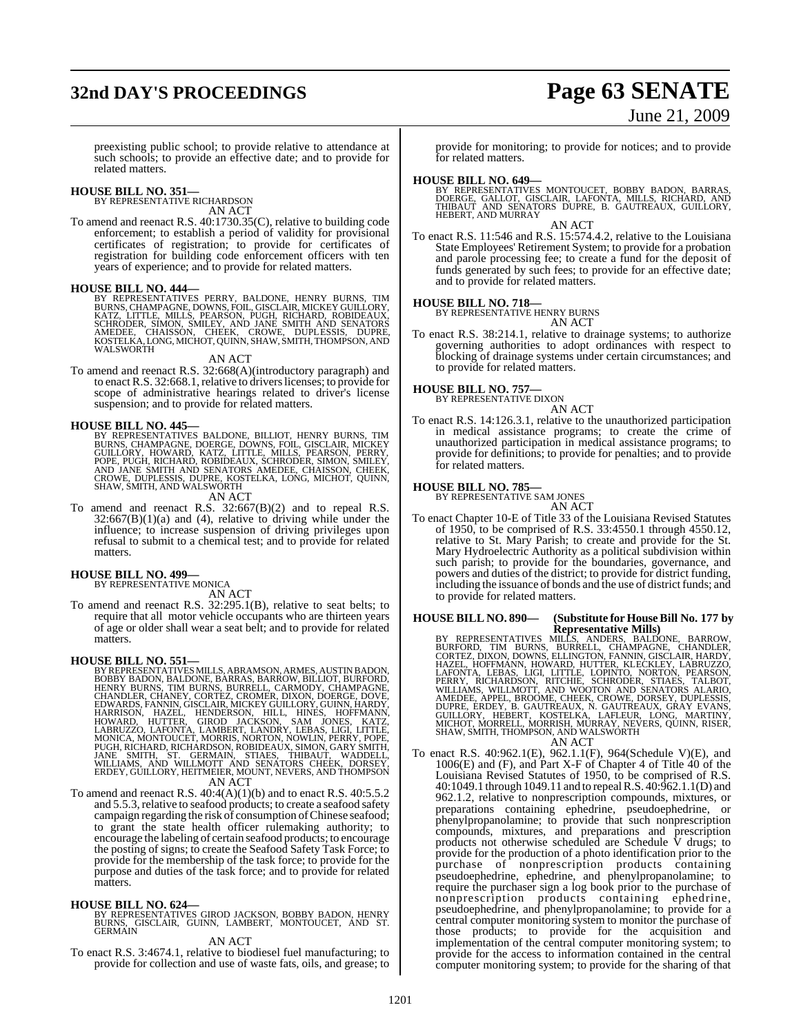## **32nd DAY'S PROCEEDINGS Page 63 SENATE** June 21, 2009

preexisting public school; to provide relative to attendance at such schools; to provide an effective date; and to provide for related matters.

## **HOUSE BILL NO. 351—** BY REPRESENTATIVE RICHARDSON

AN ACT

To amend and reenact R.S. 40:1730.35(C), relative to building code enforcement; to establish a period of validity for provisional certificates of registration; to provide for certificates of registration for building code enforcement officers with ten years of experience; and to provide for related matters.

**HOUSE BILL NO. 444—**<br>BY REPRESENTATIVES PERRY, BALDONE, HENRY BURNS, TIM<br>BURNS, CHAMPAGNE, DOWNS, FOIL, GISCLAIR, MICKEY GUILLORY,<br>KATZ, LITTLE, MILLS, PEARSON, PUGH, RICHARD, ROBIDEAUX,<br>SCHRODER, SIMON, SMILEY, AND JANE WALSWORTH

AN ACT

To amend and reenact R.S. 32:668(A)(introductory paragraph) and to enact R.S. 32:668.1, relative to drivers licenses; to provide for scope of administrative hearings related to driver's license suspension; and to provide for related matters.

#### **HOUSE BILL NO. 445—**

BY REPRESENTATIVES BALDONE, BILLIOT, HENRY BURNS, TIM<br>BURNS, CHAMPAGNE, DOERGE, DOWNS, FOIL, GISCLAIR, MICKEY<br>GUILLORY, HOWARD, KATZ, LITTLE, MILLS, FEARSON, PERRY,<br>POPE, PUGH, RICHARD, ROBIDEAUX, SCHRODER, SIMON, SMILEY,<br>

AN ACT

To amend and reenact R.S. 32:667(B)(2) and to repeal R.S.  $32:667(B)(1)(a)$  and (4), relative to driving while under the influence; to increase suspension of driving privileges upon refusal to submit to a chemical test; and to provide for related matters.

#### **HOUSE BILL NO. 499—** BY REPRESENTATIVE MONICA

AN ACT

To amend and reenact R.S. 32:295.1(B), relative to seat belts; to require that all motor vehicle occupants who are thirteen years of age or older shall wear a seat belt; and to provide for related matters.

HOUSE BILL NO. 551—<br>BY REPRESENTATIVES MILLS, ABRAMSON, ARMES, AUSTIN BADON, BOBBY BADON, BALDONE, BARRAS, BARROW, BILLIOT, BURFORD, HENRY BURNS, TIM BURNS, BURRELL, CARMODY, CHAMPAGNE, CHANDLER, CHANEY, CORTEZ, CROMER, DI AN ACT

To amend and reenact R.S. 40:4(A)(1)(b) and to enact R.S. 40:5.5.2 and 5.5.3, relative to seafood products; to create a seafood safety campaign regarding the risk of consumption ofChinese seafood; to grant the state health officer rulemaking authority; to encourage the labeling of certain seafood products; to encourage the posting of signs; to create the Seafood Safety Task Force; to provide for the membership of the task force; to provide for the purpose and duties of the task force; and to provide for related matters.

**HOUSE BILL NO. 624—**<br>BY REPRESENTATIVES GIROD JACKSON, BOBBY BADON, HENRY<br>BURNS, GISCLAIR, GUINN, LAMBERT, MONTOUCET, AND ST.<br>GERMAIN

### AN ACT

To enact R.S. 3:4674.1, relative to biodiesel fuel manufacturing; to provide for collection and use of waste fats, oils, and grease; to

provide for monitoring; to provide for notices; and to provide for related matters.

**HOUSE BILL NO. 649—**<br>BY REPRESENTATIVES MONTOUCET, BOBBY BADON, BARRAS, DOERGE, GALLOT, GISCLAIR, LAFONTA, MILLS, RICHARD, AND<br>THIBAUT AND SENATORS DUPRE, B. GAUTREAUX, GUILLORY,<br>HEBERT, AND MURRAY AN ACT

To enact R.S. 11:546 and R.S. 15:574.4.2, relative to the Louisiana State Employees' Retirement System; to provide for a probation and parole processing fee; to create a fund for the deposit of funds generated by such fees; to provide for an effective date; and to provide for related matters.

#### **HOUSE BILL NO. 718—**

BY REPRESENTATIVE HENRY BURNS

AN ACT To enact R.S. 38:214.1, relative to drainage systems; to authorize governing authorities to adopt ordinances with respect to blocking of drainage systems under certain circumstances; and to provide for related matters.

#### **HOUSE BILL NO. 757—**

BY REPRESENTATIVE DIXON

AN ACT To enact R.S. 14:126.3.1, relative to the unauthorized participation in medical assistance programs; to create the crime of unauthorized participation in medical assistance programs; to provide for definitions; to provide for penalties; and to provide for related matters.

## **HOUSE BILL NO. 785—** BY REPRESENTATIVE SAM JONES

AN ACT To enact Chapter 10-E of Title 33 of the Louisiana Revised Statutes of 1950, to be comprised of R.S. 33:4550.1 through 4550.12, relative to St. Mary Parish; to create and provide for the St. Mary Hydroelectric Authority as a political subdivision within such parish; to provide for the boundaries, governance, and powers and duties of the district; to provide for district funding, including the issuance of bonds and the use of district funds; and to provide for related matters.

### **HOUSE BILL NO. 890— (Substitute for HouseBill No. 177 by**

Representative Mills)<br>
BY REPRESENTATIVES MILLS, ANDERS, BALDONE, BARROW,<br>
BURFORD, TIM BURNS, BURRELL, CHAMPAGNE, CHANDLER,<br>
CORTEZ, DIXON, DOWNS, ELLINGTON, FANNIN, GISCLAIR, HARDY,<br>
HAZEL, HOFFMANN, HOWARD, HUTTER, KLEC

To enact R.S. 40:962.1(E), 962.1.1(F), 964(Schedule V)(E), and 1006(E) and (F), and Part X-F of Chapter 4 of Title 40 of the Louisiana Revised Statutes of 1950, to be comprised of R.S. 40:1049.1 through 1049.11 and to repeal R.S. 40:962.1.1(D) and 962.1.2, relative to nonprescription compounds, mixtures, or preparations containing ephedrine, pseudoephedrine, or phenylpropanolamine; to provide that such nonprescription compounds, mixtures, and preparations and prescription products not otherwise scheduled are Schedule V drugs; to provide for the production of a photo identification prior to the purchase of nonprescription products containing pseudoephedrine, ephedrine, and phenylpropanolamine; to require the purchaser sign a log book prior to the purchase of nonprescription products containing ephedrine, pseudoephedrine, and phenylpropanolamine; to provide for a central computer monitoring system to monitor the purchase of those products; to provide for the acquisition and implementation of the central computer monitoring system; to provide for the access to information contained in the central computer monitoring system; to provide for the sharing of that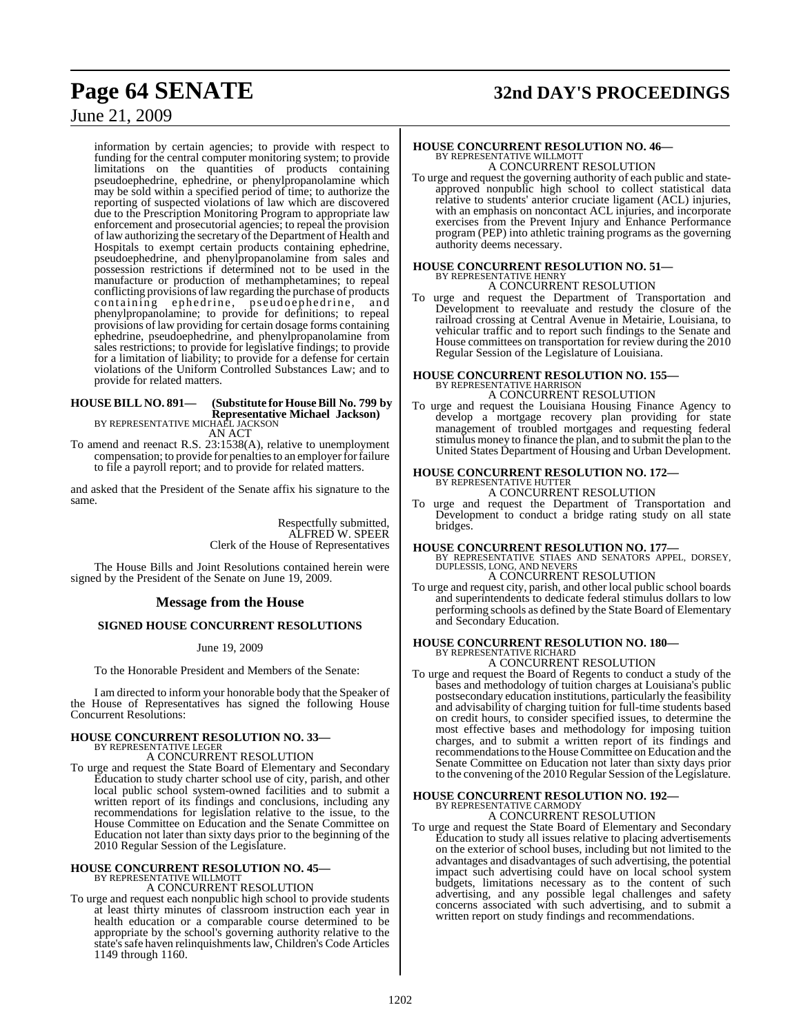## **Page 64 SENATE 32nd DAY'S PROCEEDINGS**

### June 21, 2009

information by certain agencies; to provide with respect to funding for the central computer monitoring system; to provide limitations on the quantities of products containing pseudoephedrine, ephedrine, or phenylpropanolamine which may be sold within a specified period of time; to authorize the reporting of suspected violations of law which are discovered due to the Prescription Monitoring Program to appropriate law enforcement and prosecutorial agencies; to repeal the provision of law authorizing the secretary of the Department of Health and Hospitals to exempt certain products containing ephedrine, pseudoephedrine, and phenylpropanolamine from sales and possession restrictions if determined not to be used in the manufacture or production of methamphetamines; to repeal conflicting provisions of law regarding the purchase of products containing ephedrine, pseudoephedrine, and phenylpropanolamine; to provide for definitions; to repeal provisions of law providing for certain dosage forms containing ephedrine, pseudoephedrine, and phenylpropanolamine from sales restrictions; to provide for legislative findings; to provide for a limitation of liability; to provide for a defense for certain violations of the Uniform Controlled Substances Law; and to provide for related matters.

#### **HOUSE BILL NO. 891— (Substitute for HouseBill No. 799 by Representative Michael Jackson)** BY REPRESENTATIVE MICHAEL JACKSON

AN ACT

To amend and reenact R.S. 23:1538(A), relative to unemployment compensation; to provide for penalties to an employer for failure to file a payroll report; and to provide for related matters.

and asked that the President of the Senate affix his signature to the same.

> Respectfully submitted, ALFRED W. SPEER Clerk of the House of Representatives

The House Bills and Joint Resolutions contained herein were signed by the President of the Senate on June 19, 2009.

#### **Message from the House**

#### **SIGNED HOUSE CONCURRENT RESOLUTIONS**

June 19, 2009

To the Honorable President and Members of the Senate:

I am directed to inform your honorable body that the Speaker of the House of Representatives has signed the following House Concurrent Resolutions:

#### **HOUSE CONCURRENT RESOLUTION NO. 33—** BY REPRESENTATIVE LEGER

A CONCURRENT RESOLUTION

To urge and request the State Board of Elementary and Secondary Education to study charter school use of city, parish, and other local public school system-owned facilities and to submit a written report of its findings and conclusions, including any recommendations for legislation relative to the issue, to the House Committee on Education and the Senate Committee on Education not later than sixty days prior to the beginning of the 2010 Regular Session of the Legislature.

## **HOUSE CONCURRENT RESOLUTION NO. 45—** BY REPRESENTATIVE WILLMOTT

A CONCURRENT RESOLUTION

To urge and request each nonpublic high school to provide students at least thirty minutes of classroom instruction each year in health education or a comparable course determined to be appropriate by the school's governing authority relative to the state's safe haven relinquishments law, Children's Code Articles 1149 through 1160.

### **HOUSE CONCURRENT RESOLUTION NO. 46—** BY REPRESENTATIVE WILLMOTT A CONCURRENT RESOLUTION

To urge and request the governing authority of each public and stateapproved nonpublic high school to collect statistical data relative to students' anterior cruciate ligament (ACL) injuries, with an emphasis on noncontact ACL injuries, and incorporate exercises from the Prevent Injury and Enhance Performance program (PEP) into athletic training programs as the governing authority deems necessary.

### **HOUSE CONCURRENT RESOLUTION NO. 51—** BY REPRESENTATIVE HENRY A CONCURRENT RESOLUTION

To urge and request the Department of Transportation and Development to reevaluate and restudy the closure of the railroad crossing at Central Avenue in Metairie, Louisiana, to vehicular traffic and to report such findings to the Senate and House committees on transportation for review during the 2010 Regular Session of the Legislature of Louisiana.

## **HOUSE CONCURRENT RESOLUTION NO. 155—** BY REPRESENTATIVE HARRISON

A CONCURRENT RESOLUTION

To urge and request the Louisiana Housing Finance Agency to develop a mortgage recovery plan providing for state management of troubled mortgages and requesting federal stimulus money to finance the plan, and to submit the plan to the United States Department of Housing and Urban Development.

## **HOUSE CONCURRENT RESOLUTION NO. 172—** BY REPRESENTATIVE HUTTER

A CONCURRENT RESOLUTION

To urge and request the Department of Transportation and Development to conduct a bridge rating study on all state bridges.

**HOUSE CONCURRENT RESOLUTION NO. 177—** BY REPRESENTATIVE STIAES AND SENATORS APPEL, DORSEY, DUPLESSIS, LONG, AND NEVERS

A CONCURRENT RESOLUTION

To urge and request city, parish, and other local public school boards and superintendents to dedicate federal stimulus dollars to low performing schools as defined by the State Board of Elementary and Secondary Education.

### **HOUSE CONCURRENT RESOLUTION NO. 180—** BY REPRESENTATIVE RICHARD A CONCURRENT RESOLUTION

To urge and request the Board of Regents to conduct a study of the bases and methodology of tuition charges at Louisiana's public postsecondary education institutions, particularly the feasibility and advisability of charging tuition for full-time students based on credit hours, to consider specified issues, to determine the most effective bases and methodology for imposing tuition charges, and to submit a written report of its findings and recommendations to the House Committee on Education and the Senate Committee on Education not later than sixty days prior to the convening of the 2010 Regular Session of the Legislature.

#### **HOUSE CONCURRENT RESOLUTION NO. 192—** BY REPRESENTATIVE CARMOD

A CONCURRENT RESOLUTION

To urge and request the State Board of Elementary and Secondary Education to study all issues relative to placing advertisements on the exterior of school buses, including but not limited to the advantages and disadvantages of such advertising, the potential impact such advertising could have on local school system budgets, limitations necessary as to the content of such advertising, and any possible legal challenges and safety concerns associated with such advertising, and to submit a written report on study findings and recommendations.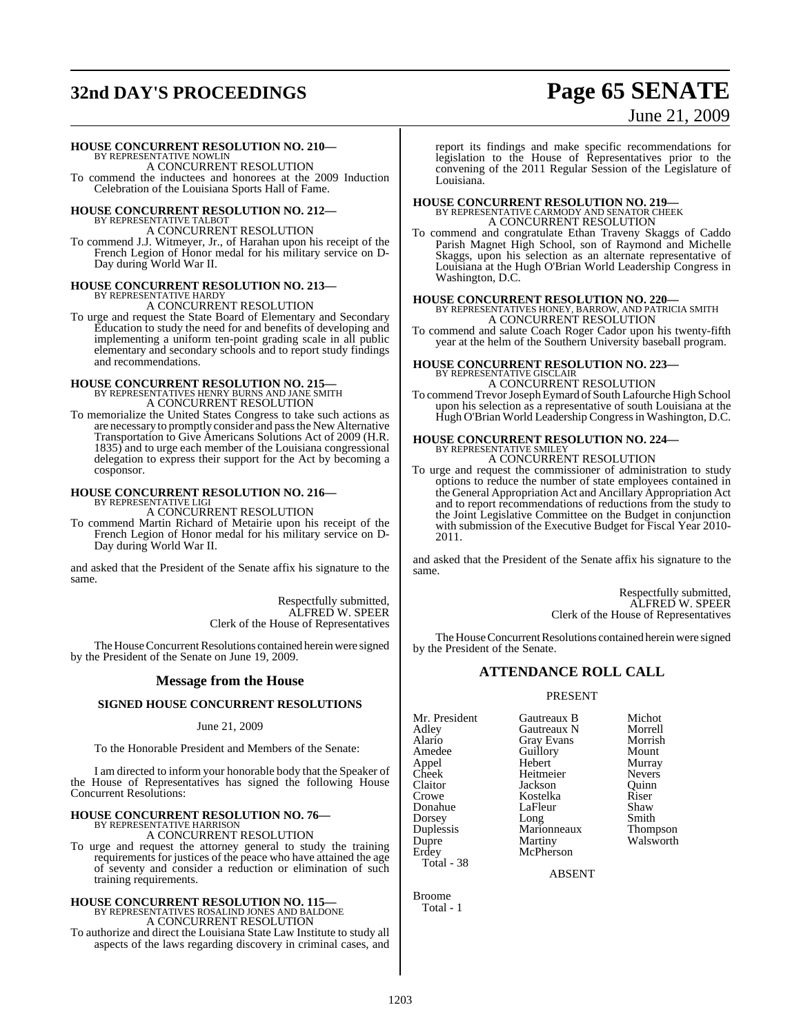## **32nd DAY'S PROCEEDINGS Page 65 SENATE**

# June 21, 2009

#### **HOUSE CONCURRENT RESOLUTION NO. 210—**

BY REPRESENTATIVE NOWLIN A CONCURRENT RESOLUTION

To commend the inductees and honorees at the 2009 Induction Celebration of the Louisiana Sports Hall of Fame.

## **HOUSE CONCURRENT RESOLUTION NO. 212—** BY REPRESENTATIVE TALBOT

A CONCURRENT RESOLUTION

To commend J.J. Witmeyer, Jr., of Harahan upon his receipt of the French Legion of Honor medal for his military service on D-Day during World War II.

## **HOUSE CONCURRENT RESOLUTION NO. 213—** BY REPRESENTATIVE HARDY

A CONCURRENT RESOLUTION

To urge and request the State Board of Elementary and Secondary Education to study the need for and benefits of developing and implementing a uniform ten-point grading scale in all public elementary and secondary schools and to report study findings and recommendations.

### **HOUSE CONCURRENT RESOLUTION NO. 215—** BY REPRESENTATIVES HENRY BURNS AND JANE SMITH A CONCURRENT RESOLUTION

To memorialize the United States Congress to take such actions as are necessary to promptly consider and passthe New Alternative Transportation to Give Americans Solutions Act of 2009 (H.R. 1835) and to urge each member of the Louisiana congressional delegation to express their support for the Act by becoming a cosponsor.

#### **HOUSE CONCURRENT RESOLUTION NO. 216—** BY REPRESENTATIVE LIGI

A CONCURRENT RESOLUTION

To commend Martin Richard of Metairie upon his receipt of the French Legion of Honor medal for his military service on D-Day during World War II.

and asked that the President of the Senate affix his signature to the same.

> Respectfully submitted, ALFRED W. SPEER Clerk of the House of Representatives

The House Concurrent Resolutions contained herein were signed by the President of the Senate on June 19, 2009.

### **Message from the House**

#### **SIGNED HOUSE CONCURRENT RESOLUTIONS**

#### June 21, 2009

To the Honorable President and Members of the Senate:

I am directed to inform your honorable body that the Speaker of the House of Representatives has signed the following House Concurrent Resolutions:

## **HOUSE CONCURRENT RESOLUTION NO. 76—** BY REPRESENTATIVE HARRISON

A CONCURRENT RESOLUTION

To urge and request the attorney general to study the training requirements for justices of the peace who have attained the age of seventy and consider a reduction or elimination of such training requirements.

### **HOUSE CONCURRENT RESOLUTION NO. 115—** BY REPRESENTATIVES ROSALIND JONES AND BALDONE A CONCURRENT RESOLUTION

To authorize and direct the Louisiana State Law Institute to study all aspects of the laws regarding discovery in criminal cases, and

report its findings and make specific recommendations for legislation to the House of Representatives prior to the convening of the 2011 Regular Session of the Legislature of Louisiana.

## **HOUSE CONCURRENT RESOLUTION NO. 219—** BY REPRESENTATIVE CARMODY AND SENATOR CHEEK A CONCURRENT RESOLUTION

To commend and congratulate Ethan Traveny Skaggs of Caddo Parish Magnet High School, son of Raymond and Michelle Skaggs, upon his selection as an alternate representative of Louisiana at the Hugh O'Brian World Leadership Congress in Washington, D.C.

### **HOUSE CONCURRENT RESOLUTION NO. 220—** BY REPRESENTATIVES HONEY, BARROW, AND PATRICIA SMITH A CONCURRENT RESOLUTION

To commend and salute Coach Roger Cador upon his twenty-fifth year at the helm of the Southern University baseball program.

### **HOUSE CONCURRENT RESOLUTION NO. 223—** BY REPRESENTATIVE GISCLAIR A CONCURRENT RESOLUTION

To commend Trevor Joseph Eymard of South Lafourche High School upon his selection as a representative of south Louisiana at the Hugh O'Brian World Leadership Congressin Washington, D.C.

### **HOUSE CONCURRENT RESOLUTION NO. 224—** BY REPRESENTATIVE SMILEY A CONCURRENT RESOLUTION

To urge and request the commissioner of administration to study options to reduce the number of state employees contained in the General Appropriation Act and Ancillary Appropriation Act and to report recommendations of reductions from the study to the Joint Legislative Committee on the Budget in conjunction with submission of the Executive Budget for Fiscal Year 2010- 2011.

and asked that the President of the Senate affix his signature to the same.

> Respectfully submitted, ALFRED W. SPEER Clerk of the House of Representatives

The House Concurrent Resolutions contained herein were signed by the President of the Senate.

### **ATTENDANCE ROLL CALL**

#### PRESENT

Mr. President Gautreaux B Michot<br>Adley Gautreaux N Morrell Adley Gautreaux N Morrell Amedee Guillory<br>Appel Hebert Total - 38

Alario Gray Evans Morrish Appel Hebert Murray Cheek Heitmeier Nevers<br>Claitor Jackson Quinn Claitor Jackson Quinn Kostelka<br>LaFleur Donahue LaFleur Shaw<br>Dorsey Long Smith Dorsey Long Smith<br>
Duplessis Marionneaux Thompson Duplessis Marionneaux<br>
Dupre Martiny Dupre Martiny Walsworth<br>Erdev McPherson McPherson

ABSENT

Broome Total - 1